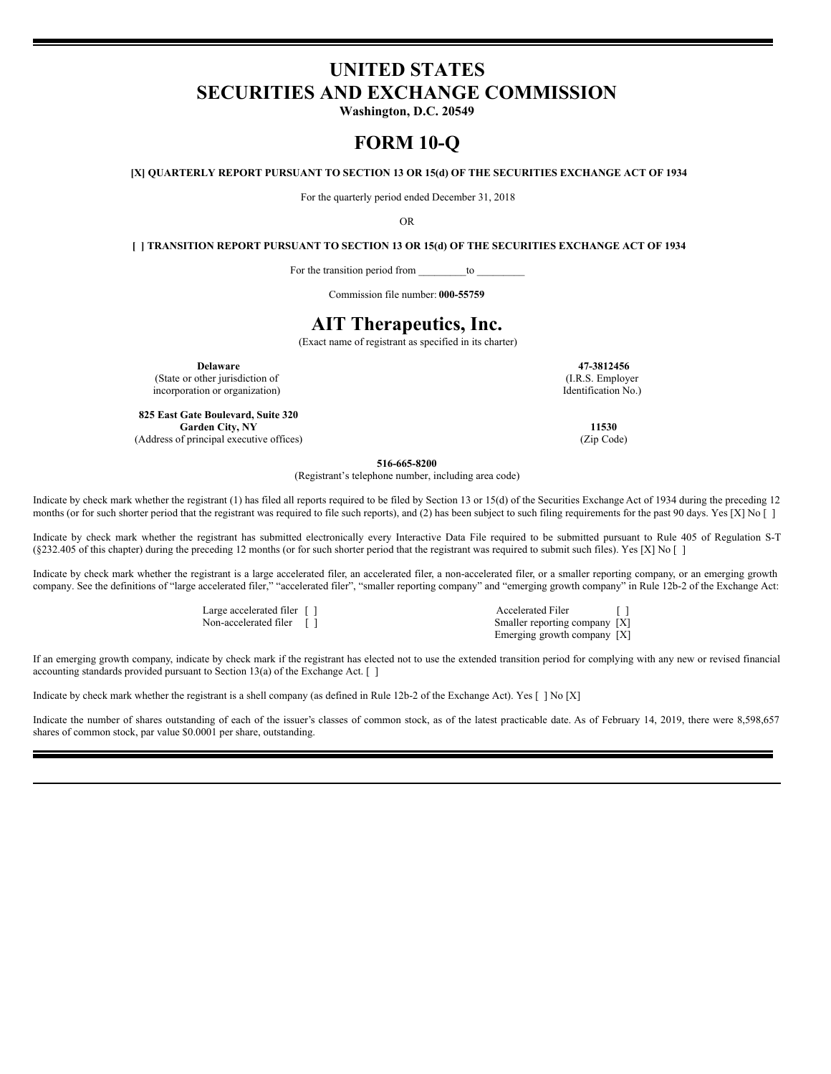# **UNITED STATES SECURITIES AND EXCHANGE COMMISSION**

**Washington, D.C. 20549**

# **FORM 10-Q**

**[X] QUARTERLY REPORT PURSUANT TO SECTION 13 OR 15(d) OF THE SECURITIES EXCHANGE ACT OF 1934**

For the quarterly period ended December 31, 2018

OR

**[ ] TRANSITION REPORT PURSUANT TO SECTION 13 OR 15(d) OF THE SECURITIES EXCHANGE ACT OF 1934**

For the transition period from \_\_\_\_\_\_\_\_\_to \_\_\_\_\_\_\_\_\_

Commission file number: **000-55759**

# **AIT Therapeutics, Inc.**

(Exact name of registrant as specified in its charter)

(State or other jurisdiction of incorporation or organization)

**825 East Gate Boulevard, Suite 320 Garden City, NY 11530** (Address of principal executive offices) (Zip Code)

**Delaware 47-3812456** (I.R.S. Employer Identification No.)

**516-665-8200**

(Registrant's telephone number, including area code)

Indicate by check mark whether the registrant (1) has filed all reports required to be filed by Section 13 or 15(d) of the Securities Exchange Act of 1934 during the preceding 12 months (or for such shorter period that the registrant was required to file such reports), and (2) has been subject to such filing requirements for the past 90 days. Yes [X] No []

Indicate by check mark whether the registrant has submitted electronically every Interactive Data File required to be submitted pursuant to Rule 405 of Regulation S-T (§232.405 of this chapter) during the preceding 12 months (or for such shorter period that the registrant was required to submit such files). Yes [X] No [ ]

Indicate by check mark whether the registrant is a large accelerated filer, an accelerated filer, a non-accelerated filer, or a smaller reporting company, or an emerging growth company. See the definitions of "large accelerated filer," "accelerated filer", "smaller reporting company" and "emerging growth company" in Rule 12b-2 of the Exchange Act:

Large accelerated filer [ ] Accelerated Filer

Non-accelerated filer [ ] Smaller reporting company [X] Emerging growth company [X]

If an emerging growth company, indicate by check mark if the registrant has elected not to use the extended transition period for complying with any new or revised financial accounting standards provided pursuant to Section 13(a) of the Exchange Act. [ ]

Indicate by check mark whether the registrant is a shell company (as defined in Rule 12b-2 of the Exchange Act). Yes [ ] No [X]

Indicate the number of shares outstanding of each of the issuer's classes of common stock, as of the latest practicable date. As of February 14, 2019, there were 8,598,657 shares of common stock, par value \$0.0001 per share, outstanding.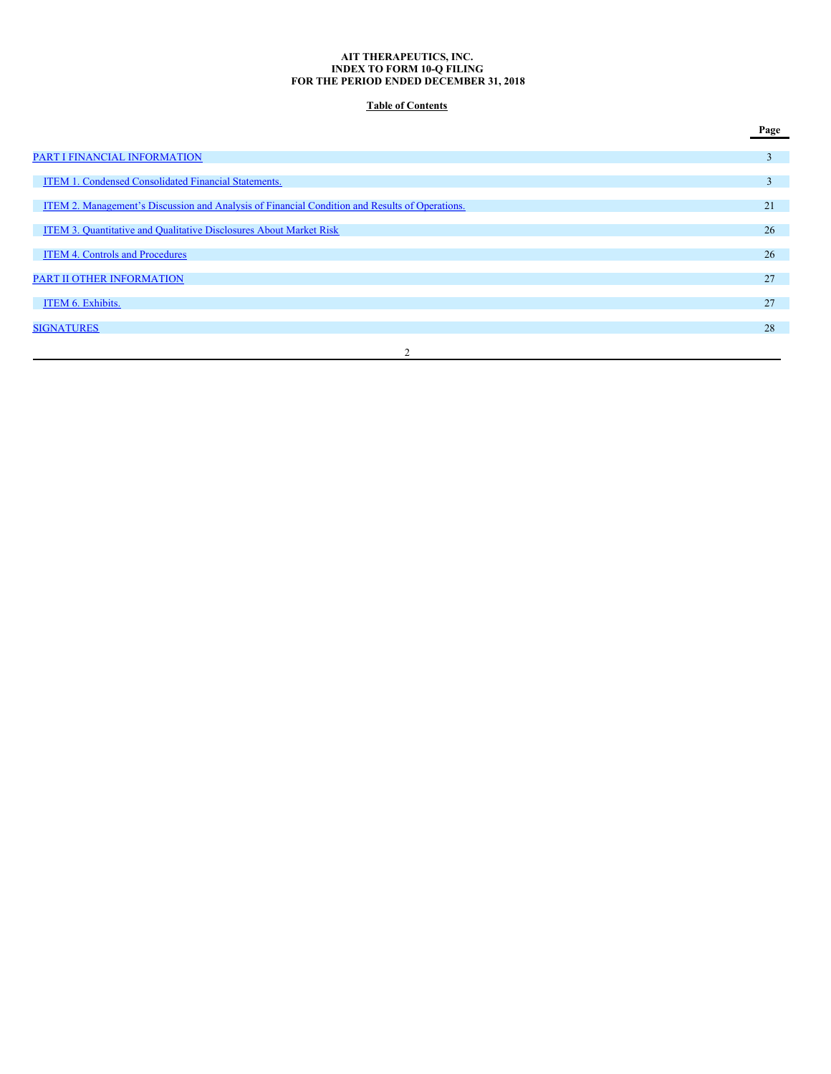#### **AIT THERAPEUTICS, INC. INDEX TO FORM 10-Q FILING FOR THE PERIOD ENDED DECEMBER 31, 2018**

# **Table of Contents**

|                                                                                                | Page |
|------------------------------------------------------------------------------------------------|------|
| PART I FINANCIAL INFORMATION                                                                   | 3    |
| ITEM 1. Condensed Consolidated Financial Statements.                                           | 3    |
| ITEM 2. Management's Discussion and Analysis of Financial Condition and Results of Operations. | 21   |
| ITEM 3. Quantitative and Qualitative Disclosures About Market Risk                             | 26   |
| <b>ITEM 4. Controls and Procedures</b>                                                         | 26   |
| PART II OTHER INFORMATION                                                                      | 27   |
| ITEM 6. Exhibits.                                                                              | 27   |
| <b>SIGNATURES</b>                                                                              | 28   |
| $\bigcap$                                                                                      |      |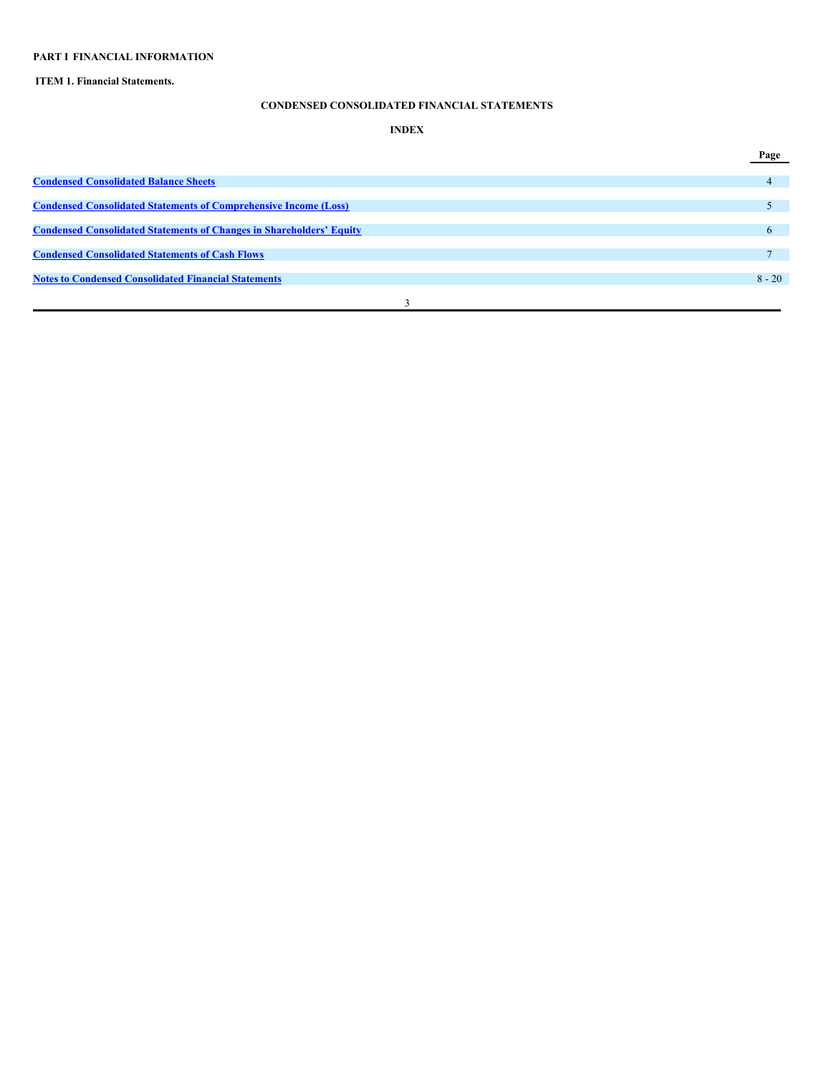# <span id="page-2-0"></span>**PART I FINANCIAL INFORMATION**

<span id="page-2-1"></span>**ITEM 1. Financial Statements.**

# **CONDENSED CONSOLIDATED FINANCIAL STATEMENTS**

# **INDEX**

|                                                                             | Page     |
|-----------------------------------------------------------------------------|----------|
|                                                                             |          |
| <b>Condensed Consolidated Balance Sheets</b>                                |          |
|                                                                             |          |
| <b>Condensed Consolidated Statements of Comprehensive Income (Loss)</b>     |          |
|                                                                             |          |
| <b>Condensed Consolidated Statements of Changes in Shareholders' Equity</b> | 6        |
| <b>Condensed Consolidated Statements of Cash Flows</b>                      |          |
|                                                                             |          |
| <b>Notes to Condensed Consolidated Financial Statements</b>                 | $8 - 20$ |
|                                                                             |          |
|                                                                             |          |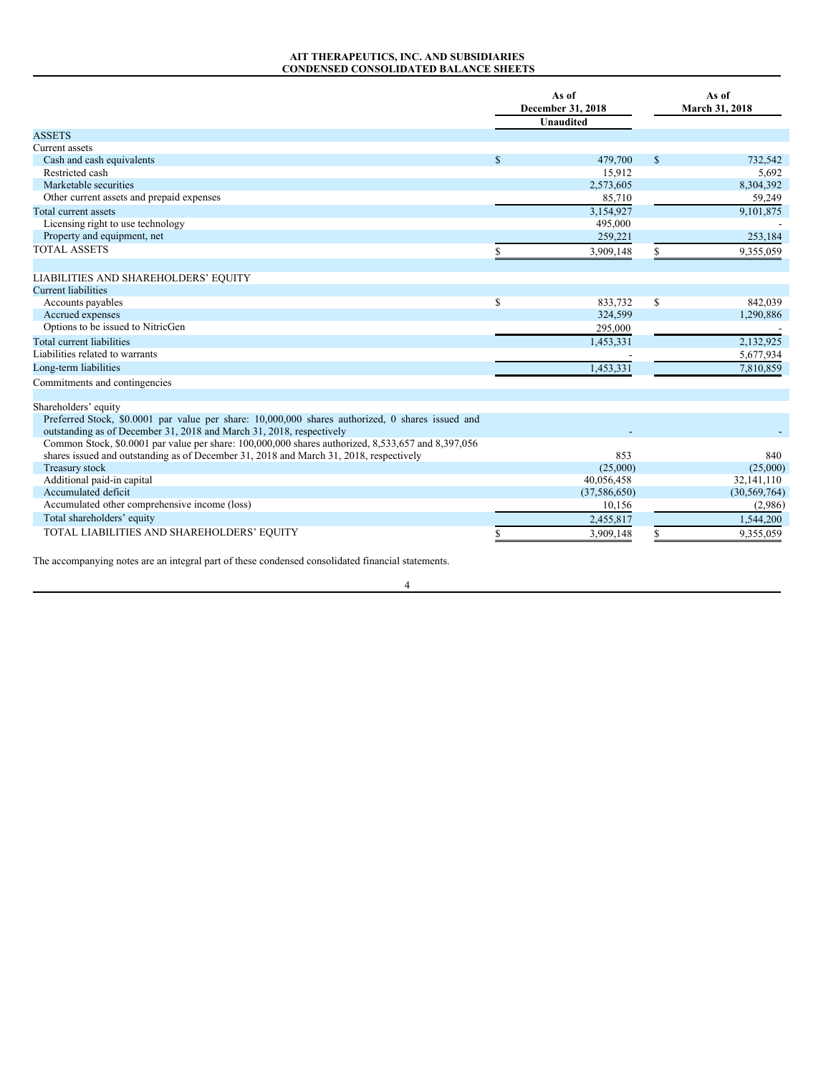# <span id="page-3-0"></span>**AIT THERAPEUTICS, INC. AND SUBSIDIARIES CONDENSED CONSOLIDATED BALANCE SHEETS**

|                                                                                                    | As of<br>December 31, 2018<br><b>Unaudited</b> |              |               | As of<br>March 31, 2018 |
|----------------------------------------------------------------------------------------------------|------------------------------------------------|--------------|---------------|-------------------------|
| <b>ASSETS</b>                                                                                      |                                                |              |               |                         |
| Current assets                                                                                     |                                                |              |               |                         |
| Cash and cash equivalents                                                                          | \$                                             | 479,700      | $\mathsf{\$}$ | 732,542                 |
| Restricted cash                                                                                    |                                                | 15,912       |               | 5,692                   |
| Marketable securities                                                                              |                                                | 2,573,605    |               | 8,304,392               |
| Other current assets and prepaid expenses                                                          |                                                | 85,710       |               | 59,249                  |
| Total current assets                                                                               |                                                | 3,154,927    |               | 9,101,875               |
| Licensing right to use technology                                                                  |                                                | 495,000      |               |                         |
| Property and equipment, net                                                                        |                                                | 259,221      |               | 253,184                 |
| <b>TOTAL ASSETS</b>                                                                                |                                                | 3,909,148    |               | 9,355,059               |
| LIABILITIES AND SHAREHOLDERS' EQUITY                                                               |                                                |              |               |                         |
| <b>Current liabilities</b>                                                                         |                                                |              |               |                         |
| Accounts payables                                                                                  | \$                                             | 833,732      | \$            | 842,039                 |
| Accrued expenses                                                                                   |                                                | 324,599      |               | 1,290,886               |
| Options to be issued to NitricGen                                                                  |                                                | 295,000      |               |                         |
| Total current liabilities                                                                          |                                                | 1,453,331    |               | 2,132,925               |
| Liabilities related to warrants                                                                    |                                                |              |               | 5,677,934               |
| Long-term liabilities                                                                              |                                                | 1,453,331    |               | 7,810,859               |
| Commitments and contingencies                                                                      |                                                |              |               |                         |
|                                                                                                    |                                                |              |               |                         |
| Shareholders' equity                                                                               |                                                |              |               |                         |
| Preferred Stock, \$0.0001 par value per share: 10,000,000 shares authorized, 0 shares issued and   |                                                |              |               |                         |
| outstanding as of December 31, 2018 and March 31, 2018, respectively                               |                                                |              |               |                         |
| Common Stock, \$0.0001 par value per share: 100,000,000 shares authorized, 8,533,657 and 8,397,056 |                                                |              |               |                         |
| shares issued and outstanding as of December 31, 2018 and March 31, 2018, respectively             |                                                | 853          |               | 840                     |
| Treasury stock                                                                                     |                                                | (25,000)     |               | (25,000)                |
| Additional paid-in capital                                                                         |                                                | 40,056,458   |               | 32,141,110              |
| Accumulated deficit                                                                                |                                                | (37,586,650) |               | (30, 569, 764)          |
| Accumulated other comprehensive income (loss)                                                      |                                                | 10,156       |               | (2,986)                 |
| Total shareholders' equity                                                                         |                                                | 2,455,817    |               | 1,544,200               |
| TOTAL LIABILITIES AND SHAREHOLDERS' EQUITY                                                         |                                                | 3,909,148    |               | 9,355,059               |

The accompanying notes are an integral part of these condensed consolidated financial statements.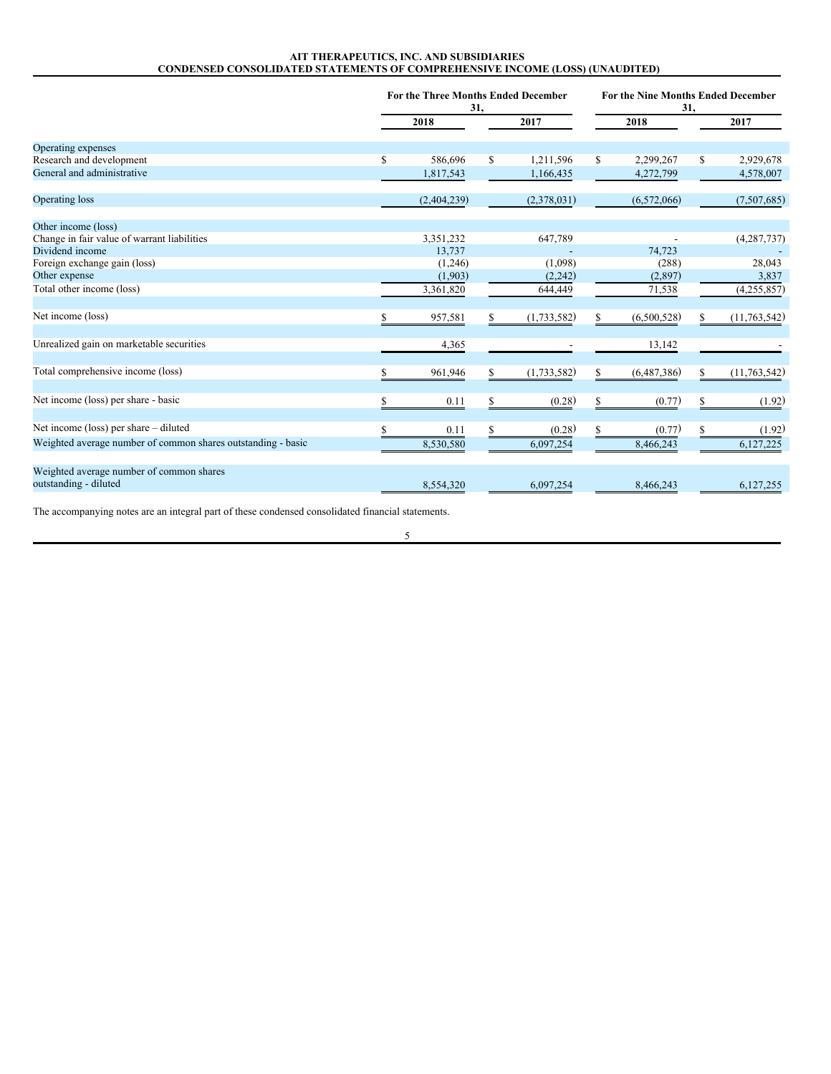# <span id="page-4-0"></span>**AIT THERAPEUTICS, INC. AND SUBSIDIARIES CONDENSED CONSOLIDATED STATEMENTS OF COMPREHENSIVE INCOME (LOSS) (UNAUDITED)**

|                                                                   | For the Three Months Ended December<br>31, |             |    | <b>For the Nine Months Ended December</b><br>31, |                   |    |                |
|-------------------------------------------------------------------|--------------------------------------------|-------------|----|--------------------------------------------------|-------------------|----|----------------|
|                                                                   |                                            | 2018        |    | 2017                                             | 2018              |    | 2017           |
| Operating expenses                                                |                                            |             |    |                                                  |                   |    |                |
| Research and development                                          | <sup>\$</sup>                              | 586,696     | \$ | 1,211,596                                        | \$<br>2,299,267   | \$ | 2,929,678      |
| General and administrative                                        |                                            | 1,817,543   |    | 1,166,435                                        | 4,272,799         |    | 4,578,007      |
| Operating loss                                                    |                                            | (2,404,239) |    | (2,378,031)                                      | (6,572,066)       |    | (7,507,685)    |
| Other income (loss)                                               |                                            |             |    |                                                  |                   |    |                |
| Change in fair value of warrant liabilities                       |                                            | 3,351,232   |    | 647,789                                          |                   |    | (4, 287, 737)  |
| Dividend income                                                   |                                            | 13,737      |    |                                                  | 74,723            |    |                |
| Foreign exchange gain (loss)                                      |                                            | (1,246)     |    | (1,098)                                          | (288)             |    | 28,043         |
| Other expense                                                     |                                            | (1,903)     |    | (2,242)                                          | (2,897)           |    | 3,837          |
| Total other income (loss)                                         |                                            | 3,361,820   |    | 644,449                                          | 71,538            |    | (4,255,857)    |
| Net income (loss)                                                 | S                                          | 957,581     | \$ | (1,733,582)                                      | \$<br>(6,500,528) | \$ | (11, 763, 542) |
| Unrealized gain on marketable securities                          |                                            | 4,365       |    |                                                  | 13,142            |    |                |
| Total comprehensive income (loss)                                 |                                            | 961,946     | \$ | (1,733,582)                                      | \$<br>(6,487,386) | \$ | (11,763,542)   |
| Net income (loss) per share - basic                               |                                            | 0.11        | \$ | (0.28)                                           | \$<br>(0.77)      | S  | (1.92)         |
| Net income (loss) per share – diluted                             |                                            | 0.11        | \$ | (0.28)                                           | \$<br>(0.77)      | \$ | (1.92)         |
| Weighted average number of common shares outstanding - basic      |                                            | 8,530,580   |    | 6,097,254                                        | 8,466,243         |    | 6,127,225      |
| Weighted average number of common shares<br>outstanding - diluted |                                            | 8,554,320   |    | 6,097,254                                        | 8,466,243         |    | 6,127,255      |
|                                                                   |                                            |             |    |                                                  |                   |    |                |

The accompanying notes are an integral part of these condensed consolidated financial statements.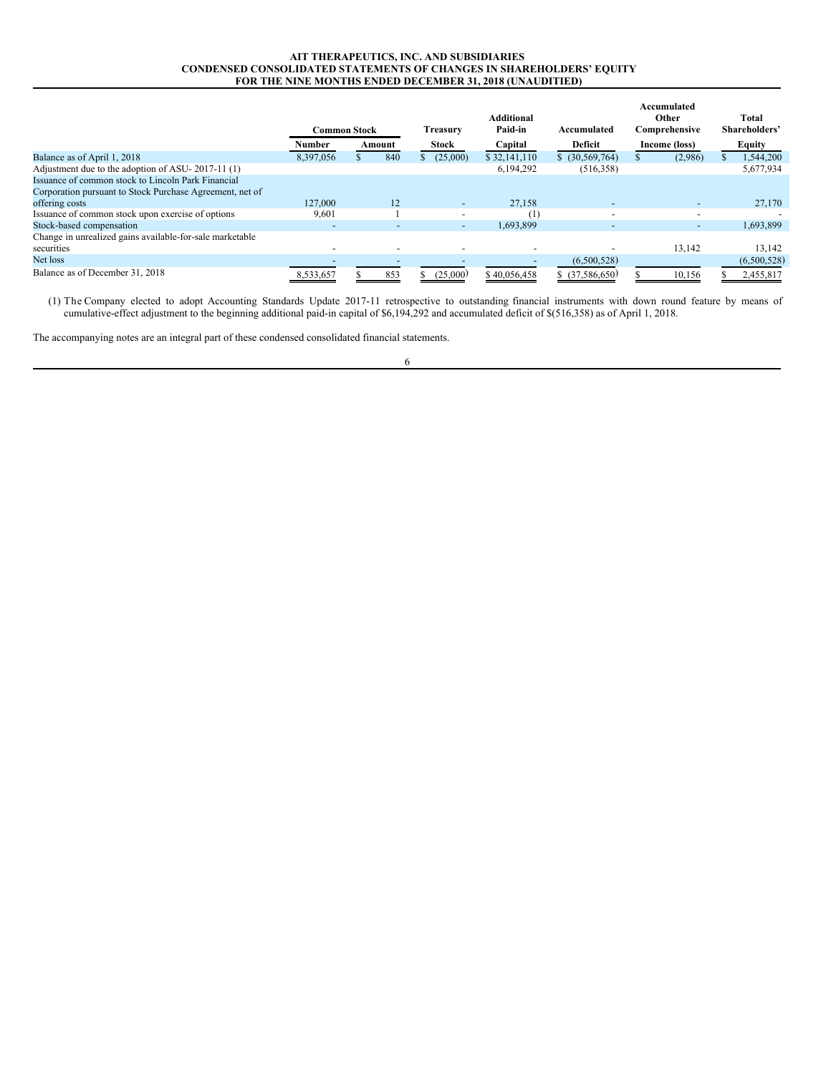#### <span id="page-5-0"></span>**AIT THERAPEUTICS, INC. AND SUBSIDIARIES CONDENSED CONSOLIDATED STATEMENTS OF CHANGES IN SHAREHOLDERS' EQUITY FOR THE NINE MONTHS ENDED DECEMBER 31, 2018 (UNAUDITIED)**

|                                                          |               |                     | <b>Treasury</b>          | <b>Additional</b><br>Paid-in | Accumulated              | Accumulated<br>Other<br>Comprehensive | Total<br>Shareholders' |
|----------------------------------------------------------|---------------|---------------------|--------------------------|------------------------------|--------------------------|---------------------------------------|------------------------|
|                                                          |               | <b>Common Stock</b> |                          |                              |                          |                                       |                        |
|                                                          | <b>Number</b> | Amount              | <b>Stock</b>             | Capital                      | Deficit                  | Income (loss)                         | Equity                 |
| Balance as of April 1, 2018                              | 8,397,056     | 840                 | (25,000)                 | \$32,141,110                 | \$ (30, 569, 764)        | (2,986)                               | 1,544,200              |
| Adjustment due to the adoption of ASU-2017-11 (1)        |               |                     |                          | 6,194,292                    | (516, 358)               |                                       | 5,677,934              |
| Issuance of common stock to Lincoln Park Financial       |               |                     |                          |                              |                          |                                       |                        |
| Corporation pursuant to Stock Purchase Agreement, net of |               |                     |                          |                              |                          |                                       |                        |
| offering costs                                           | 127,000       | 12                  | $\overline{\phantom{0}}$ | 27,158                       | $\overline{\phantom{0}}$ |                                       | 27,170                 |
| Issuance of common stock upon exercise of options        | 9,601         |                     |                          | (1)                          |                          |                                       |                        |
| Stock-based compensation                                 |               |                     |                          | 1,693,899                    |                          | $\overline{\phantom{0}}$              | 1,693,899              |
| Change in unrealized gains available-for-sale marketable |               |                     |                          |                              |                          |                                       |                        |
| securities                                               |               |                     |                          |                              |                          | 13,142                                | 13,142                 |
| Net loss                                                 |               |                     |                          |                              | (6,500,528)              |                                       | (6,500,528)            |
| Balance as of December 31, 2018                          | 8,533,657     | 853                 | (25,000)                 | \$40,056,458                 | \$(37,586,650)           | 10,156                                | 2,455,817              |

(1) The Company elected to adopt Accounting Standards Update 2017-11 retrospective to outstanding financial instruments with down round feature by means of cumulative-effect adjustment to the beginning additional paid-in capital of \$6,194,292 and accumulated deficit of \$(516,358) as of April 1, 2018.

The accompanying notes are an integral part of these condensed consolidated financial statements.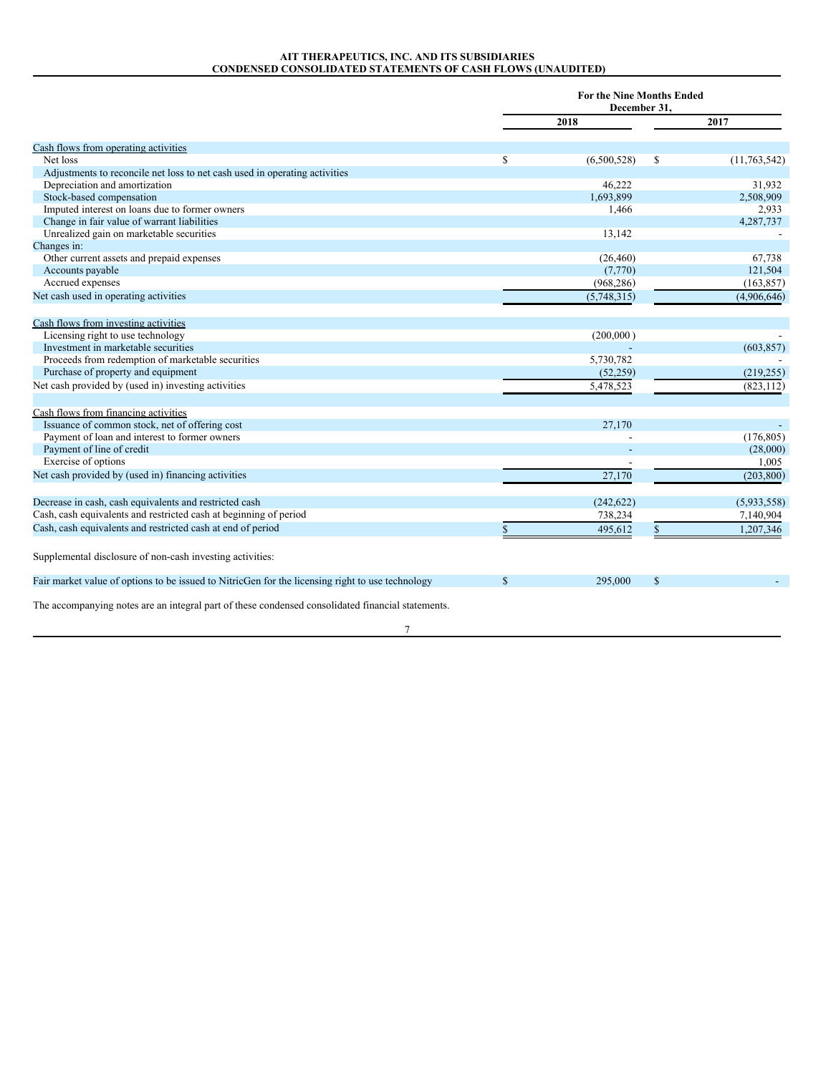# <span id="page-6-0"></span>**AIT THERAPEUTICS, INC. AND ITS SUBSIDIARIES CONDENSED CONSOLIDATED STATEMENTS OF CASH FLOWS (UNAUDITED)**

|                                                                                                   | For the Nine Months Ended<br>December 31. |             |              |              |
|---------------------------------------------------------------------------------------------------|-------------------------------------------|-------------|--------------|--------------|
|                                                                                                   |                                           | 2018        |              | 2017         |
| Cash flows from operating activities                                                              |                                           |             |              |              |
| Net loss                                                                                          | S                                         | (6,500,528) | \$           | (11,763,542) |
| Adjustments to reconcile net loss to net cash used in operating activities                        |                                           |             |              |              |
| Depreciation and amortization                                                                     |                                           | 46,222      |              | 31,932       |
| Stock-based compensation                                                                          |                                           | 1,693,899   |              | 2,508,909    |
| Imputed interest on loans due to former owners                                                    |                                           | 1,466       |              | 2,933        |
| Change in fair value of warrant liabilities                                                       |                                           |             |              | 4,287,737    |
| Unrealized gain on marketable securities                                                          |                                           | 13,142      |              |              |
| Changes in:                                                                                       |                                           |             |              |              |
| Other current assets and prepaid expenses                                                         |                                           | (26, 460)   |              | 67,738       |
| Accounts payable                                                                                  |                                           | (7,770)     |              | 121,504      |
| Accrued expenses                                                                                  |                                           | (968, 286)  |              | (163, 857)   |
| Net cash used in operating activities                                                             |                                           | (5,748,315) |              | (4,906,646)  |
| Cash flows from investing activities                                                              |                                           |             |              |              |
| Licensing right to use technology                                                                 |                                           | (200,000)   |              |              |
| Investment in marketable securities                                                               |                                           |             |              | (603, 857)   |
| Proceeds from redemption of marketable securities                                                 |                                           | 5,730,782   |              |              |
| Purchase of property and equipment                                                                |                                           | (52, 259)   |              | (219, 255)   |
| Net cash provided by (used in) investing activities                                               |                                           | 5,478,523   |              | (823.112)    |
| Cash flows from financing activities                                                              |                                           |             |              |              |
| Issuance of common stock, net of offering cost                                                    |                                           | 27,170      |              |              |
| Payment of loan and interest to former owners                                                     |                                           |             |              | (176, 805)   |
| Payment of line of credit                                                                         |                                           |             |              | (28,000)     |
| Exercise of options                                                                               |                                           |             |              | 1,005        |
| Net cash provided by (used in) financing activities                                               |                                           | 27,170      |              | (203, 800)   |
| Decrease in cash, cash equivalents and restricted cash                                            |                                           | (242, 622)  |              | (5,933,558)  |
| Cash, cash equivalents and restricted cash at beginning of period                                 |                                           | 738,234     |              | 7,140,904    |
| Cash, cash equivalents and restricted cash at end of period                                       |                                           |             |              |              |
|                                                                                                   |                                           | 495,612     |              | 1,207,346    |
| Supplemental disclosure of non-cash investing activities:                                         |                                           |             |              |              |
| Fair market value of options to be issued to NitricGen for the licensing right to use technology  | S                                         | 295,000     | $\mathbb{S}$ |              |
| The accompanying notes are an integral part of these condensed consolidated financial statements. |                                           |             |              |              |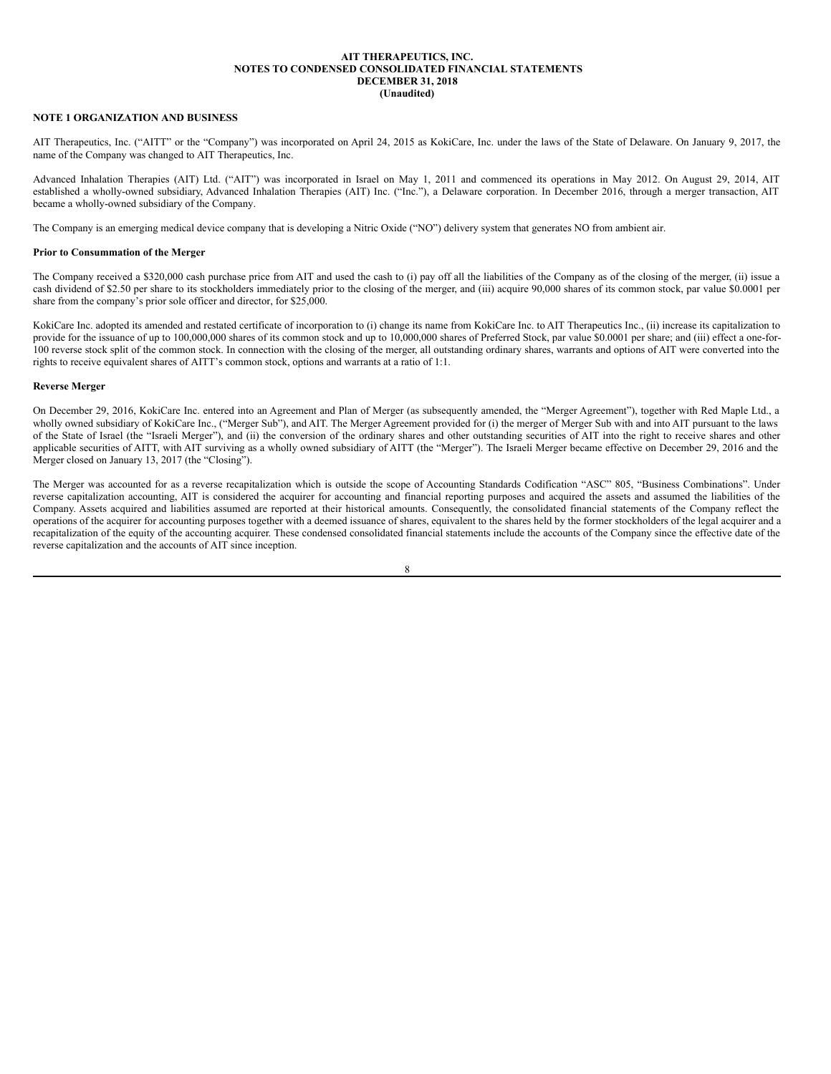# <span id="page-7-0"></span>**NOTE 1 ORGANIZATION AND BUSINESS**

AIT Therapeutics, Inc. ("AITT" or the "Company") was incorporated on April 24, 2015 as KokiCare, Inc. under the laws of the State of Delaware. On January 9, 2017, the name of the Company was changed to AIT Therapeutics, Inc.

Advanced Inhalation Therapies (AIT) Ltd. ("AIT") was incorporated in Israel on May 1, 2011 and commenced its operations in May 2012. On August 29, 2014, AIT established a wholly-owned subsidiary, Advanced Inhalation Therapies (AIT) Inc. ("Inc."), a Delaware corporation. In December 2016, through a merger transaction, AIT became a wholly-owned subsidiary of the Company.

The Company is an emerging medical device company that is developing a Nitric Oxide ("NO") delivery system that generates NO from ambient air.

#### **Prior to Consummation of the Merger**

The Company received a \$320,000 cash purchase price from AIT and used the cash to (i) pay off all the liabilities of the Company as of the closing of the merger, (ii) issue a cash dividend of \$2.50 per share to its stockholders immediately prior to the closing of the merger, and (iii) acquire 90,000 shares of its common stock, par value \$0.0001 per share from the company's prior sole officer and director, for \$25,000.

KokiCare Inc. adopted its amended and restated certificate of incorporation to (i) change its name from KokiCare Inc. to AIT Therapeutics Inc., (ii) increase its capitalization to provide for the issuance of up to 100,000,000 shares of its common stock and up to 10,000,000 shares of Preferred Stock, par value \$0.0001 per share; and (iii) effect a one-for-100 reverse stock split of the common stock. In connection with the closing of the merger, all outstanding ordinary shares, warrants and options of AIT were converted into the rights to receive equivalent shares of AITT's common stock, options and warrants at a ratio of 1:1.

#### **Reverse Merger**

On December 29, 2016, KokiCare Inc. entered into an Agreement and Plan of Merger (as subsequently amended, the "Merger Agreement"), together with Red Maple Ltd., a wholly owned subsidiary of KokiCare Inc., ("Merger Sub"), and AIT. The Merger Agreement provided for (i) the merger of Merger Sub with and into AIT pursuant to the laws of the State of Israel (the "Israeli Merger"), and (ii) the conversion of the ordinary shares and other outstanding securities of AIT into the right to receive shares and other applicable securities of AITT, with AIT surviving as a wholly owned subsidiary of AITT (the "Merger"). The Israeli Merger became effective on December 29, 2016 and the Merger closed on January 13, 2017 (the "Closing").

The Merger was accounted for as a reverse recapitalization which is outside the scope of Accounting Standards Codification "ASC" 805, "Business Combinations". Under reverse capitalization accounting, AIT is considered the acquirer for accounting and financial reporting purposes and acquired the assets and assumed the liabilities of the Company. Assets acquired and liabilities assumed are reported at their historical amounts. Consequently, the consolidated financial statements of the Company reflect the operations of the acquirer for accounting purposes together with a deemed issuance of shares, equivalent to the shares held by the former stockholders of the legal acquirer and a recapitalization of the equity of the accounting acquirer. These condensed consolidated financial statements include the accounts of the Company since the effective date of the reverse capitalization and the accounts of AIT since inception.

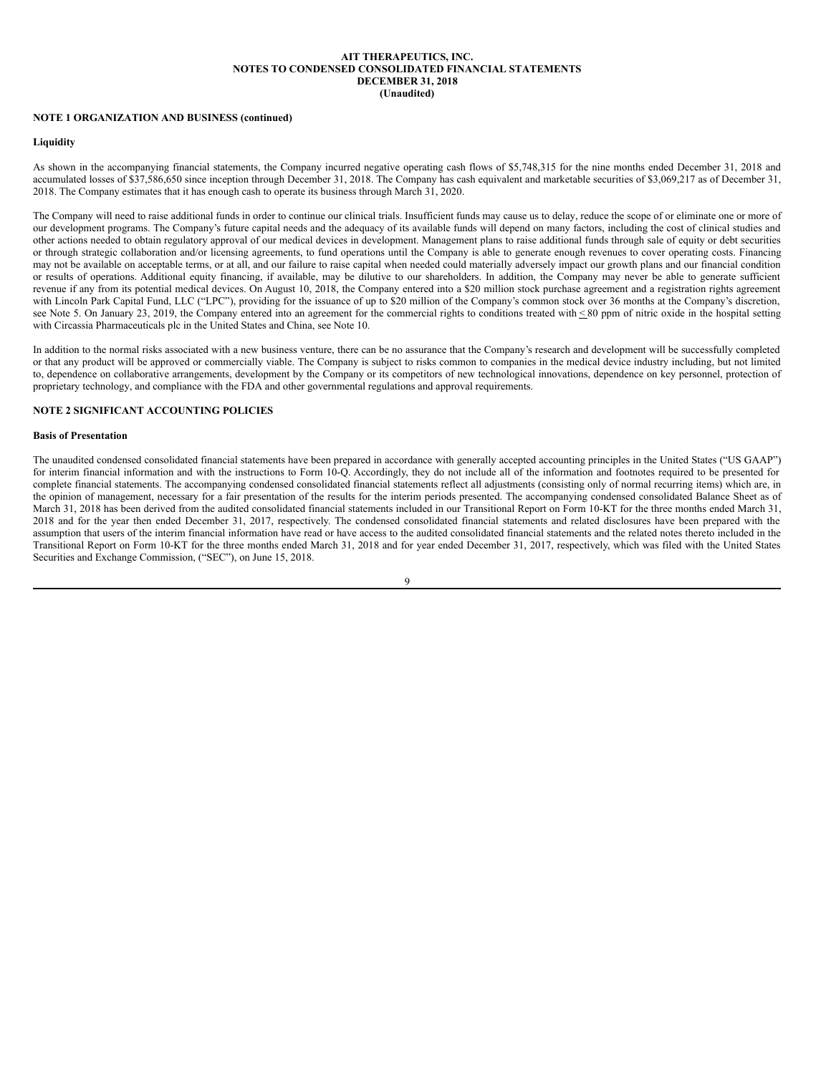# **NOTE 1 ORGANIZATION AND BUSINESS (continued)**

#### **Liquidity**

As shown in the accompanying financial statements, the Company incurred negative operating cash flows of \$5,748,315 for the nine months ended December 31, 2018 and accumulated losses of \$37,586,650 since inception through December 31, 2018. The Company has cash equivalent and marketable securities of \$3,069,217 as of December 31, 2018. The Company estimates that it has enough cash to operate its business through March 31, 2020.

The Company will need to raise additional funds in order to continue our clinical trials. Insufficient funds may cause us to delay, reduce the scope of or eliminate one or more of our development programs. The Company's future capital needs and the adequacy of its available funds will depend on many factors, including the cost of clinical studies and other actions needed to obtain regulatory approval of our medical devices in development. Management plans to raise additional funds through sale of equity or debt securities or through strategic collaboration and/or licensing agreements, to fund operations until the Company is able to generate enough revenues to cover operating costs. Financing may not be available on acceptable terms, or at all, and our failure to raise capital when needed could materially adversely impact our growth plans and our financial condition or results of operations. Additional equity financing, if available, may be dilutive to our shareholders. In addition, the Company may never be able to generate sufficient revenue if any from its potential medical devices. On August 10, 2018, the Company entered into a \$20 million stock purchase agreement and a registration rights agreement with Lincoln Park Capital Fund, LLC ("LPC"), providing for the issuance of up to \$20 million of the Company's common stock over 36 months at the Company's discretion, see Note 5. On January 23, 2019, the Company entered into an agreement for the commercial rights to conditions treated with  $\leq 80$  ppm of nitric oxide in the hospital setting with Circassia Pharmaceuticals plc in the United States and China, see Note 10.

In addition to the normal risks associated with a new business venture, there can be no assurance that the Company's research and development will be successfully completed or that any product will be approved or commercially viable. The Company is subject to risks common to companies in the medical device industry including, but not limited to, dependence on collaborative arrangements, development by the Company or its competitors of new technological innovations, dependence on key personnel, protection of proprietary technology, and compliance with the FDA and other governmental regulations and approval requirements.

### **NOTE 2 SIGNIFICANT ACCOUNTING POLICIES**

#### **Basis of Presentation**

The unaudited condensed consolidated financial statements have been prepared in accordance with generally accepted accounting principles in the United States ("US GAAP") for interim financial information and with the instructions to Form 10-Q. Accordingly, they do not include all of the information and footnotes required to be presented for complete financial statements. The accompanying condensed consolidated financial statements reflect all adjustments (consisting only of normal recurring items) which are, in the opinion of management, necessary for a fair presentation of the results for the interim periods presented. The accompanying condensed consolidated Balance Sheet as of March 31, 2018 has been derived from the audited consolidated financial statements included in our Transitional Report on Form 10-KT for the three months ended March 31, 2018 and for the year then ended December 31, 2017, respectively. The condensed consolidated financial statements and related disclosures have been prepared with the assumption that users of the interim financial information have read or have access to the audited consolidated financial statements and the related notes thereto included in the Transitional Report on Form 10-KT for the three months ended March 31, 2018 and for year ended December 31, 2017, respectively, which was filed with the United States Securities and Exchange Commission, ("SEC"), on June 15, 2018.

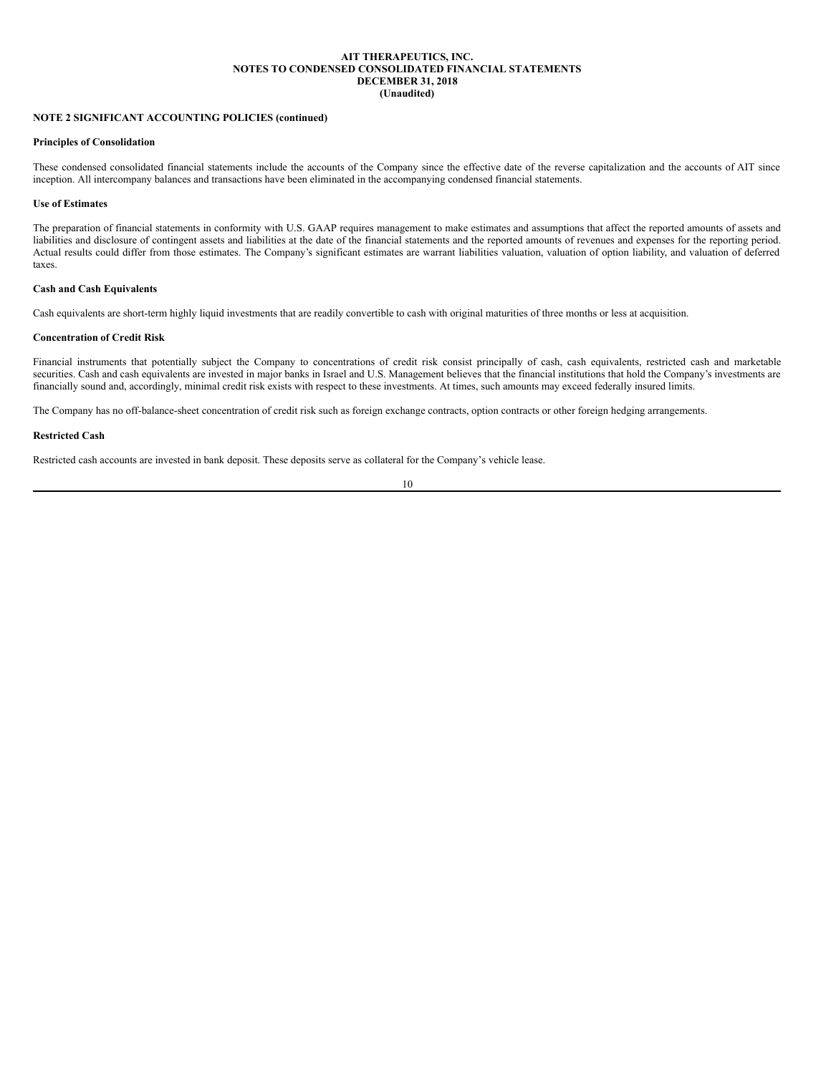# **NOTE 2 SIGNIFICANT ACCOUNTING POLICIES (continued)**

#### **Principles of Consolidation**

These condensed consolidated financial statements include the accounts of the Company since the effective date of the reverse capitalization and the accounts of AIT since inception. All intercompany balances and transactions have been eliminated in the accompanying condensed financial statements.

# **Use of Estimates**

The preparation of financial statements in conformity with U.S. GAAP requires management to make estimates and assumptions that affect the reported amounts of assets and liabilities and disclosure of contingent assets and liabilities at the date of the financial statements and the reported amounts of revenues and expenses for the reporting period. Actual results could differ from those estimates. The Company's significant estimates are warrant liabilities valuation, valuation of option liability, and valuation of deferred taxes.

#### **Cash and Cash Equivalents**

Cash equivalents are short-term highly liquid investments that are readily convertible to cash with original maturities of three months or less at acquisition.

## **Concentration of Credit Risk**

Financial instruments that potentially subject the Company to concentrations of credit risk consist principally of cash, cash equivalents, restricted cash and marketable securities. Cash and cash equivalents are invested in major banks in Israel and U.S. Management believes that the financial institutions that hold the Company's investments are financially sound and, accordingly, minimal credit risk exists with respect to these investments. At times, such amounts may exceed federally insured limits.

The Company has no off-balance-sheet concentration of credit risk such as foreign exchange contracts, option contracts or other foreign hedging arrangements.

#### **Restricted Cash**

Restricted cash accounts are invested in bank deposit. These deposits serve as collateral for the Company's vehicle lease.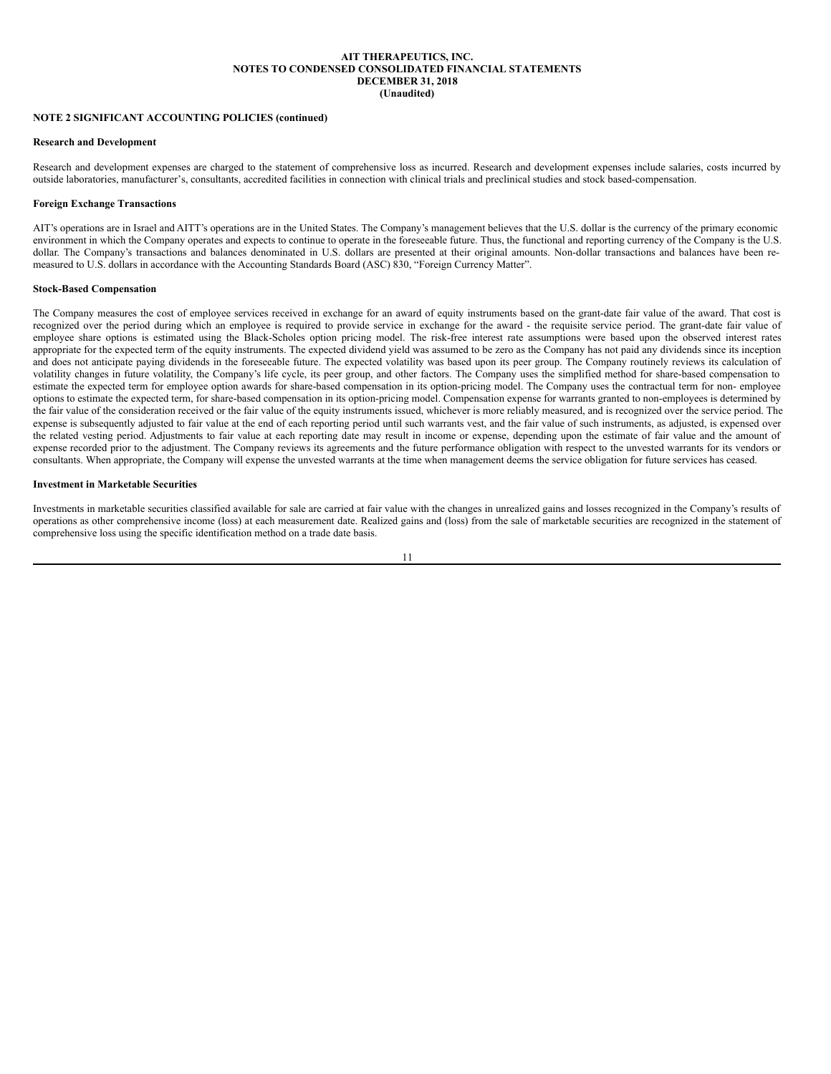# **NOTE 2 SIGNIFICANT ACCOUNTING POLICIES (continued)**

#### **Research and Development**

Research and development expenses are charged to the statement of comprehensive loss as incurred. Research and development expenses include salaries, costs incurred by outside laboratories, manufacturer's, consultants, accredited facilities in connection with clinical trials and preclinical studies and stock based-compensation.

#### **Foreign Exchange Transactions**

AIT's operations are in Israel and AITT's operations are in the United States. The Company's management believes that the U.S. dollar is the currency of the primary economic environment in which the Company operates and expects to continue to operate in the foreseeable future. Thus, the functional and reporting currency of the Company is the U.S. dollar. The Company's transactions and balances denominated in U.S. dollars are presented at their original amounts. Non-dollar transactions and balances have been remeasured to U.S. dollars in accordance with the Accounting Standards Board (ASC) 830, "Foreign Currency Matter".

#### **Stock-Based Compensation**

The Company measures the cost of employee services received in exchange for an award of equity instruments based on the grant-date fair value of the award. That cost is recognized over the period during which an employee is required to provide service in exchange for the award - the requisite service period. The grant-date fair value of employee share options is estimated using the Black-Scholes option pricing model. The risk-free interest rate assumptions were based upon the observed interest rates appropriate for the expected term of the equity instruments. The expected dividend yield was assumed to be zero as the Company has not paid any dividends since its inception and does not anticipate paying dividends in the foreseeable future. The expected volatility was based upon its peer group. The Company routinely reviews its calculation of volatility changes in future volatility, the Company's life cycle, its peer group, and other factors. The Company uses the simplified method for share-based compensation to estimate the expected term for employee option awards for share-based compensation in its option-pricing model. The Company uses the contractual term for non- employee options to estimate the expected term, for share-based compensation in its option-pricing model. Compensation expense for warrants granted to non-employees is determined by the fair value of the consideration received or the fair value of the equity instruments issued, whichever is more reliably measured, and is recognized over the service period. The expense is subsequently adjusted to fair value at the end of each reporting period until such warrants vest, and the fair value of such instruments, as adjusted, is expensed over the related vesting period. Adjustments to fair value at each reporting date may result in income or expense, depending upon the estimate of fair value and the amount of expense recorded prior to the adjustment. The Company reviews its agreements and the future performance obligation with respect to the unvested warrants for its vendors or consultants. When appropriate, the Company will expense the unvested warrants at the time when management deems the service obligation for future services has ceased.

### **Investment in Marketable Securities**

Investments in marketable securities classified available for sale are carried at fair value with the changes in unrealized gains and losses recognized in the Company's results of operations as other comprehensive income (loss) at each measurement date. Realized gains and (loss) from the sale of marketable securities are recognized in the statement of comprehensive loss using the specific identification method on a trade date basis.

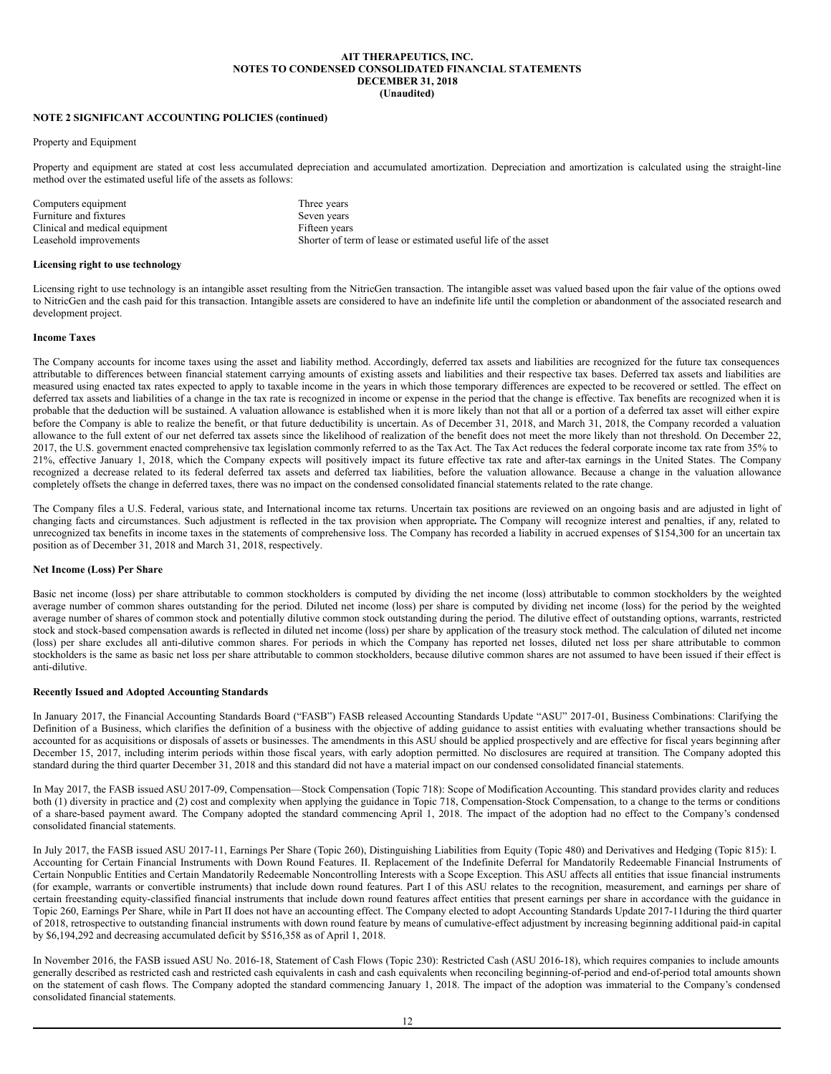# **NOTE 2 SIGNIFICANT ACCOUNTING POLICIES (continued)**

Property and Equipment

Property and equipment are stated at cost less accumulated depreciation and accumulated amortization. Depreciation and amortization is calculated using the straight-line method over the estimated useful life of the assets as follows:

| Computers equipment            | Three years                                                    |
|--------------------------------|----------------------------------------------------------------|
| Furniture and fixtures         | Seven years                                                    |
| Clinical and medical equipment | Fifteen vears                                                  |
| Leasehold improvements         | Shorter of term of lease or estimated useful life of the asset |

#### **Licensing right to use technology**

Licensing right to use technology is an intangible asset resulting from the NitricGen transaction. The intangible asset was valued based upon the fair value of the options owed to NitricGen and the cash paid for this transaction. Intangible assets are considered to have an indefinite life until the completion or abandonment of the associated research and development project.

#### **Income Taxes**

The Company accounts for income taxes using the asset and liability method. Accordingly, deferred tax assets and liabilities are recognized for the future tax consequences attributable to differences between financial statement carrying amounts of existing assets and liabilities and their respective tax bases. Deferred tax assets and liabilities are measured using enacted tax rates expected to apply to taxable income in the years in which those temporary differences are expected to be recovered or settled. The effect on deferred tax assets and liabilities of a change in the tax rate is recognized in income or expense in the period that the change is effective. Tax benefits are recognized when it is probable that the deduction will be sustained. A valuation allowance is established when it is more likely than not that all or a portion of a deferred tax asset will either expire before the Company is able to realize the benefit, or that future deductibility is uncertain. As of December 31, 2018, and March 31, 2018, the Company recorded a valuation allowance to the full extent of our net deferred tax assets since the likelihood of realization of the benefit does not meet the more likely than not threshold. On December 22, 2017, the U.S. government enacted comprehensive tax legislation commonly referred to as the Tax Act. The Tax Act reduces the federal corporate income tax rate from 35% to 21%, effective January 1, 2018, which the Company expects will positively impact its future effective tax rate and after-tax earnings in the United States. The Company recognized a decrease related to its federal deferred tax assets and deferred tax liabilities, before the valuation allowance. Because a change in the valuation allowance completely offsets the change in deferred taxes, there was no impact on the condensed consolidated financial statements related to the rate change.

The Company files a U.S. Federal, various state, and International income tax returns. Uncertain tax positions are reviewed on an ongoing basis and are adjusted in light of changing facts and circumstances. Such adjustment is reflected in the tax provision when appropriate**.** The Company will recognize interest and penalties, if any, related to unrecognized tax benefits in income taxes in the statements of comprehensive loss. The Company has recorded a liability in accrued expenses of \$154,300 for an uncertain tax position as of December 31, 2018 and March 31, 2018, respectively.

# **Net Income (Loss) Per Share**

Basic net income (loss) per share attributable to common stockholders is computed by dividing the net income (loss) attributable to common stockholders by the weighted average number of common shares outstanding for the period. Diluted net income (loss) per share is computed by dividing net income (loss) for the period by the weighted average number of shares of common stock and potentially dilutive common stock outstanding during the period. The dilutive effect of outstanding options, warrants, restricted stock and stock-based compensation awards is reflected in diluted net income (loss) per share by application of the treasury stock method. The calculation of diluted net income (loss) per share excludes all anti-dilutive common shares. For periods in which the Company has reported net losses, diluted net loss per share attributable to common stockholders is the same as basic net loss per share attributable to common stockholders, because dilutive common shares are not assumed to have been issued if their effect is anti-dilutive.

#### **Recently Issued and Adopted Accounting Standards**

In January 2017, the Financial Accounting Standards Board ("FASB") FASB released Accounting Standards Update "ASU" 2017-01, Business Combinations: Clarifying the Definition of a Business, which clarifies the definition of a business with the objective of adding guidance to assist entities with evaluating whether transactions should be accounted for as acquisitions or disposals of assets or businesses. The amendments in this ASU should be applied prospectively and are effective for fiscal years beginning after December 15, 2017, including interim periods within those fiscal years, with early adoption permitted. No disclosures are required at transition. The Company adopted this standard during the third quarter December 31, 2018 and this standard did not have a material impact on our condensed consolidated financial statements.

In May 2017, the FASB issued ASU 2017-09, Compensation—Stock Compensation (Topic 718): Scope of Modification Accounting. This standard provides clarity and reduces both (1) diversity in practice and (2) cost and complexity when applying the guidance in Topic 718, Compensation-Stock Compensation, to a change to the terms or conditions of a share-based payment award. The Company adopted the standard commencing April 1, 2018. The impact of the adoption had no effect to the Company's condensed consolidated financial statements.

In July 2017, the FASB issued ASU 2017-11, Earnings Per Share (Topic 260), Distinguishing Liabilities from Equity (Topic 480) and Derivatives and Hedging (Topic 815): I. Accounting for Certain Financial Instruments with Down Round Features. II. Replacement of the Indefinite Deferral for Mandatorily Redeemable Financial Instruments of Certain Nonpublic Entities and Certain Mandatorily Redeemable Noncontrolling Interests with a Scope Exception. This ASU affects all entities that issue financial instruments (for example, warrants or convertible instruments) that include down round features. Part I of this ASU relates to the recognition, measurement, and earnings per share of certain freestanding equity-classified financial instruments that include down round features affect entities that present earnings per share in accordance with the guidance in Topic 260, Earnings Per Share, while in Part II does not have an accounting effect. The Company elected to adopt Accounting Standards Update 2017-11during the third quarter of 2018, retrospective to outstanding financial instruments with down round feature by means of cumulative-effect adjustment by increasing beginning additional paid-in capital by \$6,194,292 and decreasing accumulated deficit by \$516,358 as of April 1, 2018.

In November 2016, the FASB issued ASU No. 2016-18, Statement of Cash Flows (Topic 230): Restricted Cash (ASU 2016-18), which requires companies to include amounts generally described as restricted cash and restricted cash equivalents in cash and cash equivalents when reconciling beginning-of-period and end-of-period total amounts shown on the statement of cash flows. The Company adopted the standard commencing January 1, 2018. The impact of the adoption was immaterial to the Company's condensed consolidated financial statements.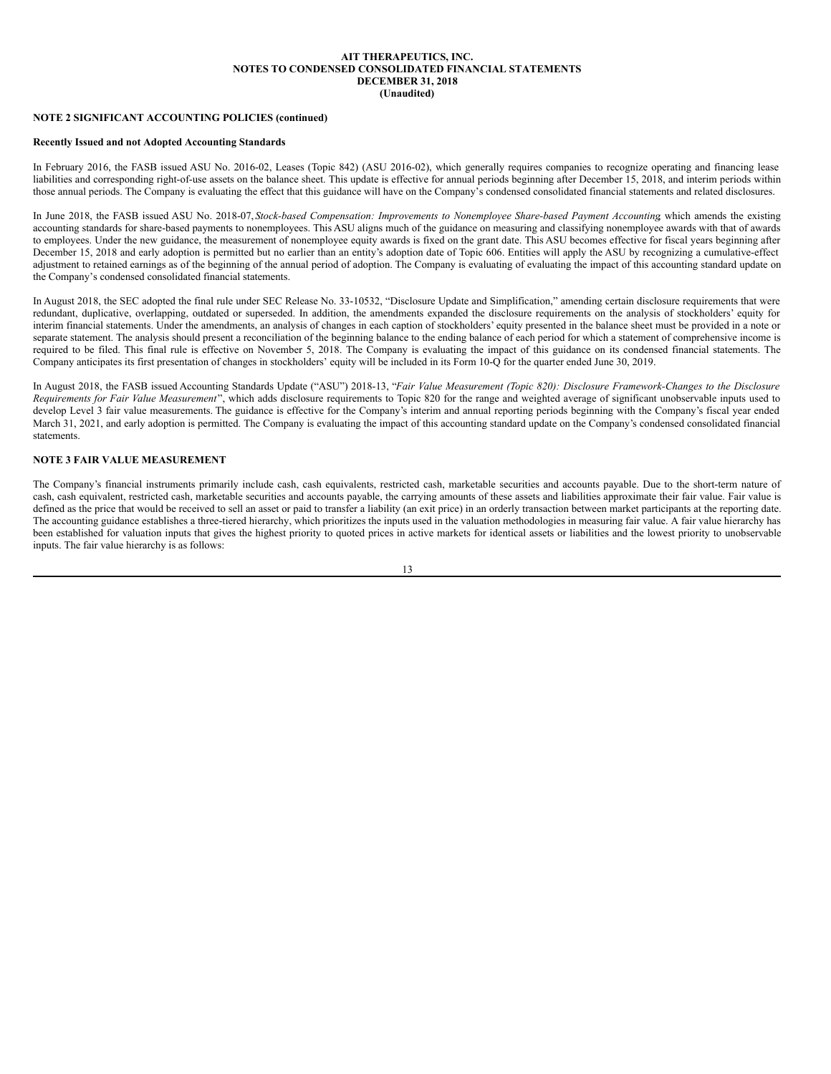# **NOTE 2 SIGNIFICANT ACCOUNTING POLICIES (continued)**

# **Recently Issued and not Adopted Accounting Standards**

In February 2016, the FASB issued ASU No. 2016-02, Leases (Topic 842) (ASU 2016-02), which generally requires companies to recognize operating and financing lease liabilities and corresponding right-of-use assets on the balance sheet. This update is effective for annual periods beginning after December 15, 2018, and interim periods within those annual periods. The Company is evaluating the effect that this guidance will have on the Company's condensed consolidated financial statements and related disclosures.

In June 2018, the FASB issued ASU No. 2018-07, *Stock-based Compensation: Improvements to Nonemployee Share-based Payment Accounting*, which amends the existing accounting standards for share-based payments to nonemployees. This ASU aligns much of the guidance on measuring and classifying nonemployee awards with that of awards to employees. Under the new guidance, the measurement of nonemployee equity awards is fixed on the grant date. This ASU becomes effective for fiscal years beginning after December 15, 2018 and early adoption is permitted but no earlier than an entity's adoption date of Topic 606. Entities will apply the ASU by recognizing a cumulative-effect adjustment to retained earnings as of the beginning of the annual period of adoption. The Company is evaluating of evaluating the impact of this accounting standard update on the Company's condensed consolidated financial statements.

In August 2018, the SEC adopted the final rule under SEC Release No. 33-10532, "Disclosure Update and Simplification," amending certain disclosure requirements that were redundant, duplicative, overlapping, outdated or superseded. In addition, the amendments expanded the disclosure requirements on the analysis of stockholders' equity for interim financial statements. Under the amendments, an analysis of changes in each caption of stockholders' equity presented in the balance sheet must be provided in a note or separate statement. The analysis should present a reconciliation of the beginning balance to the ending balance of each period for which a statement of comprehensive income is required to be filed. This final rule is effective on November 5, 2018. The Company is evaluating the impact of this guidance on its condensed financial statements. The Company anticipates its first presentation of changes in stockholders' equity will be included in its Form 10-Q for the quarter ended June 30, 2019.

In August 2018, the FASB issued Accounting Standards Update ("ASU") 2018-13, "Fair Value Measurement (Topic 820): Disclosure Framework-Changes to the Disclosure *Requirements for Fair Value Measurement*", which adds disclosure requirements to Topic 820 for the range and weighted average of significant unobservable inputs used to develop Level 3 fair value measurements. The guidance is effective for the Company's interim and annual reporting periods beginning with the Company's fiscal year ended March 31, 2021, and early adoption is permitted. The Company is evaluating the impact of this accounting standard update on the Company's condensed consolidated financial statements.

#### **NOTE 3 FAIR VALUE MEASUREMENT**

The Company's financial instruments primarily include cash, cash equivalents, restricted cash, marketable securities and accounts payable. Due to the short-term nature of cash, cash equivalent, restricted cash, marketable securities and accounts payable, the carrying amounts of these assets and liabilities approximate their fair value. Fair value is defined as the price that would be received to sell an asset or paid to transfer a liability (an exit price) in an orderly transaction between market participants at the reporting date. The accounting guidance establishes a three-tiered hierarchy, which prioritizes the inputs used in the valuation methodologies in measuring fair value. A fair value hierarchy has been established for valuation inputs that gives the highest priority to quoted prices in active markets for identical assets or liabilities and the lowest priority to unobservable inputs. The fair value hierarchy is as follows:

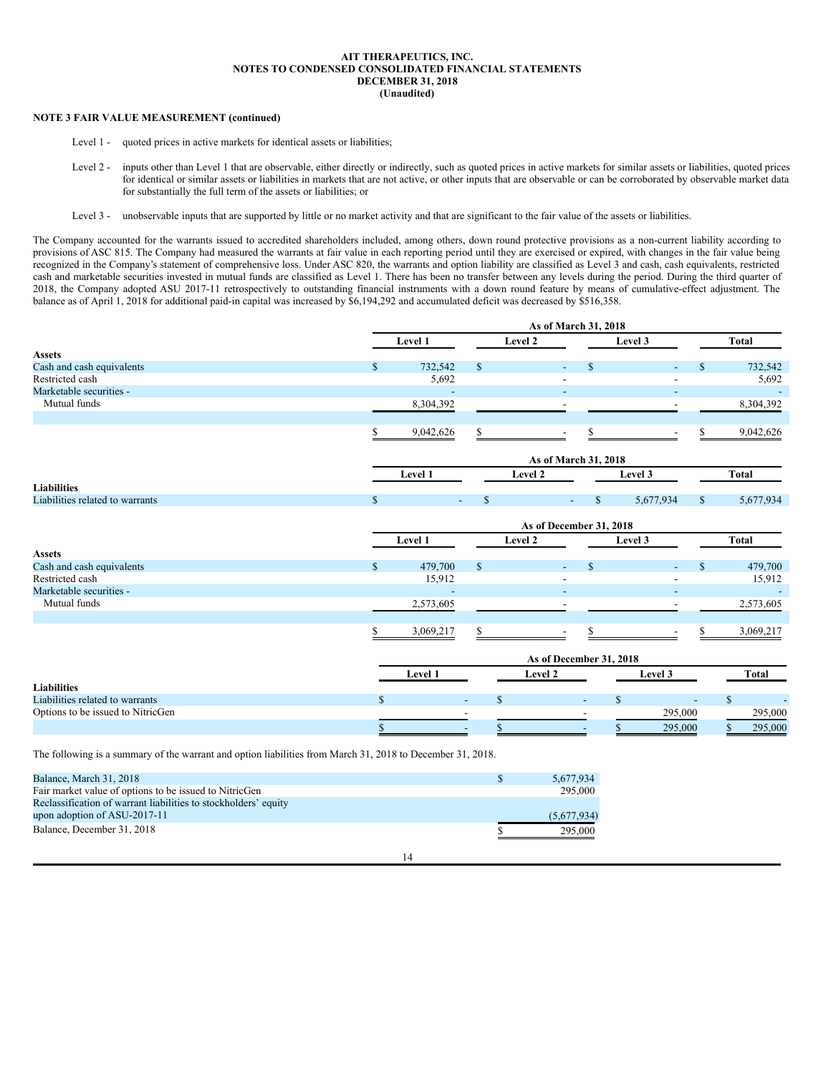# **NOTE 3 FAIR VALUE MEASUREMENT (continued)**

- Level 1 quoted prices in active markets for identical assets or liabilities;
- Level 2 inputs other than Level 1 that are observable, either directly or indirectly, such as quoted prices in active markets for similar assets or liabilities, quoted prices for identical or similar assets or liabilities in markets that are not active, or other inputs that are observable or can be corroborated by observable market data for substantially the full term of the assets or liabilities; or
- Level 3 unobservable inputs that are supported by little or no market activity and that are significant to the fair value of the assets or liabilities.

The Company accounted for the warrants issued to accredited shareholders included, among others, down round protective provisions as a non-current liability according to provisions of ASC 815. The Company had measured the warrants at fair value in each reporting period until they are exercised or expired, with changes in the fair value being recognized in the Company's statement of comprehensive loss. Under ASC 820, the warrants and option liability are classified as Level 3 and cash, cash equivalents, restricted cash and marketable securities invested in mutual funds are classified as Level 1. There has been no transfer between any levels during the period. During the third quarter of 2018, the Company adopted ASU 2017-11 retrospectively to outstanding financial instruments with a down round feature by means of cumulative-effect adjustment. The balance as of April 1, 2018 for additional paid-in capital was increased by \$6,194,292 and accumulated deficit was decreased by \$516,358.

|                                   |              | As of March 31, 2018     |              |                         |                                |               |                |                         |  |
|-----------------------------------|--------------|--------------------------|--------------|-------------------------|--------------------------------|---------------|----------------|-------------------------|--|
|                                   |              | Level 1                  | Level 2      |                         |                                | Level 3       |                | <b>Total</b>            |  |
| <b>Assets</b>                     |              |                          |              |                         |                                |               |                |                         |  |
| Cash and cash equivalents         | $\mathbb{S}$ | 732,542                  | $\mathbb{S}$ | $\blacksquare$          | \$                             |               | \$             | 732,542                 |  |
| Restricted cash                   |              | 5,692                    |              |                         |                                |               |                | 5,692                   |  |
| Marketable securities -           |              |                          |              |                         |                                |               |                |                         |  |
| Mutual funds                      |              | 8,304,392                |              |                         |                                |               |                | 8,304,392               |  |
|                                   |              | 9,042,626                | \$           |                         | S                              |               | \$             | 9,042,626               |  |
|                                   |              |                          |              |                         | As of March 31, 2018           |               |                |                         |  |
|                                   |              | Level 1                  |              | Level 2                 |                                | Level 3       |                | <b>Total</b>            |  |
| <b>Liabilities</b>                |              |                          |              |                         |                                |               |                |                         |  |
| Liabilities related to warrants   | S            | $\overline{\phantom{a}}$ | S            |                         | $\mathbb{S}$<br>$\overline{a}$ | 5,677,934     | \$             | 5,677,934               |  |
|                                   |              | As of December 31, 2018  |              |                         |                                |               |                |                         |  |
|                                   |              | Level 1                  | Level 2      |                         |                                | Level 3       |                | <b>Total</b>            |  |
| <b>Assets</b>                     |              |                          |              |                         |                                |               |                |                         |  |
| Cash and cash equivalents         | $\mathbb{S}$ | 479,700                  | \$           | $\blacksquare$          | S                              |               | \$             | 479,700                 |  |
| Restricted cash                   |              | 15,912                   |              |                         |                                |               |                | 15,912                  |  |
| Marketable securities -           |              |                          |              |                         |                                |               |                |                         |  |
| Mutual funds                      |              | 2,573,605                |              |                         |                                |               |                | 2,573,605               |  |
|                                   | S.           | 3,069,217                | \$           |                         |                                |               | S              | 3,069,217               |  |
|                                   |              |                          |              | As of December 31, 2018 |                                |               |                |                         |  |
|                                   |              | Level 1                  |              | Level 2                 |                                | Level 3       |                | <b>Total</b>            |  |
| <b>Liabilities</b>                |              |                          |              |                         |                                |               |                |                         |  |
| Liabilities related to warrants   | $\mathbf S$  |                          | \$           |                         | $\overline{a}$                 | \$            | $\blacksquare$ | $\mathbb{S}$            |  |
| Options to be issued to NitricGen |              |                          |              |                         |                                | 295,000       |                | 295,000                 |  |
|                                   | $\$$         |                          | \$           |                         | $\overline{\phantom{a}}$       | \$<br>295,000 |                | 295,000<br>$\mathbb{S}$ |  |

The following is a summary of the warrant and option liabilities from March 31, 2018 to December 31, 2018.

| Balance, March 31, 2018                                         | 5.677.934   |
|-----------------------------------------------------------------|-------------|
| Fair market value of options to be issued to NitricGen          | 295,000     |
| Reclassification of warrant liabilities to stockholders' equity |             |
| upon adoption of ASU-2017-11                                    | (5,677,934) |
| Balance, December 31, 2018                                      | 295,000     |

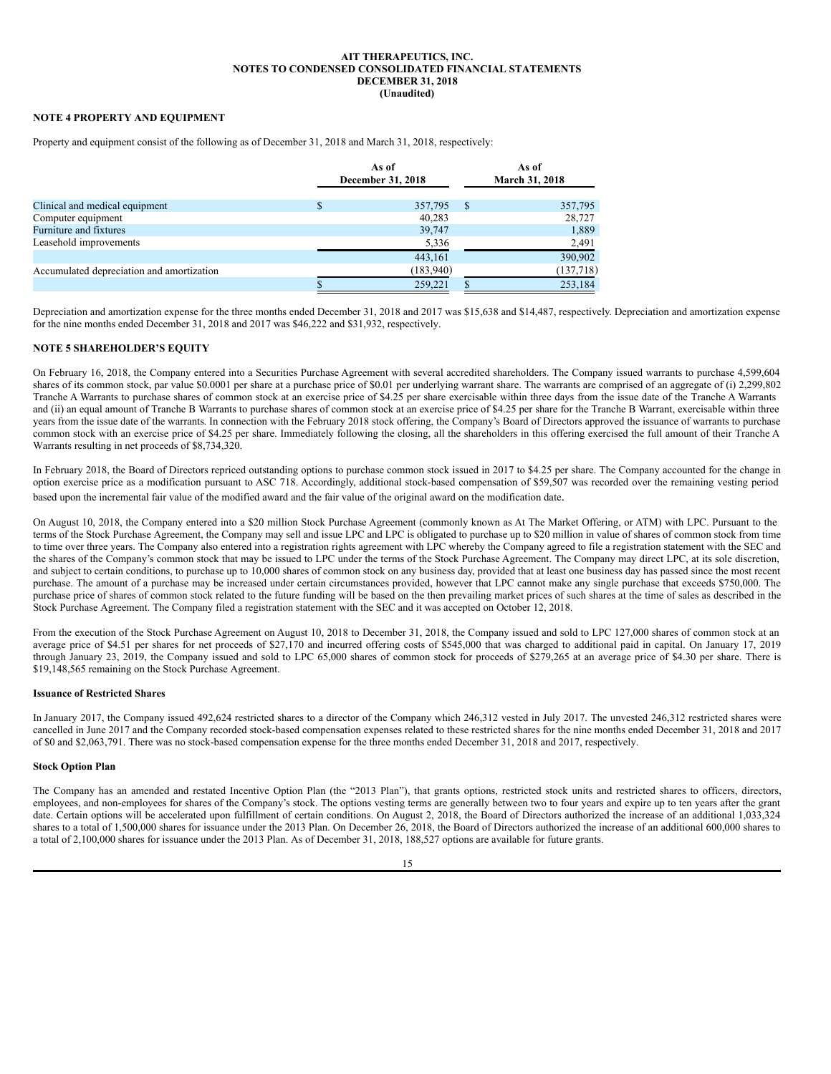# **NOTE 4 PROPERTY AND EQUIPMENT**

Property and equipment consist of the following as of December 31, 2018 and March 31, 2018, respectively:

|                                           | As of<br>December 31, 2018 | As of<br>March 31, 2018 |           |  |
|-------------------------------------------|----------------------------|-------------------------|-----------|--|
| Clinical and medical equipment            | 357,795                    | <sup>S</sup>            | 357,795   |  |
| Computer equipment                        | 40,283                     |                         | 28,727    |  |
| Furniture and fixtures                    | 39,747                     |                         | 1,889     |  |
| Leasehold improvements                    | 5,336                      |                         | 2,491     |  |
|                                           | 443,161                    |                         | 390,902   |  |
| Accumulated depreciation and amortization | (183,940)                  |                         | (137,718) |  |
|                                           | 259,221                    |                         | 253.184   |  |

Depreciation and amortization expense for the three months ended December 31, 2018 and 2017 was \$15,638 and \$14,487, respectively. Depreciation and amortization expense for the nine months ended December 31, 2018 and 2017 was \$46,222 and \$31,932, respectively.

# **NOTE 5 SHAREHOLDER'S EQUITY**

On February 16, 2018, the Company entered into a Securities Purchase Agreement with several accredited shareholders. The Company issued warrants to purchase 4,599,604 shares of its common stock, par value \$0.0001 per share at a purchase price of \$0.01 per underlying warrant share. The warrants are comprised of an aggregate of (i) 2,299,802 Tranche A Warrants to purchase shares of common stock at an exercise price of \$4.25 per share exercisable within three days from the issue date of the Tranche A Warrants and (ii) an equal amount of Tranche B Warrants to purchase shares of common stock at an exercise price of \$4.25 per share for the Tranche B Warrant, exercisable within three years from the issue date of the warrants. In connection with the February 2018 stock offering, the Company's Board of Directors approved the issuance of warrants to purchase common stock with an exercise price of \$4.25 per share. Immediately following the closing, all the shareholders in this offering exercised the full amount of their Tranche A Warrants resulting in net proceeds of \$8,734,320.

In February 2018, the Board of Directors repriced outstanding options to purchase common stock issued in 2017 to \$4.25 per share. The Company accounted for the change in option exercise price as a modification pursuant to ASC 718. Accordingly, additional stock-based compensation of \$59,507 was recorded over the remaining vesting period based upon the incremental fair value of the modified award and the fair value of the original award on the modification date.

On August 10, 2018, the Company entered into a \$20 million Stock Purchase Agreement (commonly known as At The Market Offering, or ATM) with LPC. Pursuant to the terms of the Stock Purchase Agreement, the Company may sell and issue LPC and LPC is obligated to purchase up to \$20 million in value of shares of common stock from time to time over three years. The Company also entered into a registration rights agreement with LPC whereby the Company agreed to file a registration statement with the SEC and the shares of the Company's common stock that may be issued to LPC under the terms of the Stock Purchase Agreement. The Company may direct LPC, at its sole discretion, and subject to certain conditions, to purchase up to 10,000 shares of common stock on any business day, provided that at least one business day has passed since the most recent purchase. The amount of a purchase may be increased under certain circumstances provided, however that LPC cannot make any single purchase that exceeds \$750,000. The purchase price of shares of common stock related to the future funding will be based on the then prevailing market prices of such shares at the time of sales as described in the Stock Purchase Agreement. The Company filed a registration statement with the SEC and it was accepted on October 12, 2018.

From the execution of the Stock Purchase Agreement on August 10, 2018 to December 31, 2018, the Company issued and sold to LPC 127,000 shares of common stock at an average price of \$4.51 per shares for net proceeds of \$27,170 and incurred offering costs of \$545,000 that was charged to additional paid in capital. On January 17, 2019 through January 23, 2019, the Company issued and sold to LPC 65,000 shares of common stock for proceeds of \$279,265 at an average price of \$4.30 per share. There is \$19,148,565 remaining on the Stock Purchase Agreement.

### **Issuance of Restricted Shares**

In January 2017, the Company issued 492,624 restricted shares to a director of the Company which 246,312 vested in July 2017. The unvested 246,312 restricted shares were cancelled in June 2017 and the Company recorded stock-based compensation expenses related to these restricted shares for the nine months ended December 31, 2018 and 2017 of \$0 and \$2,063,791. There was no stock-based compensation expense for the three months ended December 31, 2018 and 2017, respectively.

# **Stock Option Plan**

The Company has an amended and restated Incentive Option Plan (the "2013 Plan"), that grants options, restricted stock units and restricted shares to officers, directors, employees, and non-employees for shares of the Company's stock. The options vesting terms are generally between two to four years and expire up to ten years after the grant date. Certain options will be accelerated upon fulfillment of certain conditions. On August 2, 2018, the Board of Directors authorized the increase of an additional 1,033,324 shares to a total of 1,500,000 shares for issuance under the 2013 Plan. On December 26, 2018, the Board of Directors authorized the increase of an additional 600,000 shares to a total of 2,100,000 shares for issuance under the 2013 Plan. As of December 31, 2018, 188,527 options are available for future grants.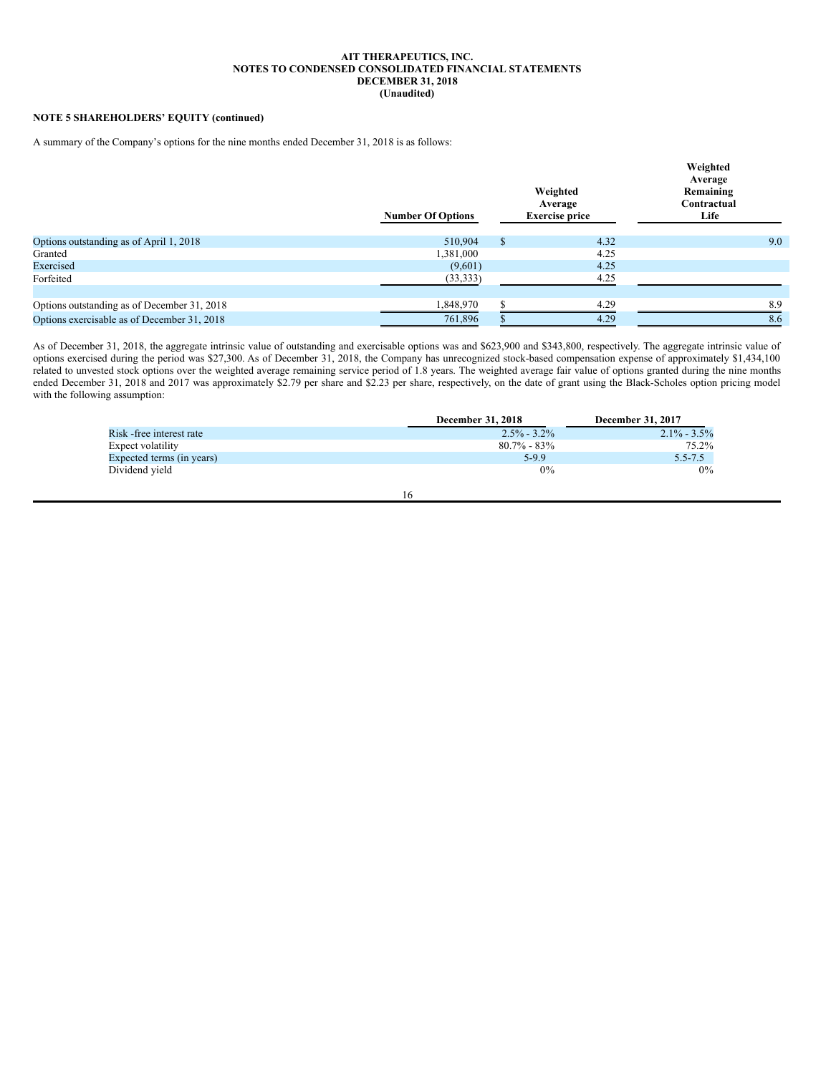# **NOTE 5 SHAREHOLDERS' EQUITY (continued)**

A summary of the Company's options for the nine months ended December 31, 2018 is as follows:

|                                             | <b>Number Of Options</b> | Weighted<br>Average<br><b>Exercise price</b> | Weighted<br>Average<br>Remaining<br>Contractual<br>Life |
|---------------------------------------------|--------------------------|----------------------------------------------|---------------------------------------------------------|
| Options outstanding as of April 1, 2018     | 510,904                  | \$<br>4.32                                   | 9.0                                                     |
| Granted                                     | 1,381,000                | 4.25                                         |                                                         |
| Exercised                                   | (9,601)                  | 4.25                                         |                                                         |
| Forfeited                                   | (33, 333)                | 4.25                                         |                                                         |
| Options outstanding as of December 31, 2018 | 1,848,970                | 4.29                                         | 8.9                                                     |
| Options exercisable as of December 31, 2018 | 761,896                  | 4.29                                         | 8.6                                                     |

As of December 31, 2018, the aggregate intrinsic value of outstanding and exercisable options was and \$623,900 and \$343,800, respectively. The aggregate intrinsic value of options exercised during the period was \$27,300. As of December 31, 2018, the Company has unrecognized stock-based compensation expense of approximately \$1,434,100 related to unvested stock options over the weighted average remaining service period of 1.8 years. The weighted average fair value of options granted during the nine months ended December 31, 2018 and 2017 was approximately \$2.79 per share and \$2.23 per share, respectively, on the date of grant using the Black-Scholes option pricing model with the following assumption:

|                           | December 31, 2018 | December 31, 2017 |
|---------------------------|-------------------|-------------------|
| Risk-free interest rate   | $2.5\% - 3.2\%$   | $2.1\% - 3.5\%$   |
| Expect volatility         | $80.7\%$ - $83\%$ | 75.2%             |
| Expected terms (in years) | 5-9.9             | $5.5 - 7.5$       |
| Dividend yield            | 0%                | $0\%$             |
|                           |                   |                   |

| ×<br>×<br>٧ |
|-------------|
|             |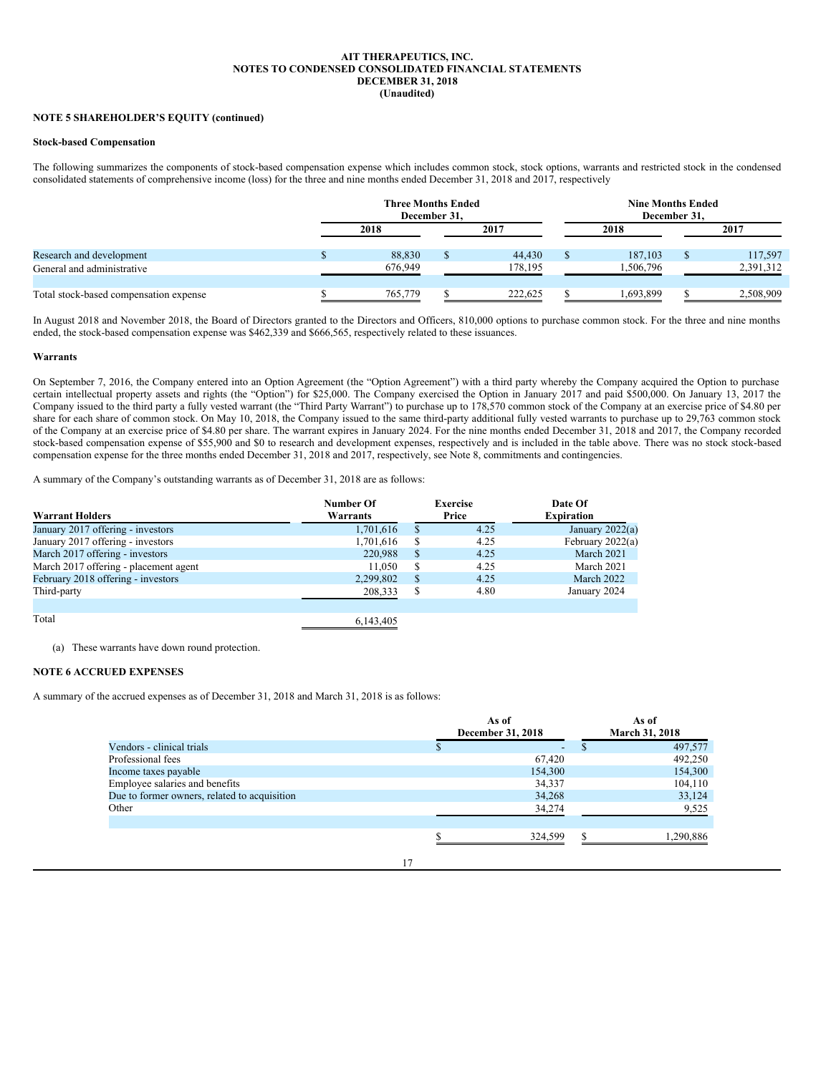# **NOTE 5 SHAREHOLDER'S EQUITY (continued)**

#### **Stock-based Compensation**

The following summarizes the components of stock-based compensation expense which includes common stock, stock options, warrants and restricted stock in the condensed consolidated statements of comprehensive income (loss) for the three and nine months ended December 31, 2018 and 2017, respectively

|                                        | <b>Three Months Ended</b><br>December 31. |      |         | <b>Nine Months Ended</b><br>December 31. |           |      |           |
|----------------------------------------|-------------------------------------------|------|---------|------------------------------------------|-----------|------|-----------|
|                                        | 2018                                      | 2017 |         | 2018                                     |           | 2017 |           |
| Research and development               | 88,830                                    |      | 44,430  |                                          | 187.103   |      | 117,597   |
| General and administrative             | 676,949                                   |      | 178,195 |                                          | 1,506,796 |      | 2,391,312 |
| Total stock-based compensation expense | 765,779                                   |      | 222,625 |                                          | 1,693.899 |      | 2,508,909 |

In August 2018 and November 2018, the Board of Directors granted to the Directors and Officers, 810,000 options to purchase common stock. For the three and nine months ended, the stock-based compensation expense was \$462,339 and \$666,565, respectively related to these issuances.

#### **Warrants**

On September 7, 2016, the Company entered into an Option Agreement (the "Option Agreement") with a third party whereby the Company acquired the Option to purchase certain intellectual property assets and rights (the "Option") for \$25,000. The Company exercised the Option in January 2017 and paid \$500,000. On January 13, 2017 the Company issued to the third party a fully vested warrant (the "Third Party Warrant") to purchase up to 178,570 common stock of the Company at an exercise price of \$4.80 per share for each share of common stock. On May 10, 2018, the Company issued to the same third-party additional fully vested warrants to purchase up to 29,763 common stock of the Company at an exercise price of \$4.80 per share. The warrant expires in January 2024. For the nine months ended December 31, 2018 and 2017, the Company recorded stock-based compensation expense of \$55,900 and \$0 to research and development expenses, respectively and is included in the table above. There was no stock stock-based compensation expense for the three months ended December 31, 2018 and 2017, respectively, see Note 8, commitments and contingencies.

A summary of the Company's outstanding warrants as of December 31, 2018 are as follows:

| <b>Warrant Holders</b>                | Number Of<br>Warrants |          | <b>Exercise</b><br>Price | Date Of<br><b>Expiration</b> |
|---------------------------------------|-----------------------|----------|--------------------------|------------------------------|
| January 2017 offering - investors     | 1,701,616             | S.       | 4.25                     | January $2022(a)$            |
| January 2017 offering - investors     | 1,701,616             |          | 4.25                     | February $2022(a)$           |
| March 2017 offering - investors       | 220.988               | S        | 4.25                     | March 2021                   |
| March 2017 offering - placement agent | 11.050                | S        | 4.25                     | March 2021                   |
| February 2018 offering - investors    | 2,299,802             |          | 4.25                     | March 2022                   |
| Third-party                           | 208,333               | <b>S</b> | 4.80                     | January 2024                 |
|                                       |                       |          |                          |                              |
| Total                                 | 6,143,405             |          |                          |                              |

(a) These warrants have down round protection.

#### **NOTE 6 ACCRUED EXPENSES**

A summary of the accrued expenses as of December 31, 2018 and March 31, 2018 is as follows:

|                                              | As of<br>December 31, 2018 | As of<br>March 31, 2018 |  |  |  |
|----------------------------------------------|----------------------------|-------------------------|--|--|--|
| Vendors - clinical trials                    | ٠                          | 497,577                 |  |  |  |
| Professional fees                            | 67,420                     | 492,250                 |  |  |  |
| Income taxes payable                         | 154,300                    | 154,300                 |  |  |  |
| Employee salaries and benefits               | 34,337                     | 104,110                 |  |  |  |
| Due to former owners, related to acquisition | 34,268                     | 33,124                  |  |  |  |
| Other                                        | 34,274                     | 9,525                   |  |  |  |
|                                              | 324,599                    | 1,290,886               |  |  |  |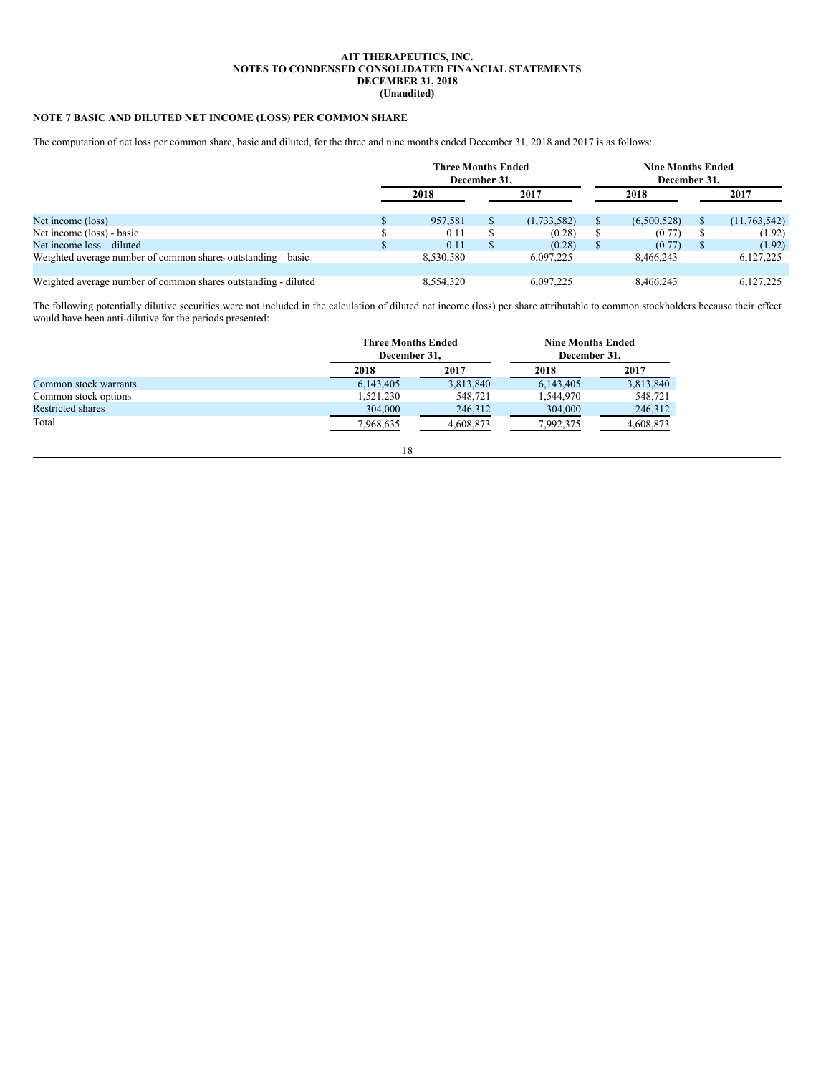# **NOTE 7 BASIC AND DILUTED NET INCOME (LOSS) PER COMMON SHARE**

The computation of net loss per common share, basic and diluted, for the three and nine months ended December 31, 2018 and 2017 is as follows:

|                                                                | <b>Three Months Ended</b><br>December 31. |  |             |   | <b>Nine Months Ended</b><br>December 31. |   |              |  |
|----------------------------------------------------------------|-------------------------------------------|--|-------------|---|------------------------------------------|---|--------------|--|
|                                                                | 2018                                      |  | 2017        |   | 2018                                     |   | 2017         |  |
| Net income (loss)                                              | 957.581                                   |  | (1,733,582) | S | (6,500,528)                              | S | (11,763,542) |  |
| Net income (loss) - basic                                      | 0.11                                      |  | (0.28)      |   | (0.77)                                   |   | (1.92)       |  |
| Net income loss – diluted                                      | 0.11                                      |  | (0.28)      | ъ | (0.77)                                   |   | (1.92)       |  |
| Weighted average number of common shares outstanding – basic   | 8,530,580                                 |  | 6,097,225   |   | 8,466,243                                |   | 6,127,225    |  |
|                                                                |                                           |  |             |   |                                          |   |              |  |
| Weighted average number of common shares outstanding - diluted | 8.554.320                                 |  | 6.097.225   |   | 8.466.243                                |   | 6.127.225    |  |

The following potentially dilutive securities were not included in the calculation of diluted net income (loss) per share attributable to common stockholders because their effect would have been anti-dilutive for the periods presented:

|                       | <b>Three Months Ended</b><br>December 31, |           | <b>Nine Months Ended</b><br>December 31. |           |  |
|-----------------------|-------------------------------------------|-----------|------------------------------------------|-----------|--|
|                       | 2018                                      | 2017      | 2018                                     | 2017      |  |
| Common stock warrants | 6,143,405                                 | 3,813,840 | 6,143,405                                | 3,813,840 |  |
| Common stock options  | 1,521,230                                 | 548,721   | 1,544,970                                | 548,721   |  |
| Restricted shares     | 304,000                                   | 246,312   | 304,000                                  | 246,312   |  |
| Total                 | 7.968.635                                 | 4.608.873 | 7.992.375                                | 4,608,873 |  |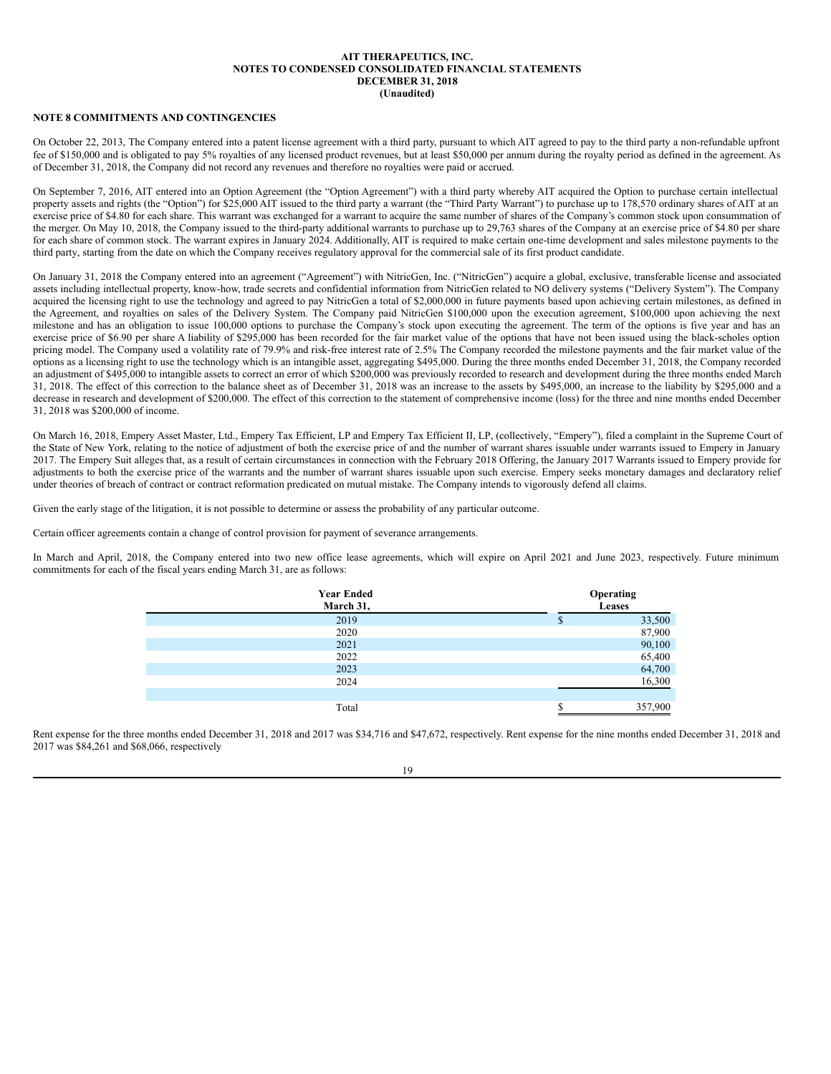# **NOTE 8 COMMITMENTS AND CONTINGENCIES**

On October 22, 2013, The Company entered into a patent license agreement with a third party, pursuant to which AIT agreed to pay to the third party a non-refundable upfront fee of \$150,000 and is obligated to pay 5% royalties of any licensed product revenues, but at least \$50,000 per annum during the royalty period as defined in the agreement. As of December 31, 2018, the Company did not record any revenues and therefore no royalties were paid or accrued.

On September 7, 2016, AIT entered into an Option Agreement (the "Option Agreement") with a third party whereby AIT acquired the Option to purchase certain intellectual property assets and rights (the "Option") for \$25,000 AIT issued to the third party a warrant (the "Third Party Warrant") to purchase up to 178,570 ordinary shares of AIT at an exercise price of \$4.80 for each share. This warrant was exchanged for a warrant to acquire the same number of shares of the Company's common stock upon consummation of the merger. On May 10, 2018, the Company issued to the third-party additional warrants to purchase up to 29,763 shares of the Company at an exercise price of \$4.80 per share for each share of common stock. The warrant expires in January 2024. Additionally, AIT is required to make certain one-time development and sales milestone payments to the third party, starting from the date on which the Company receives regulatory approval for the commercial sale of its first product candidate.

On January 31, 2018 the Company entered into an agreement ("Agreement") with NitricGen, Inc. ("NitricGen") acquire a global, exclusive, transferable license and associated assets including intellectual property, know-how, trade secrets and confidential information from NitricGen related to NO delivery systems ("Delivery System"). The Company acquired the licensing right to use the technology and agreed to pay NitricGen a total of \$2,000,000 in future payments based upon achieving certain milestones, as defined in the Agreement, and royalties on sales of the Delivery System. The Company paid NitricGen \$100,000 upon the execution agreement, \$100,000 upon achieving the next milestone and has an obligation to issue 100,000 options to purchase the Company's stock upon executing the agreement. The term of the options is five year and has an exercise price of \$6.90 per share A liability of \$295,000 has been recorded for the fair market value of the options that have not been issued using the black-scholes option pricing model. The Company used a volatility rate of 79.9% and risk-free interest rate of 2.5% The Company recorded the milestone payments and the fair market value of the options as a licensing right to use the technology which is an intangible asset, aggregating \$495,000. During the three months ended December 31, 2018, the Company recorded an adjustment of \$495,000 to intangible assets to correct an error of which \$200,000 was previously recorded to research and development during the three months ended March 31, 2018. The effect of this correction to the balance sheet as of December 31, 2018 was an increase to the assets by \$495,000, an increase to the liability by \$295,000 and a decrease in research and development of \$200,000. The effect of this correction to the statement of comprehensive income (loss) for the three and nine months ended December 31, 2018 was \$200,000 of income.

On March 16, 2018, Empery Asset Master, Ltd., Empery Tax Efficient, LP and Empery Tax Efficient II, LP, (collectively, "Empery"), filed a complaint in the Supreme Court of the State of New York, relating to the notice of adjustment of both the exercise price of and the number of warrant shares issuable under warrants issued to Empery in January 2017. The Empery Suit alleges that, as a result of certain circumstances in connection with the February 2018 Offering, the January 2017 Warrants issued to Empery provide for adjustments to both the exercise price of the warrants and the number of warrant shares issuable upon such exercise. Empery seeks monetary damages and declaratory relief under theories of breach of contract or contract reformation predicated on mutual mistake. The Company intends to vigorously defend all claims.

Given the early stage of the litigation, it is not possible to determine or assess the probability of any particular outcome.

Certain officer agreements contain a change of control provision for payment of severance arrangements.

In March and April, 2018, the Company entered into two new office lease agreements, which will expire on April 2021 and June 2023, respectively. Future minimum commitments for each of the fiscal years ending March 31, are as follows:

| <b>Year Ended</b><br>March 31, |   | Operating<br>Leases |
|--------------------------------|---|---------------------|
| 2019                           | ъ | 33,500              |
| 2020                           |   | 87,900              |
| 2021                           |   | 90,100              |
| 2022                           |   | 65,400              |
| 2023                           |   | 64,700              |
| 2024                           |   | 16,300              |
|                                |   |                     |
| Total                          |   | 357,900             |

Rent expense for the three months ended December 31, 2018 and 2017 was \$34,716 and \$47,672, respectively. Rent expense for the nine months ended December 31, 2018 and 2017 was \$84,261 and \$68,066, respectively

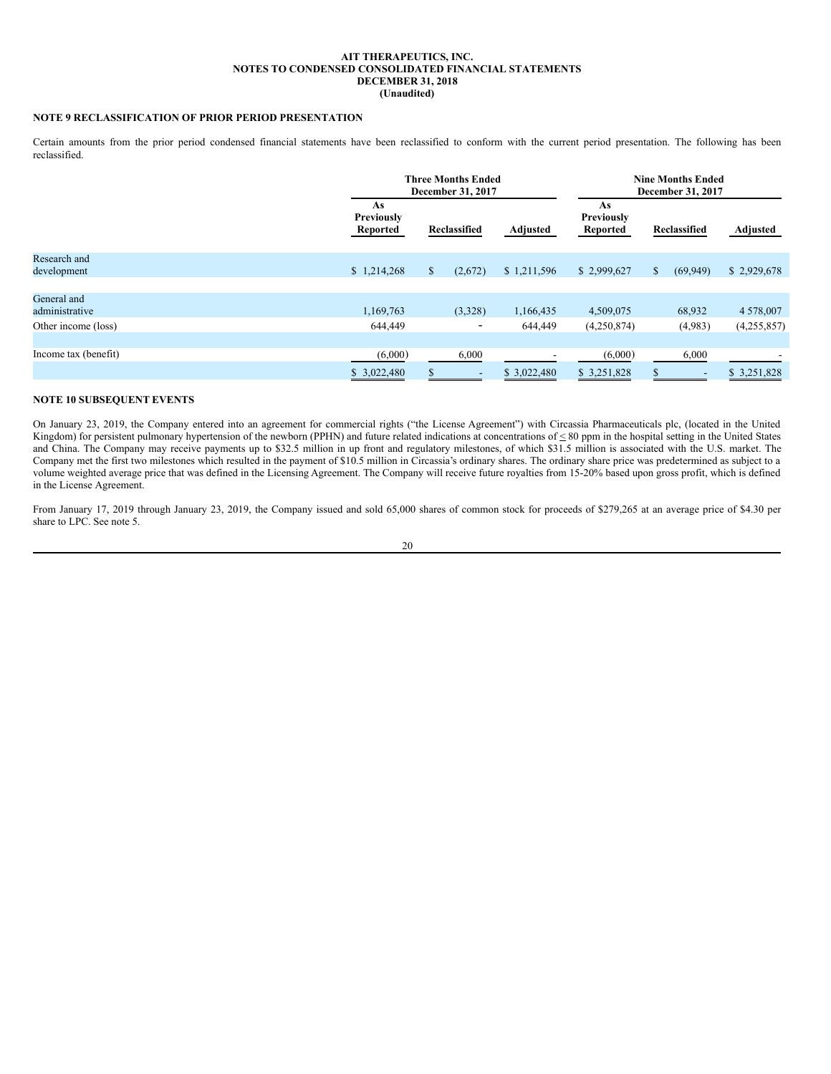# **NOTE 9 RECLASSIFICATION OF PRIOR PERIOD PRESENTATION**

Certain amounts from the prior period condensed financial statements have been reclassified to conform with the current period presentation. The following has been reclassified.

|                               |                              | <b>Three Months Ended</b><br>December 31, 2017 |                          |             |                                     | <b>Nine Months Ended</b><br>December 31, 2017 |             |  |  |
|-------------------------------|------------------------------|------------------------------------------------|--------------------------|-------------|-------------------------------------|-----------------------------------------------|-------------|--|--|
|                               | As<br>Previously<br>Reported | Reclassified                                   |                          | Adjusted    | As<br><b>Previously</b><br>Reported | Reclassified                                  | Adjusted    |  |  |
| Research and<br>development   | \$1,214,268                  | \$                                             | (2,672)                  | \$1,211,596 | \$2,999,627                         | (69, 949)<br><sup>\$</sup>                    | \$2,929,678 |  |  |
| General and<br>administrative | 1,169,763                    |                                                | (3,328)                  | 1,166,435   | 4,509,075                           | 68,932                                        | 4 578,007   |  |  |
| Other income (loss)           | 644,449                      |                                                | $\overline{\phantom{a}}$ | 644,449     | (4,250,874)                         | (4,983)                                       | (4,255,857) |  |  |
| Income tax (benefit)          | (6,000)                      |                                                | 6,000                    |             | (6,000)                             | 6,000                                         |             |  |  |
|                               | \$3,022,480                  |                                                | $\overline{a}$           | \$3,022,480 | \$3,251,828                         |                                               | \$3,251,828 |  |  |

# **NOTE 10 SUBSEQUENT EVENTS**

On January 23, 2019, the Company entered into an agreement for commercial rights ("the License Agreement") with Circassia Pharmaceuticals plc, (located in the United Kingdom) for persistent pulmonary hypertension of the newborn (PPHN) and future related indications at concentrations of  $\leq 80$  ppm in the hospital setting in the United States and China. The Company may receive payments up to \$32.5 million in up front and regulatory milestones, of which \$31.5 million is associated with the U.S. market. The Company met the first two milestones which resulted in the payment of \$10.5 million in Circassia's ordinary shares. The ordinary share price was predetermined as subject to a volume weighted average price that was defined in the Licensing Agreement. The Company will receive future royalties from 15-20% based upon gross profit, which is defined in the License Agreement.

From January 17, 2019 through January 23, 2019, the Company issued and sold 65,000 shares of common stock for proceeds of \$279,265 at an average price of \$4.30 per share to LPC. See note 5.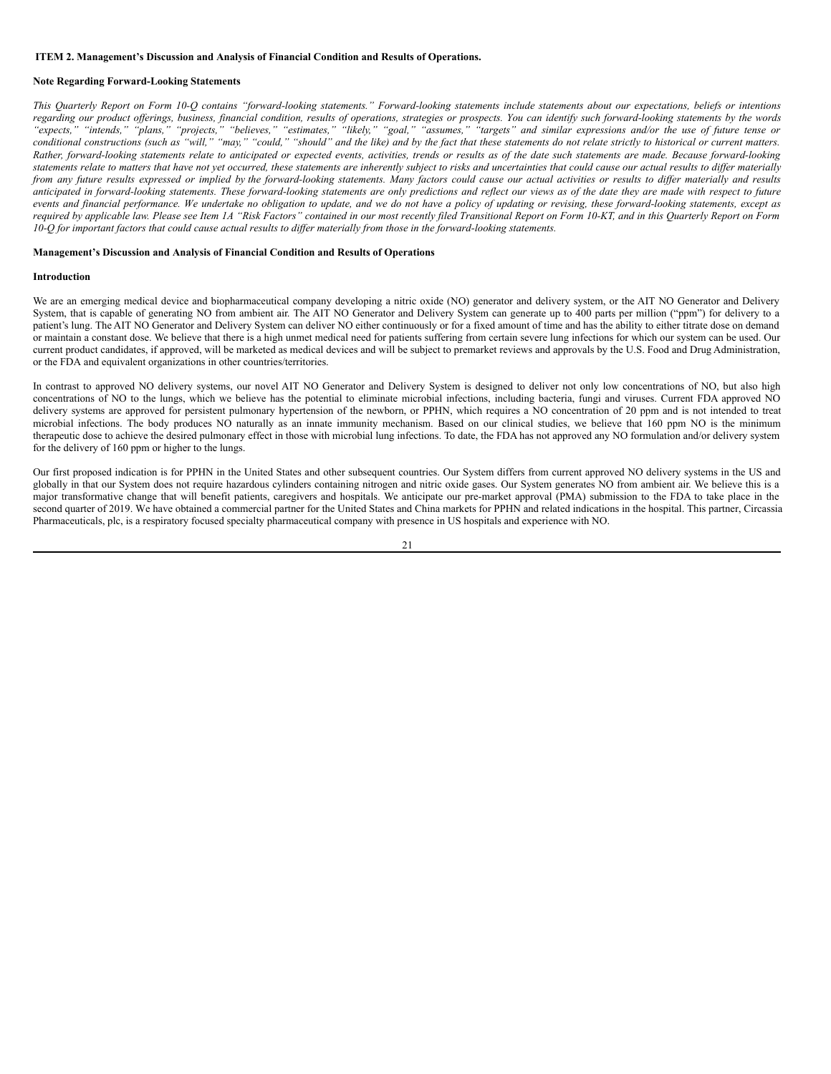## <span id="page-20-0"></span>**ITEM 2. Management's Discussion and Analysis of Financial Condition and Results of Operations.**

# **Note Regarding Forward-Looking Statements**

This Quarterly Report on Form 10-Q contains "forward-looking statements." Forward-looking statements include statements about our expectations, beliefs or intentions regarding our product offerings, business, financial condition, results of operations, strategies or prospects. You can identify such forward-looking statements by the words "expects," "intends," "plans," "projects," "believes," "estimates," "likely," "goal," "assumes," "targets" and similar expressions and/or the use of future tense or conditional constructions (such as "will," "may," "could," "should" and the like) and by the fact that these statements do not relate strictly to historical or current matters. Rather, forward-looking statements relate to anticipated or expected events, activities, trends or results as of the date such statements are made. Because forward-looking statements relate to matters that have not yet occurred, these statements are inherently subject to risks and uncertainties that could cause our actual results to differ materially from any future results expressed or implied by the forward-looking statements. Many factors could cause our actual activities or results to differ materially and results anticipated in forward-looking statements. These forward-looking statements are only predictions and reflect our views as of the date they are made with respect to future events and financial performance. We undertake no obligation to update, and we do not have a policy of updating or revising, these forward-looking statements, except as required by applicable law. Please see Item 1A "Risk Factors" contained in our most recently filed Transitional Report on Form 10-KT, and in this Quarterly Report on Form 10-Q for important factors that could cause actual results to differ materially from those in the forward-looking statements.

# **Management's Discussion and Analysis of Financial Condition and Results of Operations**

# **Introduction**

We are an emerging medical device and biopharmaceutical company developing a nitric oxide (NO) generator and delivery system, or the AIT NO Generator and Delivery System, that is capable of generating NO from ambient air. The AIT NO Generator and Delivery System can generate up to 400 parts per million ("ppm") for delivery to a patient's lung. The AIT NO Generator and Delivery System can deliver NO either continuously or for a fixed amount of time and has the ability to either titrate dose on demand or maintain a constant dose. We believe that there is a high unmet medical need for patients suffering from certain severe lung infections for which our system can be used. Our current product candidates, if approved, will be marketed as medical devices and will be subject to premarket reviews and approvals by the U.S. Food and Drug Administration, or the FDA and equivalent organizations in other countries/territories.

In contrast to approved NO delivery systems, our novel AIT NO Generator and Delivery System is designed to deliver not only low concentrations of NO, but also high concentrations of NO to the lungs, which we believe has the potential to eliminate microbial infections, including bacteria, fungi and viruses. Current FDA approved NO delivery systems are approved for persistent pulmonary hypertension of the newborn, or PPHN, which requires a NO concentration of 20 ppm and is not intended to treat microbial infections. The body produces NO naturally as an innate immunity mechanism. Based on our clinical studies, we believe that 160 ppm NO is the minimum therapeutic dose to achieve the desired pulmonary effect in those with microbial lung infections. To date, the FDA has not approved any NO formulation and/or delivery system for the delivery of 160 ppm or higher to the lungs.

Our first proposed indication is for PPHN in the United States and other subsequent countries. Our System differs from current approved NO delivery systems in the US and globally in that our System does not require hazardous cylinders containing nitrogen and nitric oxide gases. Our System generates NO from ambient air. We believe this is a major transformative change that will benefit patients, caregivers and hospitals. We anticipate our pre-market approval (PMA) submission to the FDA to take place in the second quarter of 2019. We have obtained a commercial partner for the United States and China markets for PPHN and related indications in the hospital. This partner, Circassia Pharmaceuticals, plc, is a respiratory focused specialty pharmaceutical company with presence in US hospitals and experience with NO.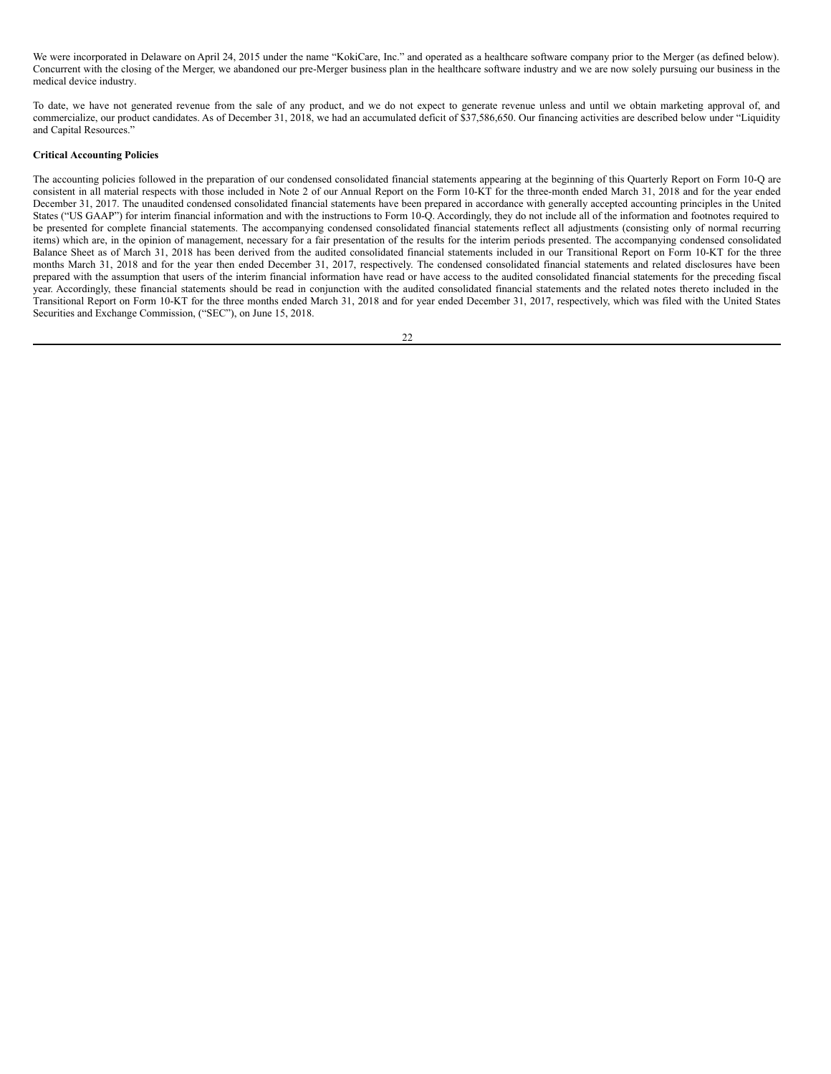We were incorporated in Delaware on April 24, 2015 under the name "KokiCare, Inc." and operated as a healthcare software company prior to the Merger (as defined below). Concurrent with the closing of the Merger, we abandoned our pre-Merger business plan in the healthcare software industry and we are now solely pursuing our business in the medical device industry.

To date, we have not generated revenue from the sale of any product, and we do not expect to generate revenue unless and until we obtain marketing approval of, and commercialize, our product candidates. As of December 31, 2018, we had an accumulated deficit of \$37,586,650. Our financing activities are described below under "Liquidity and Capital Resources."

# **Critical Accounting Policies**

The accounting policies followed in the preparation of our condensed consolidated financial statements appearing at the beginning of this Quarterly Report on Form 10-Q are consistent in all material respects with those included in Note 2 of our Annual Report on the Form 10-KT for the three-month ended March 31, 2018 and for the year ended December 31, 2017. The unaudited condensed consolidated financial statements have been prepared in accordance with generally accepted accounting principles in the United States ("US GAAP") for interim financial information and with the instructions to Form 10-Q. Accordingly, they do not include all of the information and footnotes required to be presented for complete financial statements. The accompanying condensed consolidated financial statements reflect all adjustments (consisting only of normal recurring items) which are, in the opinion of management, necessary for a fair presentation of the results for the interim periods presented. The accompanying condensed consolidated Balance Sheet as of March 31, 2018 has been derived from the audited consolidated financial statements included in our Transitional Report on Form 10-KT for the three months March 31, 2018 and for the year then ended December 31, 2017, respectively. The condensed consolidated financial statements and related disclosures have been prepared with the assumption that users of the interim financial information have read or have access to the audited consolidated financial statements for the preceding fiscal year. Accordingly, these financial statements should be read in conjunction with the audited consolidated financial statements and the related notes thereto included in the Transitional Report on Form 10-KT for the three months ended March 31, 2018 and for year ended December 31, 2017, respectively, which was filed with the United States Securities and Exchange Commission, ("SEC"), on June 15, 2018.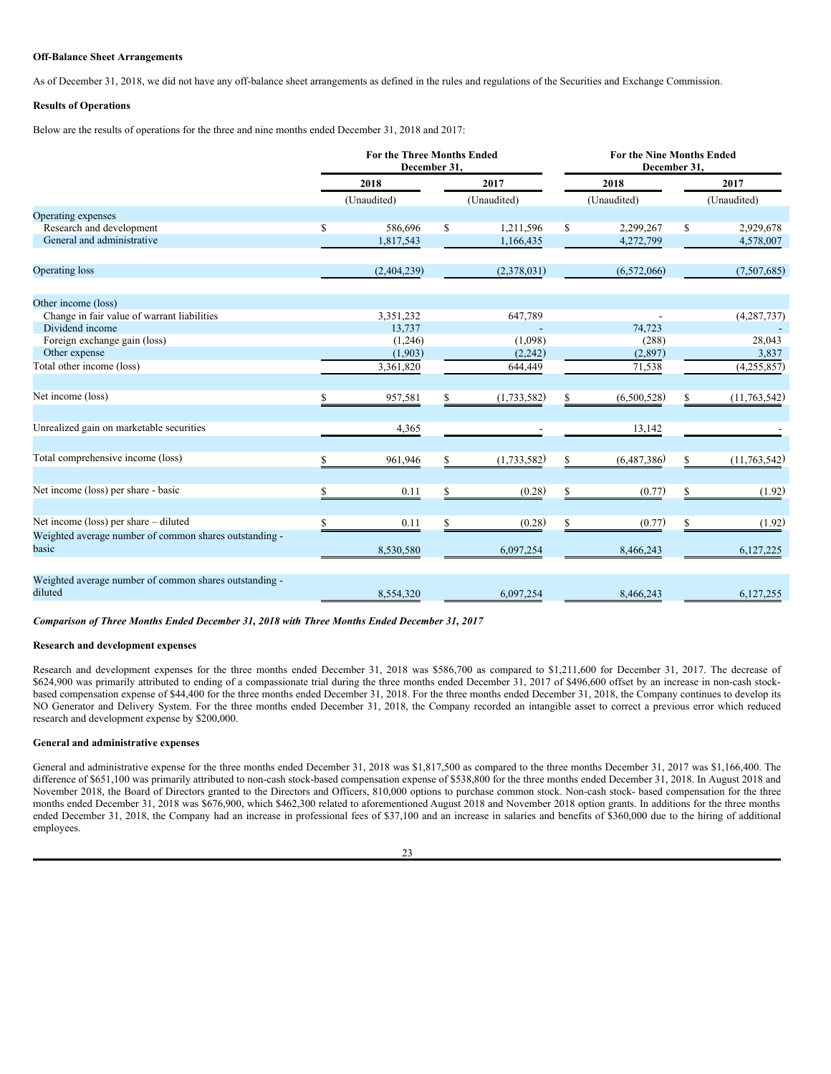# **Off-Balance Sheet Arrangements**

As of December 31, 2018, we did not have any off-balance sheet arrangements as defined in the rules and regulations of the Securities and Exchange Commission.

#### **Results of Operations**

Below are the results of operations for the three and nine months ended December 31, 2018 and 2017:

|                                                                 | <b>For the Three Months Ended</b><br>December 31, |             |    |             | For the Nine Months Ended<br>December 31, |             |    |               |
|-----------------------------------------------------------------|---------------------------------------------------|-------------|----|-------------|-------------------------------------------|-------------|----|---------------|
|                                                                 |                                                   | 2018        |    | 2017        |                                           | 2018        |    | 2017          |
|                                                                 |                                                   | (Unaudited) |    | (Unaudited) |                                           | (Unaudited) |    | (Unaudited)   |
| Operating expenses                                              |                                                   |             |    |             |                                           |             |    |               |
| Research and development                                        | \$                                                | 586,696     | \$ | 1,211,596   | \$                                        | 2,299,267   | \$ | 2,929,678     |
| General and administrative                                      |                                                   | 1,817,543   |    | 1,166,435   |                                           | 4,272,799   |    | 4,578,007     |
| Operating loss                                                  |                                                   | (2,404,239) |    | (2,378,031) |                                           | (6,572,066) |    | (7,507,685)   |
| Other income (loss)                                             |                                                   |             |    |             |                                           |             |    |               |
| Change in fair value of warrant liabilities                     |                                                   | 3,351,232   |    | 647,789     |                                           |             |    | (4, 287, 737) |
| Dividend income                                                 |                                                   | 13,737      |    |             |                                           | 74,723      |    |               |
| Foreign exchange gain (loss)                                    |                                                   | (1,246)     |    | (1,098)     |                                           | (288)       |    | 28,043        |
| Other expense                                                   |                                                   | (1,903)     |    | (2,242)     |                                           | (2,897)     |    | 3,837         |
| Total other income (loss)                                       |                                                   | 3,361,820   |    | 644,449     |                                           | 71,538      |    | (4, 255, 857) |
| Net income (loss)                                               |                                                   | 957,581     |    | (1,733,582) |                                           | (6,500,528) |    | (11,763,542)  |
| Unrealized gain on marketable securities                        |                                                   | 4,365       |    |             |                                           | 13,142      |    |               |
| Total comprehensive income (loss)                               |                                                   | 961,946     |    | (1,733,582) |                                           | (6,487,386) |    | (11,763,542)  |
| Net income (loss) per share - basic                             |                                                   | 0.11        | \$ | (0.28)      | \$                                        | (0.77)      | S  | (1.92)        |
| Net income (loss) per share - diluted                           |                                                   | 0.11        | \$ | (0.28)      | \$                                        | (0.77)      | \$ | (1.92)        |
| Weighted average number of common shares outstanding -<br>basic |                                                   | 8,530,580   |    | 6,097,254   |                                           | 8,466,243   |    | 6,127,225     |
| Weighted average number of common shares outstanding -          |                                                   |             |    |             |                                           |             |    |               |
| diluted                                                         |                                                   | 8,554,320   |    | 6,097,254   |                                           | 8,466,243   |    | 6,127,255     |

*Comparison of Three Months Ended December 31, 2018 with Three Months Ended December 31, 2017*

### **Research and development expenses**

Research and development expenses for the three months ended December 31, 2018 was \$586,700 as compared to \$1,211,600 for December 31, 2017. The decrease of \$624,900 was primarily attributed to ending of a compassionate trial during the three months ended December 31, 2017 of \$496,600 offset by an increase in non-cash stockbased compensation expense of \$44,400 for the three months ended December 31, 2018. For the three months ended December 31, 2018, the Company continues to develop its NO Generator and Delivery System. For the three months ended December 31, 2018, the Company recorded an intangible asset to correct a previous error which reduced research and development expense by \$200,000.

#### **General and administrative expenses**

General and administrative expense for the three months ended December 31, 2018 was \$1,817,500 as compared to the three months December 31, 2017 was \$1,166,400. The difference of \$651,100 was primarily attributed to non-cash stock-based compensation expense of \$538,800 for the three months ended December 31, 2018. In August 2018 and November 2018, the Board of Directors granted to the Directors and Officers, 810,000 options to purchase common stock. Non-cash stock- based compensation for the three months ended December 31, 2018 was \$676,900, which \$462,300 related to aforementioned August 2018 and November 2018 option grants. In additions for the three months ended December 31, 2018, the Company had an increase in professional fees of \$37,100 and an increase in salaries and benefits of \$360,000 due to the hiring of additional employees.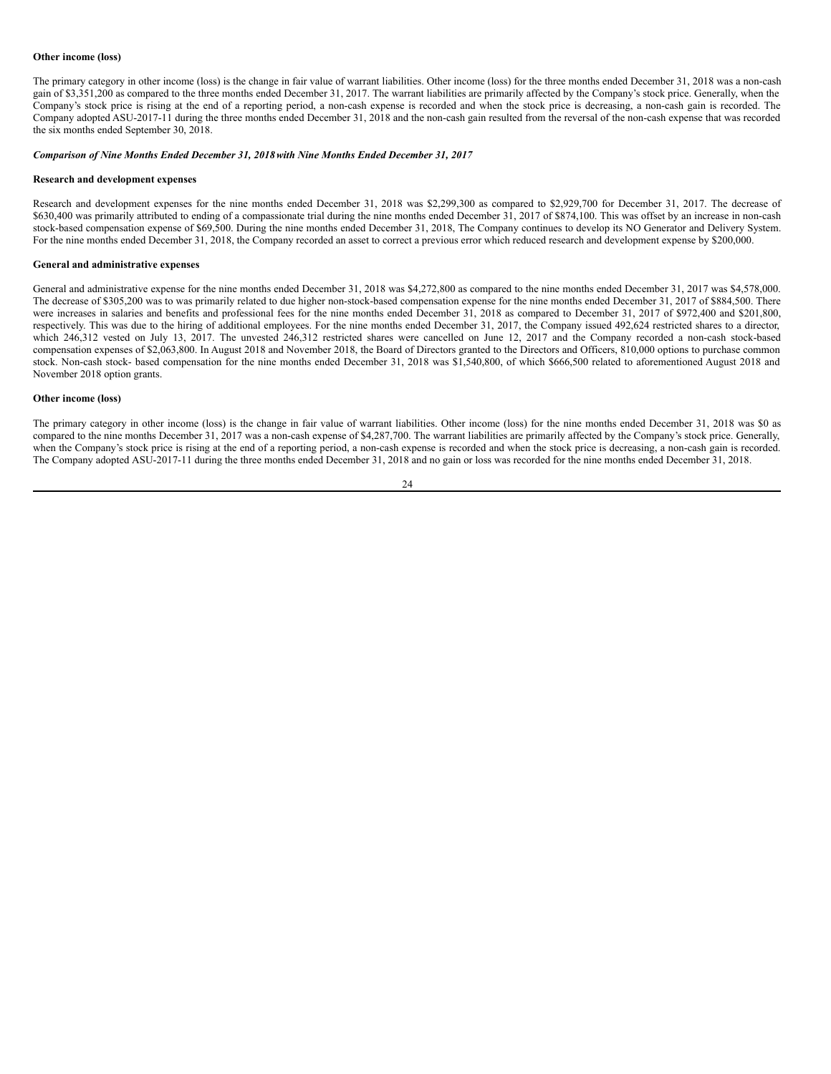#### **Other income (loss)**

The primary category in other income (loss) is the change in fair value of warrant liabilities. Other income (loss) for the three months ended December 31, 2018 was a non-cash gain of \$3,351,200 as compared to the three months ended December 31, 2017. The warrant liabilities are primarily affected by the Company's stock price. Generally, when the Company's stock price is rising at the end of a reporting period, a non-cash expense is recorded and when the stock price is decreasing, a non-cash gain is recorded. The Company adopted ASU-2017-11 during the three months ended December 31, 2018 and the non-cash gain resulted from the reversal of the non-cash expense that was recorded the six months ended September 30, 2018.

#### *Comparison of Nine Months Ended December 31, 2018with Nine Months Ended December 31, 2017*

#### **Research and development expenses**

Research and development expenses for the nine months ended December 31, 2018 was \$2,299,300 as compared to \$2,929,700 for December 31, 2017. The decrease of \$630,400 was primarily attributed to ending of a compassionate trial during the nine months ended December 31, 2017 of \$874,100. This was offset by an increase in non-cash stock-based compensation expense of \$69,500. During the nine months ended December 31, 2018, The Company continues to develop its NO Generator and Delivery System. For the nine months ended December 31, 2018, the Company recorded an asset to correct a previous error which reduced research and development expense by \$200,000.

#### **General and administrative expenses**

General and administrative expense for the nine months ended December 31, 2018 was \$4,272,800 as compared to the nine months ended December 31, 2017 was \$4,578,000. The decrease of \$305,200 was to was primarily related to due higher non-stock-based compensation expense for the nine months ended December 31, 2017 of \$884,500. There were increases in salaries and benefits and professional fees for the nine months ended December 31, 2018 as compared to December 31, 2017 of \$972,400 and \$201,800, respectively. This was due to the hiring of additional employees. For the nine months ended December 31, 2017, the Company issued 492,624 restricted shares to a director, which 246,312 vested on July 13, 2017. The unvested 246,312 restricted shares were cancelled on June 12, 2017 and the Company recorded a non-cash stock-based compensation expenses of \$2,063,800. In August 2018 and November 2018, the Board of Directors granted to the Directors and Officers, 810,000 options to purchase common stock. Non-cash stock- based compensation for the nine months ended December 31, 2018 was \$1,540,800, of which \$666,500 related to aforementioned August 2018 and November 2018 option grants.

#### **Other income (loss)**

The primary category in other income (loss) is the change in fair value of warrant liabilities. Other income (loss) for the nine months ended December 31, 2018 was \$0 as compared to the nine months December 31, 2017 was a non-cash expense of \$4,287,700. The warrant liabilities are primarily affected by the Company's stock price. Generally, when the Company's stock price is rising at the end of a reporting period, a non-cash expense is recorded and when the stock price is decreasing, a non-cash gain is recorded. The Company adopted ASU-2017-11 during the three months ended December 31, 2018 and no gain or loss was recorded for the nine months ended December 31, 2018.

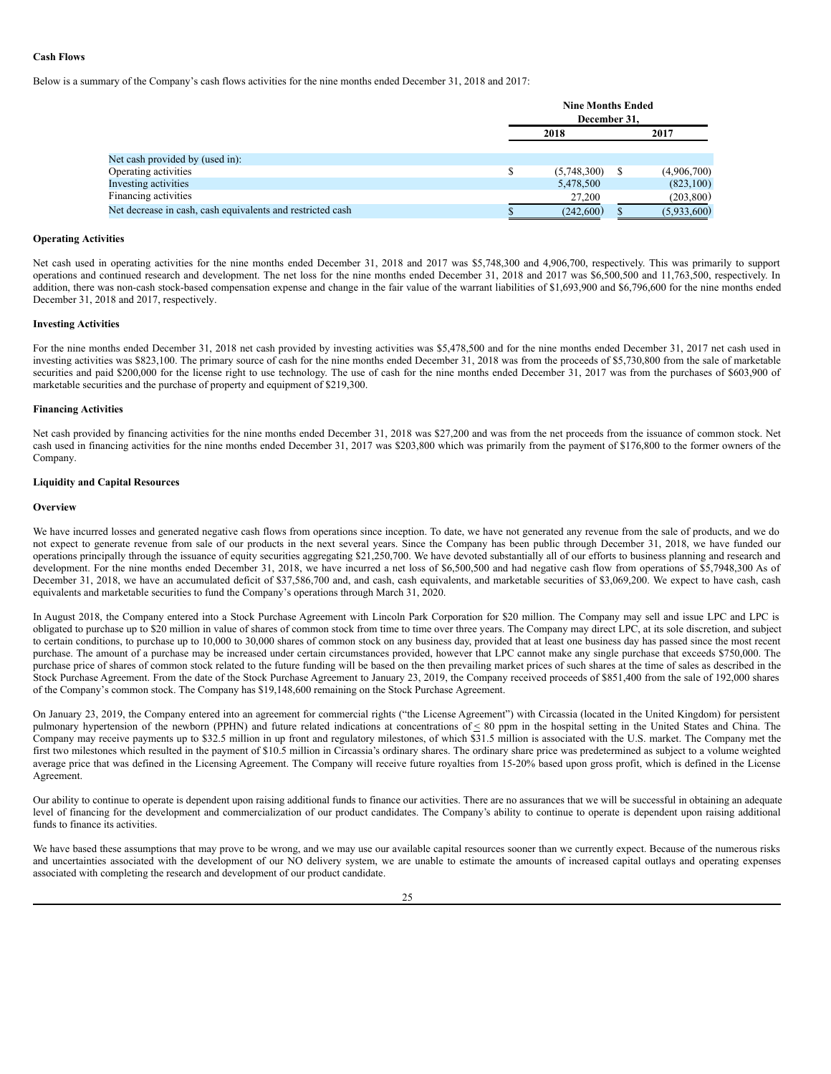## **Cash Flows**

Below is a summary of the Company's cash flows activities for the nine months ended December 31, 2018 and 2017:

|                                                            |      | <b>Nine Months Ended</b><br>December 31. |  |             |  |  |
|------------------------------------------------------------|------|------------------------------------------|--|-------------|--|--|
|                                                            | 2018 |                                          |  | 2017        |  |  |
| Net cash provided by (used in):                            |      |                                          |  |             |  |  |
| Operating activities                                       | S    | (5,748,300)                              |  | (4,906,700) |  |  |
| Investing activities                                       |      | 5,478,500                                |  | (823,100)   |  |  |
| Financing activities                                       |      | 27,200                                   |  | (203, 800)  |  |  |
| Net decrease in cash, cash equivalents and restricted cash |      | (242,600)                                |  | (5,933,600) |  |  |

#### **Operating Activities**

Net cash used in operating activities for the nine months ended December 31, 2018 and 2017 was \$5,748,300 and 4,906,700, respectively. This was primarily to support operations and continued research and development. The net loss for the nine months ended December 31, 2018 and 2017 was \$6,500,500 and 11,763,500, respectively. In addition, there was non-cash stock-based compensation expense and change in the fair value of the warrant liabilities of \$1,693,900 and \$6,796,600 for the nine months ended December 31, 2018 and 2017, respectively.

#### **Investing Activities**

For the nine months ended December 31, 2018 net cash provided by investing activities was \$5,478,500 and for the nine months ended December 31, 2017 net cash used in investing activities was \$823,100. The primary source of cash for the nine months ended December 31, 2018 was from the proceeds of \$5,730,800 from the sale of marketable securities and paid \$200,000 for the license right to use technology. The use of cash for the nine months ended December 31, 2017 was from the purchases of \$603,900 of marketable securities and the purchase of property and equipment of \$219,300.

### **Financing Activities**

Net cash provided by financing activities for the nine months ended December 31, 2018 was \$27,200 and was from the net proceeds from the issuance of common stock. Net cash used in financing activities for the nine months ended December 31, 2017 was \$203,800 which was primarily from the payment of \$176,800 to the former owners of the Company.

#### **Liquidity and Capital Resources**

#### **Overview**

We have incurred losses and generated negative cash flows from operations since inception. To date, we have not generated any revenue from the sale of products, and we do not expect to generate revenue from sale of our products in the next several years. Since the Company has been public through December 31, 2018, we have funded our operations principally through the issuance of equity securities aggregating \$21,250,700. We have devoted substantially all of our efforts to business planning and research and development. For the nine months ended December 31, 2018, we have incurred a net loss of \$6,500,500 and had negative cash flow from operations of \$5,7948,300 As of December 31, 2018, we have an accumulated deficit of \$37,586,700 and, and cash, cash equivalents, and marketable securities of \$3,069,200. We expect to have cash, cash equivalents and marketable securities to fund the Company's operations through March 31, 2020.

In August 2018, the Company entered into a Stock Purchase Agreement with Lincoln Park Corporation for \$20 million. The Company may sell and issue LPC and LPC is obligated to purchase up to \$20 million in value of shares of common stock from time to time over three years. The Company may direct LPC, at its sole discretion, and subject to certain conditions, to purchase up to 10,000 to 30,000 shares of common stock on any business day, provided that at least one business day has passed since the most recent purchase. The amount of a purchase may be increased under certain circumstances provided, however that LPC cannot make any single purchase that exceeds \$750,000. The purchase price of shares of common stock related to the future funding will be based on the then prevailing market prices of such shares at the time of sales as described in the Stock Purchase Agreement. From the date of the Stock Purchase Agreement to January 23, 2019, the Company received proceeds of \$851,400 from the sale of 192,000 shares of the Company's common stock. The Company has \$19,148,600 remaining on the Stock Purchase Agreement.

On January 23, 2019, the Company entered into an agreement for commercial rights ("the License Agreement") with Circassia (located in the United Kingdom) for persistent pulmonary hypertension of the newborn (PPHN) and future related indications at concentrations of < 80 ppm in the hospital setting in the United States and China. The Company may receive payments up to \$32.5 million in up front and regulatory milestones, of which \$31.5 million is associated with the U.S. market. The Company met the first two milestones which resulted in the payment of \$10.5 million in Circassia's ordinary shares. The ordinary share price was predetermined as subject to a volume weighted average price that was defined in the Licensing Agreement. The Company will receive future royalties from 15-20% based upon gross profit, which is defined in the License Agreement.

Our ability to continue to operate is dependent upon raising additional funds to finance our activities. There are no assurances that we will be successful in obtaining an adequate level of financing for the development and commercialization of our product candidates. The Company's ability to continue to operate is dependent upon raising additional funds to finance its activities.

We have based these assumptions that may prove to be wrong, and we may use our available capital resources sooner than we currently expect. Because of the numerous risks and uncertainties associated with the development of our NO delivery system, we are unable to estimate the amounts of increased capital outlays and operating expenses associated with completing the research and development of our product candidate.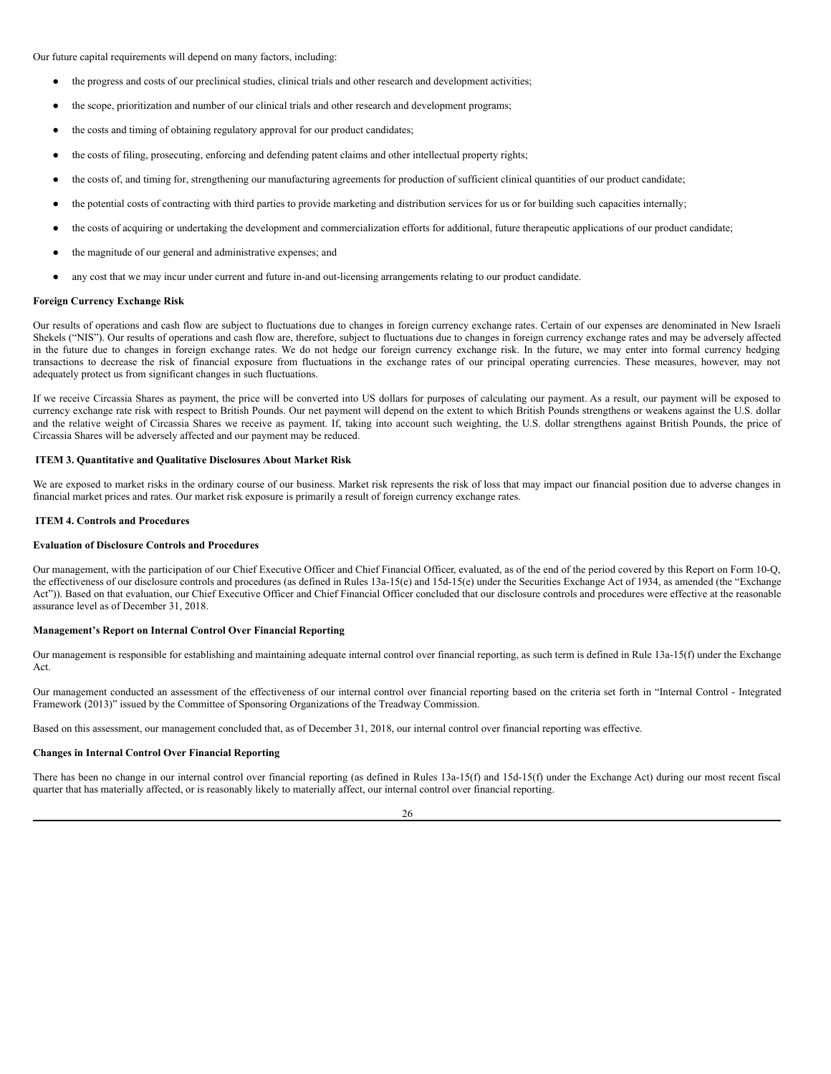Our future capital requirements will depend on many factors, including:

- the progress and costs of our preclinical studies, clinical trials and other research and development activities;
- the scope, prioritization and number of our clinical trials and other research and development programs;
- the costs and timing of obtaining regulatory approval for our product candidates;
- the costs of filing, prosecuting, enforcing and defending patent claims and other intellectual property rights;
- the costs of, and timing for, strengthening our manufacturing agreements for production of sufficient clinical quantities of our product candidate;
- the potential costs of contracting with third parties to provide marketing and distribution services for us or for building such capacities internally;
- the costs of acquiring or undertaking the development and commercialization efforts for additional, future therapeutic applications of our product candidate;
- the magnitude of our general and administrative expenses; and
- any cost that we may incur under current and future in-and out-licensing arrangements relating to our product candidate.

#### **Foreign Currency Exchange Risk**

Our results of operations and cash flow are subject to fluctuations due to changes in foreign currency exchange rates. Certain of our expenses are denominated in New Israeli Shekels ("NIS"). Our results of operations and cash flow are, therefore, subject to fluctuations due to changes in foreign currency exchange rates and may be adversely affected in the future due to changes in foreign exchange rates. We do not hedge our foreign currency exchange risk. In the future, we may enter into formal currency hedging transactions to decrease the risk of financial exposure from fluctuations in the exchange rates of our principal operating currencies. These measures, however, may not adequately protect us from significant changes in such fluctuations.

If we receive Circassia Shares as payment, the price will be converted into US dollars for purposes of calculating our payment. As a result, our payment will be exposed to currency exchange rate risk with respect to British Pounds. Our net payment will depend on the extent to which British Pounds strengthens or weakens against the U.S. dollar and the relative weight of Circassia Shares we receive as payment. If, taking into account such weighting, the U.S. dollar strengthens against British Pounds, the price of Circassia Shares will be adversely affected and our payment may be reduced.

#### <span id="page-25-0"></span>**ITEM 3. Quantitative and Qualitative Disclosures About Market Risk**

We are exposed to market risks in the ordinary course of our business. Market risk represents the risk of loss that may impact our financial position due to adverse changes in financial market prices and rates. Our market risk exposure is primarily a result of foreign currency exchange rates.

#### <span id="page-25-1"></span>**ITEM 4. Controls and Procedures**

#### **Evaluation of Disclosure Controls and Procedures**

Our management, with the participation of our Chief Executive Officer and Chief Financial Officer, evaluated, as of the end of the period covered by this Report on Form 10-Q, the effectiveness of our disclosure controls and procedures (as defined in Rules 13a-15(e) and 15d-15(e) under the Securities Exchange Act of 1934, as amended (the "Exchange Act")). Based on that evaluation, our Chief Executive Officer and Chief Financial Officer concluded that our disclosure controls and procedures were effective at the reasonable assurance level as of December 31, 2018.

## **Management's Report on Internal Control Over Financial Reporting**

Our management is responsible for establishing and maintaining adequate internal control over financial reporting, as such term is defined in Rule 13a-15(f) under the Exchange Act.

Our management conducted an assessment of the effectiveness of our internal control over financial reporting based on the criteria set forth in "Internal Control - Integrated Framework (2013)" issued by the Committee of Sponsoring Organizations of the Treadway Commission.

Based on this assessment, our management concluded that, as of December 31, 2018, our internal control over financial reporting was effective.

# **Changes in Internal Control Over Financial Reporting**

There has been no change in our internal control over financial reporting (as defined in Rules 13a-15(f) and 15d-15(f) under the Exchange Act) during our most recent fiscal quarter that has materially affected, or is reasonably likely to materially affect, our internal control over financial reporting.

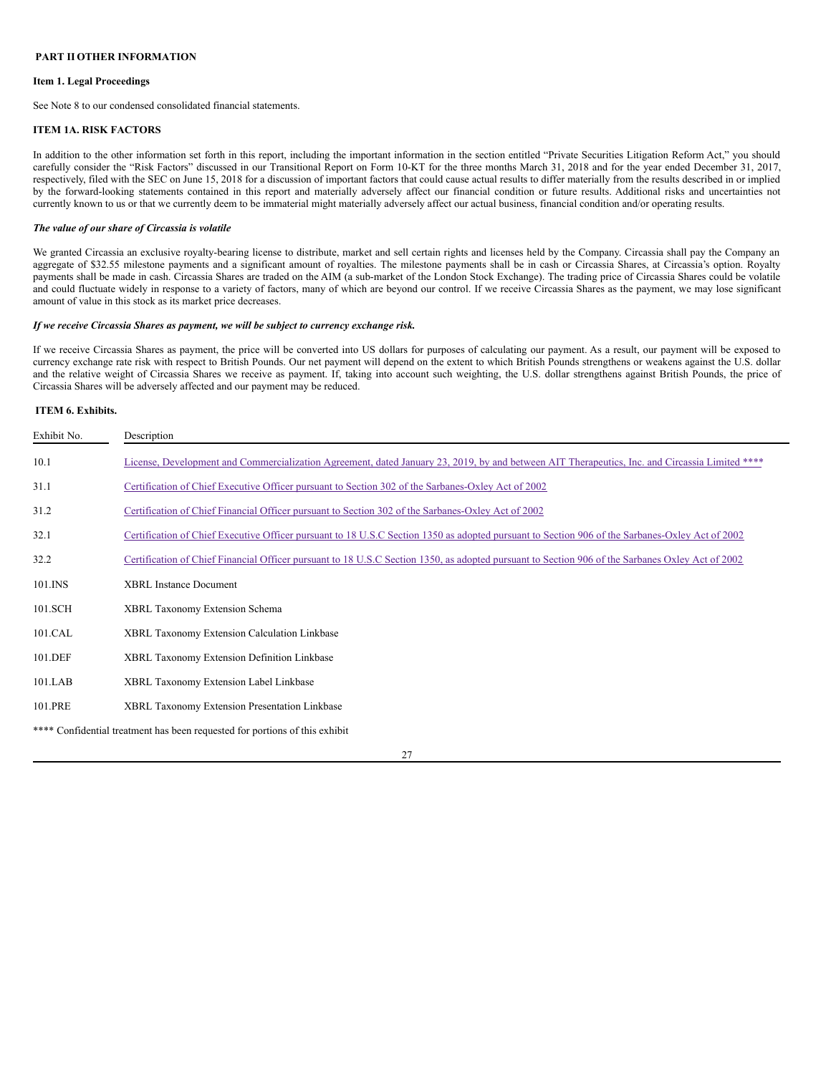# <span id="page-26-0"></span>**PART II OTHER INFORMATION**

# **Item 1. Legal Proceedings**

See Note 8 to our condensed consolidated financial statements.

#### **ITEM 1A. RISK FACTORS**

In addition to the other information set forth in this report, including the important information in the section entitled "Private Securities Litigation Reform Act," you should carefully consider the "Risk Factors" discussed in our Transitional Report on Form 10-KT for the three months March 31, 2018 and for the year ended December 31, 2017, respectively, filed with the SEC on June 15, 2018 for a discussion of important factors that could cause actual results to differ materially from the results described in or implied by the forward-looking statements contained in this report and materially adversely affect our financial condition or future results. Additional risks and uncertainties not currently known to us or that we currently deem to be immaterial might materially adversely affect our actual business, financial condition and/or operating results.

#### *The value of our share of Circassia is volatile*

We granted Circassia an exclusive royalty-bearing license to distribute, market and sell certain rights and licenses held by the Company. Circassia shall pay the Company an aggregate of \$32.55 milestone payments and a significant amount of royalties. The milestone payments shall be in cash or Circassia Shares, at Circassia's option. Royalty payments shall be made in cash. Circassia Shares are traded on the AIM (a sub-market of the London Stock Exchange). The trading price of Circassia Shares could be volatile and could fluctuate widely in response to a variety of factors, many of which are beyond our control. If we receive Circassia Shares as the payment, we may lose significant amount of value in this stock as its market price decreases.

# *If we receive Circassia Shares as payment, we will be subject to currency exchange risk.*

If we receive Circassia Shares as payment, the price will be converted into US dollars for purposes of calculating our payment. As a result, our payment will be exposed to currency exchange rate risk with respect to British Pounds. Our net payment will depend on the extent to which British Pounds strengthens or weakens against the U.S. dollar and the relative weight of Circassia Shares we receive as payment. If, taking into account such weighting, the U.S. dollar strengthens against British Pounds, the price of Circassia Shares will be adversely affected and our payment may be reduced.

# <span id="page-26-1"></span>**ITEM 6. Exhibits.**

| Exhibit No. | Description                                                                                                                                      |
|-------------|--------------------------------------------------------------------------------------------------------------------------------------------------|
| 10.1        | License, Development and Commercialization Agreement, dated January 23, 2019, by and between AIT Therapeutics, Inc. and Circassia Limited ****   |
| 31.1        | Certification of Chief Executive Officer pursuant to Section 302 of the Sarbanes-Oxley Act of 2002                                               |
| 31.2        | Certification of Chief Financial Officer pursuant to Section 302 of the Sarbanes-Oxley Act of 2002                                               |
| 32.1        | Certification of Chief Executive Officer pursuant to 18 U.S.C Section 1350 as adopted pursuant to Section 906 of the Sarbanes-Oxley Act of 2002  |
| 32.2        | Certification of Chief Financial Officer pursuant to 18 U.S.C Section 1350, as adopted pursuant to Section 906 of the Sarbanes Oxley Act of 2002 |
| 101.INS     | <b>XBRL Instance Document</b>                                                                                                                    |
| 101.SCH     | XBRL Taxonomy Extension Schema                                                                                                                   |
| 101.CAL     | <b>XBRL Taxonomy Extension Calculation Linkbase</b>                                                                                              |
| 101.DEF     | XBRL Taxonomy Extension Definition Linkbase                                                                                                      |
| $101$ .LAB  | XBRL Taxonomy Extension Label Linkbase                                                                                                           |
| 101.PRE     | XBRL Taxonomy Extension Presentation Linkbase                                                                                                    |
|             | **** Confidential treatment has been requested for portions of this exhibit                                                                      |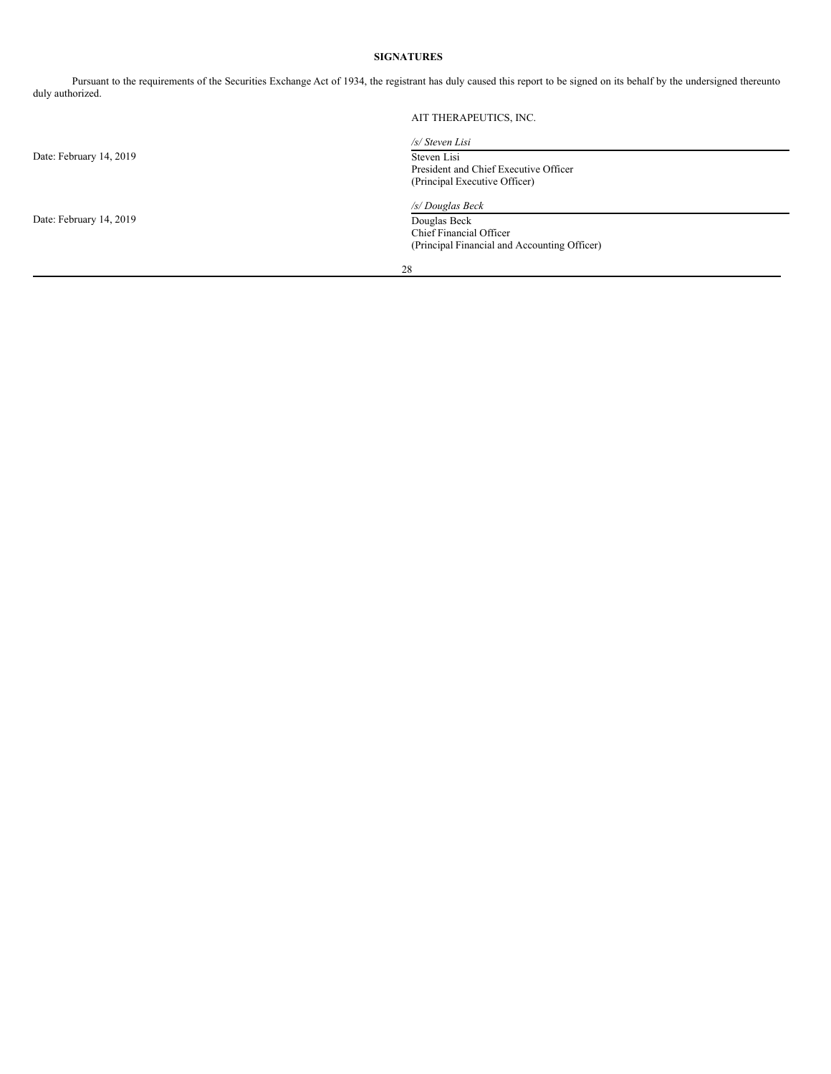# <span id="page-27-0"></span>**SIGNATURES**

Pursuant to the requirements of the Securities Exchange Act of 1934, the registrant has duly caused this report to be signed on its behalf by the undersigned thereunto duly authorized.

|                         | AIT THERAPEUTICS, INC.                       |  |
|-------------------------|----------------------------------------------|--|
|                         | /s/ Steven Lisi                              |  |
| Date: February 14, 2019 | Steven Lisi                                  |  |
|                         | President and Chief Executive Officer        |  |
|                         | (Principal Executive Officer)                |  |
|                         | /s/ Douglas Beck                             |  |
| Date: February 14, 2019 | Douglas Beck                                 |  |
|                         | Chief Financial Officer                      |  |
|                         | (Principal Financial and Accounting Officer) |  |
|                         | 28                                           |  |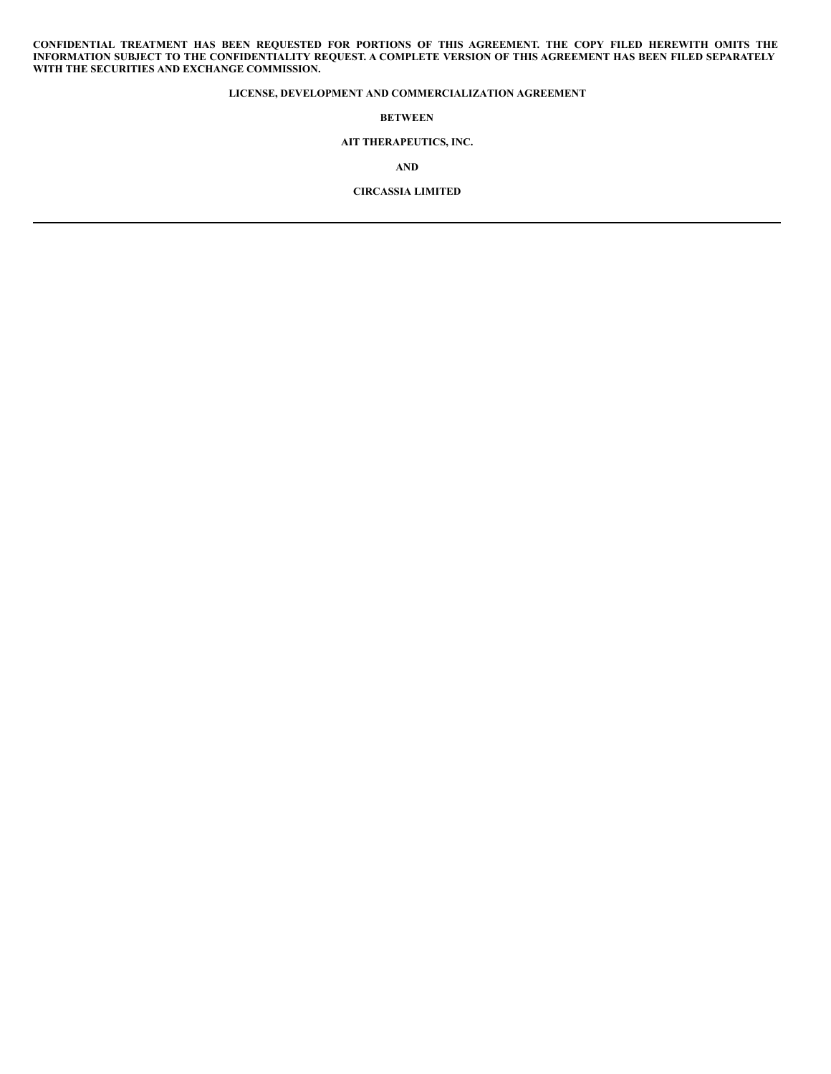**CONFIDENTIAL TREATMENT HAS BEEN REQUESTED FOR PORTIONS OF THIS AGREEMENT. THE COPY FILED HEREWITH OMITS THE** INFORMATION SUBJECT TO THE CONFIDENTIALITY REQUEST. A COMPLETE VERSION OF THIS AGREEMENT HAS BEEN FILED SEPARATELY **WITH THE SECURITIES AND EXCHANGE COMMISSION.**

# **LICENSE, DEVELOPMENT AND COMMERCIALIZATION AGREEMENT**

# **BETWEEN**

# **AIT THERAPEUTICS, INC.**

**AND**

**CIRCASSIA LIMITED**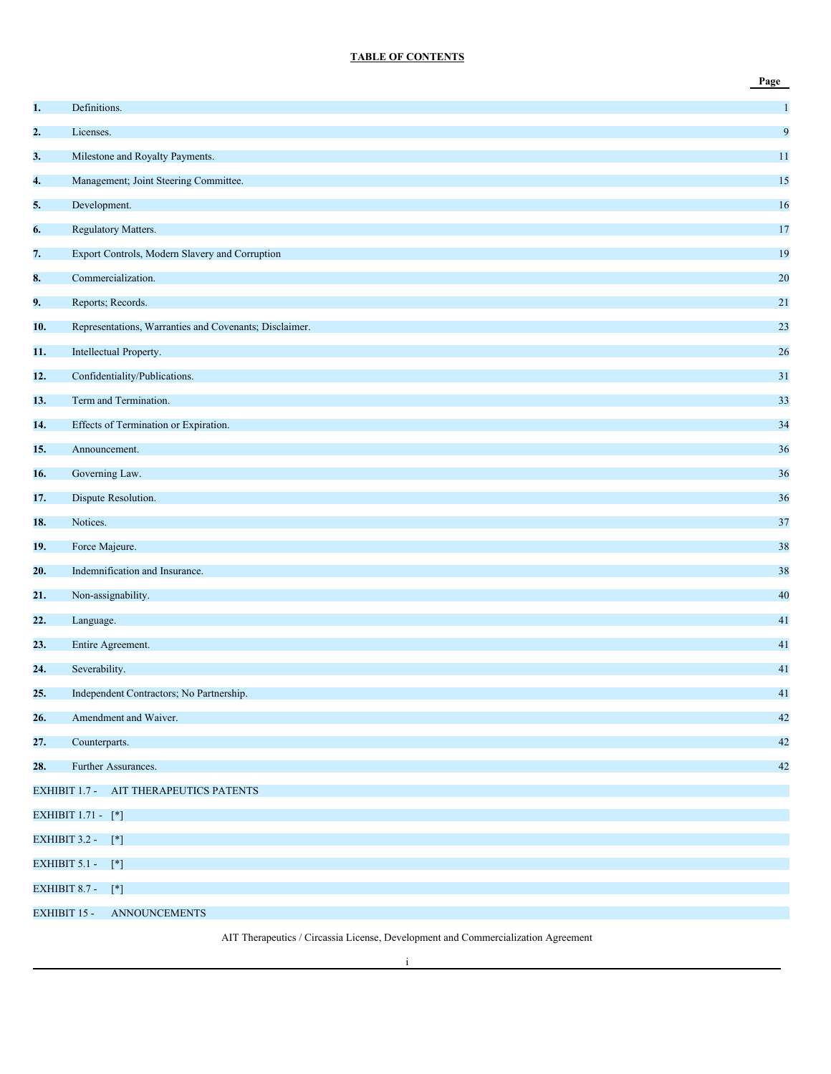# **TABLE OF CONTENTS**

|                     |                                                        | Page         |
|---------------------|--------------------------------------------------------|--------------|
| 1.                  | Definitions.                                           | $\mathbf{1}$ |
| 2.                  | Licenses.                                              | 9            |
| 3.                  | Milestone and Royalty Payments.                        | 11           |
| 4.                  | Management; Joint Steering Committee.                  | 15           |
| 5.                  | Development.                                           | 16           |
| 6.                  | Regulatory Matters.                                    | 17           |
| 7.                  | Export Controls, Modern Slavery and Corruption         | 19           |
| 8.                  | Commercialization.                                     | 20           |
| 9.                  | Reports; Records.                                      | 21           |
| 10.                 | Representations, Warranties and Covenants; Disclaimer. | 23           |
| 11.                 | Intellectual Property.                                 | 26           |
| 12.                 | Confidentiality/Publications.                          | 31           |
| 13.                 | Term and Termination.                                  | 33           |
| 14.                 | Effects of Termination or Expiration.                  | 34           |
| 15.                 | Announcement.                                          | 36           |
| 16.                 | Governing Law.                                         | 36           |
| 17.                 | Dispute Resolution.                                    | 36           |
| 18.                 | Notices.                                               | 37           |
| 19.                 | Force Majeure.                                         | 38           |
| 20.                 | Indemnification and Insurance.                         | 38           |
| 21.                 | Non-assignability.                                     | 40           |
| 22.                 | Language.                                              | 41           |
| 23.                 | Entire Agreement.                                      | 41           |
| 24.                 | Severability.                                          | 41           |
| 25.                 | Independent Contractors; No Partnership.               | 41           |
| 26.                 | Amendment and Waiver.                                  | 42           |
| 27.                 | Counterparts.                                          | 42           |
| 28.                 | Further Assurances.                                    | 42           |
|                     | EXHIBIT 1.7 - AIT THERAPEUTICS PATENTS                 |              |
|                     | EXHIBIT 1.71 - [*]                                     |              |
| EXHIBIT 3.2 -       | $[ * ]$                                                |              |
| EXHIBIT 5.1 -       | $[ * ]$                                                |              |
| EXHIBIT 8.7 -       | $[ * ]$                                                |              |
| <b>EXHIBIT 15 -</b> | <b>ANNOUNCEMENTS</b>                                   |              |

AIT Therapeutics / Circassia License, Development and Commercialization Agreement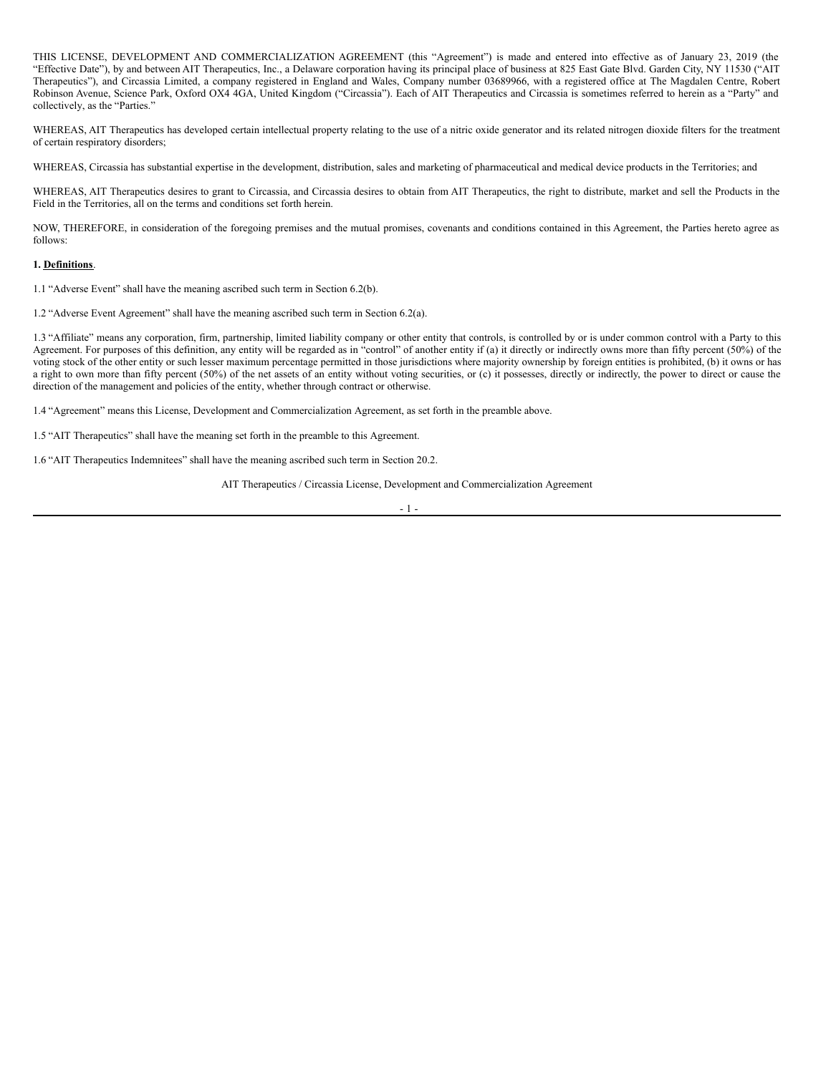THIS LICENSE, DEVELOPMENT AND COMMERCIALIZATION AGREEMENT (this "Agreement") is made and entered into effective as of January 23, 2019 (the "Effective Date"), by and between AIT Therapeutics, Inc., a Delaware corporation having its principal place of business at 825 East Gate Blvd. Garden City, NY 11530 ("AIT Therapeutics"), and Circassia Limited, a company registered in England and Wales, Company number 03689966, with a registered office at The Magdalen Centre, Robert Robinson Avenue, Science Park, Oxford OX4 4GA, United Kingdom ("Circassia"). Each of AIT Therapeutics and Circassia is sometimes referred to herein as a "Party" and collectively, as the "Parties."

WHEREAS, AIT Therapeutics has developed certain intellectual property relating to the use of a nitric oxide generator and its related nitrogen dioxide filters for the treatment of certain respiratory disorders;

WHEREAS, Circassia has substantial expertise in the development, distribution, sales and marketing of pharmaceutical and medical device products in the Territories; and

WHEREAS, AIT Therapeutics desires to grant to Circassia, and Circassia desires to obtain from AIT Therapeutics, the right to distribute, market and sell the Products in the Field in the Territories, all on the terms and conditions set forth herein.

NOW, THEREFORE, in consideration of the foregoing premises and the mutual promises, covenants and conditions contained in this Agreement, the Parties hereto agree as follows:

#### **1. Definitions**.

1.1 "Adverse Event" shall have the meaning ascribed such term in Section 6.2(b).

1.2 "Adverse Event Agreement" shall have the meaning ascribed such term in Section 6.2(a).

1.3 "Affiliate" means any corporation, firm, partnership, limited liability company or other entity that controls, is controlled by or is under common control with a Party to this Agreement. For purposes of this definition, any entity will be regarded as in "control" of another entity if (a) it directly or indirectly owns more than fifty percent (50%) of the voting stock of the other entity or such lesser maximum percentage permitted in those jurisdictions where majority ownership by foreign entities is prohibited, (b) it owns or has a right to own more than fifty percent (50%) of the net assets of an entity without voting securities, or (c) it possesses, directly or indirectly, the power to direct or cause the direction of the management and policies of the entity, whether through contract or otherwise.

1.4 "Agreement" means this License, Development and Commercialization Agreement, as set forth in the preamble above.

1.5 "AIT Therapeutics" shall have the meaning set forth in the preamble to this Agreement.

1.6 "AIT Therapeutics Indemnitees" shall have the meaning ascribed such term in Section 20.2.

AIT Therapeutics / Circassia License, Development and Commercialization Agreement

- 1 -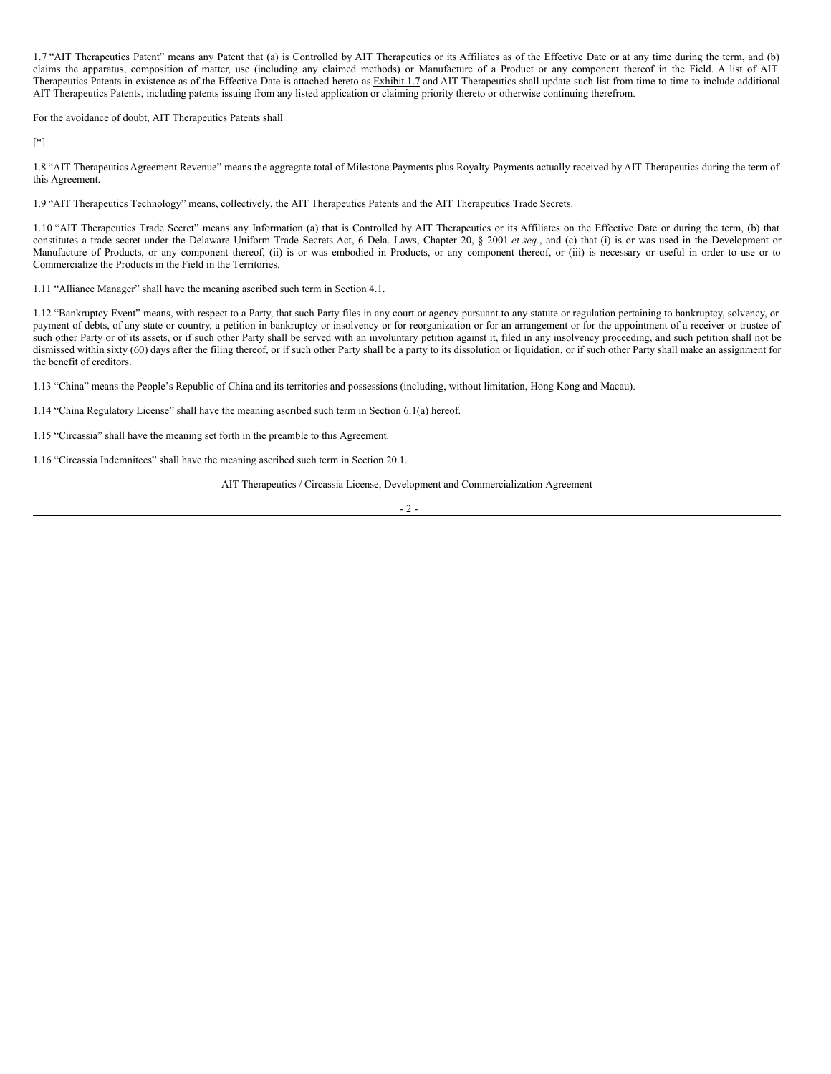1.7 "AIT Therapeutics Patent" means any Patent that (a) is Controlled by AIT Therapeutics or its Affiliates as of the Effective Date or at any time during the term, and (b) claims the apparatus, composition of matter, use (including any claimed methods) or Manufacture of a Product or any component thereof in the Field. A list of AIT Therapeutics Patents in existence as of the Effective Date is attached hereto as Exhibit 1.7 and AIT Therapeutics shall update such list from time to time to include additional AIT Therapeutics Patents, including patents issuing from any listed application or claiming priority thereto or otherwise continuing therefrom.

For the avoidance of doubt, AIT Therapeutics Patents shall

[\*]

1.8 "AIT Therapeutics Agreement Revenue" means the aggregate total of Milestone Payments plus Royalty Payments actually received by AIT Therapeutics during the term of this Agreement.

1.9 "AIT Therapeutics Technology" means, collectively, the AIT Therapeutics Patents and the AIT Therapeutics Trade Secrets.

1.10 "AIT Therapeutics Trade Secret" means any Information (a) that is Controlled by AIT Therapeutics or its Affiliates on the Effective Date or during the term, (b) that constitutes a trade secret under the Delaware Uniform Trade Secrets Act, 6 Dela. Laws, Chapter 20, § 2001 *et seq.*, and (c) that (i) is or was used in the Development or Manufacture of Products, or any component thereof, (ii) is or was embodied in Products, or any component thereof, or (iii) is necessary or useful in order to use or to Commercialize the Products in the Field in the Territories.

1.11 "Alliance Manager" shall have the meaning ascribed such term in Section 4.1.

1.12 "Bankruptcy Event" means, with respect to a Party, that such Party files in any court or agency pursuant to any statute or regulation pertaining to bankruptcy, solvency, or payment of debts, of any state or country, a petition in bankruptcy or insolvency or for reorganization or for an arrangement or for the appointment of a receiver or trustee of such other Party or of its assets, or if such other Party shall be served with an involuntary petition against it, filed in any insolvency proceeding, and such petition shall not be dismissed within sixty (60) days after the filing thereof, or if such other Party shall be a party to its dissolution or liquidation, or if such other Party shall make an assignment for the benefit of creditors.

1.13 "China" means the People's Republic of China and its territories and possessions (including, without limitation, Hong Kong and Macau).

1.14 "China Regulatory License" shall have the meaning ascribed such term in Section 6.1(a) hereof.

1.15 "Circassia" shall have the meaning set forth in the preamble to this Agreement.

1.16 "Circassia Indemnitees" shall have the meaning ascribed such term in Section 20.1.

AIT Therapeutics / Circassia License, Development and Commercialization Agreement

- 2 -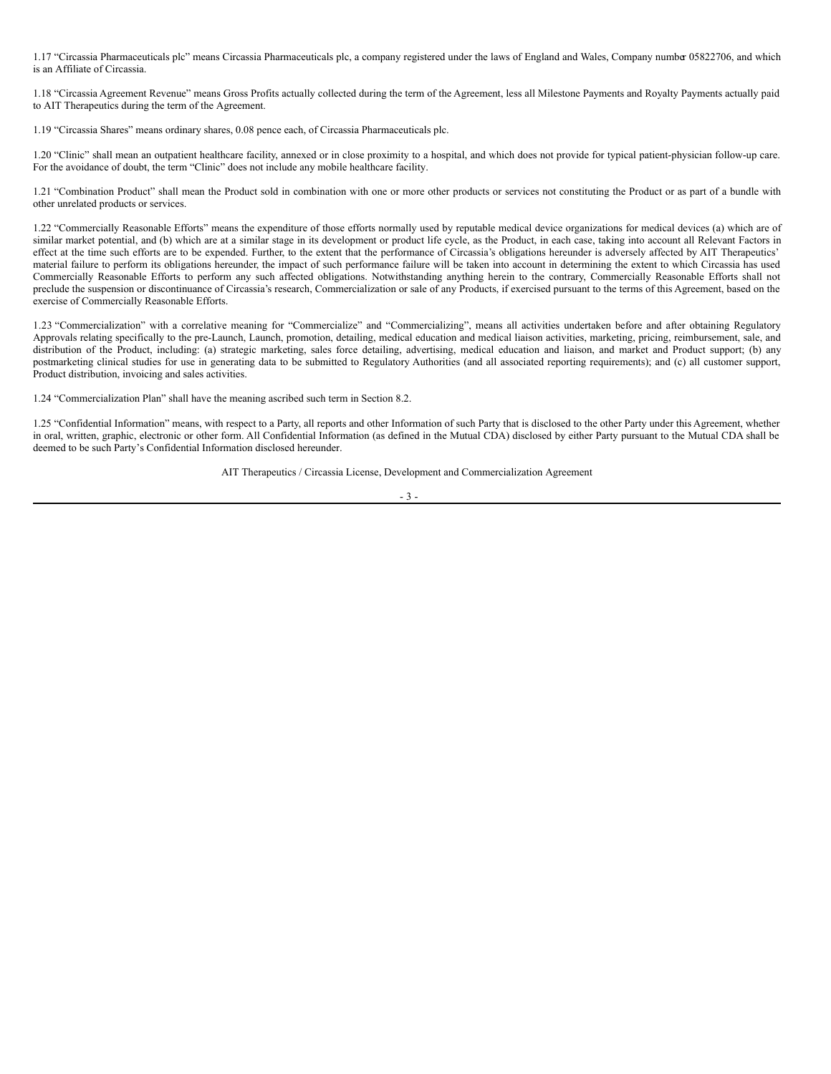1.17 "Circassia Pharmaceuticals plc" means Circassia Pharmaceuticals plc, a company registered under the laws of England and Wales, Company number 05822706, and which is an Affiliate of Circassia.

1.18 "Circassia Agreement Revenue" means Gross Profits actually collected during the term of the Agreement, less all Milestone Payments and Royalty Payments actually paid to AIT Therapeutics during the term of the Agreement.

1.19 "Circassia Shares" means ordinary shares, 0.08 pence each, of Circassia Pharmaceuticals plc.

1.20 "Clinic" shall mean an outpatient healthcare facility, annexed or in close proximity to a hospital, and which does not provide for typical patient-physician follow-up care. For the avoidance of doubt, the term "Clinic" does not include any mobile healthcare facility.

1.21 "Combination Product" shall mean the Product sold in combination with one or more other products or services not constituting the Product or as part of a bundle with other unrelated products or services.

1.22 "Commercially Reasonable Efforts" means the expenditure of those efforts normally used by reputable medical device organizations for medical devices (a) which are of similar market potential, and (b) which are at a similar stage in its development or product life cycle, as the Product, in each case, taking into account all Relevant Factors in effect at the time such efforts are to be expended. Further, to the extent that the performance of Circassia's obligations hereunder is adversely affected by AIT Therapeutics' material failure to perform its obligations hereunder, the impact of such performance failure will be taken into account in determining the extent to which Circassia has used Commercially Reasonable Efforts to perform any such affected obligations. Notwithstanding anything herein to the contrary, Commercially Reasonable Efforts shall not preclude the suspension or discontinuance of Circassia's research, Commercialization or sale of any Products, if exercised pursuant to the terms of this Agreement, based on the exercise of Commercially Reasonable Efforts.

1.23 "Commercialization" with a correlative meaning for "Commercialize" and "Commercializing", means all activities undertaken before and after obtaining Regulatory Approvals relating specifically to the pre-Launch, Launch, promotion, detailing, medical education and medical liaison activities, marketing, pricing, reimbursement, sale, and distribution of the Product, including: (a) strategic marketing, sales force detailing, advertising, medical education and liaison, and market and Product support; (b) any postmarketing clinical studies for use in generating data to be submitted to Regulatory Authorities (and all associated reporting requirements); and (c) all customer support, Product distribution, invoicing and sales activities.

1.24 "Commercialization Plan" shall have the meaning ascribed such term in Section 8.2.

1.25 "Confidential Information" means, with respect to a Party, all reports and other Information of such Party that is disclosed to the other Party under this Agreement, whether in oral, written, graphic, electronic or other form. All Confidential Information (as defined in the Mutual CDA) disclosed by either Party pursuant to the Mutual CDA shall be deemed to be such Party's Confidential Information disclosed hereunder.

AIT Therapeutics / Circassia License, Development and Commercialization Agreement

- 3 -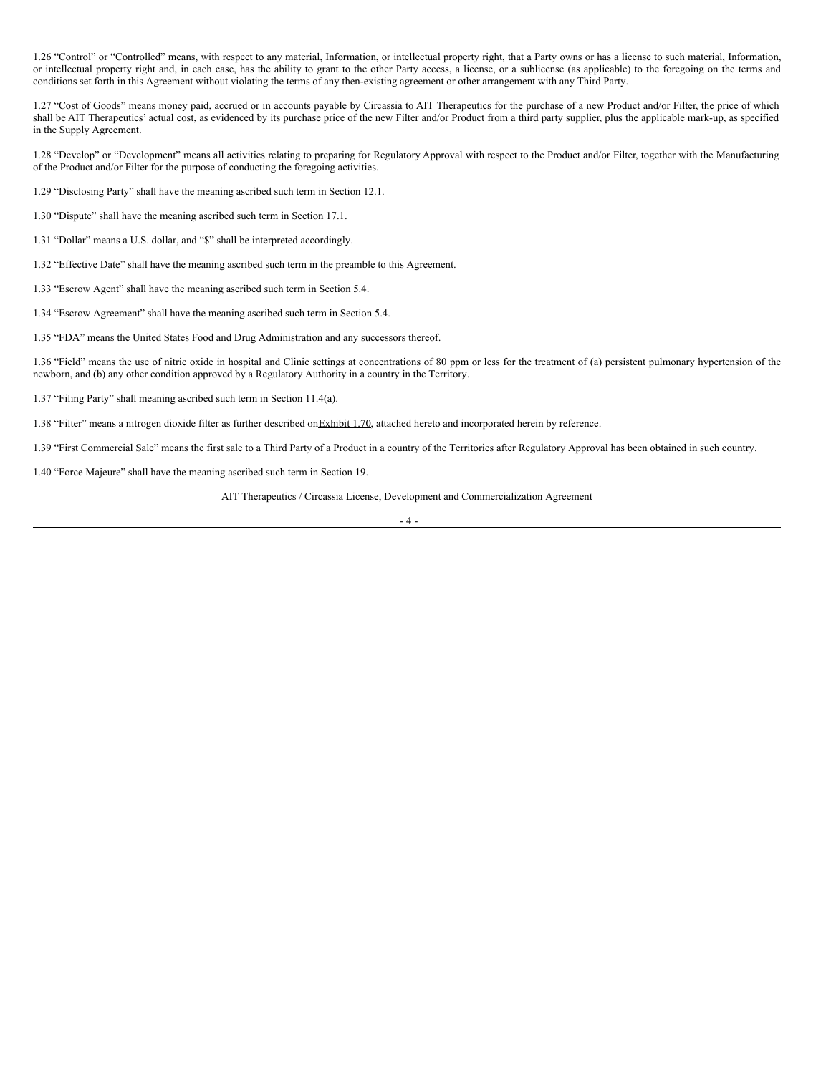1.26 "Control" or "Controlled" means, with respect to any material, Information, or intellectual property right, that a Party owns or has a license to such material, Information, or intellectual property right and, in each case, has the ability to grant to the other Party access, a license, or a sublicense (as applicable) to the foregoing on the terms and conditions set forth in this Agreement without violating the terms of any then-existing agreement or other arrangement with any Third Party.

1.27 "Cost of Goods" means money paid, accrued or in accounts payable by Circassia to AIT Therapeutics for the purchase of a new Product and/or Filter, the price of which shall be AIT Therapeutics' actual cost, as evidenced by its purchase price of the new Filter and/or Product from a third party supplier, plus the applicable mark-up, as specified in the Supply Agreement.

1.28 "Develop" or "Development" means all activities relating to preparing for Regulatory Approval with respect to the Product and/or Filter, together with the Manufacturing of the Product and/or Filter for the purpose of conducting the foregoing activities.

1.29 "Disclosing Party" shall have the meaning ascribed such term in Section 12.1.

1.30 "Dispute" shall have the meaning ascribed such term in Section 17.1.

1.31 "Dollar" means a U.S. dollar, and "\$" shall be interpreted accordingly.

1.32 "Effective Date" shall have the meaning ascribed such term in the preamble to this Agreement.

1.33 "Escrow Agent" shall have the meaning ascribed such term in Section 5.4.

1.34 "Escrow Agreement" shall have the meaning ascribed such term in Section 5.4.

1.35 "FDA" means the United States Food and Drug Administration and any successors thereof.

1.36 "Field" means the use of nitric oxide in hospital and Clinic settings at concentrations of 80 ppm or less for the treatment of (a) persistent pulmonary hypertension of the newborn, and (b) any other condition approved by a Regulatory Authority in a country in the Territory.

1.37 "Filing Party" shall meaning ascribed such term in Section 11.4(a).

1.38 "Filter" means a nitrogen dioxide filter as further described onExhibit 1.70, attached hereto and incorporated herein by reference.

1.39 "First Commercial Sale" means the first sale to a Third Party of a Product in a country of the Territories after Regulatory Approval has been obtained in such country.

1.40 "Force Majeure" shall have the meaning ascribed such term in Section 19.

AIT Therapeutics / Circassia License, Development and Commercialization Agreement

$$
-4
$$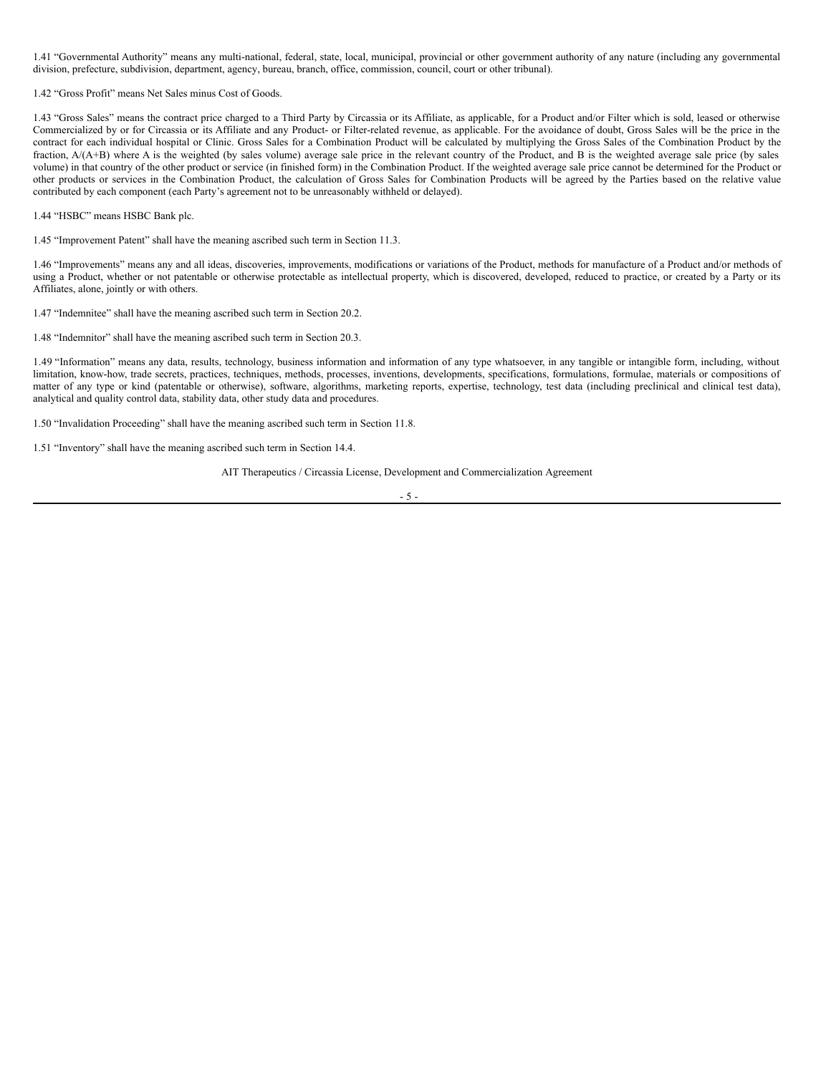1.41 "Governmental Authority" means any multi-national, federal, state, local, municipal, provincial or other government authority of any nature (including any governmental division, prefecture, subdivision, department, agency, bureau, branch, office, commission, council, court or other tribunal).

1.42 "Gross Profit" means Net Sales minus Cost of Goods.

1.43 "Gross Sales" means the contract price charged to a Third Party by Circassia or its Affiliate, as applicable, for a Product and/or Filter which is sold, leased or otherwise Commercialized by or for Circassia or its Affiliate and any Product- or Filter-related revenue, as applicable. For the avoidance of doubt, Gross Sales will be the price in the contract for each individual hospital or Clinic. Gross Sales for a Combination Product will be calculated by multiplying the Gross Sales of the Combination Product by the fraction,  $A/(A+B)$  where A is the weighted (by sales volume) average sale price in the relevant country of the Product, and B is the weighted average sale price (by sales volume) in that country of the other product or service (in finished form) in the Combination Product. If the weighted average sale price cannot be determined for the Product or other products or services in the Combination Product, the calculation of Gross Sales for Combination Products will be agreed by the Parties based on the relative value contributed by each component (each Party's agreement not to be unreasonably withheld or delayed).

1.44 "HSBC" means HSBC Bank plc.

1.45 "Improvement Patent" shall have the meaning ascribed such term in Section 11.3.

1.46 "Improvements" means any and all ideas, discoveries, improvements, modifications or variations of the Product, methods for manufacture of a Product and/or methods of using a Product, whether or not patentable or otherwise protectable as intellectual property, which is discovered, developed, reduced to practice, or created by a Party or its Affiliates, alone, jointly or with others.

1.47 "Indemnitee" shall have the meaning ascribed such term in Section 20.2.

1.48 "Indemnitor" shall have the meaning ascribed such term in Section 20.3.

1.49 "Information" means any data, results, technology, business information and information of any type whatsoever, in any tangible or intangible form, including, without limitation, know-how, trade secrets, practices, techniques, methods, processes, inventions, developments, specifications, formulations, formulae, materials or compositions of matter of any type or kind (patentable or otherwise), software, algorithms, marketing reports, expertise, technology, test data (including preclinical and clinical test data), analytical and quality control data, stability data, other study data and procedures.

1.50 "Invalidation Proceeding" shall have the meaning ascribed such term in Section 11.8.

1.51 "Inventory" shall have the meaning ascribed such term in Section 14.4.

AIT Therapeutics / Circassia License, Development and Commercialization Agreement

- 5 -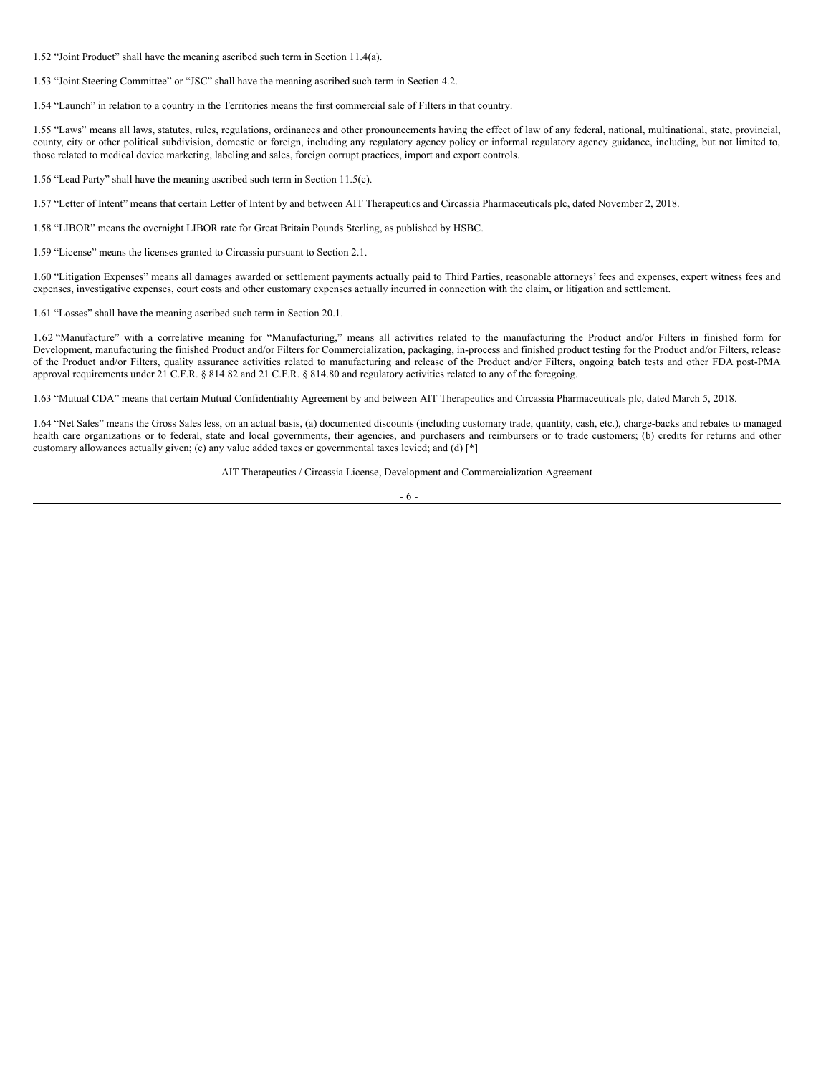1.52 "Joint Product" shall have the meaning ascribed such term in Section 11.4(a).

1.53 "Joint Steering Committee" or "JSC" shall have the meaning ascribed such term in Section 4.2.

1.54 "Launch" in relation to a country in the Territories means the first commercial sale of Filters in that country.

1.55 "Laws" means all laws, statutes, rules, regulations, ordinances and other pronouncements having the effect of law of any federal, national, multinational, state, provincial, county, city or other political subdivision, domestic or foreign, including any regulatory agency policy or informal regulatory agency guidance, including, but not limited to, those related to medical device marketing, labeling and sales, foreign corrupt practices, import and export controls.

1.56 "Lead Party" shall have the meaning ascribed such term in Section 11.5(c).

1.57 "Letter of Intent" means that certain Letter of Intent by and between AIT Therapeutics and Circassia Pharmaceuticals plc, dated November 2, 2018.

1.58 "LIBOR" means the overnight LIBOR rate for Great Britain Pounds Sterling, as published by HSBC.

1.59 "License" means the licenses granted to Circassia pursuant to Section 2.1.

1.60 "Litigation Expenses" means all damages awarded or settlement payments actually paid to Third Parties, reasonable attorneys' fees and expenses, expert witness fees and expenses, investigative expenses, court costs and other customary expenses actually incurred in connection with the claim, or litigation and settlement.

1.61 "Losses" shall have the meaning ascribed such term in Section 20.1.

1.62 "Manufacture" with a correlative meaning for "Manufacturing," means all activities related to the manufacturing the Product and/or Filters in finished form for Development, manufacturing the finished Product and/or Filters for Commercialization, packaging, in-process and finished product testing for the Product and/or Filters, release of the Product and/or Filters, quality assurance activities related to manufacturing and release of the Product and/or Filters, ongoing batch tests and other FDA post-PMA approval requirements under 21 C.F.R. § 814.82 and 21 C.F.R. § 814.80 and regulatory activities related to any of the foregoing.

1.63 "Mutual CDA" means that certain Mutual Confidentiality Agreement by and between AIT Therapeutics and Circassia Pharmaceuticals plc, dated March 5, 2018.

1.64 "Net Sales" means the Gross Sales less, on an actual basis, (a) documented discounts (including customary trade, quantity, cash, etc.), charge-backs and rebates to managed health care organizations or to federal, state and local governments, their agencies, and purchasers and reimbursers or to trade customers; (b) credits for returns and other customary allowances actually given; (c) any value added taxes or governmental taxes levied; and (d) [\*]

AIT Therapeutics / Circassia License, Development and Commercialization Agreement

- 6 -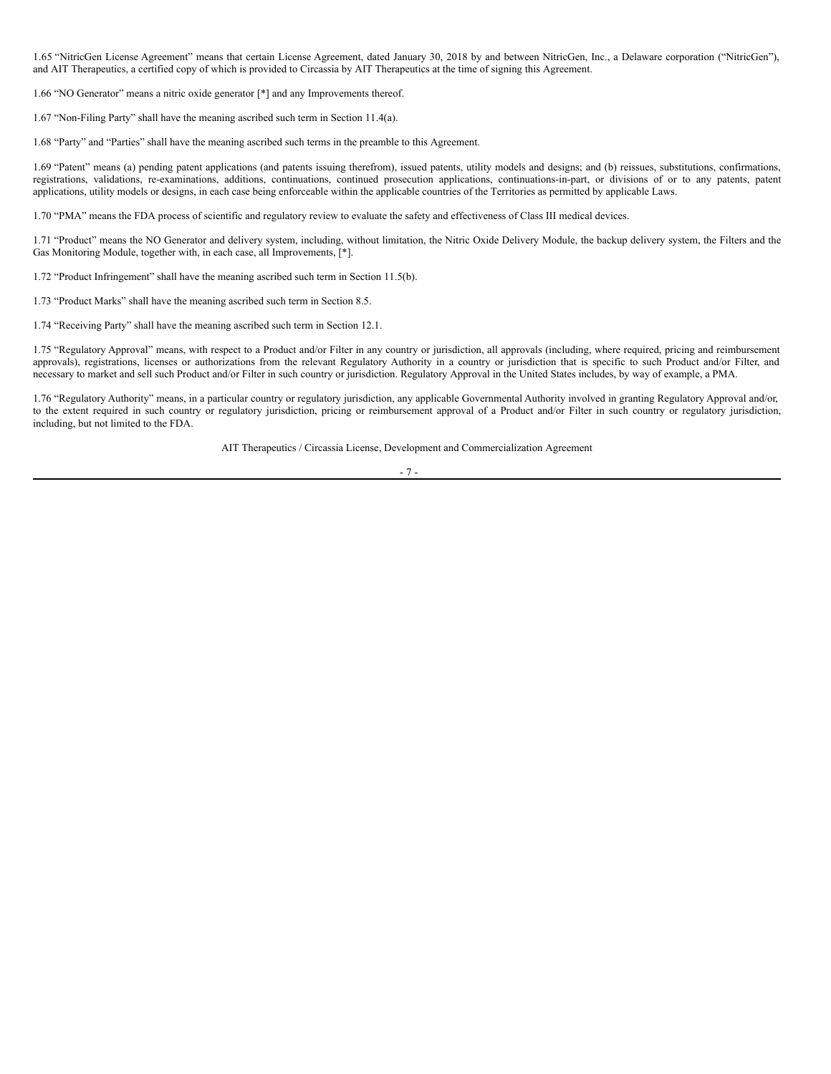1.65 "NitricGen License Agreement" means that certain License Agreement, dated January 30, 2018 by and between NitricGen, Inc., a Delaware corporation ("NitricGen"), and AIT Therapeutics, a certified copy of which is provided to Circassia by AIT Therapeutics at the time of signing this Agreement.

1.66 "NO Generator" means a nitric oxide generator [\*] and any Improvements thereof.

1.67 "Non-Filing Party" shall have the meaning ascribed such term in Section 11.4(a).

1.68 "Party" and "Parties" shall have the meaning ascribed such terms in the preamble to this Agreement.

1.69 "Patent" means (a) pending patent applications (and patents issuing therefrom), issued patents, utility models and designs; and (b) reissues, substitutions, confirmations, registrations, validations, re-examinations, additions, continuations, continued prosecution applications, continuations-in-part, or divisions of or to any patents, patent applications, utility models or designs, in each case being enforceable within the applicable countries of the Territories as permitted by applicable Laws.

1.70 "PMA" means the FDA process of scientific and regulatory review to evaluate the safety and effectiveness of Class III medical devices.

1.71 "Product" means the NO Generator and delivery system, including, without limitation, the Nitric Oxide Delivery Module, the backup delivery system, the Filters and the Gas Monitoring Module, together with, in each case, all Improvements, [\*].

1.72 "Product Infringement" shall have the meaning ascribed such term in Section 11.5(b).

1.73 "Product Marks" shall have the meaning ascribed such term in Section 8.5.

1.74 "Receiving Party" shall have the meaning ascribed such term in Section 12.1.

1.75 "Regulatory Approval" means, with respect to a Product and/or Filter in any country or jurisdiction, all approvals (including, where required, pricing and reimbursement approvals), registrations, licenses or authorizations from the relevant Regulatory Authority in a country or jurisdiction that is specific to such Product and/or Filter, and necessary to market and sell such Product and/or Filter in such country or jurisdiction. Regulatory Approval in the United States includes, by way of example, a PMA.

1.76 "Regulatory Authority" means, in a particular country or regulatory jurisdiction, any applicable Governmental Authority involved in granting Regulatory Approval and/or, to the extent required in such country or regulatory jurisdiction, pricing or reimbursement approval of a Product and/or Filter in such country or regulatory jurisdiction, including, but not limited to the FDA.

AIT Therapeutics / Circassia License, Development and Commercialization Agreement

- 7 -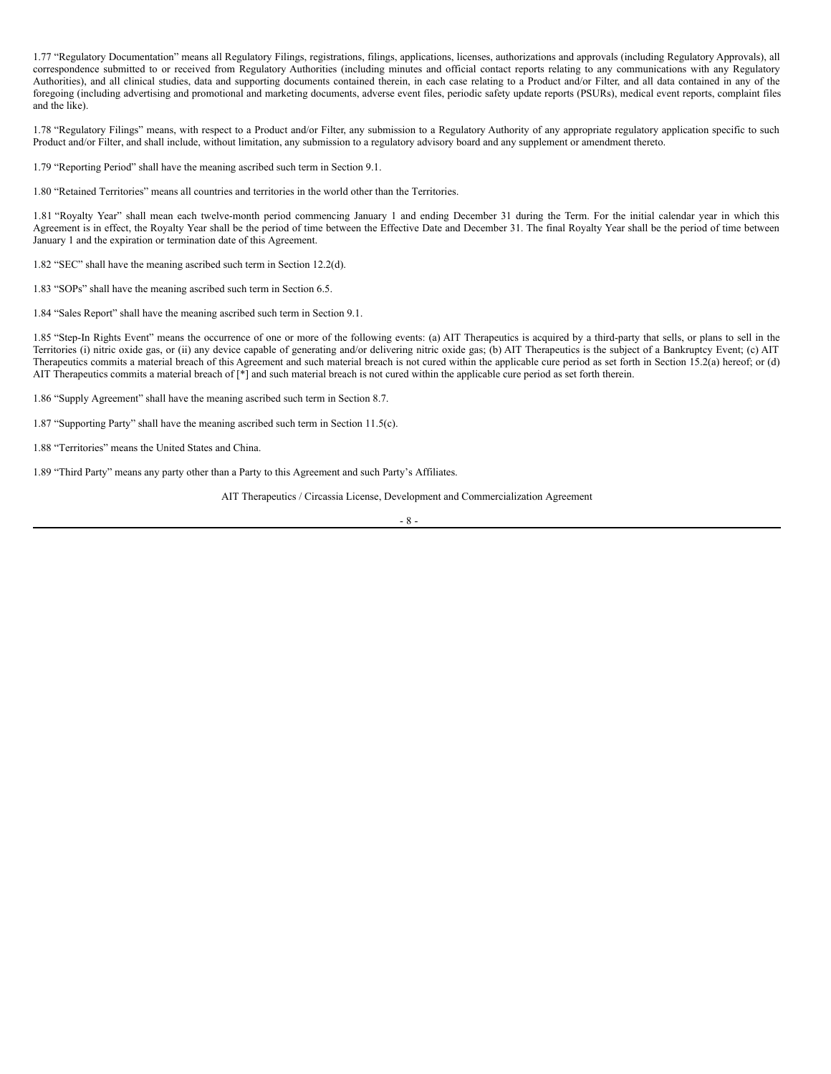1.77 "Regulatory Documentation" means all Regulatory Filings, registrations, filings, applications, licenses, authorizations and approvals (including Regulatory Approvals), all correspondence submitted to or received from Regulatory Authorities (including minutes and official contact reports relating to any communications with any Regulatory Authorities), and all clinical studies, data and supporting documents contained therein, in each case relating to a Product and/or Filter, and all data contained in any of the foregoing (including advertising and promotional and marketing documents, adverse event files, periodic safety update reports (PSURs), medical event reports, complaint files and the like).

1.78 "Regulatory Filings" means, with respect to a Product and/or Filter, any submission to a Regulatory Authority of any appropriate regulatory application specific to such Product and/or Filter, and shall include, without limitation, any submission to a regulatory advisory board and any supplement or amendment thereto.

1.79 "Reporting Period" shall have the meaning ascribed such term in Section 9.1.

1.80 "Retained Territories" means all countries and territories in the world other than the Territories.

1.81 "Royalty Year" shall mean each twelve-month period commencing January 1 and ending December 31 during the Term. For the initial calendar year in which this Agreement is in effect, the Royalty Year shall be the period of time between the Effective Date and December 31. The final Royalty Year shall be the period of time between January 1 and the expiration or termination date of this Agreement.

1.82 "SEC" shall have the meaning ascribed such term in Section 12.2(d).

1.83 "SOPs" shall have the meaning ascribed such term in Section 6.5.

1.84 "Sales Report" shall have the meaning ascribed such term in Section 9.1.

1.85 "Step-In Rights Event" means the occurrence of one or more of the following events: (a) AIT Therapeutics is acquired by a third-party that sells, or plans to sell in the Territories (i) nitric oxide gas, or (ii) any device capable of generating and/or delivering nitric oxide gas; (b) AIT Therapeutics is the subject of a Bankruptcy Event; (c) AIT Therapeutics commits a material breach of this Agreement and such material breach is not cured within the applicable cure period as set forth in Section 15.2(a) hereof; or (d) AIT Therapeutics commits a material breach of [\*] and such material breach is not cured within the applicable cure period as set forth therein.

1.86 "Supply Agreement" shall have the meaning ascribed such term in Section 8.7.

1.87 "Supporting Party" shall have the meaning ascribed such term in Section 11.5(c).

1.88 "Territories" means the United States and China.

1.89 "Third Party" means any party other than a Party to this Agreement and such Party's Affiliates.

AIT Therapeutics / Circassia License, Development and Commercialization Agreement

- 8 -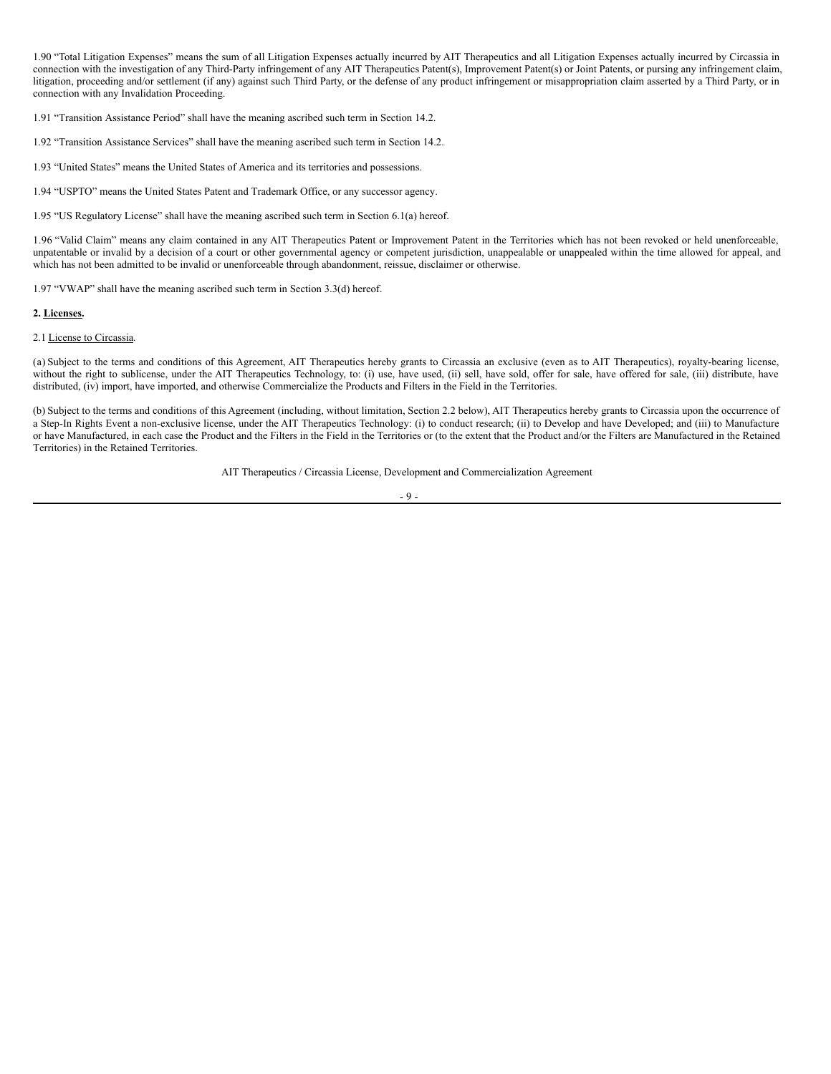1.90 "Total Litigation Expenses" means the sum of all Litigation Expenses actually incurred by AIT Therapeutics and all Litigation Expenses actually incurred by Circassia in connection with the investigation of any Third-Party infringement of any AIT Therapeutics Patent(s), Improvement Patent(s) or Joint Patents, or pursing any infringement claim, litigation, proceeding and/or settlement (if any) against such Third Party, or the defense of any product infringement or misappropriation claim asserted by a Third Party, or in connection with any Invalidation Proceeding.

1.91 "Transition Assistance Period" shall have the meaning ascribed such term in Section 14.2.

1.92 "Transition Assistance Services" shall have the meaning ascribed such term in Section 14.2.

1.93 "United States" means the United States of America and its territories and possessions.

1.94 "USPTO" means the United States Patent and Trademark Office, or any successor agency.

1.95 "US Regulatory License" shall have the meaning ascribed such term in Section 6.1(a) hereof.

1.96 "Valid Claim" means any claim contained in any AIT Therapeutics Patent or Improvement Patent in the Territories which has not been revoked or held unenforceable, unpatentable or invalid by a decision of a court or other governmental agency or competent jurisdiction, unappealable or unappealed within the time allowed for appeal, and which has not been admitted to be invalid or unenforceable through abandonment, reissue, disclaimer or otherwise.

1.97 "VWAP" shall have the meaning ascribed such term in Section 3.3(d) hereof.

#### **2. Licenses.**

### 2.1 License to Circassia.

(a) Subject to the terms and conditions of this Agreement, AIT Therapeutics hereby grants to Circassia an exclusive (even as to AIT Therapeutics), royalty-bearing license, without the right to sublicense, under the AIT Therapeutics Technology, to: (i) use, have used, (ii) sell, have sold, offer for sale, have offered for sale, (iii) distribute, have distributed, (iv) import, have imported, and otherwise Commercialize the Products and Filters in the Field in the Territories.

(b) Subject to the terms and conditions of this Agreement (including, without limitation, Section 2.2 below), AIT Therapeutics hereby grants to Circassia upon the occurrence of a Step-In Rights Event a non-exclusive license, under the AIT Therapeutics Technology: (i) to conduct research; (ii) to Develop and have Developed; and (iii) to Manufacture or have Manufactured, in each case the Product and the Filters in the Field in the Territories or (to the extent that the Product and/or the Filters are Manufactured in the Retained Territories) in the Retained Territories.

AIT Therapeutics / Circassia License, Development and Commercialization Agreement

- 9 -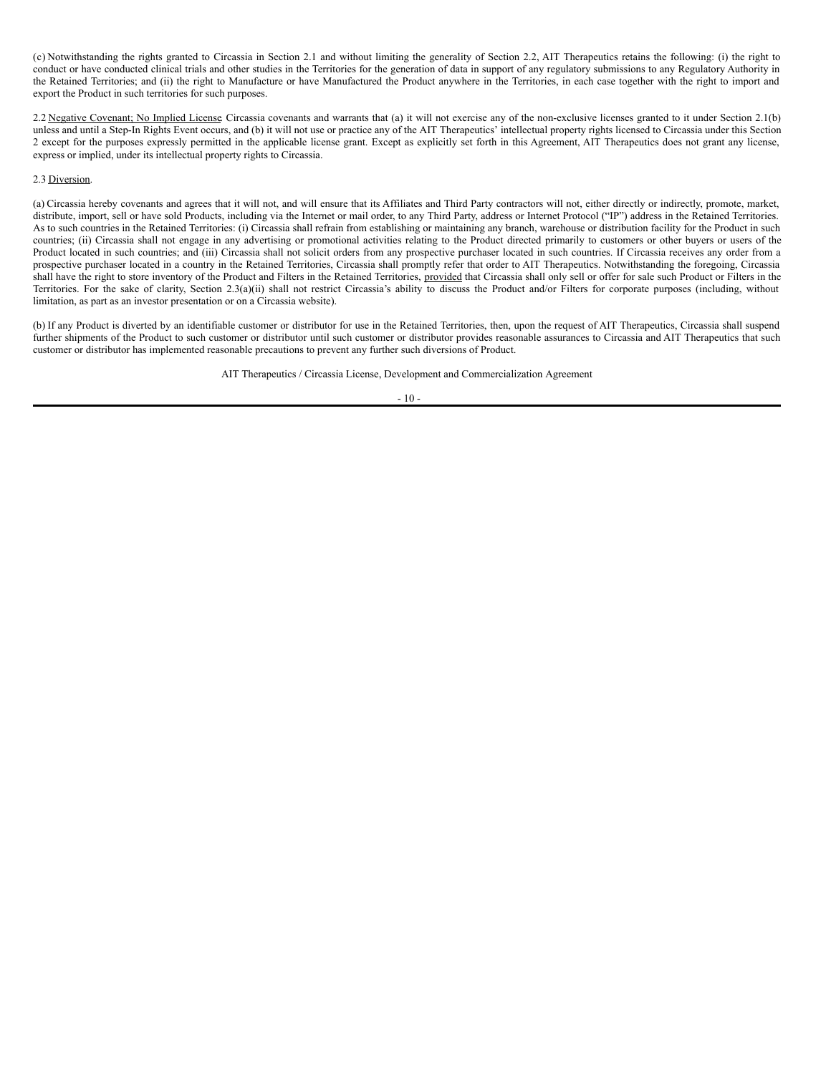(c) Notwithstanding the rights granted to Circassia in Section 2.1 and without limiting the generality of Section 2.2, AIT Therapeutics retains the following: (i) the right to conduct or have conducted clinical trials and other studies in the Territories for the generation of data in support of any regulatory submissions to any Regulatory Authority in the Retained Territories; and (ii) the right to Manufacture or have Manufactured the Product anywhere in the Territories, in each case together with the right to import and export the Product in such territories for such purposes.

2.2 Negative Covenant; No Implied License Circassia covenants and warrants that (a) it will not exercise any of the non-exclusive licenses granted to it under Section 2.1(b) unless and until a Step-In Rights Event occurs, and (b) it will not use or practice any of the AIT Therapeutics' intellectual property rights licensed to Circassia under this Section 2 except for the purposes expressly permitted in the applicable license grant. Except as explicitly set forth in this Agreement, AIT Therapeutics does not grant any license, express or implied, under its intellectual property rights to Circassia.

### 2.3 Diversion.

(a) Circassia hereby covenants and agrees that it will not, and will ensure that its Affiliates and Third Party contractors will not, either directly or indirectly, promote, market, distribute, import, sell or have sold Products, including via the Internet or mail order, to any Third Party, address or Internet Protocol ("IP") address in the Retained Territories. As to such countries in the Retained Territories: (i) Circassia shall refrain from establishing or maintaining any branch, warehouse or distribution facility for the Product in such countries; (ii) Circassia shall not engage in any advertising or promotional activities relating to the Product directed primarily to customers or other buyers or users of the Product located in such countries; and (iii) Circassia shall not solicit orders from any prospective purchaser located in such countries. If Circassia receives any order from a prospective purchaser located in a country in the Retained Territories, Circassia shall promptly refer that order to AIT Therapeutics. Notwithstanding the foregoing, Circassia shall have the right to store inventory of the Product and Filters in the Retained Territories, provided that Circassia shall only sell or offer for sale such Product or Filters in the Territories. For the sake of clarity, Section 2.3(a)(ii) shall not restrict Circassia's ability to discuss the Product and/or Filters for corporate purposes (including, without limitation, as part as an investor presentation or on a Circassia website).

(b) If any Product is diverted by an identifiable customer or distributor for use in the Retained Territories, then, upon the request of AIT Therapeutics, Circassia shall suspend further shipments of the Product to such customer or distributor until such customer or distributor provides reasonable assurances to Circassia and AIT Therapeutics that such customer or distributor has implemented reasonable precautions to prevent any further such diversions of Product.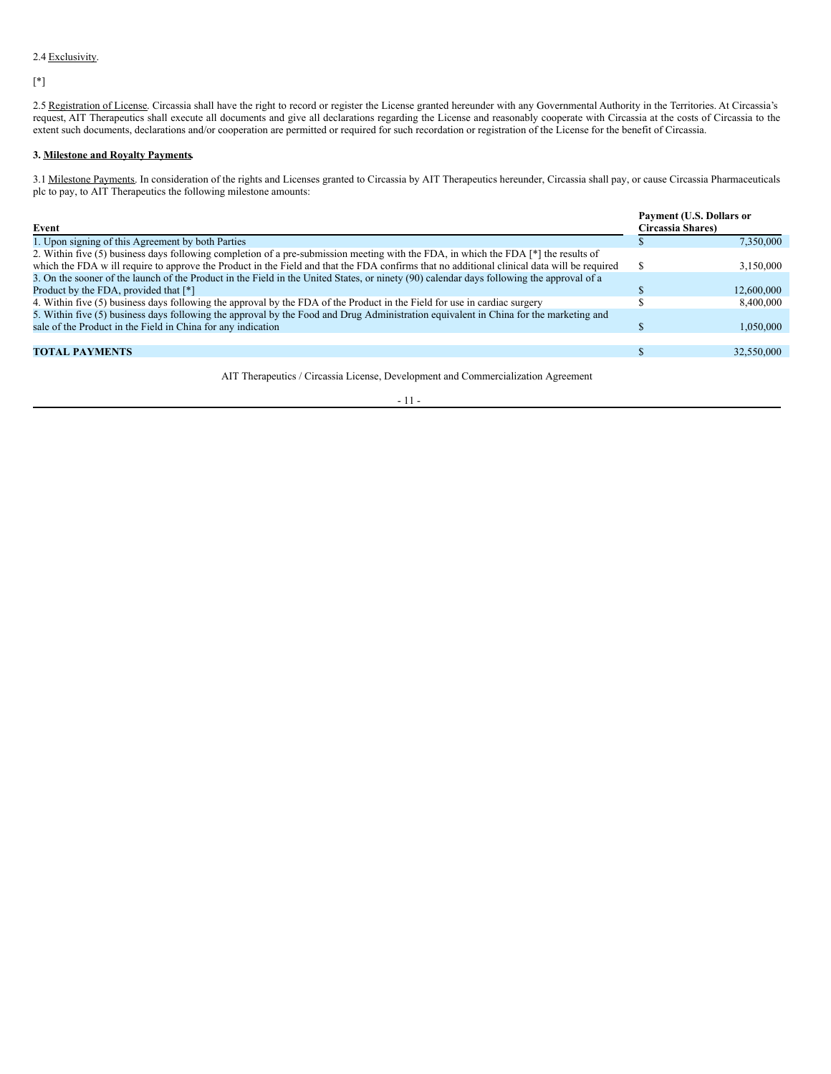# 2.4 Exclusivity.

# [\*]

2.5 Registration of License. Circassia shall have the right to record or register the License granted hereunder with any Governmental Authority in the Territories. At Circassia's request, AIT Therapeutics shall execute all documents and give all declarations regarding the License and reasonably cooperate with Circassia at the costs of Circassia to the extent such documents, declarations and/or cooperation are permitted or required for such recordation or registration of the License for the benefit of Circassia.

# **3. Milestone and Royalty Payments.**

3.1 Milestone Payments. In consideration of the rights and Licenses granted to Circassia by AIT Therapeutics hereunder, Circassia shall pay, or cause Circassia Pharmaceuticals plc to pay, to AIT Therapeutics the following milestone amounts:

| Event                                                                                                                                       |  | Payment (U.S. Dollars or<br><b>Circassia Shares</b> ) |  |
|---------------------------------------------------------------------------------------------------------------------------------------------|--|-------------------------------------------------------|--|
| 1. Upon signing of this Agreement by both Parties                                                                                           |  | 7,350,000                                             |  |
| 2. Within five (5) business days following completion of a pre-submission meeting with the FDA, in which the FDA [*] the results of         |  |                                                       |  |
| which the FDA w ill require to approve the Product in the Field and that the FDA confirms that no additional clinical data will be required |  | 3,150,000                                             |  |
| 3. On the sooner of the launch of the Product in the Field in the United States, or ninety (90) calendar days following the approval of a   |  |                                                       |  |
| Product by the FDA, provided that $[*]$                                                                                                     |  | 12,600,000                                            |  |
| 4. Within five (5) business days following the approval by the FDA of the Product in the Field for use in cardiac surgery                   |  | 8,400,000                                             |  |
| 5. Within five (5) business days following the approval by the Food and Drug Administration equivalent in China for the marketing and       |  |                                                       |  |
| sale of the Product in the Field in China for any indication                                                                                |  | 1,050,000                                             |  |
|                                                                                                                                             |  |                                                       |  |
| <b>TOTAL PAYMENTS</b>                                                                                                                       |  | 32,550,000                                            |  |
| AIT Therapeutics / Circassia License, Development and Commercialization Agreement                                                           |  |                                                       |  |

- 11 -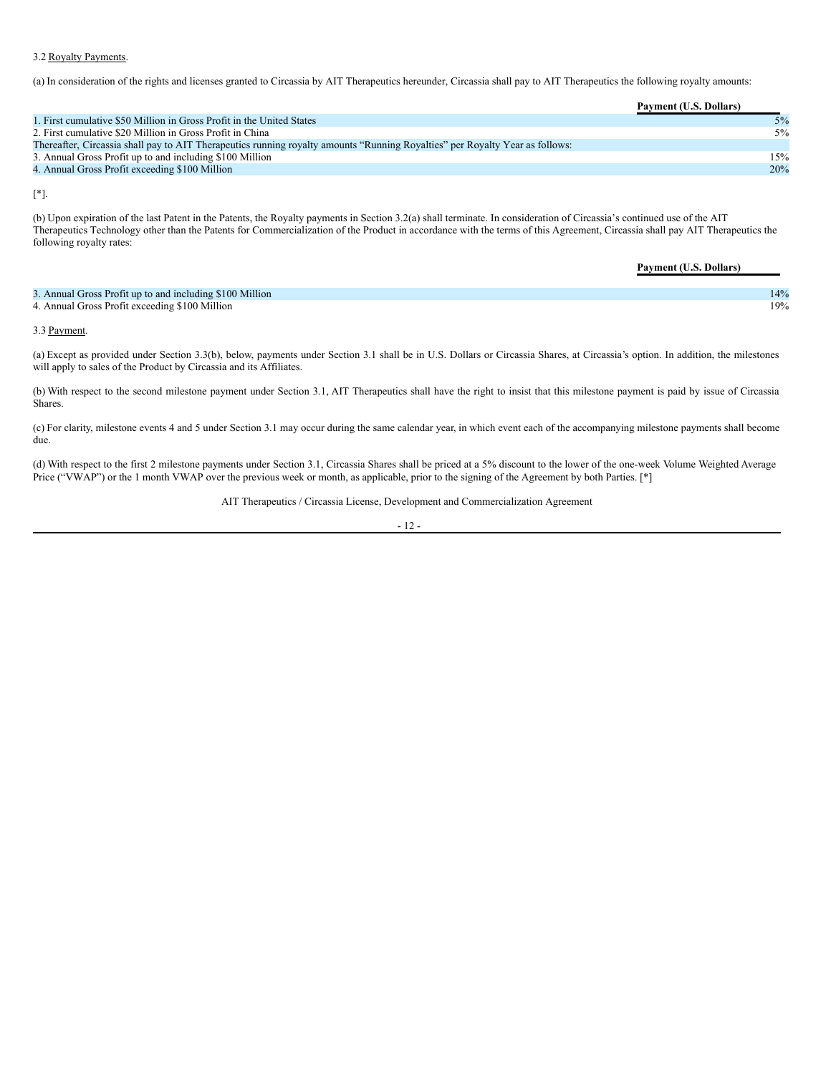# 3.2 Royalty Payments.

(a) In consideration of the rights and licenses granted to Circassia by AIT Therapeutics hereunder, Circassia shall pay to AIT Therapeutics the following royalty amounts:

|                                                                                                                              | Payment (U.S. Dollars) |
|------------------------------------------------------------------------------------------------------------------------------|------------------------|
| 1. First cumulative \$50 Million in Gross Profit in the United States                                                        | $5\%$                  |
| 2. First cumulative \$20 Million in Gross Profit in China                                                                    | $5\%$                  |
| Thereafter, Circassia shall pay to AIT Therapeutics running royalty amounts "Running Royalties" per Royalty Year as follows: |                        |
| 3. Annual Gross Profit up to and including \$100 Million                                                                     | 15%                    |
| 4. Annual Gross Profit exceeding \$100 Million                                                                               | 20%                    |
|                                                                                                                              |                        |

[\*].

(b) Upon expiration of the last Patent in the Patents, the Royalty payments in Section 3.2(a) shall terminate. In consideration of Circassia's continued use of the AIT Therapeutics Technology other than the Patents for Commercialization of the Product in accordance with the terms of this Agreement, Circassia shall pay AIT Therapeutics the following royalty rates:

|                                                          | Payment (U.S. Dollars) |
|----------------------------------------------------------|------------------------|
| 3. Annual Gross Profit up to and including \$100 Million | 14%                    |
| 4. Annual Gross Profit exceeding \$100 Million           | 19%                    |

3.3 Payment.

(a) Except as provided under Section 3.3(b), below, payments under Section 3.1 shall be in U.S. Dollars or Circassia Shares, at Circassia's option. In addition, the milestones will apply to sales of the Product by Circassia and its Affiliates.

(b) With respect to the second milestone payment under Section 3.1, AIT Therapeutics shall have the right to insist that this milestone payment is paid by issue of Circassia Shares.

(c) For clarity, milestone events 4 and 5 under Section 3.1 may occur during the same calendar year, in which event each of the accompanying milestone payments shall become due.

(d) With respect to the first 2 milestone payments under Section 3.1, Circassia Shares shall be priced at a 5% discount to the lower of the one-week Volume Weighted Average Price ("VWAP") or the 1 month VWAP over the previous week or month, as applicable, prior to the signing of the Agreement by both Parties. [\*]

AIT Therapeutics / Circassia License, Development and Commercialization Agreement

- 12 -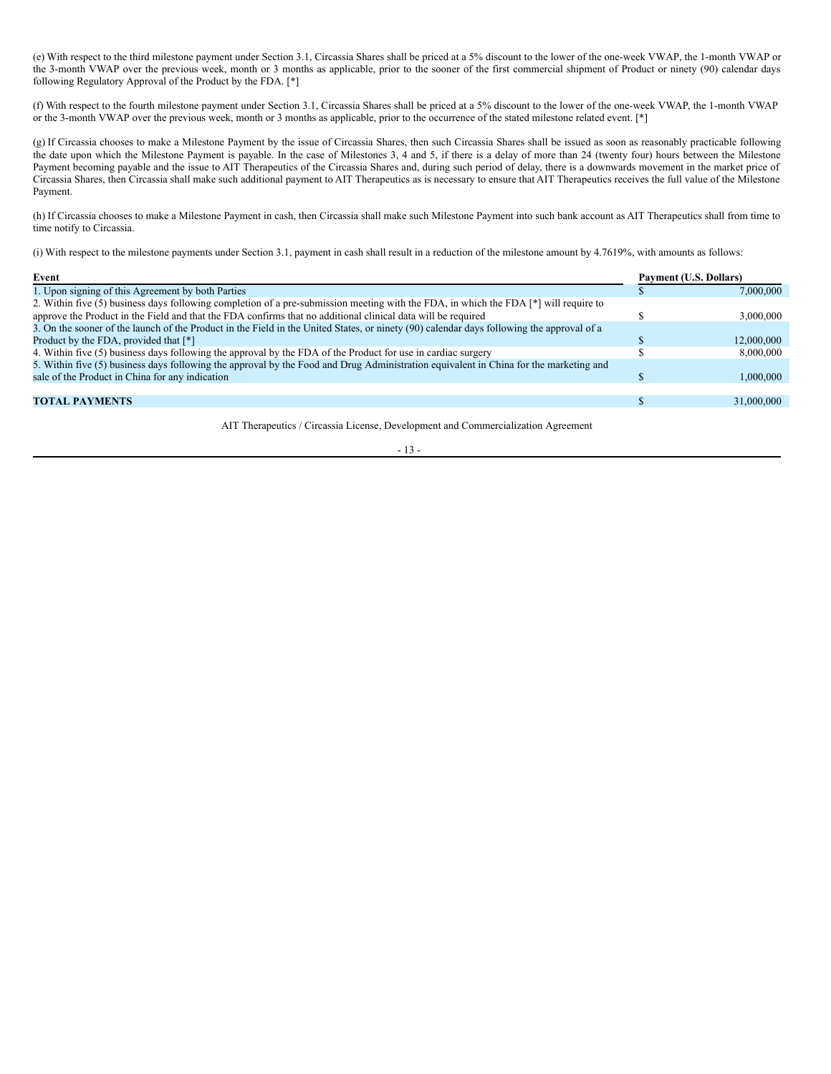(e) With respect to the third milestone payment under Section 3.1, Circassia Shares shall be priced at a 5% discount to the lower of the one-week VWAP, the 1-month VWAP or the 3-month VWAP over the previous week, month or 3 months as applicable, prior to the sooner of the first commercial shipment of Product or ninety (90) calendar days following Regulatory Approval of the Product by the FDA. [\*]

(f) With respect to the fourth milestone payment under Section 3.1, Circassia Shares shall be priced at a 5% discount to the lower of the one-week VWAP, the 1-month VWAP or the 3-month VWAP over the previous week, month or 3 months as applicable, prior to the occurrence of the stated milestone related event. [\*]

(g) If Circassia chooses to make a Milestone Payment by the issue of Circassia Shares, then such Circassia Shares shall be issued as soon as reasonably practicable following the date upon which the Milestone Payment is payable. In the case of Milestones 3, 4 and 5, if there is a delay of more than 24 (twenty four) hours between the Milestone Payment becoming payable and the issue to AIT Therapeutics of the Circassia Shares and, during such period of delay, there is a downwards movement in the market price of Circassia Shares, then Circassia shall make such additional payment to AIT Therapeutics as is necessary to ensure that AIT Therapeutics receives the full value of the Milestone Payment.

(h) If Circassia chooses to make a Milestone Payment in cash, then Circassia shall make such Milestone Payment into such bank account as AIT Therapeutics shall from time to time notify to Circassia.

(i) With respect to the milestone payments under Section 3.1, payment in cash shall result in a reduction of the milestone amount by 4.7619%, with amounts as follows:

| Event                                                                                                                                     | Payment (U.S. Dollars) |
|-------------------------------------------------------------------------------------------------------------------------------------------|------------------------|
| 1. Upon signing of this Agreement by both Parties                                                                                         | 7,000,000              |
| 2. Within five (5) business days following completion of a pre-submission meeting with the FDA, in which the FDA [*] will require to      |                        |
| approve the Product in the Field and that the FDA confirms that no additional clinical data will be required                              | 3,000,000              |
| 3. On the sooner of the launch of the Product in the Field in the United States, or ninety (90) calendar days following the approval of a |                        |
| Product by the FDA, provided that $[*]$                                                                                                   | 12,000,000             |
| 4. Within five (5) business days following the approval by the FDA of the Product for use in cardiac surgery                              | 8,000,000              |
| 5. Within five (5) business days following the approval by the Food and Drug Administration equivalent in China for the marketing and     |                        |
| sale of the Product in China for any indication                                                                                           | 1,000,000              |
|                                                                                                                                           |                        |
| <b>TOTAL PAYMENTS</b>                                                                                                                     | 31,000,000             |
|                                                                                                                                           |                        |

AIT Therapeutics / Circassia License, Development and Commercialization Agreement

- 13 -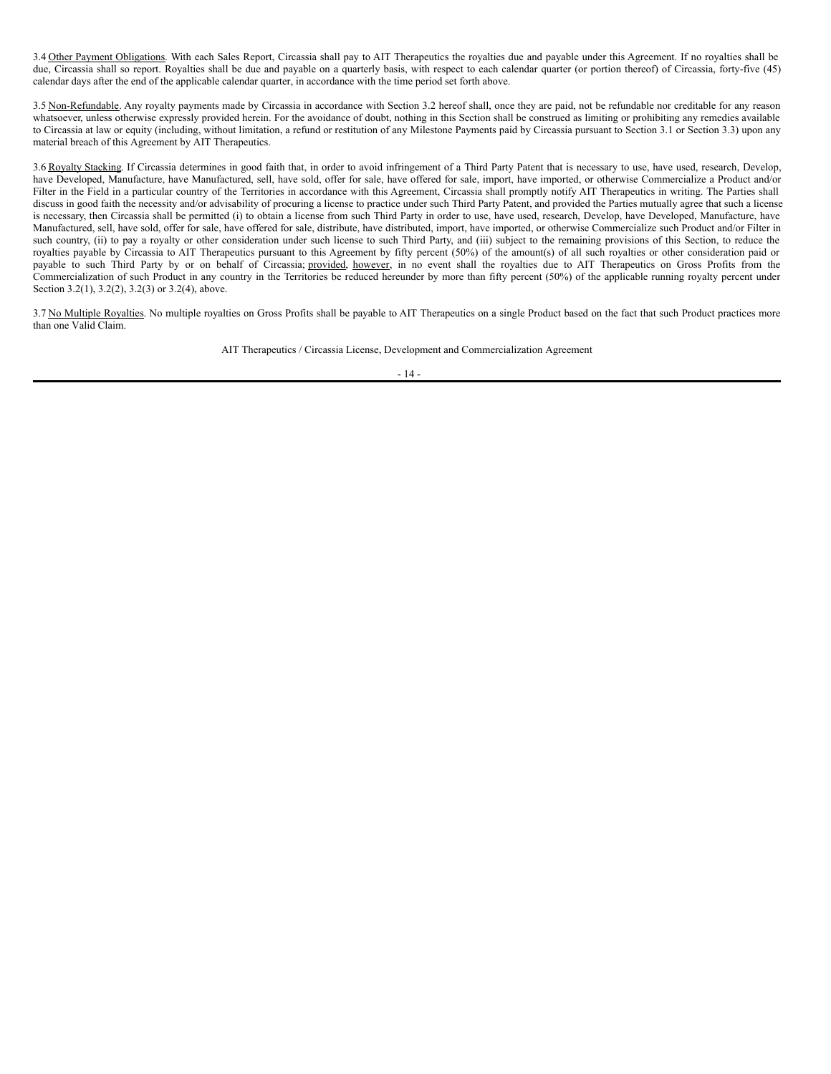3.4 Other Payment Obligations. With each Sales Report, Circassia shall pay to AIT Therapeutics the royalties due and payable under this Agreement. If no royalties shall be due, Circassia shall so report. Royalties shall be due and payable on a quarterly basis, with respect to each calendar quarter (or portion thereof) of Circassia, forty-five (45) calendar days after the end of the applicable calendar quarter, in accordance with the time period set forth above.

3.5 Non-Refundable. Any royalty payments made by Circassia in accordance with Section 3.2 hereof shall, once they are paid, not be refundable nor creditable for any reason whatsoever, unless otherwise expressly provided herein. For the avoidance of doubt, nothing in this Section shall be construed as limiting or prohibiting any remedies available to Circassia at law or equity (including, without limitation, a refund or restitution of any Milestone Payments paid by Circassia pursuant to Section 3.1 or Section 3.3) upon any material breach of this Agreement by AIT Therapeutics.

3.6 Royalty Stacking. If Circassia determines in good faith that, in order to avoid infringement of a Third Party Patent that is necessary to use, have used, research, Develop, have Developed, Manufacture, have Manufactured, sell, have sold, offer for sale, have offered for sale, import, have imported, or otherwise Commercialize a Product and/or Filter in the Field in a particular country of the Territories in accordance with this Agreement, Circassia shall promptly notify AIT Therapeutics in writing. The Parties shall discuss in good faith the necessity and/or advisability of procuring a license to practice under such Third Party Patent, and provided the Parties mutually agree that such a license is necessary, then Circassia shall be permitted (i) to obtain a license from such Third Party in order to use, have used, research, Develop, have Developed, Manufacture, have Manufactured, sell, have sold, offer for sale, have offered for sale, distribute, have distributed, import, have imported, or otherwise Commercialize such Product and/or Filter in such country, (ii) to pay a royalty or other consideration under such license to such Third Party, and (iii) subject to the remaining provisions of this Section, to reduce the royalties payable by Circassia to AIT Therapeutics pursuant to this Agreement by fifty percent (50%) of the amount(s) of all such royalties or other consideration paid or payable to such Third Party by or on behalf of Circassia; provided, however, in no event shall the royalties due to AIT Therapeutics on Gross Profits from the Commercialization of such Product in any country in the Territories be reduced hereunder by more than fifty percent (50%) of the applicable running royalty percent under Section 3.2(1), 3.2(2), 3.2(3) or 3.2(4), above.

3.7 No Multiple Royalties. No multiple royalties on Gross Profits shall be payable to AIT Therapeutics on a single Product based on the fact that such Product practices more than one Valid Claim.

AIT Therapeutics / Circassia License, Development and Commercialization Agreement

- 14 -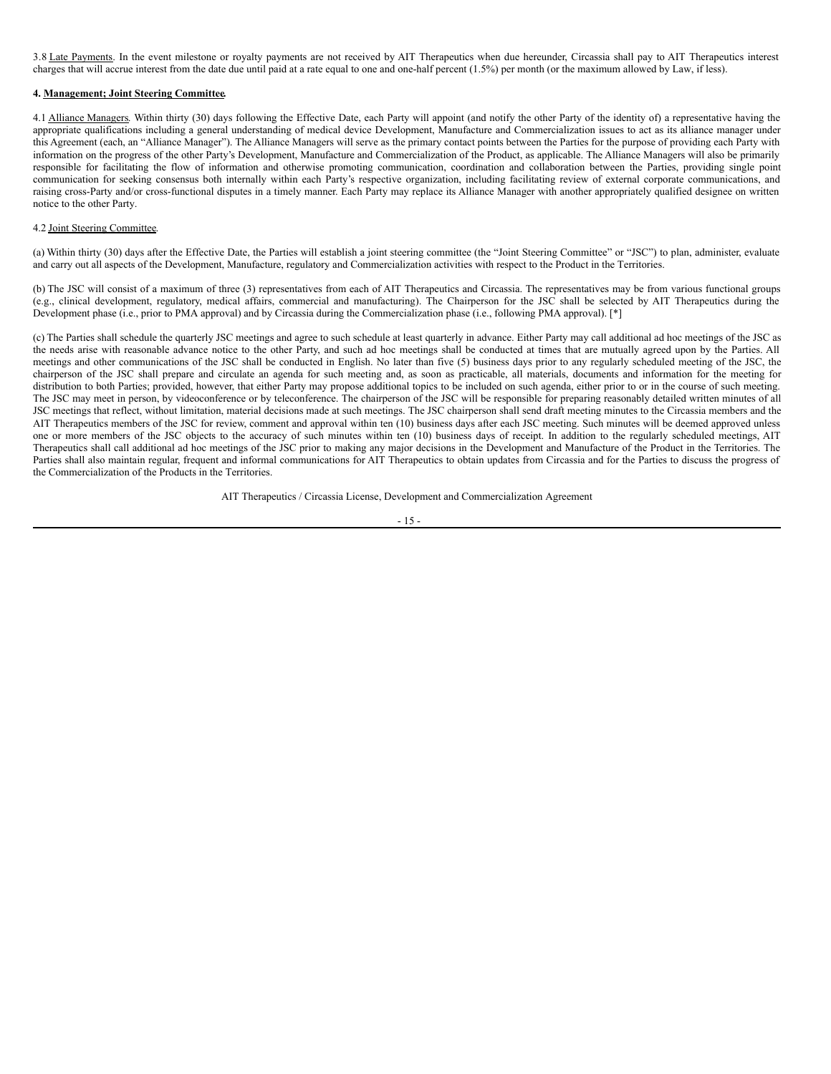3.8 Late Payments. In the event milestone or royalty payments are not received by AIT Therapeutics when due hereunder, Circassia shall pay to AIT Therapeutics interest charges that will accrue interest from the date due until paid at a rate equal to one and one-half percent (1.5%) per month (or the maximum allowed by Law, if less).

### **4. Management; Joint Steering Committee.**

4.1 Alliance Managers. Within thirty (30) days following the Effective Date, each Party will appoint (and notify the other Party of the identity of) a representative having the appropriate qualifications including a general understanding of medical device Development, Manufacture and Commercialization issues to act as its alliance manager under this Agreement (each, an "Alliance Manager"). The Alliance Managers will serve as the primary contact points between the Parties for the purpose of providing each Party with information on the progress of the other Party's Development, Manufacture and Commercialization of the Product, as applicable. The Alliance Managers will also be primarily responsible for facilitating the flow of information and otherwise promoting communication, coordination and collaboration between the Parties, providing single point communication for seeking consensus both internally within each Party's respective organization, including facilitating review of external corporate communications, and raising cross-Party and/or cross-functional disputes in a timely manner. Each Party may replace its Alliance Manager with another appropriately qualified designee on written notice to the other Party.

#### 4.2 Joint Steering Committee.

(a) Within thirty (30) days after the Effective Date, the Parties will establish a joint steering committee (the "Joint Steering Committee" or "JSC") to plan, administer, evaluate and carry out all aspects of the Development, Manufacture, regulatory and Commercialization activities with respect to the Product in the Territories.

(b) The JSC will consist of a maximum of three (3) representatives from each of AIT Therapeutics and Circassia. The representatives may be from various functional groups (e.g., clinical development, regulatory, medical affairs, commercial and manufacturing). The Chairperson for the JSC shall be selected by AIT Therapeutics during the Development phase (i.e., prior to PMA approval) and by Circassia during the Commercialization phase (i.e., following PMA approval). [\*]

(c) The Parties shall schedule the quarterly JSC meetings and agree to such schedule at least quarterly in advance. Either Party may call additional ad hoc meetings of the JSC as the needs arise with reasonable advance notice to the other Party, and such ad hoc meetings shall be conducted at times that are mutually agreed upon by the Parties. All meetings and other communications of the JSC shall be conducted in English. No later than five (5) business days prior to any regularly scheduled meeting of the JSC, the chairperson of the JSC shall prepare and circulate an agenda for such meeting and, as soon as practicable, all materials, documents and information for the meeting for distribution to both Parties; provided, however, that either Party may propose additional topics to be included on such agenda, either prior to or in the course of such meeting. The JSC may meet in person, by videoconference or by teleconference. The chairperson of the JSC will be responsible for preparing reasonably detailed written minutes of all JSC meetings that reflect, without limitation, material decisions made at such meetings. The JSC chairperson shall send draft meeting minutes to the Circassia members and the AIT Therapeutics members of the JSC for review, comment and approval within ten (10) business days after each JSC meeting. Such minutes will be deemed approved unless one or more members of the JSC objects to the accuracy of such minutes within ten (10) business days of receipt. In addition to the regularly scheduled meetings, AIT Therapeutics shall call additional ad hoc meetings of the JSC prior to making any major decisions in the Development and Manufacture of the Product in the Territories. The Parties shall also maintain regular, frequent and informal communications for AIT Therapeutics to obtain updates from Circassia and for the Parties to discuss the progress of the Commercialization of the Products in the Territories.

$$
-15 -
$$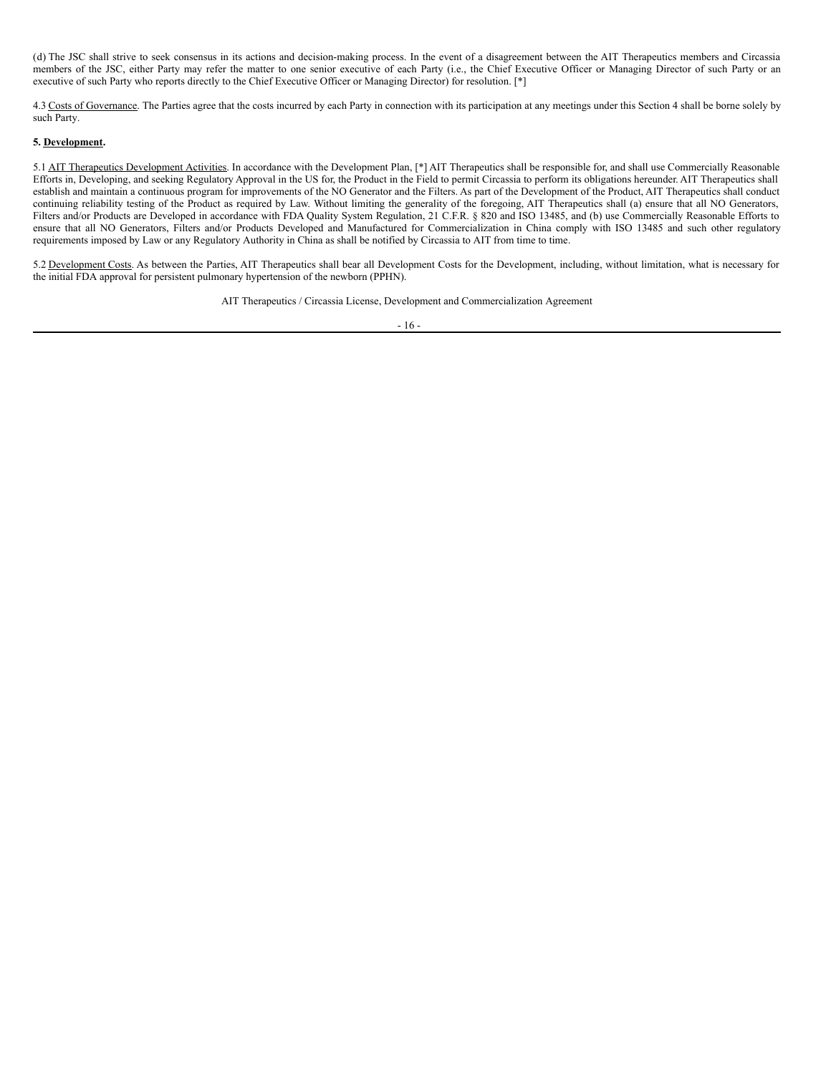(d) The JSC shall strive to seek consensus in its actions and decision-making process. In the event of a disagreement between the AIT Therapeutics members and Circassia members of the JSC, either Party may refer the matter to one senior executive of each Party (i.e., the Chief Executive Officer or Managing Director of such Party or an executive of such Party who reports directly to the Chief Executive Officer or Managing Director) for resolution. [\*]

4.3 Costs of Governance. The Parties agree that the costs incurred by each Party in connection with its participation at any meetings under this Section 4 shall be borne solely by such Party.

# **5. Development.**

5.1 AIT Therapeutics Development Activities. In accordance with the Development Plan, [\*] AIT Therapeutics shall be responsible for, and shall use Commercially Reasonable Efforts in, Developing, and seeking Regulatory Approval in the US for, the Product in the Field to permit Circassia to perform its obligations hereunder. AIT Therapeutics shall establish and maintain a continuous program for improvements of the NO Generator and the Filters. As part of the Development of the Product, AIT Therapeutics shall conduct continuing reliability testing of the Product as required by Law. Without limiting the generality of the foregoing, AIT Therapeutics shall (a) ensure that all NO Generators, Filters and/or Products are Developed in accordance with FDA Quality System Regulation, 21 C.F.R. § 820 and ISO 13485, and (b) use Commercially Reasonable Efforts to ensure that all NO Generators, Filters and/or Products Developed and Manufactured for Commercialization in China comply with ISO 13485 and such other regulatory requirements imposed by Law or any Regulatory Authority in China as shall be notified by Circassia to AIT from time to time.

5.2 Development Costs. As between the Parties, AIT Therapeutics shall bear all Development Costs for the Development, including, without limitation, what is necessary for the initial FDA approval for persistent pulmonary hypertension of the newborn (PPHN).

AIT Therapeutics / Circassia License, Development and Commercialization Agreement

- 16 -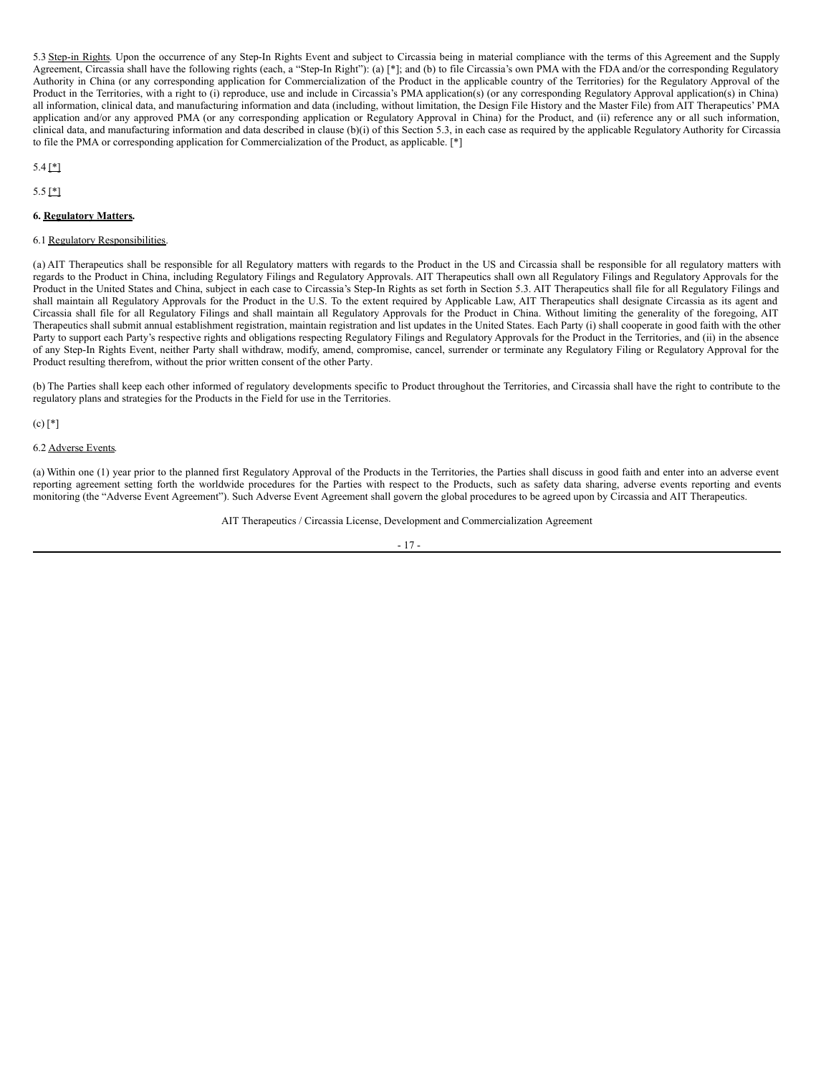5.3 Step-in Rights. Upon the occurrence of any Step-In Rights Event and subject to Circassia being in material compliance with the terms of this Agreement and the Supply Agreement, Circassia shall have the following rights (each, a "Step-In Right"): (a) [\*]; and (b) to file Circassia's own PMA with the FDA and/or the corresponding Regulatory Authority in China (or any corresponding application for Commercialization of the Product in the applicable country of the Territories) for the Regulatory Approval of the Product in the Territories, with a right to (i) reproduce, use and include in Circassia's PMA application(s) (or any corresponding Regulatory Approval application(s) in China) all information, clinical data, and manufacturing information and data (including, without limitation, the Design File History and the Master File) from AIT Therapeutics' PMA application and/or any approved PMA (or any corresponding application or Regulatory Approval in China) for the Product, and (ii) reference any or all such information, clinical data, and manufacturing information and data described in clause (b)(i) of this Section 5.3, in each case as required by the applicable Regulatory Authority for Circassia to file the PMA or corresponding application for Commercialization of the Product, as applicable. [\*]

5.4 [\*]

5.5 [\*]

# **6. Regulatory Matters.**

# 6.1 Regulatory Responsibilities.

(a) AIT Therapeutics shall be responsible for all Regulatory matters with regards to the Product in the US and Circassia shall be responsible for all regulatory matters with regards to the Product in China, including Regulatory Filings and Regulatory Approvals. AIT Therapeutics shall own all Regulatory Filings and Regulatory Approvals for the Product in the United States and China, subject in each case to Circassia's Step-In Rights as set forth in Section 5.3. AIT Therapeutics shall file for all Regulatory Filings and shall maintain all Regulatory Approvals for the Product in the U.S. To the extent required by Applicable Law, AIT Therapeutics shall designate Circassia as its agent and Circassia shall file for all Regulatory Filings and shall maintain all Regulatory Approvals for the Product in China. Without limiting the generality of the foregoing, AIT Therapeutics shall submit annual establishment registration, maintain registration and list updates in the United States. Each Party (i) shall cooperate in good faith with the other Party to support each Party's respective rights and obligations respecting Regulatory Filings and Regulatory Approvals for the Product in the Territories, and (ii) in the absence of any Step-In Rights Event, neither Party shall withdraw, modify, amend, compromise, cancel, surrender or terminate any Regulatory Filing or Regulatory Approval for the Product resulting therefrom, without the prior written consent of the other Party.

(b) The Parties shall keep each other informed of regulatory developments specific to Product throughout the Territories, and Circassia shall have the right to contribute to the regulatory plans and strategies for the Products in the Field for use in the Territories.

(c) [\*]

# 6.2 Adverse Events.

(a) Within one (1) year prior to the planned first Regulatory Approval of the Products in the Territories, the Parties shall discuss in good faith and enter into an adverse event reporting agreement setting forth the worldwide procedures for the Parties with respect to the Products, such as safety data sharing, adverse events reporting and events monitoring (the "Adverse Event Agreement"). Such Adverse Event Agreement shall govern the global procedures to be agreed upon by Circassia and AIT Therapeutics.

AIT Therapeutics / Circassia License, Development and Commercialization Agreement

- 17 -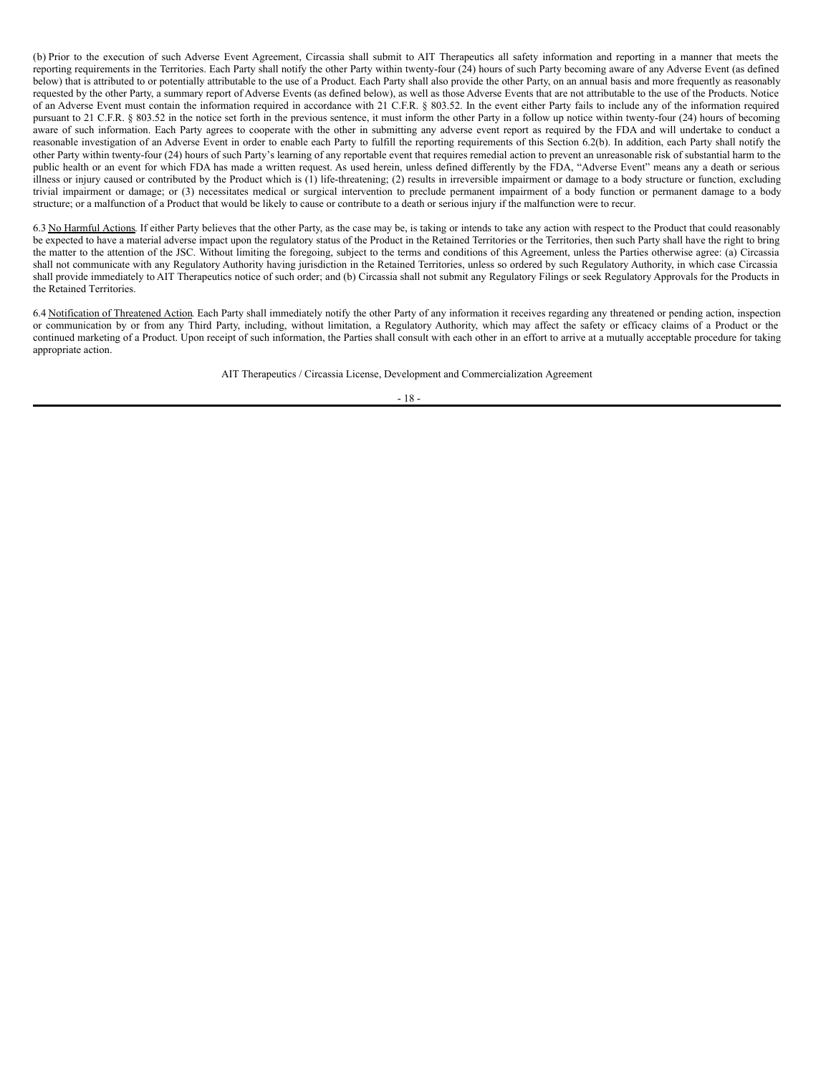(b) Prior to the execution of such Adverse Event Agreement, Circassia shall submit to AIT Therapeutics all safety information and reporting in a manner that meets the reporting requirements in the Territories. Each Party shall notify the other Party within twenty-four  $(24)$  hours of such Party becoming aware of any Adverse Event (as defined below) that is attributed to or potentially attributable to the use of a Product. Each Party shall also provide the other Party, on an annual basis and more frequently as reasonably requested by the other Party, a summary report of Adverse Events (as defined below), as well as those Adverse Events that are not attributable to the use of the Products. Notice of an Adverse Event must contain the information required in accordance with 21 C.F.R. § 803.52. In the event either Party fails to include any of the information required pursuant to 21 C.F.R. § 803.52 in the notice set forth in the previous sentence, it must inform the other Party in a follow up notice within twenty-four (24) hours of becoming aware of such information. Each Party agrees to cooperate with the other in submitting any adverse event report as required by the FDA and will undertake to conduct a reasonable investigation of an Adverse Event in order to enable each Party to fulfill the reporting requirements of this Section 6.2(b). In addition, each Party shall notify the other Party within twenty-four (24) hours of such Party's learning of any reportable event that requires remedial action to prevent an unreasonable risk of substantial harm to the public health or an event for which FDA has made a written request. As used herein, unless defined differently by the FDA, "Adverse Event" means any a death or serious illness or injury caused or contributed by the Product which is  $(1)$  life-threatening;  $(2)$  results in irreversible impairment or damage to a body structure or function, excluding trivial impairment or damage; or (3) necessitates medical or surgical intervention to preclude permanent impairment of a body function or permanent damage to a body structure; or a malfunction of a Product that would be likely to cause or contribute to a death or serious injury if the malfunction were to recur.

6.3 No Harmful Actions. If either Party believes that the other Party, as the case may be, is taking or intends to take any action with respect to the Product that could reasonably be expected to have a material adverse impact upon the regulatory status of the Product in the Retained Territories or the Territories, then such Party shall have the right to bring the matter to the attention of the JSC. Without limiting the foregoing, subject to the terms and conditions of this Agreement, unless the Parties otherwise agree: (a) Circassia shall not communicate with any Regulatory Authority having jurisdiction in the Retained Territories, unless so ordered by such Regulatory Authority, in which case Circassia shall provide immediately to AIT Therapeutics notice of such order; and (b) Circassia shall not submit any Regulatory Filings or seek Regulatory Approvals for the Products in the Retained Territories.

6.4 Notification of Threatened Action. Each Party shall immediately notify the other Party of any information it receives regarding any threatened or pending action, inspection or communication by or from any Third Party, including, without limitation, a Regulatory Authority, which may affect the safety or efficacy claims of a Product or the continued marketing of a Product. Upon receipt of such information, the Parties shall consult with each other in an effort to arrive at a mutually acceptable procedure for taking appropriate action.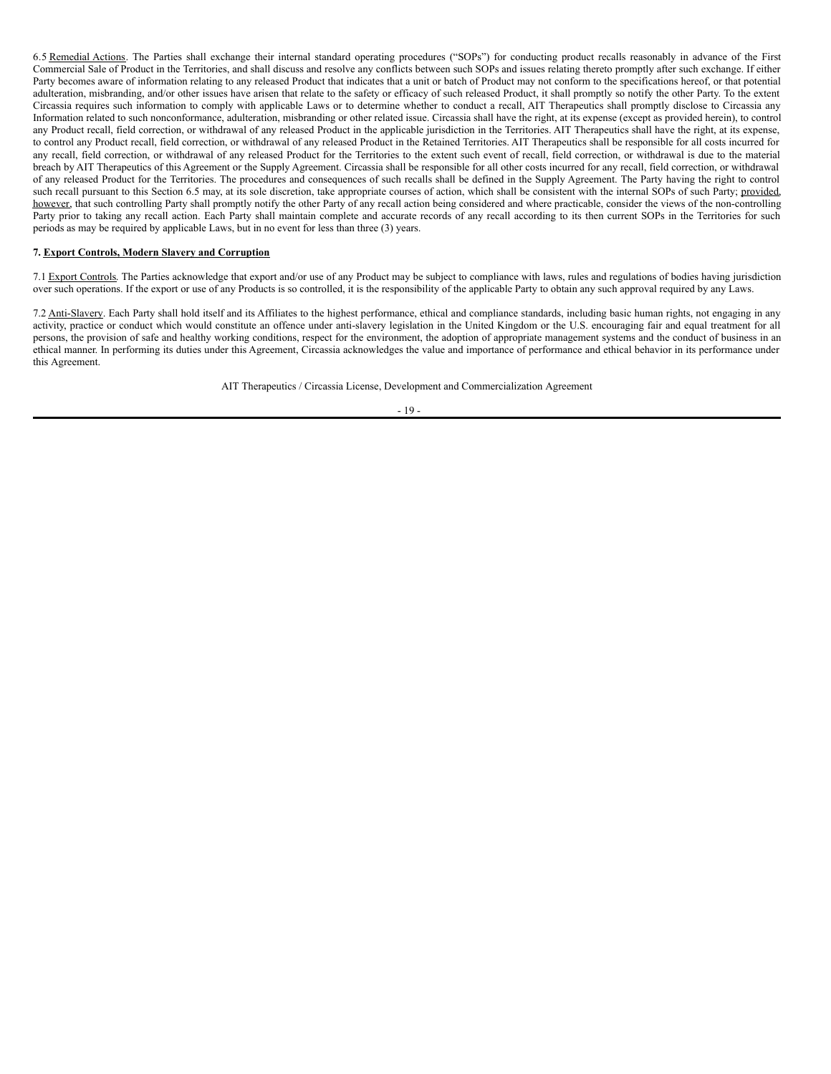6.5 Remedial Actions. The Parties shall exchange their internal standard operating procedures ("SOPs") for conducting product recalls reasonably in advance of the First Commercial Sale of Product in the Territories, and shall discuss and resolve any conflicts between such SOPs and issues relating thereto promptly after such exchange. If either Party becomes aware of information relating to any released Product that indicates that a unit or batch of Product may not conform to the specifications hereof, or that potential adulteration, misbranding, and/or other issues have arisen that relate to the safety or efficacy of such released Product, it shall promptly so notify the other Party. To the extent Circassia requires such information to comply with applicable Laws or to determine whether to conduct a recall, AIT Therapeutics shall promptly disclose to Circassia any Information related to such nonconformance, adulteration, misbranding or other related issue. Circassia shall have the right, at its expense (except as provided herein), to control any Product recall, field correction, or withdrawal of any released Product in the applicable jurisdiction in the Territories. AIT Therapeutics shall have the right, at its expense, to control any Product recall, field correction, or withdrawal of any released Product in the Retained Territories. AIT Therapeutics shall be responsible for all costs incurred for any recall, field correction, or withdrawal of any released Product for the Territories to the extent such event of recall, field correction, or withdrawal is due to the material breach by AIT Therapeutics of this Agreement or the Supply Agreement. Circassia shall be responsible for all other costs incurred for any recall, field correction, or withdrawal of any released Product for the Territories. The procedures and consequences of such recalls shall be defined in the Supply Agreement. The Party having the right to control such recall pursuant to this Section 6.5 may, at its sole discretion, take appropriate courses of action, which shall be consistent with the internal SOPs of such Party; provided, however, that such controlling Party shall promptly notify the other Party of any recall action being considered and where practicable, consider the views of the non-controlling Party prior to taking any recall action. Each Party shall maintain complete and accurate records of any recall according to its then current SOPs in the Territories for such periods as may be required by applicable Laws, but in no event for less than three (3) years.

# **7. Export Controls, Modern Slavery and Corruption**

7.1 Export Controls. The Parties acknowledge that export and/or use of any Product may be subject to compliance with laws, rules and regulations of bodies having jurisdiction over such operations. If the export or use of any Products is so controlled, it is the responsibility of the applicable Party to obtain any such approval required by any Laws.

7.2 Anti-Slavery. Each Party shall hold itself and its Affiliates to the highest performance, ethical and compliance standards, including basic human rights, not engaging in any activity, practice or conduct which would constitute an offence under anti-slavery legislation in the United Kingdom or the U.S. encouraging fair and equal treatment for all persons, the provision of safe and healthy working conditions, respect for the environment, the adoption of appropriate management systems and the conduct of business in an ethical manner. In performing its duties under this Agreement, Circassia acknowledges the value and importance of performance and ethical behavior in its performance under this Agreement.

AIT Therapeutics / Circassia License, Development and Commercialization Agreement

# - 19 -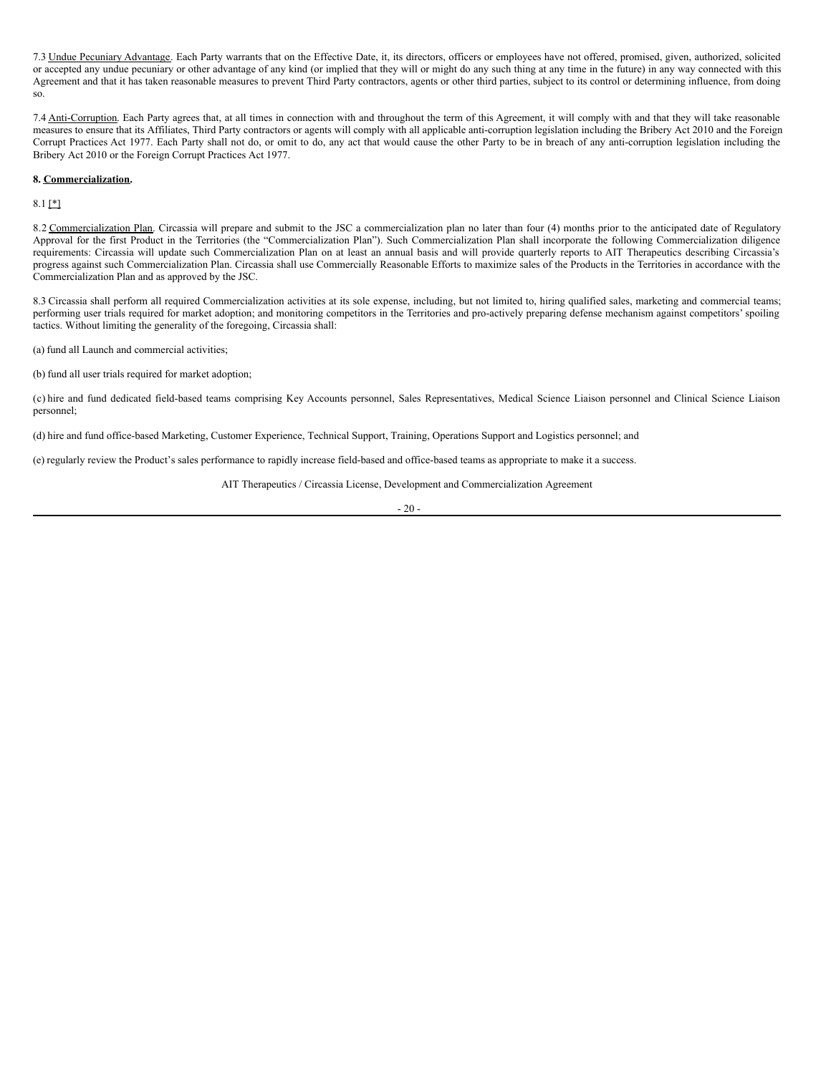7.3 Undue Pecuniary Advantage. Each Party warrants that on the Effective Date, it, its directors, officers or employees have not offered, promised, given, authorized, solicited or accepted any undue pecuniary or other advantage of any kind (or implied that they will or might do any such thing at any time in the future) in any way connected with this Agreement and that it has taken reasonable measures to prevent Third Party contractors, agents or other third parties, subject to its control or determining influence, from doing so.

7.4 Anti-Corruption. Each Party agrees that, at all times in connection with and throughout the term of this Agreement, it will comply with and that they will take reasonable measures to ensure that its Affiliates, Third Party contractors or agents will comply with all applicable anti-corruption legislation including the Bribery Act 2010 and the Foreign Corrupt Practices Act 1977. Each Party shall not do, or omit to do, any act that would cause the other Party to be in breach of any anti-corruption legislation including the Bribery Act 2010 or the Foreign Corrupt Practices Act 1977.

### **8. Commercialization.**

 $8.1$  [ $*$ ]

8.2 Commercialization Plan. Circassia will prepare and submit to the JSC a commercialization plan no later than four (4) months prior to the anticipated date of Regulatory Approval for the first Product in the Territories (the "Commercialization Plan"). Such Commercialization Plan shall incorporate the following Commercialization diligence requirements: Circassia will update such Commercialization Plan on at least an annual basis and will provide quarterly reports to AIT Therapeutics describing Circassia's progress against such Commercialization Plan. Circassia shall use Commercially Reasonable Efforts to maximize sales of the Products in the Territories in accordance with the Commercialization Plan and as approved by the JSC.

8.3 Circassia shall perform all required Commercialization activities at its sole expense, including, but not limited to, hiring qualified sales, marketing and commercial teams; performing user trials required for market adoption; and monitoring competitors in the Territories and pro-actively preparing defense mechanism against competitors' spoiling tactics. Without limiting the generality of the foregoing, Circassia shall:

(a) fund all Launch and commercial activities;

(b) fund all user trials required for market adoption;

(c) hire and fund dedicated field-based teams comprising Key Accounts personnel, Sales Representatives, Medical Science Liaison personnel and Clinical Science Liaison personnel;

(d) hire and fund office-based Marketing, Customer Experience, Technical Support, Training, Operations Support and Logistics personnel; and

(e) regularly review the Product's sales performance to rapidly increase field-based and office-based teams as appropriate to make it a success.

AIT Therapeutics / Circassia License, Development and Commercialization Agreement

- 20 -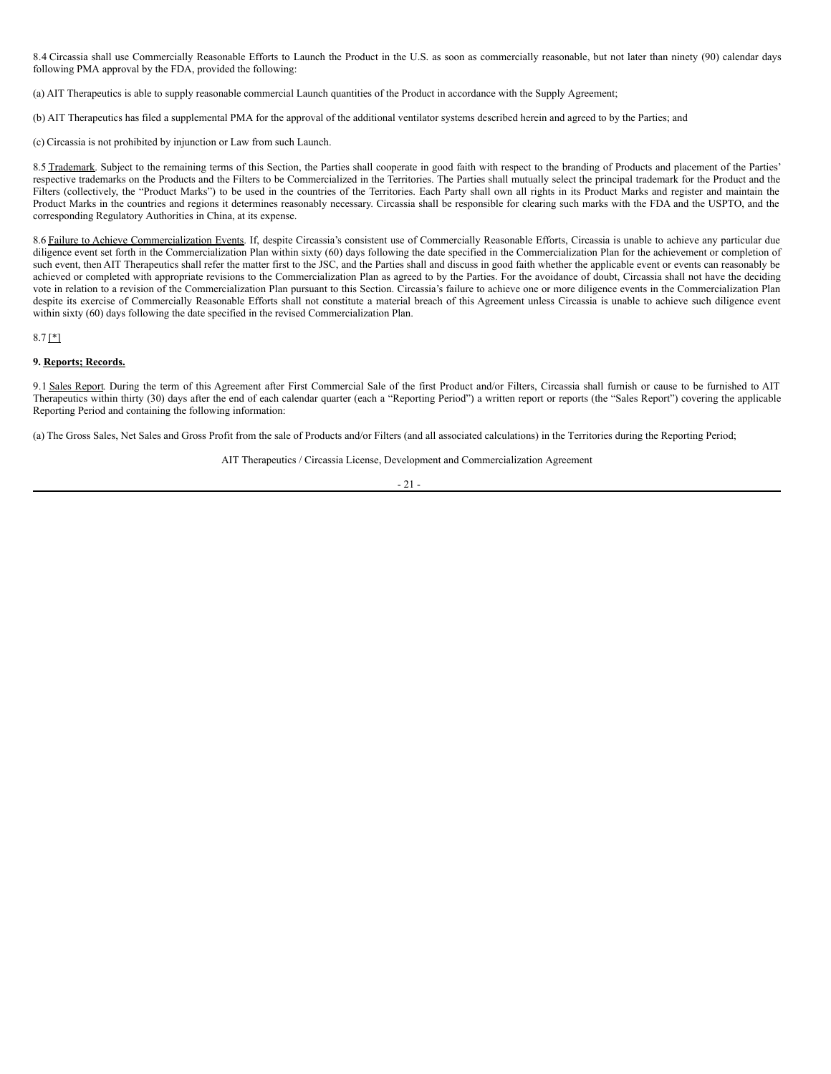8.4 Circassia shall use Commercially Reasonable Efforts to Launch the Product in the U.S. as soon as commercially reasonable, but not later than ninety (90) calendar days following PMA approval by the FDA, provided the following:

(a) AIT Therapeutics is able to supply reasonable commercial Launch quantities of the Product in accordance with the Supply Agreement;

(b) AIT Therapeutics has filed a supplemental PMA for the approval of the additional ventilator systems described herein and agreed to by the Parties; and

(c) Circassia is not prohibited by injunction or Law from such Launch.

8.5 Trademark. Subject to the remaining terms of this Section, the Parties shall cooperate in good faith with respect to the branding of Products and placement of the Parties' respective trademarks on the Products and the Filters to be Commercialized in the Territories. The Parties shall mutually select the principal trademark for the Product and the Filters (collectively, the "Product Marks") to be used in the countries of the Territories. Each Party shall own all rights in its Product Marks and register and maintain the Product Marks in the countries and regions it determines reasonably necessary. Circassia shall be responsible for clearing such marks with the FDA and the USPTO, and the corresponding Regulatory Authorities in China, at its expense.

8.6 Failure to Achieve Commercialization Events. If, despite Circassia's consistent use of Commercially Reasonable Efforts, Circassia is unable to achieve any particular due diligence event set forth in the Commercialization Plan within sixty (60) days following the date specified in the Commercialization Plan for the achievement or completion of such event, then AIT Therapeutics shall refer the matter first to the JSC, and the Parties shall and discuss in good faith whether the applicable event or events can reasonably be achieved or completed with appropriate revisions to the Commercialization Plan as agreed to by the Parties. For the avoidance of doubt, Circassia shall not have the deciding vote in relation to a revision of the Commercialization Plan pursuant to this Section. Circassia's failure to achieve one or more diligence events in the Commercialization Plan despite its exercise of Commercially Reasonable Efforts shall not constitute a material breach of this Agreement unless Circassia is unable to achieve such diligence event within sixty (60) days following the date specified in the revised Commercialization Plan.

 $8.7$  [ $*$ ]

### **9. Reports; Records.**

9.1 Sales Report. During the term of this Agreement after First Commercial Sale of the first Product and/or Filters, Circassia shall furnish or cause to be furnished to AIT Therapeutics within thirty (30) days after the end of each calendar quarter (each a "Reporting Period") a written report or reports (the "Sales Report") covering the applicable Reporting Period and containing the following information:

(a) The Gross Sales, Net Sales and Gross Profit from the sale of Products and/or Filters (and all associated calculations) in the Territories during the Reporting Period;

AIT Therapeutics / Circassia License, Development and Commercialization Agreement

- 21 -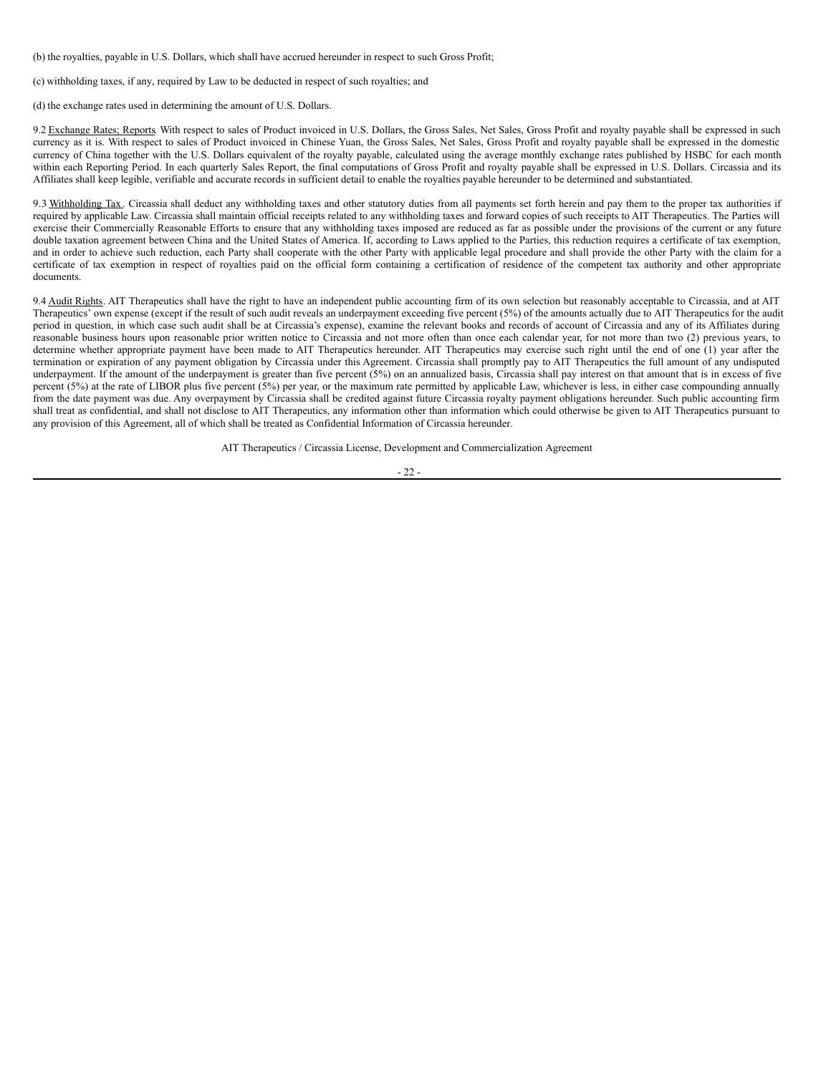(b) the royalties, payable in U.S. Dollars, which shall have accrued hereunder in respect to such Gross Profit;

(c) withholding taxes, if any, required by Law to be deducted in respect of such royalties; and

(d) the exchange rates used in determining the amount of U.S. Dollars.

9.2 Exchange Rates; Reports. With respect to sales of Product invoiced in U.S. Dollars, the Gross Sales, Net Sales, Gross Profit and royalty payable shall be expressed in such currency as it is. With respect to sales of Product invoiced in Chinese Yuan, the Gross Sales, Net Sales, Gross Profit and royalty payable shall be expressed in the domestic currency of China together with the U.S. Dollars equivalent of the royalty payable, calculated using the average monthly exchange rates published by HSBC for each month within each Reporting Period. In each quarterly Sales Report, the final computations of Gross Profit and royalty payable shall be expressed in U.S. Dollars. Circassia and its Affiliates shall keep legible, verifiable and accurate records in sufficient detail to enable the royalties payable hereunder to be determined and substantiated.

9.3 Withholding Tax. Circassia shall deduct any withholding taxes and other statutory duties from all payments set forth herein and pay them to the proper tax authorities if required by applicable Law. Circassia shall maintain official receipts related to any withholding taxes and forward copies of such receipts to AIT Therapeutics. The Parties will exercise their Commercially Reasonable Efforts to ensure that any withholding taxes imposed are reduced as far as possible under the provisions of the current or any future double taxation agreement between China and the United States of America. If, according to Laws applied to the Parties, this reduction requires a certificate of tax exemption, and in order to achieve such reduction, each Party shall cooperate with the other Party with applicable legal procedure and shall provide the other Party with the claim for a certificate of tax exemption in respect of royalties paid on the official form containing a certification of residence of the competent tax authority and other appropriate documents.

9.4 Audit Rights. AIT Therapeutics shall have the right to have an independent public accounting firm of its own selection but reasonably acceptable to Circassia, and at AIT Therapeutics' own expense (except if the result of such audit reveals an underpayment exceeding five percent (5%) of the amounts actually due to AIT Therapeutics for the audit period in question, in which case such audit shall be at Circassia's expense), examine the relevant books and records of account of Circassia and any of its Affiliates during reasonable business hours upon reasonable prior written notice to Circassia and not more often than once each calendar year, for not more than two (2) previous years, to determine whether appropriate payment have been made to AIT Therapeutics hereunder. AIT Therapeutics may exercise such right until the end of one (1) year after the termination or expiration of any payment obligation by Circassia under this Agreement. Circassia shall promptly pay to AIT Therapeutics the full amount of any undisputed underpayment. If the amount of the underpayment is greater than five percent (5%) on an annualized basis, Circassia shall pay interest on that amount that is in excess of five percent (5%) at the rate of LIBOR plus five percent (5%) per year, or the maximum rate permitted by applicable Law, whichever is less, in either case compounding annually from the date payment was due. Any overpayment by Circassia shall be credited against future Circassia royalty payment obligations hereunder. Such public accounting firm shall treat as confidential, and shall not disclose to AIT Therapeutics, any information other than information which could otherwise be given to AIT Therapeutics pursuant to any provision of this Agreement, all of which shall be treated as Confidential Information of Circassia hereunder.

$$
-22-
$$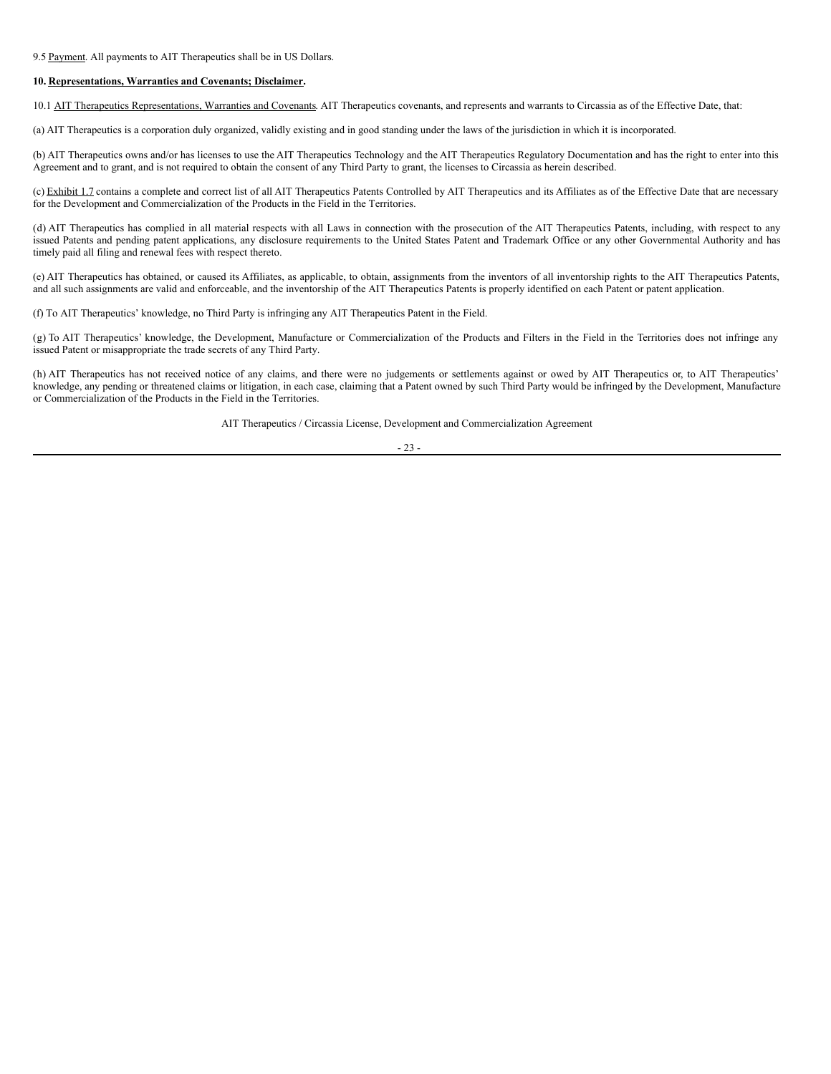9.5 Payment. All payments to AIT Therapeutics shall be in US Dollars.

# **10. Representations, Warranties and Covenants; Disclaimer.**

10.1 AIT Therapeutics Representations, Warranties and Covenants. AIT Therapeutics covenants, and represents and warrants to Circassia as of the Effective Date, that:

(a) AIT Therapeutics is a corporation duly organized, validly existing and in good standing under the laws of the jurisdiction in which it is incorporated.

(b) AIT Therapeutics owns and/or has licenses to use the AIT Therapeutics Technology and the AIT Therapeutics Regulatory Documentation and has the right to enter into this Agreement and to grant, and is not required to obtain the consent of any Third Party to grant, the licenses to Circassia as herein described.

(c) Exhibit 1.7 contains a complete and correct list of all AIT Therapeutics Patents Controlled by AIT Therapeutics and its Affiliates as of the Effective Date that are necessary for the Development and Commercialization of the Products in the Field in the Territories.

(d) AIT Therapeutics has complied in all material respects with all Laws in connection with the prosecution of the AIT Therapeutics Patents, including, with respect to any issued Patents and pending patent applications, any disclosure requirements to the United States Patent and Trademark Office or any other Governmental Authority and has timely paid all filing and renewal fees with respect thereto.

(e) AIT Therapeutics has obtained, or caused its Affiliates, as applicable, to obtain, assignments from the inventors of all inventorship rights to the AIT Therapeutics Patents, and all such assignments are valid and enforceable, and the inventorship of the AIT Therapeutics Patents is properly identified on each Patent or patent application.

(f) To AIT Therapeutics' knowledge, no Third Party is infringing any AIT Therapeutics Patent in the Field.

(g) To AIT Therapeutics' knowledge, the Development, Manufacture or Commercialization of the Products and Filters in the Field in the Territories does not infringe any issued Patent or misappropriate the trade secrets of any Third Party.

(h) AIT Therapeutics has not received notice of any claims, and there were no judgements or settlements against or owed by AIT Therapeutics or, to AIT Therapeutics' knowledge, any pending or threatened claims or litigation, in each case, claiming that a Patent owned by such Third Party would be infringed by the Development, Manufacture or Commercialization of the Products in the Field in the Territories.

AIT Therapeutics / Circassia License, Development and Commercialization Agreement

- 23 -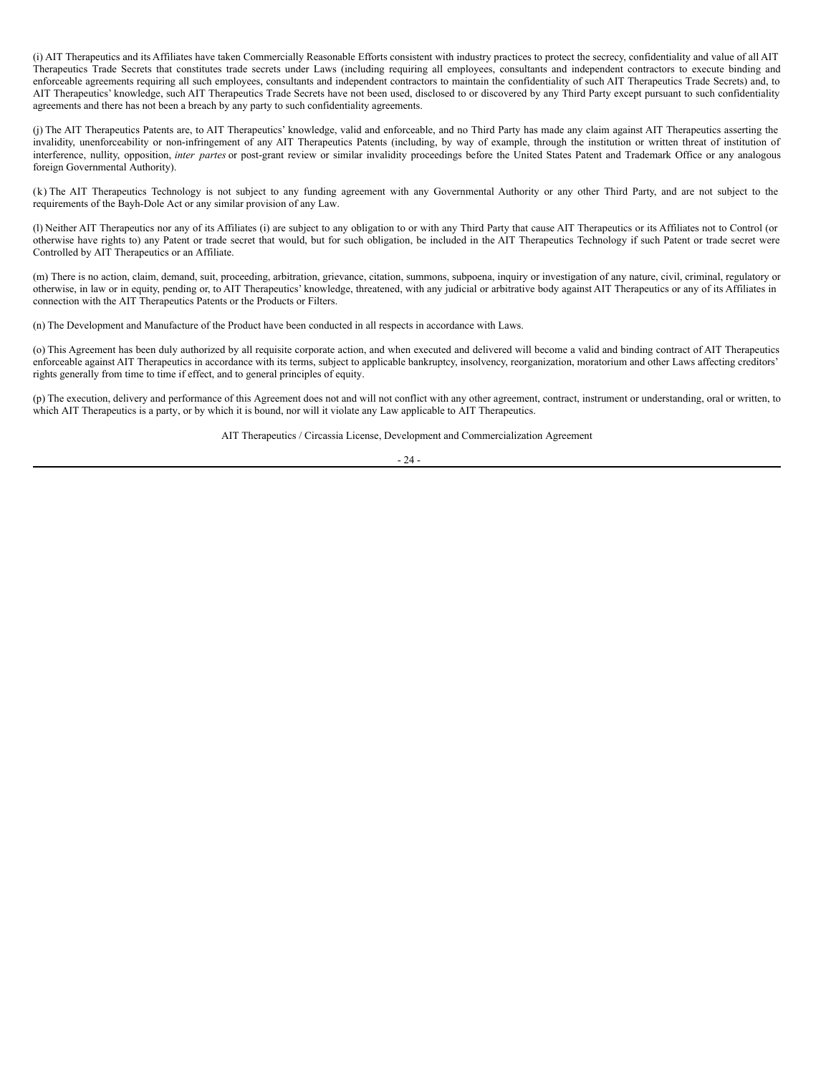(i) AIT Therapeutics and its Affiliates have taken Commercially Reasonable Efforts consistent with industry practices to protect the secrecy, confidentiality and value of all AIT Therapeutics Trade Secrets that constitutes trade secrets under Laws (including requiring all employees, consultants and independent contractors to execute binding and enforceable agreements requiring all such employees, consultants and independent contractors to maintain the confidentiality of such AIT Therapeutics Trade Secrets) and, to AIT Therapeutics' knowledge, such AIT Therapeutics Trade Secrets have not been used, disclosed to or discovered by any Third Party except pursuant to such confidentiality agreements and there has not been a breach by any party to such confidentiality agreements.

(j) The AIT Therapeutics Patents are, to AIT Therapeutics' knowledge, valid and enforceable, and no Third Party has made any claim against AIT Therapeutics asserting the invalidity, unenforceability or non-infringement of any AIT Therapeutics Patents (including, by way of example, through the institution or written threat of institution of interference, nullity, opposition, *inter partes* or post-grant review or similar invalidity proceedings before the United States Patent and Trademark Office or any analogous foreign Governmental Authority).

(k) The AIT Therapeutics Technology is not subject to any funding agreement with any Governmental Authority or any other Third Party, and are not subject to the requirements of the Bayh-Dole Act or any similar provision of any Law.

(l) Neither AIT Therapeutics nor any of its Affiliates (i) are subject to any obligation to or with any Third Party that cause AIT Therapeutics or its Affiliates not to Control (or otherwise have rights to) any Patent or trade secret that would, but for such obligation, be included in the AIT Therapeutics Technology if such Patent or trade secret were Controlled by AIT Therapeutics or an Affiliate.

(m) There is no action, claim, demand, suit, proceeding, arbitration, grievance, citation, summons, subpoena, inquiry or investigation of any nature, civil, criminal, regulatory or otherwise, in law or in equity, pending or, to AIT Therapeutics' knowledge, threatened, with any judicial or arbitrative body against AIT Therapeutics or any of its Affiliates in connection with the AIT Therapeutics Patents or the Products or Filters.

(n) The Development and Manufacture of the Product have been conducted in all respects in accordance with Laws.

(o) This Agreement has been duly authorized by all requisite corporate action, and when executed and delivered will become a valid and binding contract of AIT Therapeutics enforceable against AIT Therapeutics in accordance with its terms, subject to applicable bankruptcy, insolvency, reorganization, moratorium and other Laws affecting creditors' rights generally from time to time if effect, and to general principles of equity.

(p) The execution, delivery and performance of this Agreement does not and will not conflict with any other agreement, contract, instrument or understanding, oral or written, to which AIT Therapeutics is a party, or by which it is bound, nor will it violate any Law applicable to AIT Therapeutics.

AIT Therapeutics / Circassia License, Development and Commercialization Agreement

- 24 -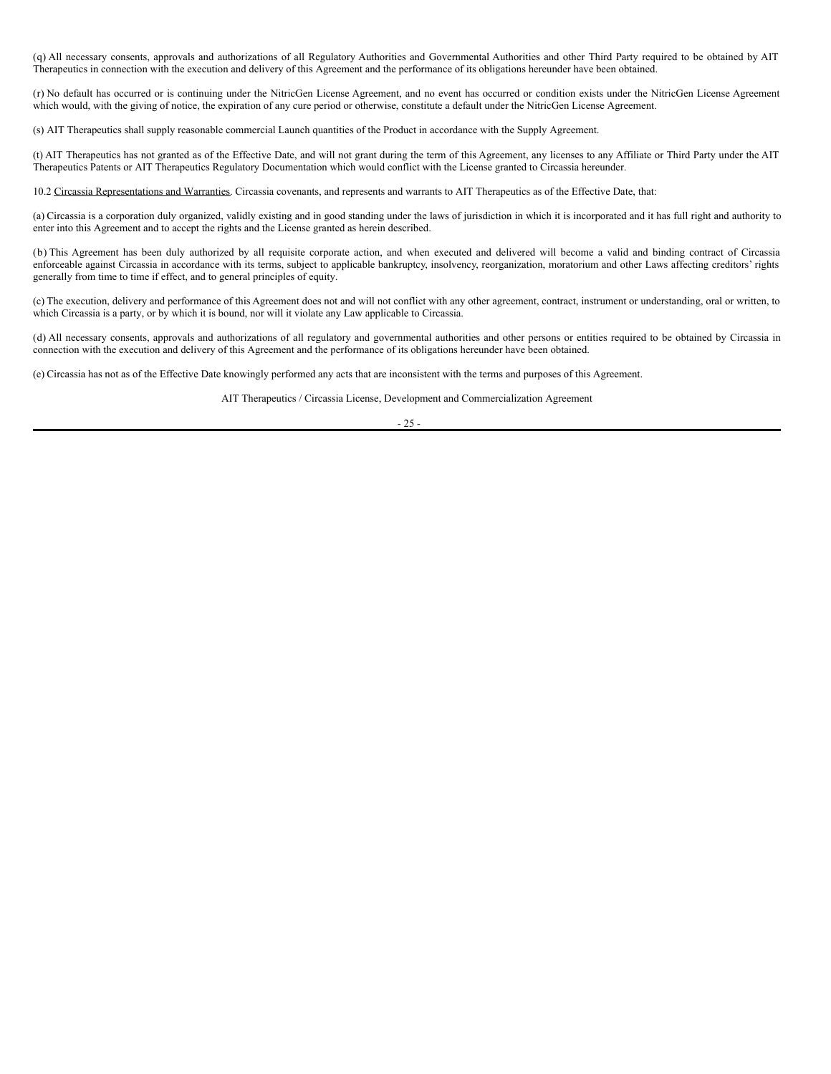(q) All necessary consents, approvals and authorizations of all Regulatory Authorities and Governmental Authorities and other Third Party required to be obtained by AIT Therapeutics in connection with the execution and delivery of this Agreement and the performance of its obligations hereunder have been obtained.

(r) No default has occurred or is continuing under the NitricGen License Agreement, and no event has occurred or condition exists under the NitricGen License Agreement which would, with the giving of notice, the expiration of any cure period or otherwise, constitute a default under the NitricGen License Agreement.

(s) AIT Therapeutics shall supply reasonable commercial Launch quantities of the Product in accordance with the Supply Agreement.

(t) AIT Therapeutics has not granted as of the Effective Date, and will not grant during the term of this Agreement, any licenses to any Affiliate or Third Party under the AIT Therapeutics Patents or AIT Therapeutics Regulatory Documentation which would conflict with the License granted to Circassia hereunder.

10.2 Circassia Representations and Warranties. Circassia covenants, and represents and warrants to AIT Therapeutics as of the Effective Date, that:

(a) Circassia is a corporation duly organized, validly existing and in good standing under the laws of jurisdiction in which it is incorporated and it has full right and authority to enter into this Agreement and to accept the rights and the License granted as herein described.

(b) This Agreement has been duly authorized by all requisite corporate action, and when executed and delivered will become a valid and binding contract of Circassia enforceable against Circassia in accordance with its terms, subject to applicable bankruptcy, insolvency, reorganization, moratorium and other Laws affecting creditors' rights generally from time to time if effect, and to general principles of equity.

(c) The execution, delivery and performance of this Agreement does not and will not conflict with any other agreement, contract, instrument or understanding, oral or written, to which Circassia is a party, or by which it is bound, nor will it violate any Law applicable to Circassia.

(d) All necessary consents, approvals and authorizations of all regulatory and governmental authorities and other persons or entities required to be obtained by Circassia in connection with the execution and delivery of this Agreement and the performance of its obligations hereunder have been obtained.

(e) Circassia has not as of the Effective Date knowingly performed any acts that are inconsistent with the terms and purposes of this Agreement.

AIT Therapeutics / Circassia License, Development and Commercialization Agreement

- 25 -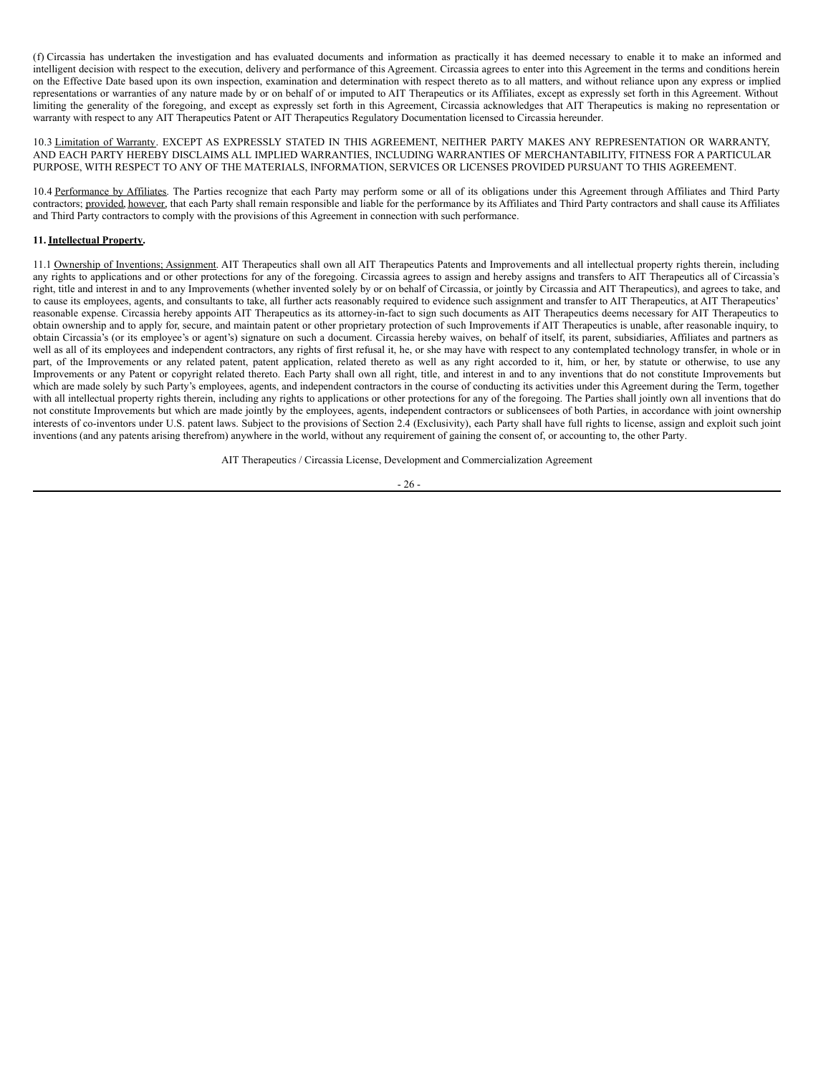(f) Circassia has undertaken the investigation and has evaluated documents and information as practically it has deemed necessary to enable it to make an informed and intelligent decision with respect to the execution, delivery and performance of this Agreement. Circassia agrees to enter into this Agreement in the terms and conditions herein on the Effective Date based upon its own inspection, examination and determination with respect thereto as to all matters, and without reliance upon any express or implied representations or warranties of any nature made by or on behalf of or imputed to AIT Therapeutics or its Affiliates, except as expressly set forth in this Agreement. Without limiting the generality of the foregoing, and except as expressly set forth in this Agreement, Circassia acknowledges that AIT Therapeutics is making no representation or warranty with respect to any AIT Therapeutics Patent or AIT Therapeutics Regulatory Documentation licensed to Circassia hereunder.

10.3 Limitation of Warranty. EXCEPT AS EXPRESSLY STATED IN THIS AGREEMENT, NEITHER PARTY MAKES ANY REPRESENTATION OR WARRANTY, AND EACH PARTY HEREBY DISCLAIMS ALL IMPLIED WARRANTIES, INCLUDING WARRANTIES OF MERCHANTABILITY, FITNESS FOR A PARTICULAR PURPOSE, WITH RESPECT TO ANY OF THE MATERIALS, INFORMATION, SERVICES OR LICENSES PROVIDED PURSUANT TO THIS AGREEMENT.

10.4 Performance by Affiliates. The Parties recognize that each Party may perform some or all of its obligations under this Agreement through Affiliates and Third Party contractors; provided, however, that each Party shall remain responsible and liable for the performance by its Affiliates and Third Party contractors and shall cause its Affiliates and Third Party contractors to comply with the provisions of this Agreement in connection with such performance.

# **11. Intellectual Property.**

11.1 Ownership of Inventions; Assignment. AIT Therapeutics shall own all AIT Therapeutics Patents and Improvements and all intellectual property rights therein, including any rights to applications and or other protections for any of the foregoing. Circassia agrees to assign and hereby assigns and transfers to AIT Therapeutics all of Circassia's right, title and interest in and to any Improvements (whether invented solely by or on behalf of Circassia, or jointly by Circassia and AIT Therapeutics), and agrees to take, and to cause its employees, agents, and consultants to take, all further acts reasonably required to evidence such assignment and transfer to AIT Therapeutics, at AIT Therapeutics' reasonable expense. Circassia hereby appoints AIT Therapeutics as its attorney-in-fact to sign such documents as AIT Therapeutics deems necessary for AIT Therapeutics to obtain ownership and to apply for, secure, and maintain patent or other proprietary protection of such Improvements if AIT Therapeutics is unable, after reasonable inquiry, to obtain Circassia's (or its employee's or agent's) signature on such a document. Circassia hereby waives, on behalf of itself, its parent, subsidiaries, Affiliates and partners as well as all of its employees and independent contractors, any rights of first refusal it, he, or she may have with respect to any contemplated technology transfer, in whole or in part, of the Improvements or any related patent, patent application, related thereto as well as any right accorded to it, him, or her, by statute or otherwise, to use any Improvements or any Patent or copyright related thereto. Each Party shall own all right, title, and interest in and to any inventions that do not constitute Improvements but which are made solely by such Party's employees, agents, and independent contractors in the course of conducting its activities under this Agreement during the Term, together with all intellectual property rights therein, including any rights to applications or other protections for any of the foregoing. The Parties shall jointly own all inventions that do not constitute Improvements but which are made jointly by the employees, agents, independent contractors or sublicensees of both Parties, in accordance with joint ownership interests of co-inventors under U.S. patent laws. Subject to the provisions of Section 2.4 (Exclusivity), each Party shall have full rights to license, assign and exploit such joint inventions (and any patents arising therefrom) anywhere in the world, without any requirement of gaining the consent of, or accounting to, the other Party.

AIT Therapeutics / Circassia License, Development and Commercialization Agreement

- 26 -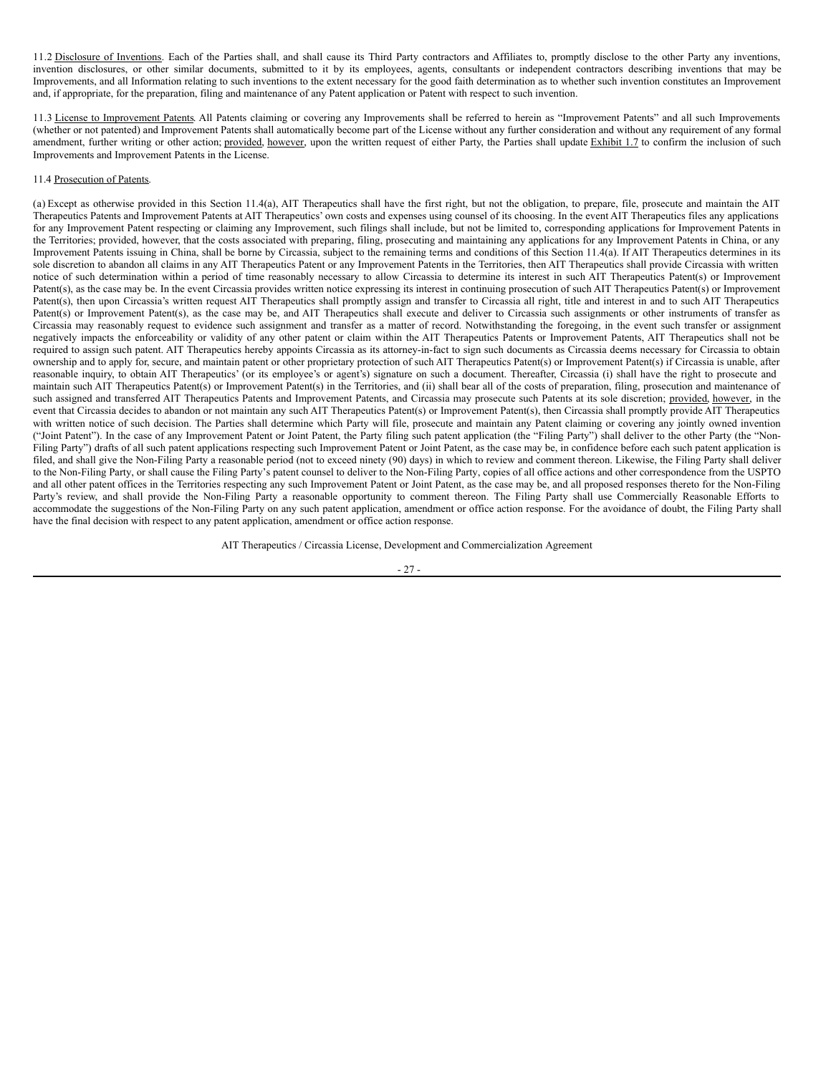11.2 Disclosure of Inventions. Each of the Parties shall, and shall cause its Third Party contractors and Affiliates to, promptly disclose to the other Party any inventions, invention disclosures, or other similar documents, submitted to it by its employees, agents, consultants or independent contractors describing inventions that may be Improvements, and all Information relating to such inventions to the extent necessary for the good faith determination as to whether such invention constitutes an Improvement and, if appropriate, for the preparation, filing and maintenance of any Patent application or Patent with respect to such invention.

11.3 License to Improvement Patents. All Patents claiming or covering any Improvements shall be referred to herein as "Improvement Patents" and all such Improvements (whether or not patented) and Improvement Patents shall automatically become part of the License without any further consideration and without any requirement of any formal amendment, further writing or other action; provided, however, upon the written request of either Party, the Parties shall update Exhibit 1.7 to confirm the inclusion of such Improvements and Improvement Patents in the License.

### 11.4 Prosecution of Patents.

(a) Except as otherwise provided in this Section 11.4(a), AIT Therapeutics shall have the first right, but not the obligation, to prepare, file, prosecute and maintain the AIT Therapeutics Patents and Improvement Patents at AIT Therapeutics' own costs and expenses using counsel of its choosing. In the event AIT Therapeutics files any applications for any Improvement Patent respecting or claiming any Improvement, such filings shall include, but not be limited to, corresponding applications for Improvement Patents in the Territories; provided, however, that the costs associated with preparing, filing, prosecuting and maintaining any applications for any Improvement Patents in China, or any Improvement Patents issuing in China, shall be borne by Circassia, subject to the remaining terms and conditions of this Section 11.4(a). If AIT Therapeutics determines in its sole discretion to abandon all claims in any AIT Therapeutics Patent or any Improvement Patents in the Territories, then AIT Therapeutics shall provide Circassia with written notice of such determination within a period of time reasonably necessary to allow Circassia to determine its interest in such AIT Therapeutics Patent(s) or Improvement Patent(s), as the case may be. In the event Circassia provides written notice expressing its interest in continuing prosecution of such AIT Therapeutics Patent(s) or Improvement Patent(s), then upon Circassia's written request AIT Therapeutics shall promptly assign and transfer to Circassia all right, title and interest in and to such AIT Therapeutics Patent(s) or Improvement Patent(s), as the case may be, and AIT Therapeutics shall execute and deliver to Circassia such assignments or other instruments of transfer as Circassia may reasonably request to evidence such assignment and transfer as a matter of record. Notwithstanding the foregoing, in the event such transfer or assignment negatively impacts the enforceability or validity of any other patent or claim within the AIT Therapeutics Patents or Improvement Patents, AIT Therapeutics shall not be required to assign such patent. AIT Therapeutics hereby appoints Circassia as its attorney-in-fact to sign such documents as Circassia deems necessary for Circassia to obtain ownership and to apply for, secure, and maintain patent or other proprietary protection of such AIT Therapeutics Patent(s) or Improvement Patent(s) if Circassia is unable, after reasonable inquiry, to obtain AIT Therapeutics' (or its employee's or agent's) signature on such a document. Thereafter, Circassia (i) shall have the right to prosecute and maintain such AIT Therapeutics Patent(s) or Improvement Patent(s) in the Territories, and (ii) shall bear all of the costs of preparation, filing, prosecution and maintenance of such assigned and transferred AIT Therapeutics Patents and Improvement Patents, and Circassia may prosecute such Patents at its sole discretion; provided, however, in the event that Circassia decides to abandon or not maintain any such AIT Therapeutics Patent(s) or Improvement Patent(s), then Circassia shall promptly provide AIT Therapeutics with written notice of such decision. The Parties shall determine which Party will file, prosecute and maintain any Patent claiming or covering any jointly owned invention ("Joint Patent"). In the case of any Improvement Patent or Joint Patent, the Party filing such patent application (the "Filing Party") shall deliver to the other Party (the "Non-Filing Party") drafts of all such patent applications respecting such Improvement Patent or Joint Patent, as the case may be, in confidence before each such patent application is filed, and shall give the Non-Filing Party a reasonable period (not to exceed ninety (90) days) in which to review and comment thereon. Likewise, the Filing Party shall deliver to the Non-Filing Party, or shall cause the Filing Party's patent counsel to deliver to the Non-Filing Party, copies of all office actions and other correspondence from the USPTO and all other patent offices in the Territories respecting any such Improvement Patent or Joint Patent, as the case may be, and all proposed responses thereto for the Non-Filing Party's review, and shall provide the Non-Filing Party a reasonable opportunity to comment thereon. The Filing Party shall use Commercially Reasonable Efforts to accommodate the suggestions of the Non-Filing Party on any such patent application, amendment or office action response. For the avoidance of doubt, the Filing Party shall have the final decision with respect to any patent application, amendment or office action response.

$$
-27
$$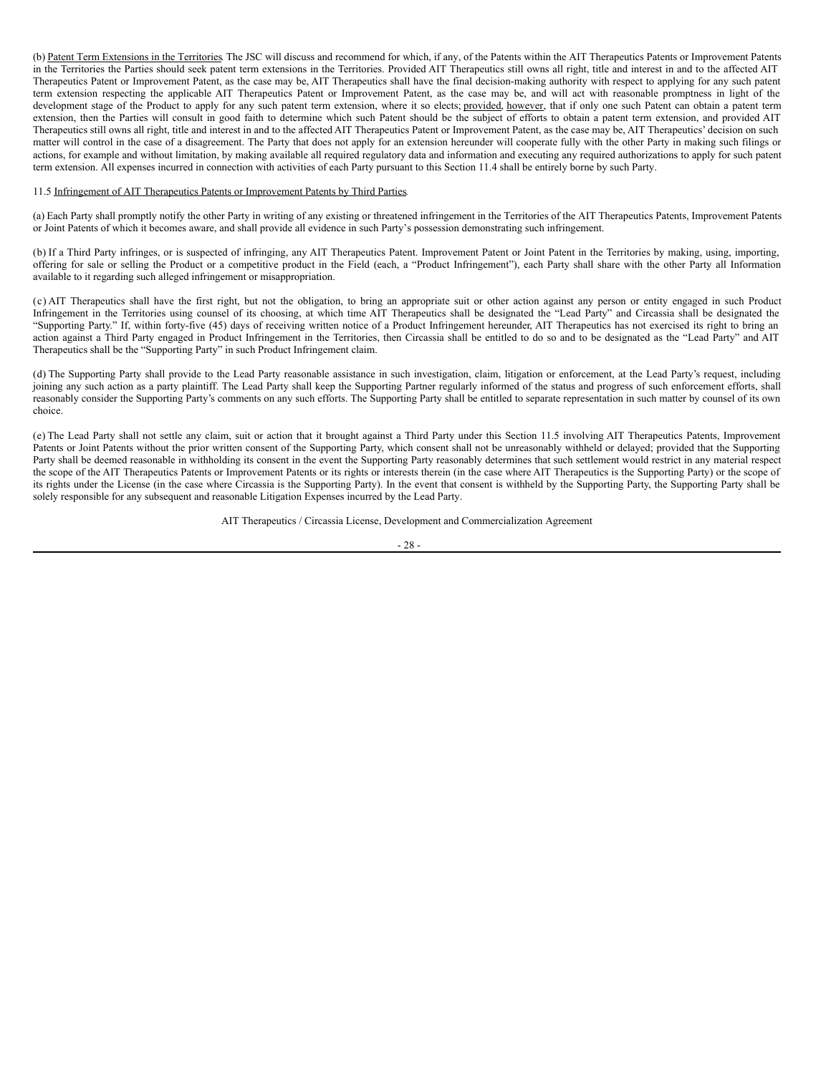(b) Patent Term Extensions in the Territories. The JSC will discuss and recommend for which, if any, of the Patents within the AIT Therapeutics Patents or Improvement Patents in the Territories the Parties should seek patent term extensions in the Territories. Provided AIT Therapeutics still owns all right, title and interest in and to the affected AIT Therapeutics Patent or Improvement Patent, as the case may be, AIT Therapeutics shall have the final decision-making authority with respect to applying for any such patent term extension respecting the applicable AIT Therapeutics Patent or Improvement Patent, as the case may be, and will act with reasonable promptness in light of the development stage of the Product to apply for any such patent term extension, where it so elects; provided, however, that if only one such Patent can obtain a patent term extension, then the Parties will consult in good faith to determine which such Patent should be the subject of efforts to obtain a patent term extension, and provided AIT Therapeutics still owns all right, title and interest in and to the affected AIT Therapeutics Patent or Improvement Patent, as the case may be, AIT Therapeutics' decision on such matter will control in the case of a disagreement. The Party that does not apply for an extension hereunder will cooperate fully with the other Party in making such filings or actions, for example and without limitation, by making available all required regulatory data and information and executing any required authorizations to apply for such patent term extension. All expenses incurred in connection with activities of each Party pursuant to this Section 11.4 shall be entirely borne by such Party.

### 11.5 Infringement of AIT Therapeutics Patents or Improvement Patents by Third Parties.

(a) Each Party shall promptly notify the other Party in writing of any existing or threatened infringement in the Territories of the AIT Therapeutics Patents, Improvement Patents or Joint Patents of which it becomes aware, and shall provide all evidence in such Party's possession demonstrating such infringement.

(b) If a Third Party infringes, or is suspected of infringing, any AIT Therapeutics Patent. Improvement Patent or Joint Patent in the Territories by making, using, importing, offering for sale or selling the Product or a competitive product in the Field (each, a "Product Infringement"), each Party shall share with the other Party all Information available to it regarding such alleged infringement or misappropriation.

(c) AIT Therapeutics shall have the first right, but not the obligation, to bring an appropriate suit or other action against any person or entity engaged in such Product Infringement in the Territories using counsel of its choosing, at which time AIT Therapeutics shall be designated the "Lead Party" and Circassia shall be designated the "Supporting Party." If, within forty-five (45) days of receiving written notice of a Product Infringement hereunder, AIT Therapeutics has not exercised its right to bring an action against a Third Party engaged in Product Infringement in the Territories, then Circassia shall be entitled to do so and to be designated as the "Lead Party" and AIT Therapeutics shall be the "Supporting Party" in such Product Infringement claim.

(d) The Supporting Party shall provide to the Lead Party reasonable assistance in such investigation, claim, litigation or enforcement, at the Lead Party's request, including joining any such action as a party plaintiff. The Lead Party shall keep the Supporting Partner regularly informed of the status and progress of such enforcement efforts, shall reasonably consider the Supporting Party's comments on any such efforts. The Supporting Party shall be entitled to separate representation in such matter by counsel of its own choice.

(e) The Lead Party shall not settle any claim, suit or action that it brought against a Third Party under this Section 11.5 involving AIT Therapeutics Patents, Improvement Patents or Joint Patents without the prior written consent of the Supporting Party, which consent shall not be unreasonably withheld or delayed; provided that the Supporting Party shall be deemed reasonable in withholding its consent in the event the Supporting Party reasonably determines that such settlement would restrict in any material respect the scope of the AIT Therapeutics Patents or Improvement Patents or its rights or interests therein (in the case where AIT Therapeutics is the Supporting Party) or the scope of its rights under the License (in the case where Circassia is the Supporting Party). In the event that consent is withheld by the Supporting Party, the Supporting Party shall be solely responsible for any subsequent and reasonable Litigation Expenses incurred by the Lead Party.

AIT Therapeutics / Circassia License, Development and Commercialization Agreement

- 28 -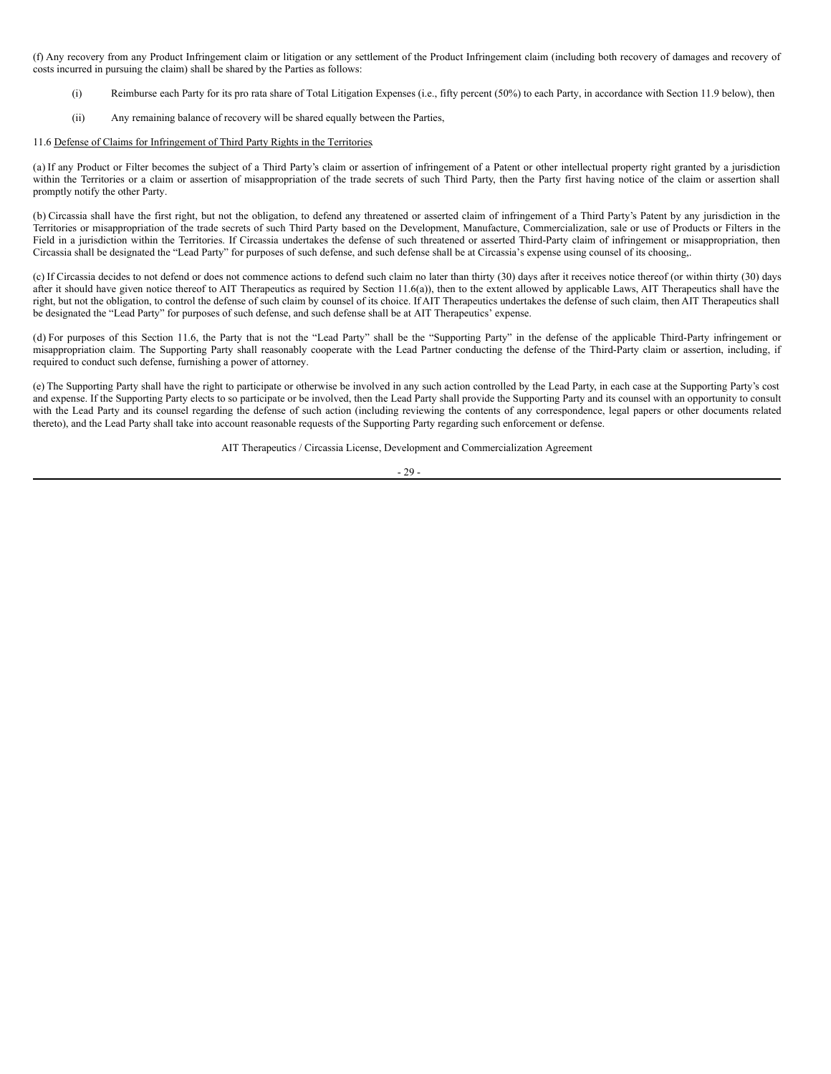(f) Any recovery from any Product Infringement claim or litigation or any settlement of the Product Infringement claim (including both recovery of damages and recovery of costs incurred in pursuing the claim) shall be shared by the Parties as follows:

- (i) Reimburse each Party for its pro rata share of Total Litigation Expenses (i.e., fifty percent (50%) to each Party, in accordance with Section 11.9 below), then
- (ii) Any remaining balance of recovery will be shared equally between the Parties,

## 11.6 Defense of Claims for Infringement of Third Party Rights in the Territories.

(a) If any Product or Filter becomes the subject of a Third Party's claim or assertion of infringement of a Patent or other intellectual property right granted by a jurisdiction within the Territories or a claim or assertion of misappropriation of the trade secrets of such Third Party, then the Party first having notice of the claim or assertion shall promptly notify the other Party.

(b) Circassia shall have the first right, but not the obligation, to defend any threatened or asserted claim of infringement of a Third Party's Patent by any jurisdiction in the Territories or misappropriation of the trade secrets of such Third Party based on the Development, Manufacture, Commercialization, sale or use of Products or Filters in the Field in a jurisdiction within the Territories. If Circassia undertakes the defense of such threatened or asserted Third-Party claim of infringement or misappropriation, then Circassia shall be designated the "Lead Party" for purposes of such defense, and such defense shall be at Circassia's expense using counsel of its choosing,.

(c) If Circassia decides to not defend or does not commence actions to defend such claim no later than thirty (30) days after it receives notice thereof (or within thirty (30) days after it should have given notice thereof to AIT Therapeutics as required by Section 11.6(a)), then to the extent allowed by applicable Laws, AIT Therapeutics shall have the right, but not the obligation, to control the defense of such claim by counsel of its choice. If AIT Therapeutics undertakes the defense of such claim, then AIT Therapeutics shall be designated the "Lead Party" for purposes of such defense, and such defense shall be at AIT Therapeutics' expense.

(d) For purposes of this Section 11.6, the Party that is not the "Lead Party" shall be the "Supporting Party" in the defense of the applicable Third-Party infringement or misappropriation claim. The Supporting Party shall reasonably cooperate with the Lead Partner conducting the defense of the Third-Party claim or assertion, including, if required to conduct such defense, furnishing a power of attorney.

(e) The Supporting Party shall have the right to participate or otherwise be involved in any such action controlled by the Lead Party, in each case at the Supporting Party's cost and expense. If the Supporting Party elects to so participate or be involved, then the Lead Party shall provide the Supporting Party and its counsel with an opportunity to consult with the Lead Party and its counsel regarding the defense of such action (including reviewing the contents of any correspondence, legal papers or other documents related thereto), and the Lead Party shall take into account reasonable requests of the Supporting Party regarding such enforcement or defense.

$$
-29 -
$$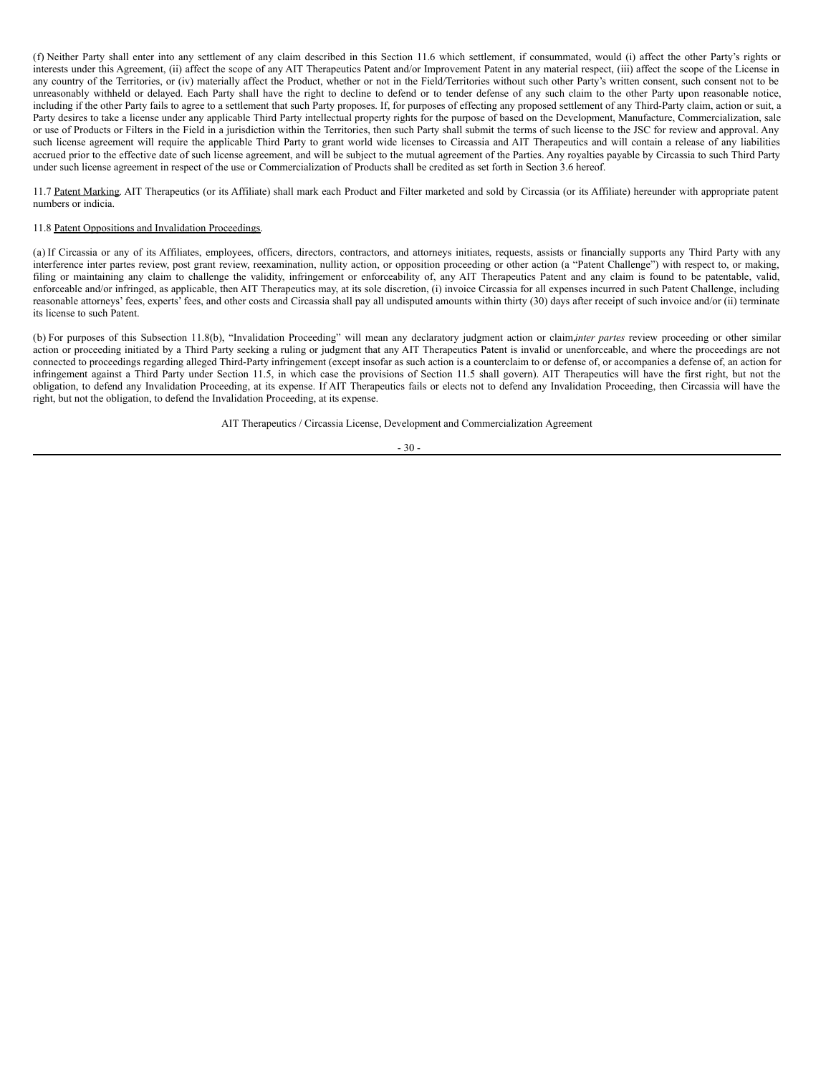(f) Neither Party shall enter into any settlement of any claim described in this Section 11.6 which settlement, if consummated, would (i) affect the other Party's rights or interests under this Agreement, (ii) affect the scope of any AIT Therapeutics Patent and/or Improvement Patent in any material respect, (iii) affect the scope of the License in any country of the Territories, or (iv) materially affect the Product, whether or not in the Field/Territories without such other Party's written consent, such consent not to be unreasonably withheld or delayed. Each Party shall have the right to decline to defend or to tender defense of any such claim to the other Party upon reasonable notice, including if the other Party fails to agree to a settlement that such Party proposes. If, for purposes of effecting any proposed settlement of any Third-Party claim, action or suit, a Party desires to take a license under any applicable Third Party intellectual property rights for the purpose of based on the Development, Manufacture, Commercialization, sale or use of Products or Filters in the Field in a jurisdiction within the Territories, then such Party shall submit the terms of such license to the JSC for review and approval. Any such license agreement will require the applicable Third Party to grant world wide licenses to Circassia and AIT Therapeutics and will contain a release of any liabilities accrued prior to the effective date of such license agreement, and will be subject to the mutual agreement of the Parties. Any royalties payable by Circassia to such Third Party under such license agreement in respect of the use or Commercialization of Products shall be credited as set forth in Section 3.6 hereof.

11.7 Patent Marking. AIT Therapeutics (or its Affiliate) shall mark each Product and Filter marketed and sold by Circassia (or its Affiliate) hereunder with appropriate patent numbers or indicia.

### 11.8 Patent Oppositions and Invalidation Proceedings.

(a) If Circassia or any of its Affiliates, employees, officers, directors, contractors, and attorneys initiates, requests, assists or financially supports any Third Party with any interference inter partes review, post grant review, reexamination, nullity action, or opposition proceeding or other action (a "Patent Challenge") with respect to, or making, filing or maintaining any claim to challenge the validity, infringement or enforceability of, any AIT Therapeutics Patent and any claim is found to be patentable, valid, enforceable and/or infringed, as applicable, then AIT Therapeutics may, at its sole discretion, (i) invoice Circassia for all expenses incurred in such Patent Challenge, including reasonable attorneys' fees, experts' fees, and other costs and Circassia shall pay all undisputed amounts within thirty (30) days after receipt of such invoice and/or (ii) terminate its license to such Patent.

(b) For purposes of this Subsection 11.8(b), "Invalidation Proceeding" will mean any declaratory judgment action or claim,*inter partes* review proceeding or other similar action or proceeding initiated by a Third Party seeking a ruling or judgment that any AIT Therapeutics Patent is invalid or unenforceable, and where the proceedings are not connected to proceedings regarding alleged Third-Party infringement (except insofar as such action is a counterclaim to or defense of, or accompanies a defense of, an action for infringement against a Third Party under Section 11.5, in which case the provisions of Section 11.5 shall govern). AIT Therapeutics will have the first right, but not the obligation, to defend any Invalidation Proceeding, at its expense. If AIT Therapeutics fails or elects not to defend any Invalidation Proceeding, then Circassia will have the right, but not the obligation, to defend the Invalidation Proceeding, at its expense.

AIT Therapeutics / Circassia License, Development and Commercialization Agreement

- 30 -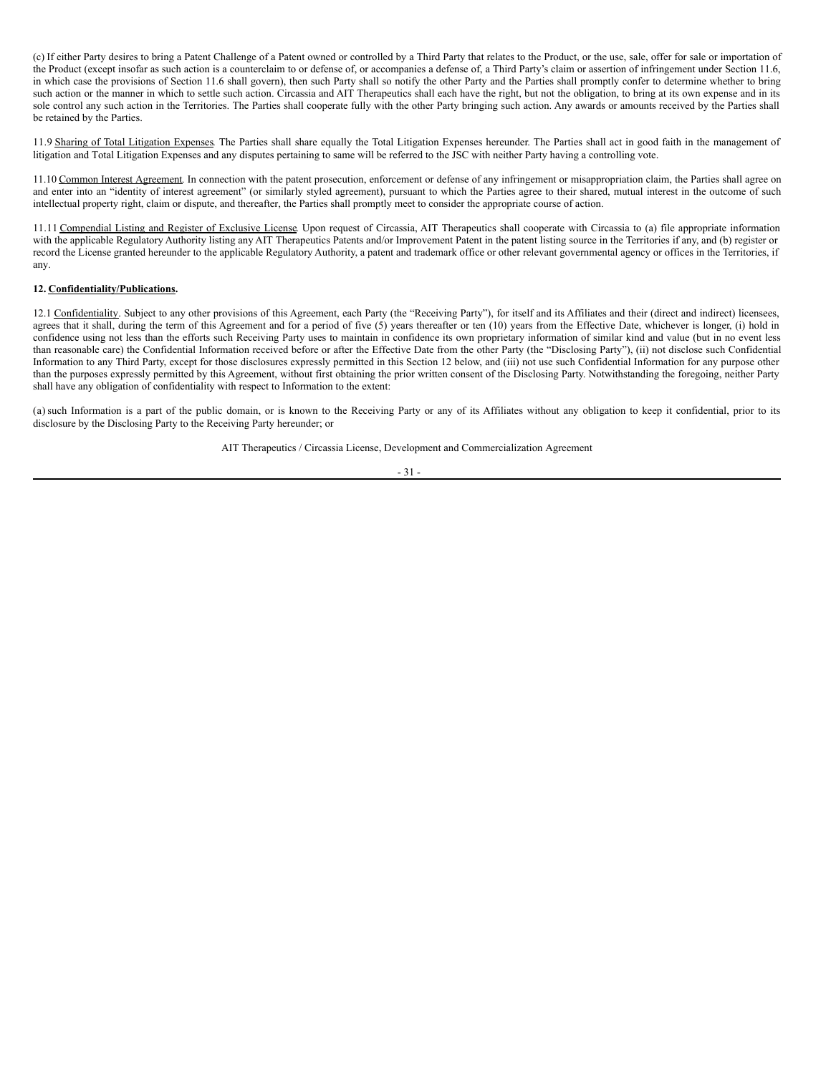(c) If either Party desires to bring a Patent Challenge of a Patent owned or controlled by a Third Party that relates to the Product, or the use, sale, offer for sale or importation of the Product (except insofar as such action is a counterclaim to or defense of, or accompanies a defense of, a Third Party's claim or assertion of infringement under Section 11.6, in which case the provisions of Section 11.6 shall govern), then such Party shall so notify the other Party and the Parties shall promptly confer to determine whether to bring such action or the manner in which to settle such action. Circassia and AIT Therapeutics shall each have the right, but not the obligation, to bring at its own expense and in its sole control any such action in the Territories. The Parties shall cooperate fully with the other Party bringing such action. Any awards or amounts received by the Parties shall be retained by the Parties.

11.9 Sharing of Total Litigation Expenses. The Parties shall share equally the Total Litigation Expenses hereunder. The Parties shall act in good faith in the management of litigation and Total Litigation Expenses and any disputes pertaining to same will be referred to the JSC with neither Party having a controlling vote.

11.10 Common Interest Agreement. In connection with the patent prosecution, enforcement or defense of any infringement or misappropriation claim, the Parties shall agree on and enter into an "identity of interest agreement" (or similarly styled agreement), pursuant to which the Parties agree to their shared, mutual interest in the outcome of such intellectual property right, claim or dispute, and thereafter, the Parties shall promptly meet to consider the appropriate course of action.

11.11 Compendial Listing and Register of Exclusive License. Upon request of Circassia, AIT Therapeutics shall cooperate with Circassia to (a) file appropriate information with the applicable Regulatory Authority listing any AIT Therapeutics Patents and/or Improvement Patent in the patent listing source in the Territories if any, and (b) register or record the License granted hereunder to the applicable Regulatory Authority, a patent and trademark office or other relevant governmental agency or offices in the Territories, if any.

# **12. Confidentiality/Publications.**

12.1 Confidentiality. Subject to any other provisions of this Agreement, each Party (the "Receiving Party"), for itself and its Affiliates and their (direct and indirect) licensees, agrees that it shall, during the term of this Agreement and for a period of five (5) years thereafter or ten (10) years from the Effective Date, whichever is longer, (i) hold in confidence using not less than the efforts such Receiving Party uses to maintain in confidence its own proprietary information of similar kind and value (but in no event less than reasonable care) the Confidential Information received before or after the Effective Date from the other Party (the "Disclosing Party"), (ii) not disclose such Confidential Information to any Third Party, except for those disclosures expressly permitted in this Section 12 below, and (iii) not use such Confidential Information for any purpose other than the purposes expressly permitted by this Agreement, without first obtaining the prior written consent of the Disclosing Party. Notwithstanding the foregoing, neither Party shall have any obligation of confidentiality with respect to Information to the extent:

(a) such Information is a part of the public domain, or is known to the Receiving Party or any of its Affiliates without any obligation to keep it confidential, prior to its disclosure by the Disclosing Party to the Receiving Party hereunder; or

$$
-31 -
$$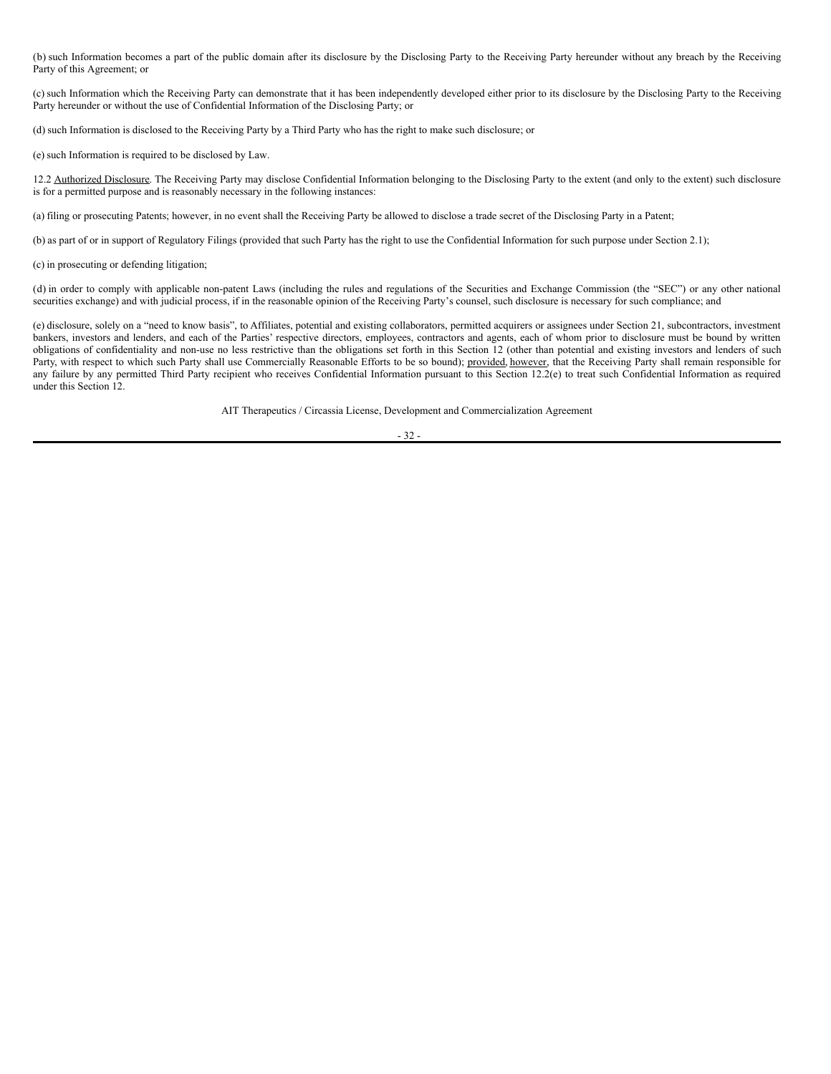(b) such Information becomes a part of the public domain after its disclosure by the Disclosing Party to the Receiving Party hereunder without any breach by the Receiving Party of this Agreement; or

(c) such Information which the Receiving Party can demonstrate that it has been independently developed either prior to its disclosure by the Disclosing Party to the Receiving Party hereunder or without the use of Confidential Information of the Disclosing Party; or

(d) such Information is disclosed to the Receiving Party by a Third Party who has the right to make such disclosure; or

(e) such Information is required to be disclosed by Law.

12.2 Authorized Disclosure. The Receiving Party may disclose Confidential Information belonging to the Disclosing Party to the extent (and only to the extent) such disclosure is for a permitted purpose and is reasonably necessary in the following instances:

(a) filing or prosecuting Patents; however, in no event shall the Receiving Party be allowed to disclose a trade secret of the Disclosing Party in a Patent;

(b) as part of or in support of Regulatory Filings (provided that such Party has the right to use the Confidential Information for such purpose under Section 2.1);

(c) in prosecuting or defending litigation;

(d) in order to comply with applicable non-patent Laws (including the rules and regulations of the Securities and Exchange Commission (the "SEC") or any other national securities exchange) and with judicial process, if in the reasonable opinion of the Receiving Party's counsel, such disclosure is necessary for such compliance; and

(e) disclosure, solely on a "need to know basis", to Affiliates, potential and existing collaborators, permitted acquirers or assignees under Section 21, subcontractors, investment bankers, investors and lenders, and each of the Parties' respective directors, employees, contractors and agents, each of whom prior to disclosure must be bound by written obligations of confidentiality and non-use no less restrictive than the obligations set forth in this Section 12 (other than potential and existing investors and lenders of such Party, with respect to which such Party shall use Commercially Reasonable Efforts to be so bound); provided, however, that the Receiving Party shall remain responsible for any failure by any permitted Third Party recipient who receives Confidential Information pursuant to this Section 12.2(e) to treat such Confidential Information as required under this Section 12.

$$
-32 -
$$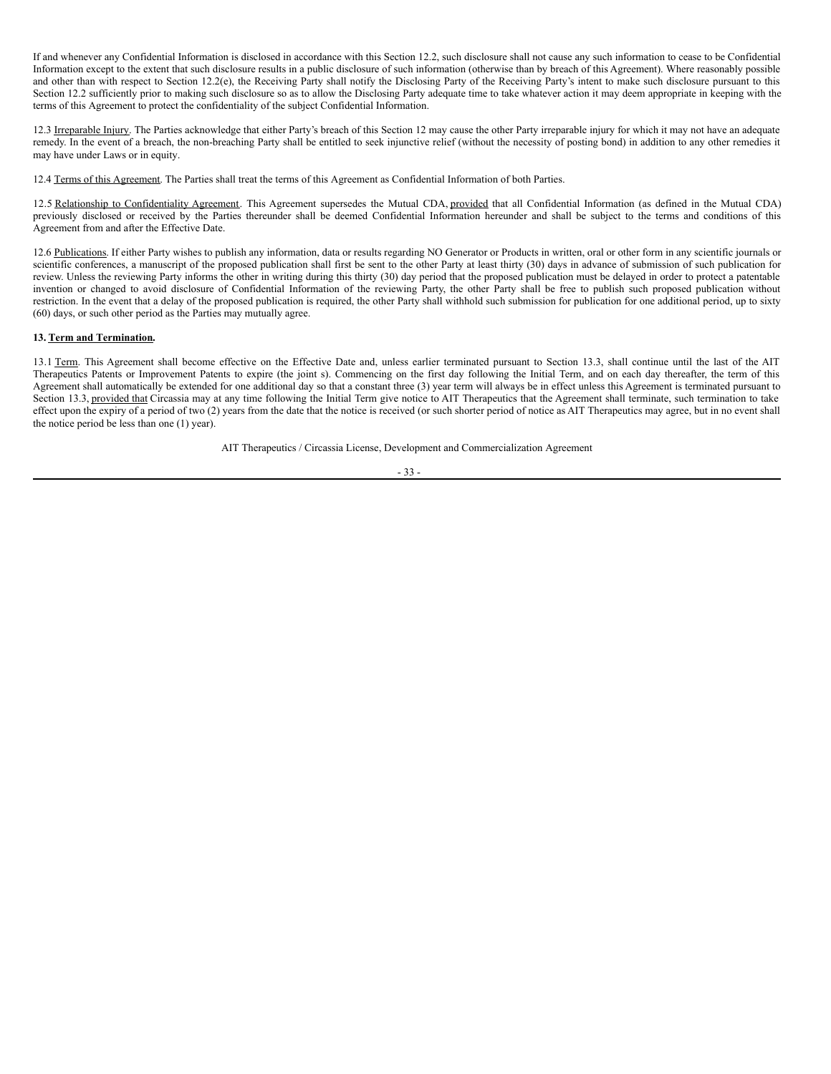If and whenever any Confidential Information is disclosed in accordance with this Section 12.2, such disclosure shall not cause any such information to cease to be Confidential Information except to the extent that such disclosure results in a public disclosure of such information (otherwise than by breach of this Agreement). Where reasonably possible and other than with respect to Section 12.2(e), the Receiving Party shall notify the Disclosing Party of the Receiving Party's intent to make such disclosure pursuant to this Section 12.2 sufficiently prior to making such disclosure so as to allow the Disclosing Party adequate time to take whatever action it may deem appropriate in keeping with the terms of this Agreement to protect the confidentiality of the subject Confidential Information.

12.3 Irreparable Injury. The Parties acknowledge that either Party's breach of this Section 12 may cause the other Party irreparable injury for which it may not have an adequate remedy. In the event of a breach, the non-breaching Party shall be entitled to seek injunctive relief (without the necessity of posting bond) in addition to any other remedies it may have under Laws or in equity.

12.4 Terms of this Agreement. The Parties shall treat the terms of this Agreement as Confidential Information of both Parties.

12.5 Relationship to Confidentiality Agreement. This Agreement supersedes the Mutual CDA, provided that all Confidential Information (as defined in the Mutual CDA) previously disclosed or received by the Parties thereunder shall be deemed Confidential Information hereunder and shall be subject to the terms and conditions of this Agreement from and after the Effective Date.

12.6 Publications. If either Party wishes to publish any information, data or results regarding NO Generator or Products in written, oral or other form in any scientific journals or scientific conferences, a manuscript of the proposed publication shall first be sent to the other Party at least thirty (30) days in advance of submission of such publication for review. Unless the reviewing Party informs the other in writing during this thirty (30) day period that the proposed publication must be delayed in order to protect a patentable invention or changed to avoid disclosure of Confidential Information of the reviewing Party, the other Party shall be free to publish such proposed publication without restriction. In the event that a delay of the proposed publication is required, the other Party shall withhold such submission for publication for one additional period, up to sixty (60) days, or such other period as the Parties may mutually agree.

### **13. Term and Termination.**

13.1 Term. This Agreement shall become effective on the Effective Date and, unless earlier terminated pursuant to Section 13.3, shall continue until the last of the AIT Therapeutics Patents or Improvement Patents to expire (the joint s). Commencing on the first day following the Initial Term, and on each day thereafter, the term of this Agreement shall automatically be extended for one additional day so that a constant three (3) year term will always be in effect unless this Agreement is terminated pursuant to Section 13.3, provided that Circassia may at any time following the Initial Term give notice to AIT Therapeutics that the Agreement shall terminate, such termination to take effect upon the expiry of a period of two (2) years from the date that the notice is received (or such shorter period of notice as AIT Therapeutics may agree, but in no event shall the notice period be less than one (1) year).

$$
-33 -
$$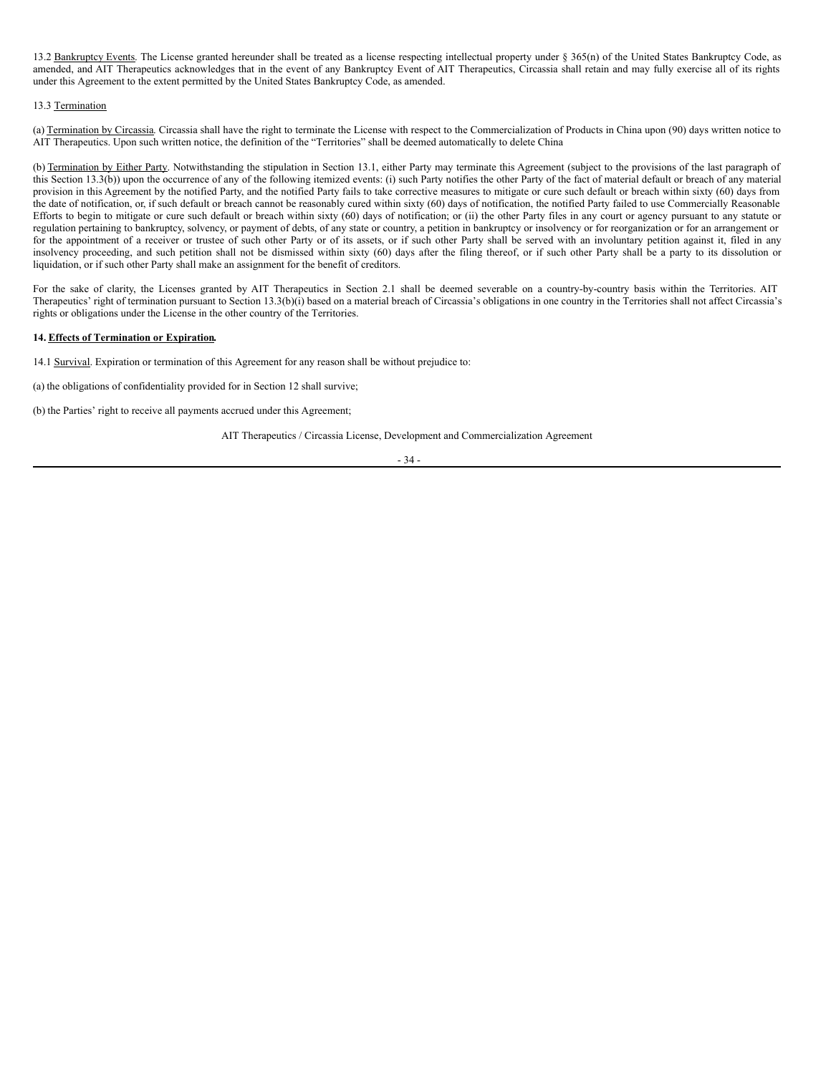13.2 Bankruptcy Events. The License granted hereunder shall be treated as a license respecting intellectual property under § 365(n) of the United States Bankruptcy Code, as amended, and AIT Therapeutics acknowledges that in the event of any Bankruptcy Event of AIT Therapeutics, Circassia shall retain and may fully exercise all of its rights under this Agreement to the extent permitted by the United States Bankruptcy Code, as amended.

### 13.3 Termination

(a) Termination by Circassia. Circassia shall have the right to terminate the License with respect to the Commercialization of Products in China upon (90) days written notice to AIT Therapeutics. Upon such written notice, the definition of the "Territories" shall be deemed automatically to delete China

(b) Termination by Either Party. Notwithstanding the stipulation in Section 13.1, either Party may terminate this Agreement (subject to the provisions of the last paragraph of this Section 13.3(b)) upon the occurrence of any of the following itemized events: (i) such Party notifies the other Party of the fact of material default or breach of any material provision in this Agreement by the notified Party, and the notified Party fails to take corrective measures to mitigate or cure such default or breach within sixty (60) days from the date of notification, or, if such default or breach cannot be reasonably cured within sixty (60) days of notification, the notified Party failed to use Commercially Reasonable Efforts to begin to mitigate or cure such default or breach within sixty (60) days of notification; or (ii) the other Party files in any court or agency pursuant to any statute or regulation pertaining to bankruptcy, solvency, or payment of debts, of any state or country, a petition in bankruptcy or insolvency or for reorganization or for an arrangement or for the appointment of a receiver or trustee of such other Party or of its assets, or if such other Party shall be served with an involuntary petition against it, filed in any insolvency proceeding, and such petition shall not be dismissed within sixty (60) days after the filing thereof, or if such other Party shall be a party to its dissolution or liquidation, or if such other Party shall make an assignment for the benefit of creditors.

For the sake of clarity, the Licenses granted by AIT Therapeutics in Section 2.1 shall be deemed severable on a country-by-country basis within the Territories. AIT Therapeutics' right of termination pursuant to Section 13.3(b)(i) based on a material breach of Circassia's obligations in one country in the Territories shall not affect Circassia's rights or obligations under the License in the other country of the Territories.

# **14. Effects of Termination or Expiration.**

14.1 Survival. Expiration or termination of this Agreement for any reason shall be without prejudice to:

(a) the obligations of confidentiality provided for in Section 12 shall survive;

(b) the Parties' right to receive all payments accrued under this Agreement;

AIT Therapeutics / Circassia License, Development and Commercialization Agreement

- 34 -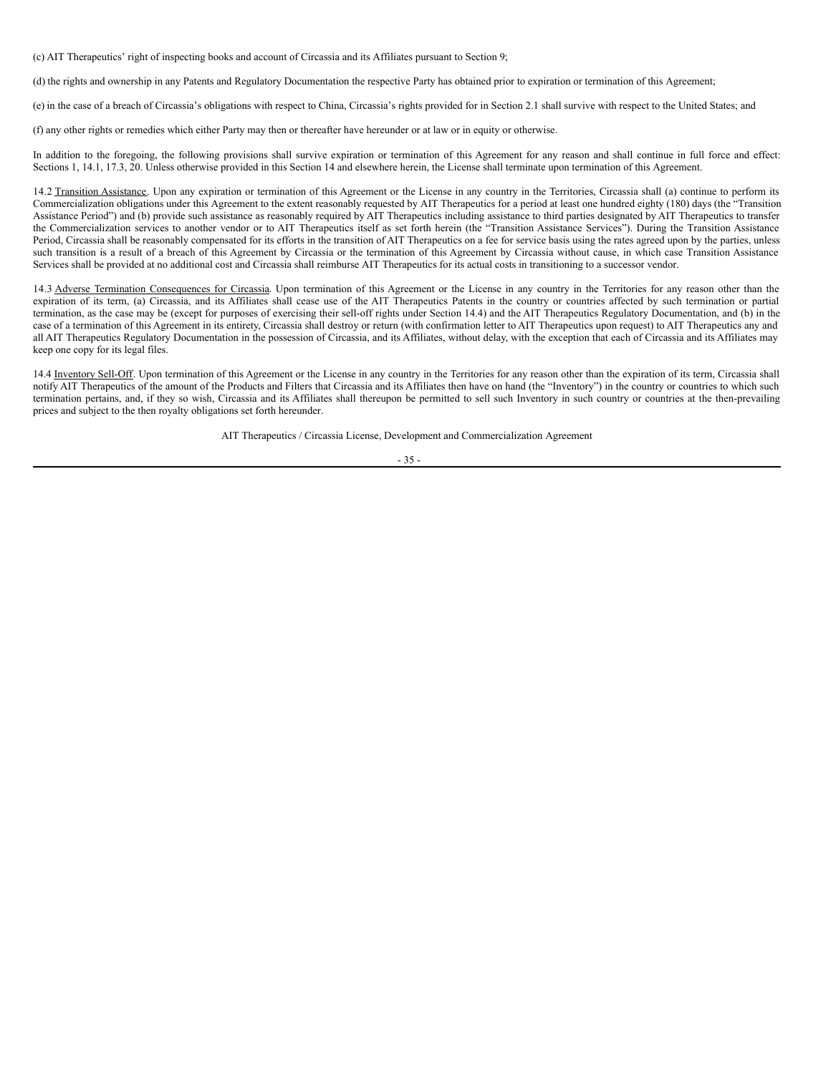(c) AIT Therapeutics' right of inspecting books and account of Circassia and its Affiliates pursuant to Section 9;

(d) the rights and ownership in any Patents and Regulatory Documentation the respective Party has obtained prior to expiration or termination of this Agreement;

(e) in the case of a breach of Circassia's obligations with respect to China, Circassia's rights provided for in Section 2.1 shall survive with respect to the United States; and

(f) any other rights or remedies which either Party may then or thereafter have hereunder or at law or in equity or otherwise.

In addition to the foregoing, the following provisions shall survive expiration or termination of this Agreement for any reason and shall continue in full force and effect: Sections 1, 14.1, 17.3, 20. Unless otherwise provided in this Section 14 and elsewhere herein, the License shall terminate upon termination of this Agreement.

14.2 Transition Assistance. Upon any expiration or termination of this Agreement or the License in any country in the Territories, Circassia shall (a) continue to perform its Commercialization obligations under this Agreement to the extent reasonably requested by AIT Therapeutics for a period at least one hundred eighty (180) days (the "Transition Assistance Period") and (b) provide such assistance as reasonably required by AIT Therapeutics including assistance to third parties designated by AIT Therapeutics to transfer the Commercialization services to another vendor or to AIT Therapeutics itself as set forth herein (the "Transition Assistance Services"). During the Transition Assistance Period, Circassia shall be reasonably compensated for its efforts in the transition of AIT Therapeutics on a fee for service basis using the rates agreed upon by the parties, unless such transition is a result of a breach of this Agreement by Circassia or the termination of this Agreement by Circassia without cause, in which case Transition Assistance Services shall be provided at no additional cost and Circassia shall reimburse AIT Therapeutics for its actual costs in transitioning to a successor vendor.

14.3 Adverse Termination Consequences for Circassia. Upon termination of this Agreement or the License in any country in the Territories for any reason other than the expiration of its term, (a) Circassia, and its Affiliates shall cease use of the AIT Therapeutics Patents in the country or countries affected by such termination or partial termination, as the case may be (except for purposes of exercising their sell-off rights under Section 14.4) and the AIT Therapeutics Regulatory Documentation, and (b) in the case of a termination of this Agreement in its entirety, Circassia shall destroy or return (with confirmation letter to AIT Therapeutics upon request) to AIT Therapeutics any and all AIT Therapeutics Regulatory Documentation in the possession of Circassia, and its Affiliates, without delay, with the exception that each of Circassia and its Affiliates may keep one copy for its legal files.

14.4 Inventory Sell-Off. Upon termination of this Agreement or the License in any country in the Territories for any reason other than the expiration of its term, Circassia shall notify AIT Therapeutics of the amount of the Products and Filters that Circassia and its Affiliates then have on hand (the "Inventory") in the country or countries to which such termination pertains, and, if they so wish, Circassia and its Affiliates shall thereupon be permitted to sell such Inventory in such country or countries at the then-prevailing prices and subject to the then royalty obligations set forth hereunder.

AIT Therapeutics / Circassia License, Development and Commercialization Agreement

- 35 -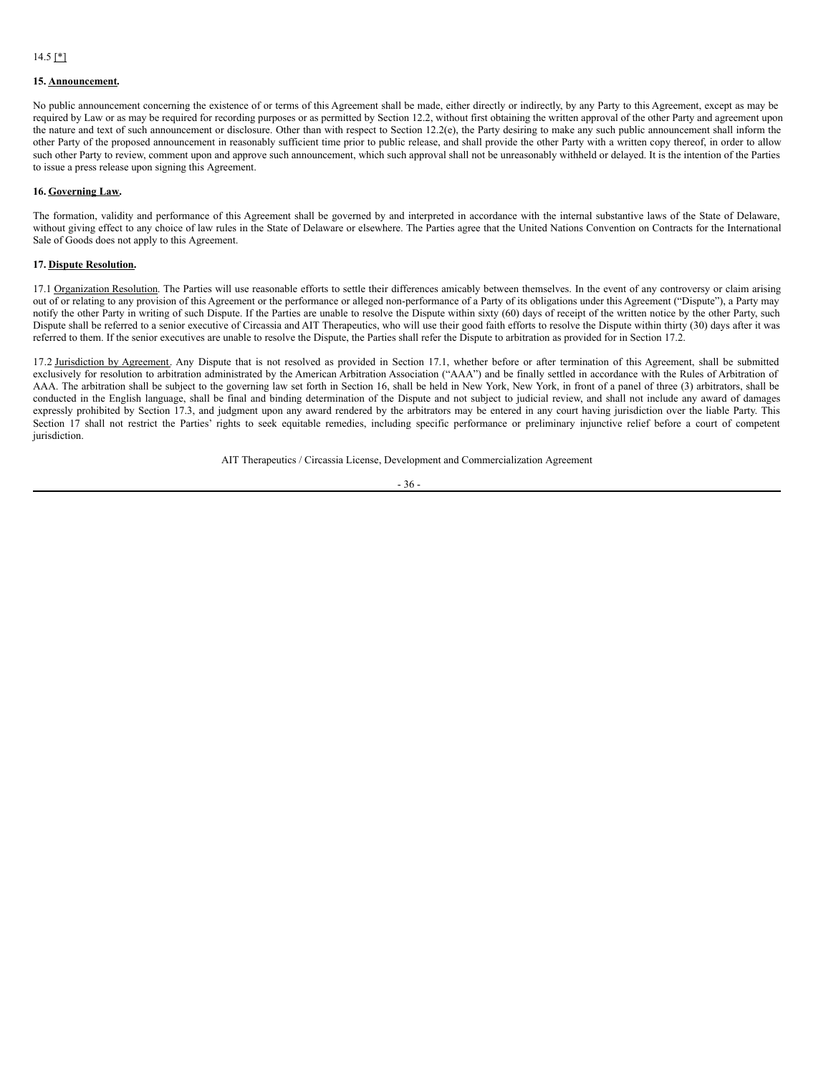#### **15. Announcement.**

No public announcement concerning the existence of or terms of this Agreement shall be made, either directly or indirectly, by any Party to this Agreement, except as may be required by Law or as may be required for recording purposes or as permitted by Section 12.2, without first obtaining the written approval of the other Party and agreement upon the nature and text of such announcement or disclosure. Other than with respect to Section 12.2(e), the Party desiring to make any such public announcement shall inform the other Party of the proposed announcement in reasonably sufficient time prior to public release, and shall provide the other Party with a written copy thereof, in order to allow such other Party to review, comment upon and approve such announcement, which such approval shall not be unreasonably withheld or delayed. It is the intention of the Parties to issue a press release upon signing this Agreement.

#### **16. Governing Law.**

The formation, validity and performance of this Agreement shall be governed by and interpreted in accordance with the internal substantive laws of the State of Delaware, without giving effect to any choice of law rules in the State of Delaware or elsewhere. The Parties agree that the United Nations Convention on Contracts for the International Sale of Goods does not apply to this Agreement.

#### **17. Dispute Resolution.**

17.1 Organization Resolution. The Parties will use reasonable efforts to settle their differences amicably between themselves. In the event of any controversy or claim arising out of or relating to any provision of this Agreement or the performance or alleged non-performance of a Party of its obligations under this Agreement ("Dispute"), a Party may notify the other Party in writing of such Dispute. If the Parties are unable to resolve the Dispute within sixty (60) days of receipt of the written notice by the other Party, such Dispute shall be referred to a senior executive of Circassia and AIT Therapeutics, who will use their good faith efforts to resolve the Dispute within thirty (30) days after it was referred to them. If the senior executives are unable to resolve the Dispute, the Parties shall refer the Dispute to arbitration as provided for in Section 17.2.

17.2 Jurisdiction by Agreement. Any Dispute that is not resolved as provided in Section 17.1, whether before or after termination of this Agreement, shall be submitted exclusively for resolution to arbitration administrated by the American Arbitration Association ("AAA") and be finally settled in accordance with the Rules of Arbitration of AAA. The arbitration shall be subject to the governing law set forth in Section 16, shall be held in New York, New York, in front of a panel of three (3) arbitrators, shall be conducted in the English language, shall be final and binding determination of the Dispute and not subject to judicial review, and shall not include any award of damages expressly prohibited by Section 17.3, and judgment upon any award rendered by the arbitrators may be entered in any court having jurisdiction over the liable Party. This Section 17 shall not restrict the Parties' rights to seek equitable remedies, including specific performance or preliminary injunctive relief before a court of competent jurisdiction.

AIT Therapeutics / Circassia License, Development and Commercialization Agreement

- 36 -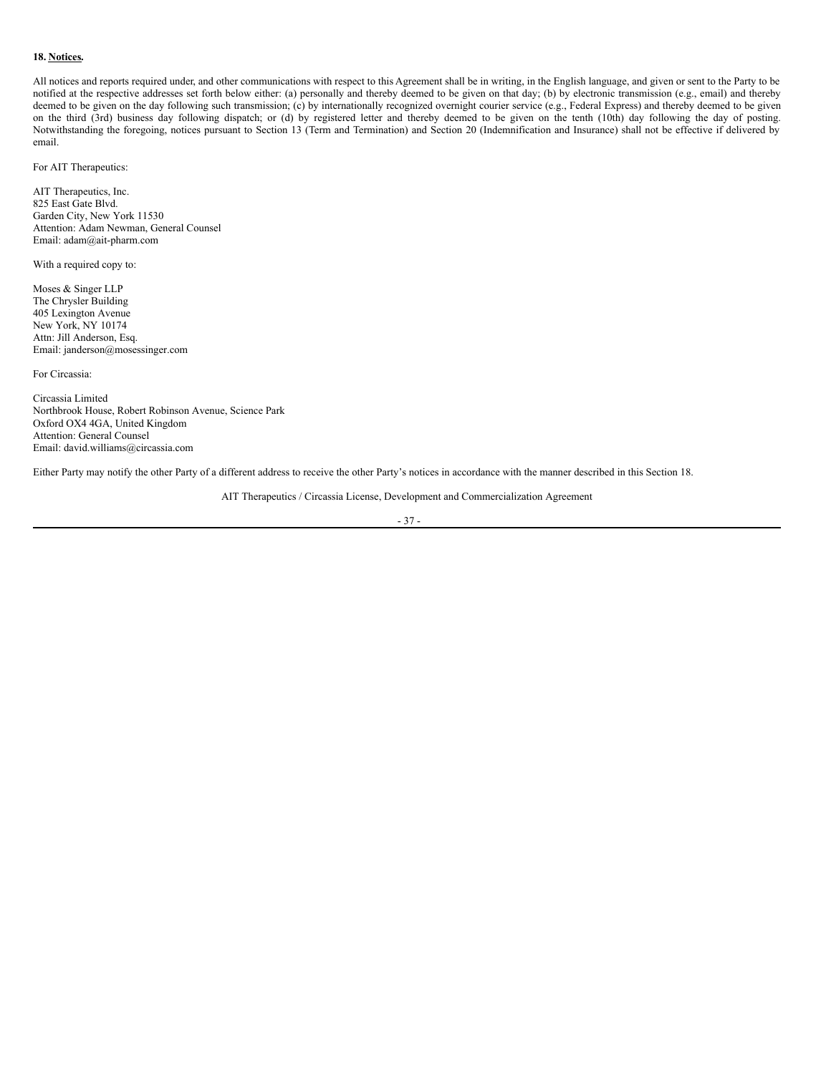### **18. Notices.**

All notices and reports required under, and other communications with respect to this Agreement shall be in writing, in the English language, and given or sent to the Party to be notified at the respective addresses set forth below either: (a) personally and thereby deemed to be given on that day; (b) by electronic transmission (e.g., email) and thereby deemed to be given on the day following such transmission; (c) by internationally recognized overnight courier service (e.g., Federal Express) and thereby deemed to be given on the third (3rd) business day following dispatch; or (d) by registered letter and thereby deemed to be given on the tenth (10th) day following the day of posting. Notwithstanding the foregoing, notices pursuant to Section 13 (Term and Termination) and Section 20 (Indemnification and Insurance) shall not be effective if delivered by email.

For AIT Therapeutics:

AIT Therapeutics, Inc. 825 East Gate Blvd. Garden City, New York 11530 Attention: Adam Newman, General Counsel Email: adam@ait-pharm.com

With a required copy to:

Moses & Singer LLP The Chrysler Building 405 Lexington Avenue New York, NY 10174 Attn: Jill Anderson, Esq. Email: janderson@mosessinger.com

For Circassia:

Circassia Limited Northbrook House, Robert Robinson Avenue, Science Park Oxford OX4 4GA, United Kingdom Attention: General Counsel Email: david.williams@circassia.com

Either Party may notify the other Party of a different address to receive the other Party's notices in accordance with the manner described in this Section 18.

AIT Therapeutics / Circassia License, Development and Commercialization Agreement

 $-37$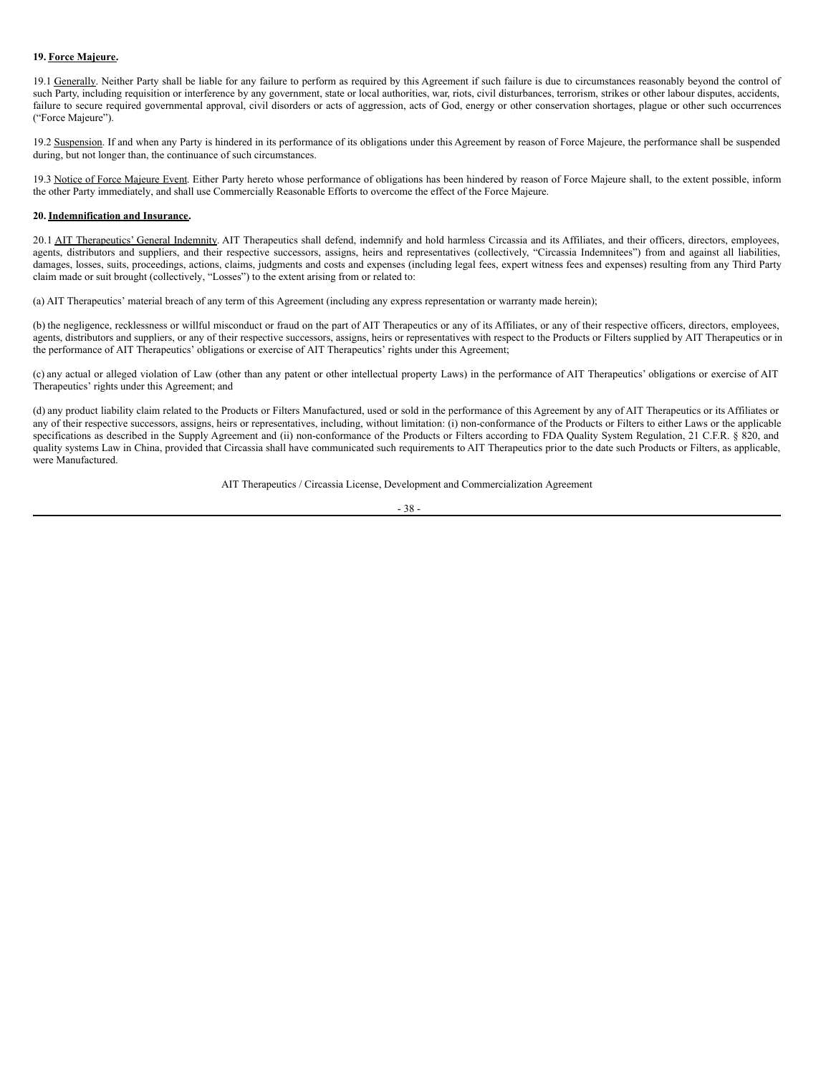# **19. Force Majeure.**

19.1 Generally. Neither Party shall be liable for any failure to perform as required by this Agreement if such failure is due to circumstances reasonably beyond the control of such Party, including requisition or interference by any government, state or local authorities, war, riots, civil disturbances, terrorism, strikes or other labour disputes, accidents, failure to secure required governmental approval, civil disorders or acts of aggression, acts of God, energy or other conservation shortages, plague or other such occurrences ("Force Majeure").

19.2 Suspension. If and when any Party is hindered in its performance of its obligations under this Agreement by reason of Force Majeure, the performance shall be suspended during, but not longer than, the continuance of such circumstances.

19.3 Notice of Force Majeure Event. Either Party hereto whose performance of obligations has been hindered by reason of Force Majeure shall, to the extent possible, inform the other Party immediately, and shall use Commercially Reasonable Efforts to overcome the effect of the Force Majeure.

### **20. Indemnification and Insurance.**

20.1 AIT Therapeutics' General Indemnity. AIT Therapeutics shall defend, indemnify and hold harmless Circassia and its Affiliates, and their officers, directors, employees, agents, distributors and suppliers, and their respective successors, assigns, heirs and representatives (collectively, "Circassia Indemnitees") from and against all liabilities, damages, losses, suits, proceedings, actions, claims, judgments and costs and expenses (including legal fees, expert witness fees and expenses) resulting from any Third Party claim made or suit brought (collectively, "Losses") to the extent arising from or related to:

(a) AIT Therapeutics' material breach of any term of this Agreement (including any express representation or warranty made herein);

(b) the negligence, recklessness or willful misconduct or fraud on the part of AIT Therapeutics or any of its Affiliates, or any of their respective officers, directors, employees, agents, distributors and suppliers, or any of their respective successors, assigns, heirs or representatives with respect to the Products or Filters supplied by AIT Therapeutics or in the performance of AIT Therapeutics' obligations or exercise of AIT Therapeutics' rights under this Agreement;

(c) any actual or alleged violation of Law (other than any patent or other intellectual property Laws) in the performance of AIT Therapeutics' obligations or exercise of AIT Therapeutics' rights under this Agreement; and

(d) any product liability claim related to the Products or Filters Manufactured, used or sold in the performance of this Agreement by any of AIT Therapeutics or its Affiliates or any of their respective successors, assigns, heirs or representatives, including, without limitation: (i) non-conformance of the Products or Filters to either Laws or the applicable specifications as described in the Supply Agreement and (ii) non-conformance of the Products or Filters according to FDA Quality System Regulation, 21 C.F.R. § 820, and quality systems Law in China, provided that Circassia shall have communicated such requirements to AIT Therapeutics prior to the date such Products or Filters, as applicable, were Manufactured.

AIT Therapeutics / Circassia License, Development and Commercialization Agreement

- 38 -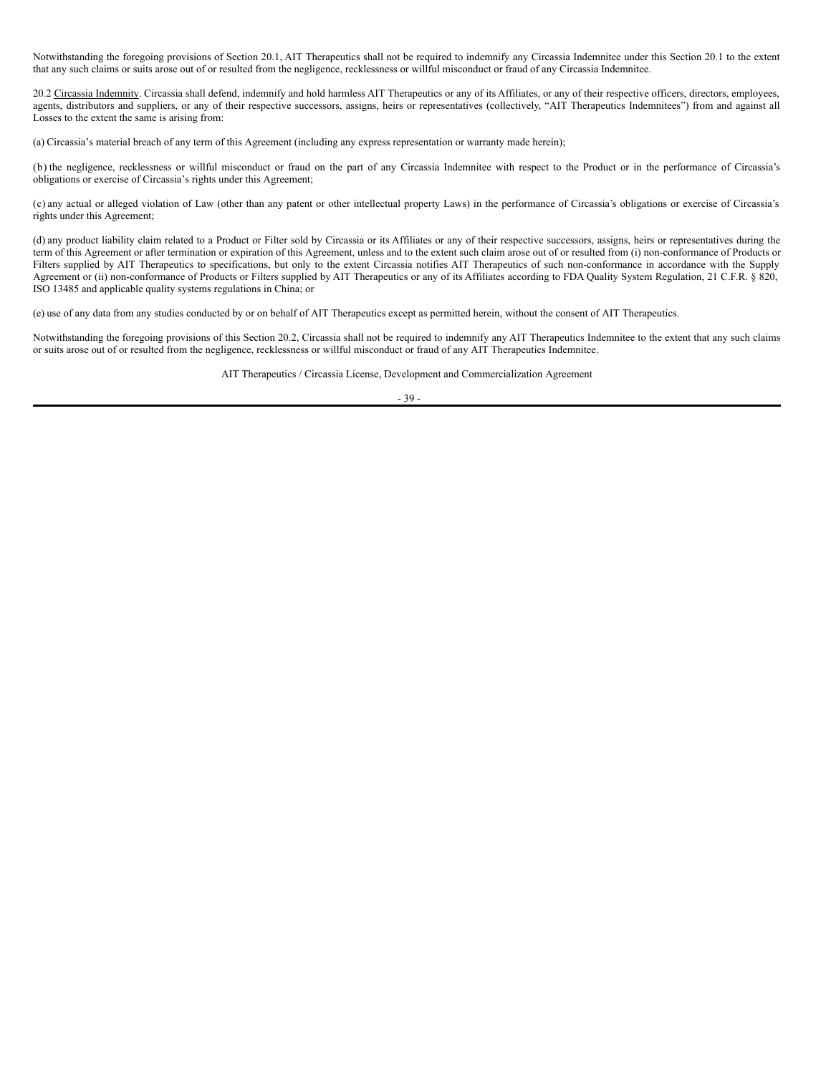Notwithstanding the foregoing provisions of Section 20.1, AIT Therapeutics shall not be required to indemnify any Circassia Indemnitee under this Section 20.1 to the extent that any such claims or suits arose out of or resulted from the negligence, recklessness or willful misconduct or fraud of any Circassia Indemnitee.

20.2 Circassia Indemnity. Circassia shall defend, indemnify and hold harmless AIT Therapeutics or any of its Affiliates, or any of their respective officers, directors, employees, agents, distributors and suppliers, or any of their respective successors, assigns, heirs or representatives (collectively, "AIT Therapeutics Indemnitees") from and against all Losses to the extent the same is arising from:

(a) Circassia's material breach of any term of this Agreement (including any express representation or warranty made herein);

(b) the negligence, recklessness or willful misconduct or fraud on the part of any Circassia Indemnitee with respect to the Product or in the performance of Circassia's obligations or exercise of Circassia's rights under this Agreement;

(c) any actual or alleged violation of Law (other than any patent or other intellectual property Laws) in the performance of Circassia's obligations or exercise of Circassia's rights under this Agreement;

(d) any product liability claim related to a Product or Filter sold by Circassia or its Affiliates or any of their respective successors, assigns, heirs or representatives during the term of this Agreement or after termination or expiration of this Agreement, unless and to the extent such claim arose out of or resulted from (i) non-conformance of Products or Filters supplied by AIT Therapeutics to specifications, but only to the extent Circassia notifies AIT Therapeutics of such non-conformance in accordance with the Supply Agreement or (ii) non-conformance of Products or Filters supplied by AIT Therapeutics or any of its Affiliates according to FDA Quality System Regulation, 21 C.F.R. § 820, ISO 13485 and applicable quality systems regulations in China; or

(e) use of any data from any studies conducted by or on behalf of AIT Therapeutics except as permitted herein, without the consent of AIT Therapeutics.

Notwithstanding the foregoing provisions of this Section 20.2, Circassia shall not be required to indemnify any AIT Therapeutics Indemnitee to the extent that any such claims or suits arose out of or resulted from the negligence, recklessness or willful misconduct or fraud of any AIT Therapeutics Indemnitee.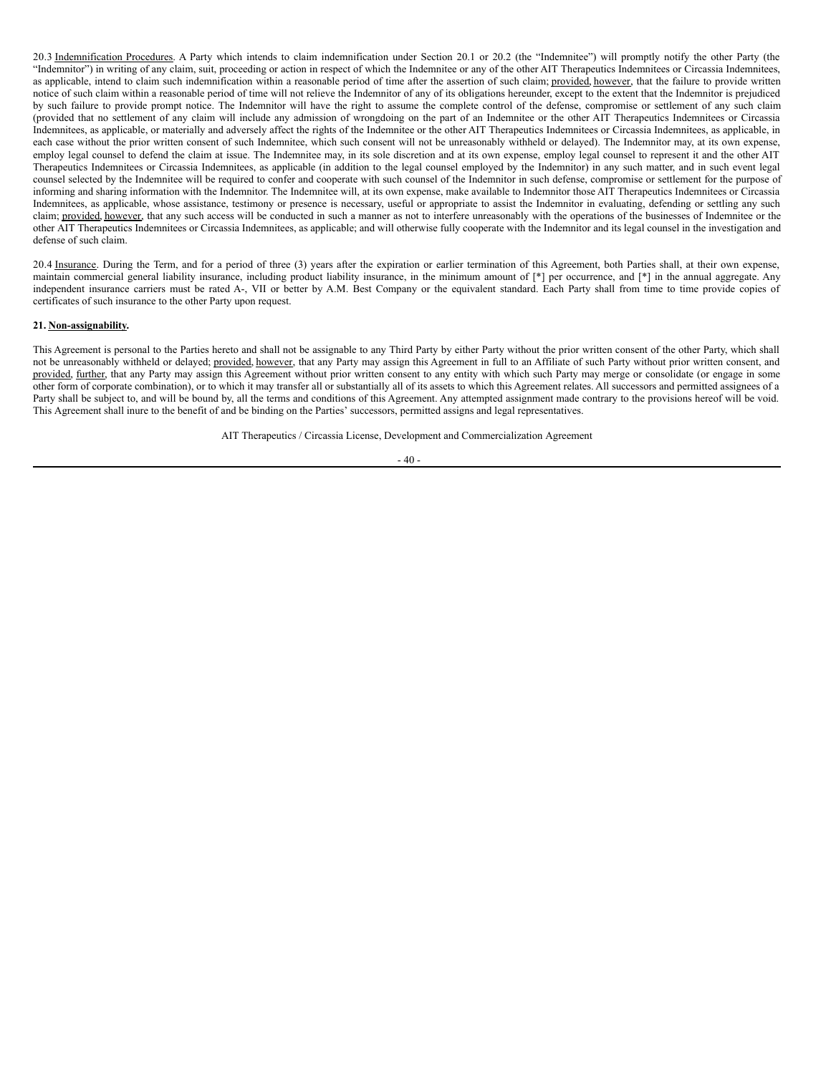20.3 Indemnification Procedures. A Party which intends to claim indemnification under Section 20.1 or 20.2 (the "Indemnitee") will promptly notify the other Party (the "Indemnitor") in writing of any claim, suit, proceeding or action in respect of which the Indemnitee or any of the other AIT Therapeutics Indemnitees or Circassia Indemnitees, as applicable, intend to claim such indemnification within a reasonable period of time after the assertion of such claim; provided, however, that the failure to provide written notice of such claim within a reasonable period of time will not relieve the Indemnitor of any of its obligations hereunder, except to the extent that the Indemnitor is prejudiced by such failure to provide prompt notice. The Indemnitor will have the right to assume the complete control of the defense, compromise or settlement of any such claim (provided that no settlement of any claim will include any admission of wrongdoing on the part of an Indemnitee or the other AIT Therapeutics Indemnitees or Circassia Indemnitees, as applicable, or materially and adversely affect the rights of the Indemnitee or the other AIT Therapeutics Indemnitees or Circassia Indemnitees, as applicable, in each case without the prior written consent of such Indemnitee, which such consent will not be unreasonably withheld or delayed). The Indemnitor may, at its own expense, employ legal counsel to defend the claim at issue. The Indemnitee may, in its sole discretion and at its own expense, employ legal counsel to represent it and the other AIT Therapeutics Indemnitees or Circassia Indemnitees, as applicable (in addition to the legal counsel employed by the Indemnitor) in any such matter, and in such event legal counsel selected by the Indemnitee will be required to confer and cooperate with such counsel of the Indemnitor in such defense, compromise or settlement for the purpose of informing and sharing information with the Indemnitor. The Indemnitee will, at its own expense, make available to Indemnitor those AIT Therapeutics Indemnitees or Circassia Indemnitees, as applicable, whose assistance, testimony or presence is necessary, useful or appropriate to assist the Indemnitor in evaluating, defending or settling any such claim; provided, however, that any such access will be conducted in such a manner as not to interfere unreasonably with the operations of the businesses of Indemnitee or the other AIT Therapeutics Indemnitees or Circassia Indemnitees, as applicable; and will otherwise fully cooperate with the Indemnitor and its legal counsel in the investigation and defense of such claim.

20.4 Insurance. During the Term, and for a period of three (3) years after the expiration or earlier termination of this Agreement, both Parties shall, at their own expense, maintain commercial general liability insurance, including product liability insurance, in the minimum amount of [\*] per occurrence, and [\*] in the annual aggregate. Any independent insurance carriers must be rated A-, VII or better by A.M. Best Company or the equivalent standard. Each Party shall from time to time provide copies of certificates of such insurance to the other Party upon request.

### **21. Non-assignability.**

This Agreement is personal to the Parties hereto and shall not be assignable to any Third Party by either Party without the prior written consent of the other Party, which shall not be unreasonably withheld or delayed; provided, however, that any Party may assign this Agreement in full to an Affiliate of such Party without prior written consent, and provided, further, that any Party may assign this Agreement without prior written consent to any entity with which such Party may merge or consolidate (or engage in some other form of corporate combination), or to which it may transfer all or substantially all of its assets to which this Agreement relates. All successors and permitted assignees of a Party shall be subject to, and will be bound by, all the terms and conditions of this Agreement. Any attempted assignment made contrary to the provisions hereof will be void. This Agreement shall inure to the benefit of and be binding on the Parties' successors, permitted assigns and legal representatives.

AIT Therapeutics / Circassia License, Development and Commercialization Agreement

- 40 -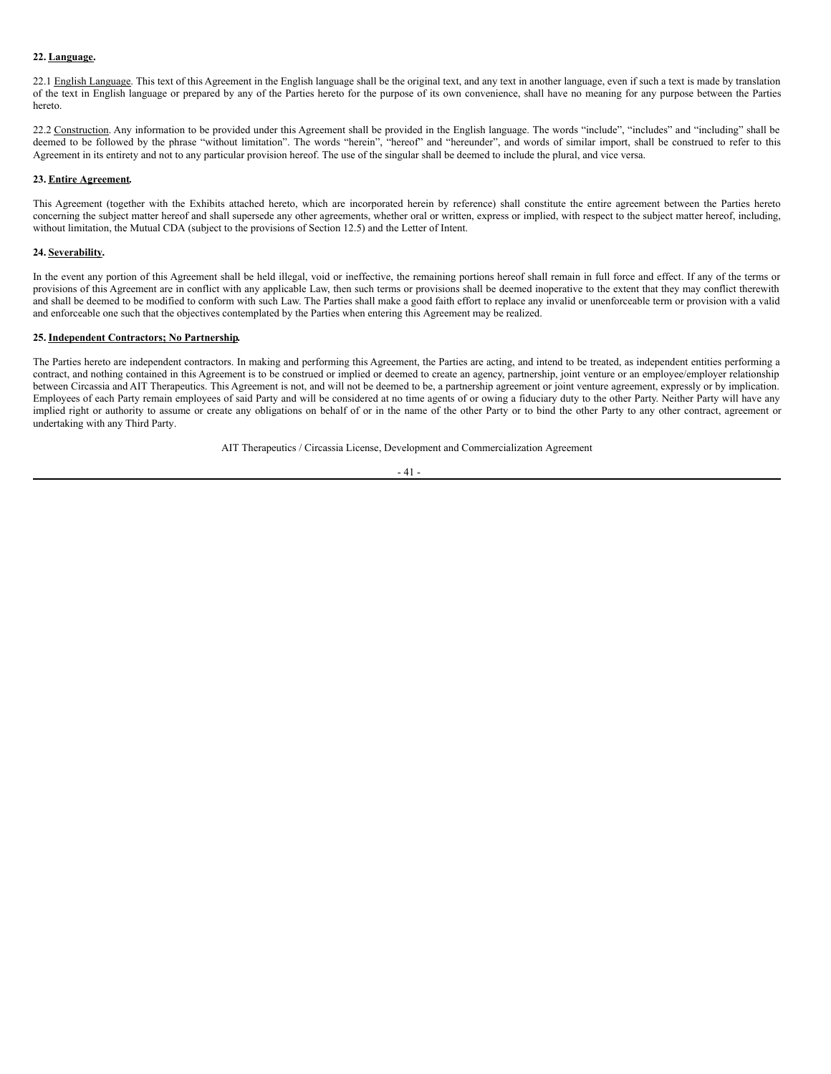# **22. Language.**

22.1 English Language. This text of this Agreement in the English language shall be the original text, and any text in another language, even if such a text is made by translation of the text in English language or prepared by any of the Parties hereto for the purpose of its own convenience, shall have no meaning for any purpose between the Parties hereto.

22.2 Construction. Any information to be provided under this Agreement shall be provided in the English language. The words "include", "includes" and "including" shall be deemed to be followed by the phrase "without limitation". The words "herein", "hereof" and "hereunder", and words of similar import, shall be construed to refer to this Agreement in its entirety and not to any particular provision hereof. The use of the singular shall be deemed to include the plural, and vice versa.

# **23. Entire Agreement.**

This Agreement (together with the Exhibits attached hereto, which are incorporated herein by reference) shall constitute the entire agreement between the Parties hereto concerning the subject matter hereof and shall supersede any other agreements, whether oral or written, express or implied, with respect to the subject matter hereof, including, without limitation, the Mutual CDA (subject to the provisions of Section 12.5) and the Letter of Intent.

#### **24. Severability.**

In the event any portion of this Agreement shall be held illegal, void or ineffective, the remaining portions hereof shall remain in full force and effect. If any of the terms or provisions of this Agreement are in conflict with any applicable Law, then such terms or provisions shall be deemed inoperative to the extent that they may conflict therewith and shall be deemed to be modified to conform with such Law. The Parties shall make a good faith effort to replace any invalid or unenforceable term or provision with a valid and enforceable one such that the objectives contemplated by the Parties when entering this Agreement may be realized.

#### **25. Independent Contractors; No Partnership.**

The Parties hereto are independent contractors. In making and performing this Agreement, the Parties are acting, and intend to be treated, as independent entities performing a contract, and nothing contained in this Agreement is to be construed or implied or deemed to create an agency, partnership, joint venture or an employee/employer relationship between Circassia and AIT Therapeutics. This Agreement is not, and will not be deemed to be, a partnership agreement or joint venture agreement, expressly or by implication. Employees of each Party remain employees of said Party and will be considered at no time agents of or owing a fiduciary duty to the other Party. Neither Party will have any implied right or authority to assume or create any obligations on behalf of or in the name of the other Party or to bind the other Party to any other contract, agreement or undertaking with any Third Party.

$$
-41 -
$$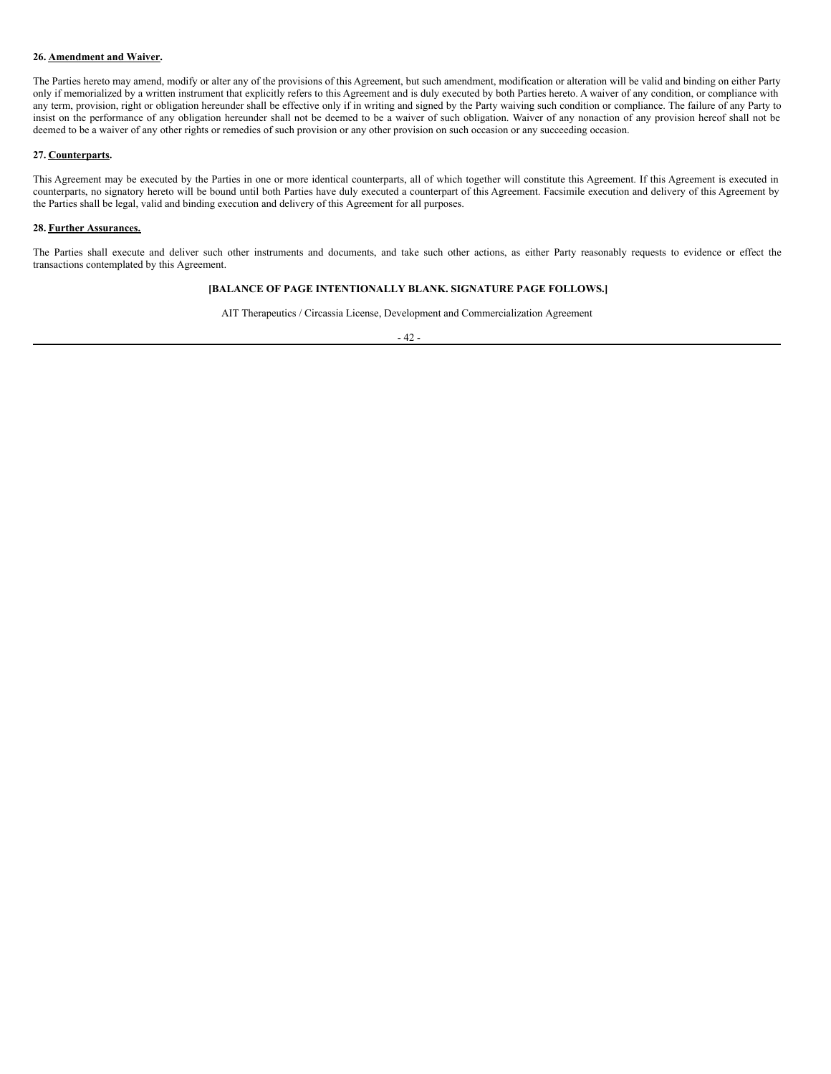# **26. Amendment and Waiver.**

The Parties hereto may amend, modify or alter any of the provisions of this Agreement, but such amendment, modification or alteration will be valid and binding on either Party only if memorialized by a written instrument that explicitly refers to this Agreement and is duly executed by both Parties hereto. A waiver of any condition, or compliance with any term, provision, right or obligation hereunder shall be effective only if in writing and signed by the Party waiving such condition or compliance. The failure of any Party to insist on the performance of any obligation hereunder shall not be deemed to be a waiver of such obligation. Waiver of any nonaction of any provision hereof shall not be deemed to be a waiver of any other rights or remedies of such provision or any other provision on such occasion or any succeeding occasion.

### **27. Counterparts.**

This Agreement may be executed by the Parties in one or more identical counterparts, all of which together will constitute this Agreement. If this Agreement is executed in counterparts, no signatory hereto will be bound until both Parties have duly executed a counterpart of this Agreement. Facsimile execution and delivery of this Agreement by the Parties shall be legal, valid and binding execution and delivery of this Agreement for all purposes.

# **28. Further Assurances.**

The Parties shall execute and deliver such other instruments and documents, and take such other actions, as either Party reasonably requests to evidence or effect the transactions contemplated by this Agreement.

# **[BALANCE OF PAGE INTENTIONALLY BLANK. SIGNATURE PAGE FOLLOWS.]**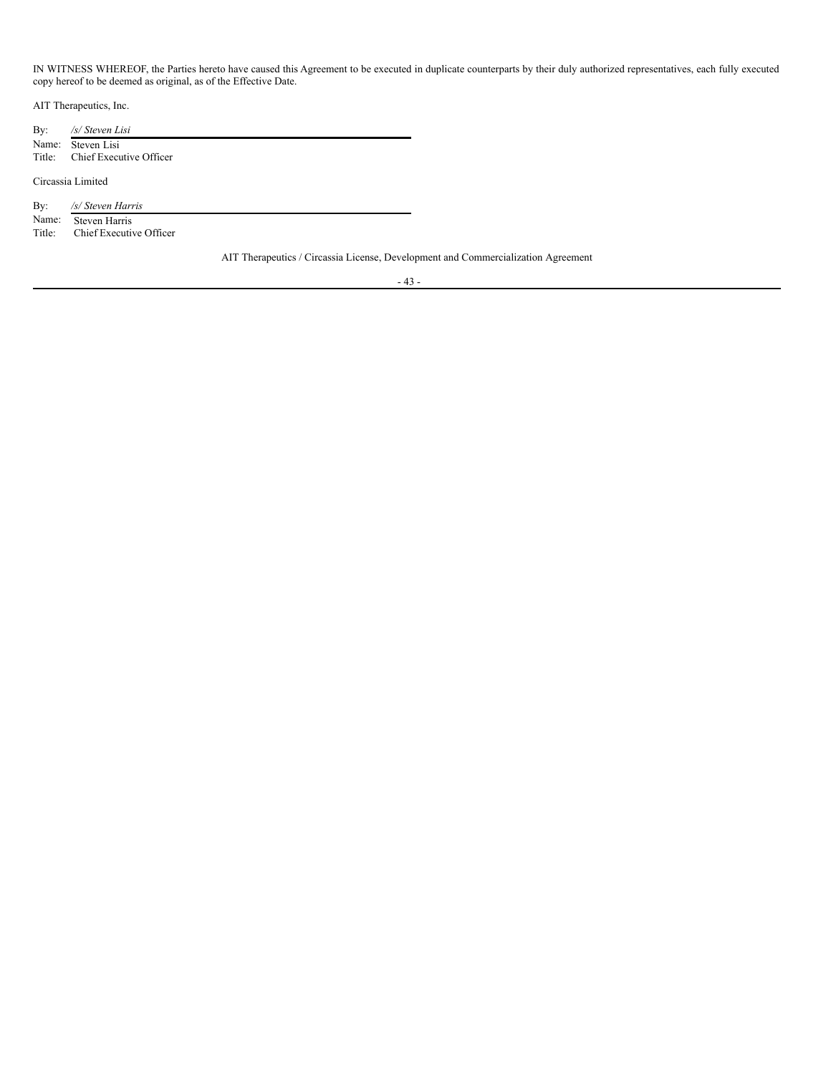IN WITNESS WHEREOF, the Parties hereto have caused this Agreement to be executed in duplicate counterparts by their duly authorized representatives, each fully executed copy hereof to be deemed as original, as of the Effective Date.

AIT Therapeutics, Inc.

| By:    | /s/ Steven Lisi         |
|--------|-------------------------|
|        | Name: Steven Lisi       |
| Title: | Chief Executive Officer |

Circassia Limited

Name: Steven Harris<br>Title: Chief Executiv Chief Executive Officer

AIT Therapeutics / Circassia License, Development and Commercialization Agreement

- 43 -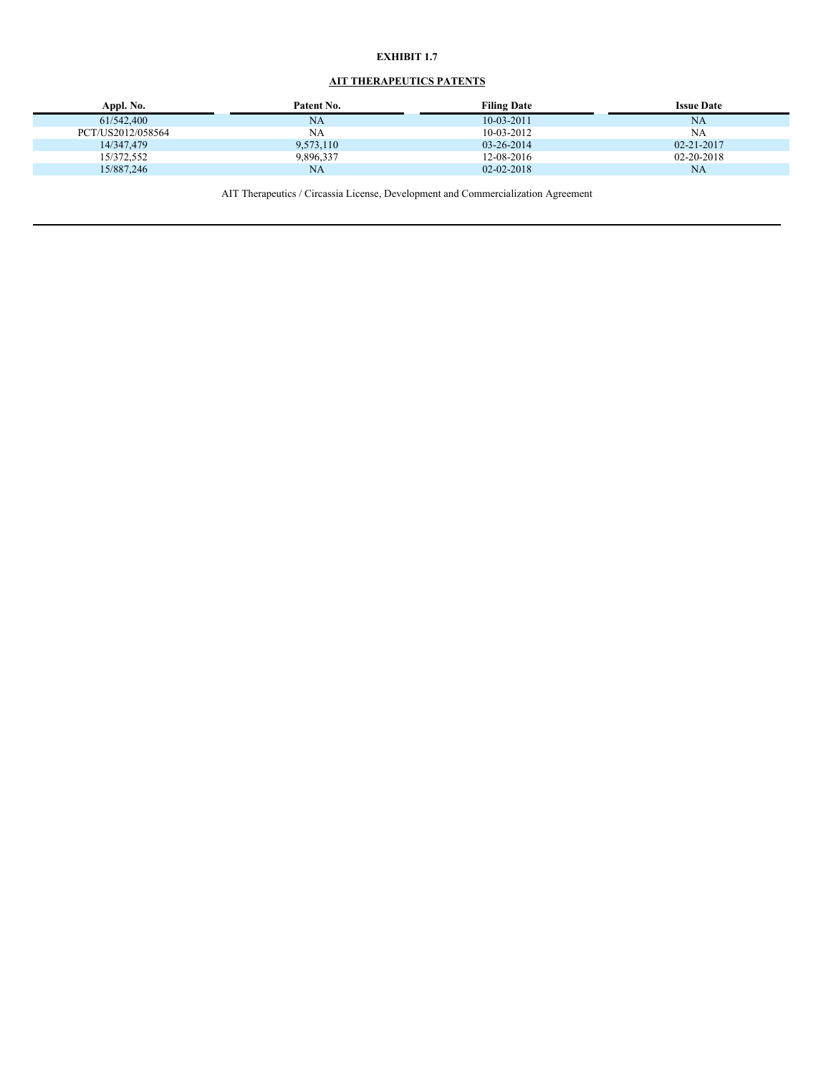# **EXHIBIT 1.7**

# **AIT THERAPEUTICS PATENTS**

| Appl. No.         | Patent No. | <b>Filing Date</b> | <b>Issue Date</b> |
|-------------------|------------|--------------------|-------------------|
| 61/542,400        | NA         | $10-03-2011$       | NA                |
| PCT/US2012/058564 | NA         | 10-03-2012         | NA                |
| 14/347,479        | 9,573,110  | 03-26-2014         | 02-21-2017        |
| 15/372,552        | 9,896,337  | 12-08-2016         | 02-20-2018        |
| 15/887.246        | <b>NA</b>  | $02 - 02 - 2018$   | NA                |
|                   |            |                    |                   |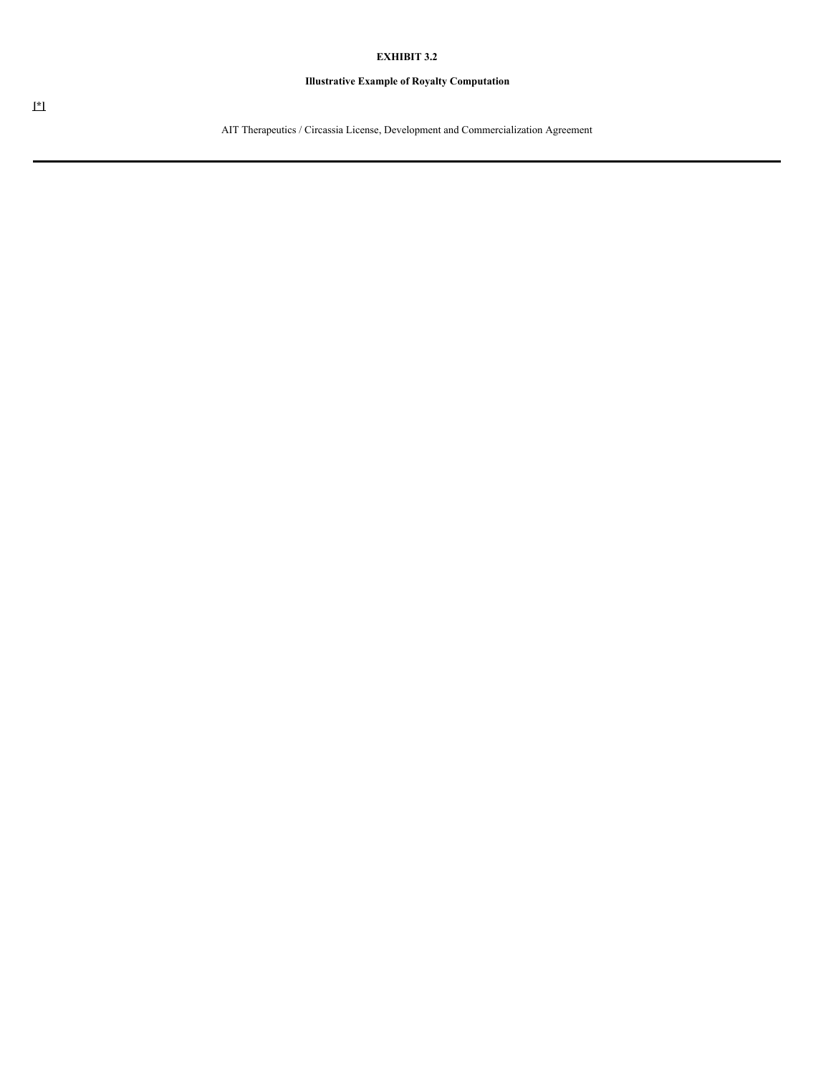# **EXHIBIT 3.2**

# **Illustrative Example of Royalty Computation**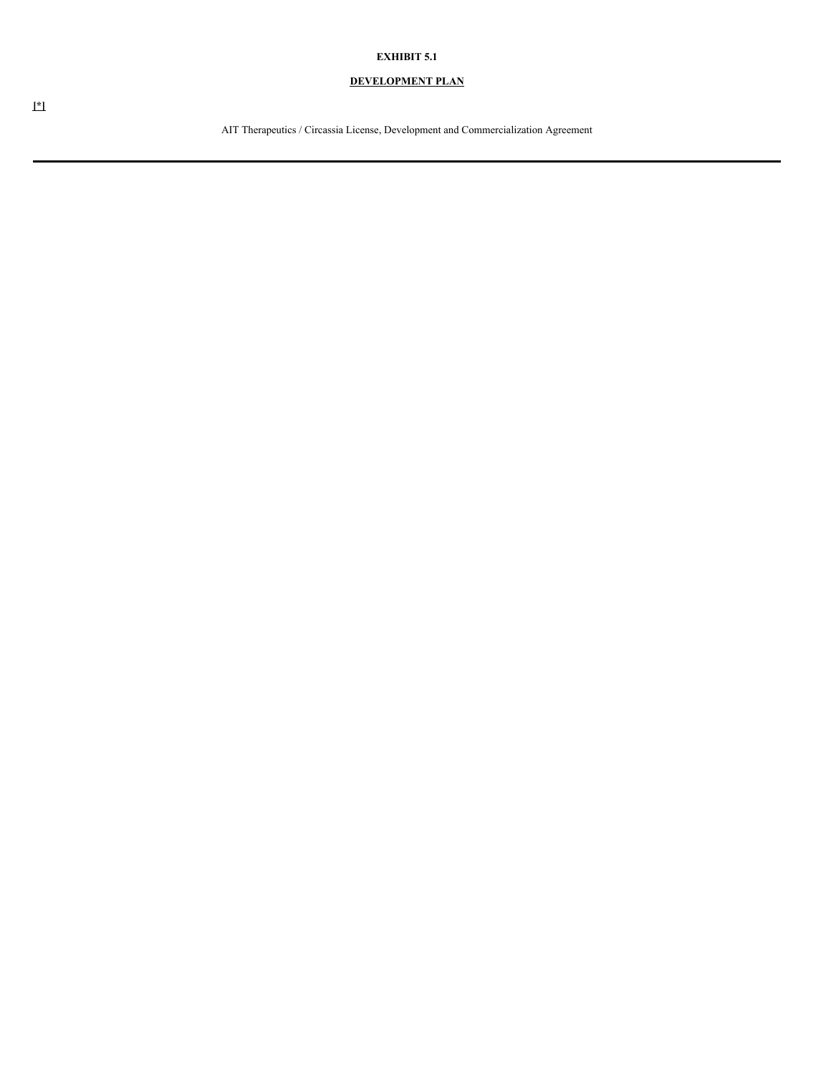# **EXHIBIT 5.1**

# **DEVELOPMENT PLAN**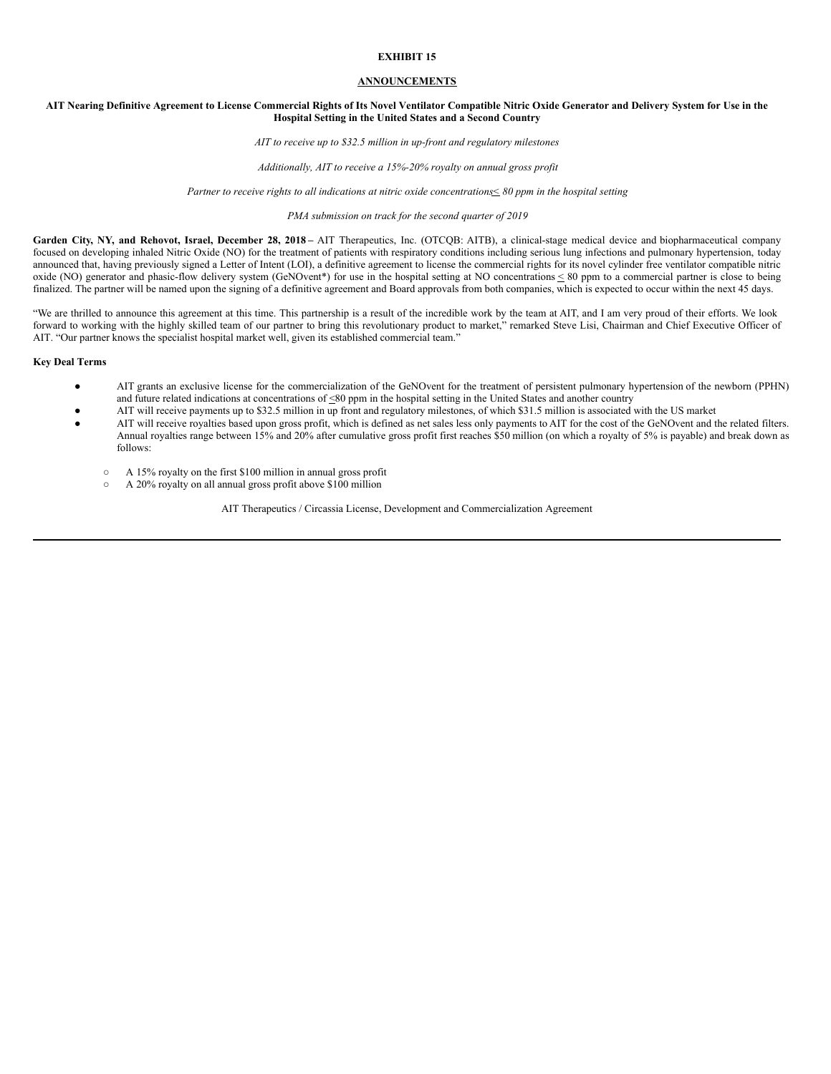#### **EXHIBIT 15**

# **ANNOUNCEMENTS**

#### AIT Nearing Definitive Agreement to License Commercial Rights of Its Novel Ventilator Compatible Nitric Oxide Generator and Delivery System for Use in the **Hospital Setting in the United States and a Second Country**

*AIT to receive up to \$32.5 million in up-front and regulatory milestones*

#### *Additionally, AIT to receive a 15%-20% royalty on annual gross profit*

Partner to receive rights to all indications at nitric oxide concentrations<80 ppm in the hospital setting

*PMA submission on track for the second quarter of 2019*

Garden City, NY, and Rehovot, Israel, December 28, 2018 - AIT Therapeutics, Inc. (OTCQB: AITB), a clinical-stage medical device and biopharmaceutical company focused on developing inhaled Nitric Oxide (NO) for the treatment of patients with respiratory conditions including serious lung infections and pulmonary hypertension, today announced that, having previously signed a Letter of Intent (LOI), a definitive agreement to license the commercial rights for its novel cylinder free ventilator compatible nitric oxide (NO) generator and phasic-flow delivery system (GeNOvent\*) for use in the hospital setting at NO concentrations < 80 ppm to a commercial partner is close to being finalized. The partner will be named upon the signing of a definitive agreement and Board approvals from both companies, which is expected to occur within the next 45 days.

"We are thrilled to announce this agreement at this time. This partnership is a result of the incredible work by the team at AIT, and I am very proud of their efforts. We look forward to working with the highly skilled team of our partner to bring this revolutionary product to market," remarked Steve Lisi, Chairman and Chief Executive Officer of AIT. "Our partner knows the specialist hospital market well, given its established commercial team."

## **Key Deal Terms**

- AIT grants an exclusive license for the commercialization of the GeNOvent for the treatment of persistent pulmonary hypertension of the newborn (PPHN) and future related indications at concentrations of  $\leq 80$  ppm in the hospital setting in the United States and another country
	- AIT will receive payments up to \$32.5 million in up front and regulatory milestones, of which \$31.5 million is associated with the US market
- AIT will receive royalties based upon gross profit, which is defined as net sales less only payments to AIT for the cost of the GeNOvent and the related filters. Annual royalties range between 15% and 20% after cumulative gross profit first reaches \$50 million (on which a royalty of 5% is payable) and break down as follows:
	- A 15% royalty on the first \$100 million in annual gross profit
	- A 20% royalty on all annual gross profit above \$100 million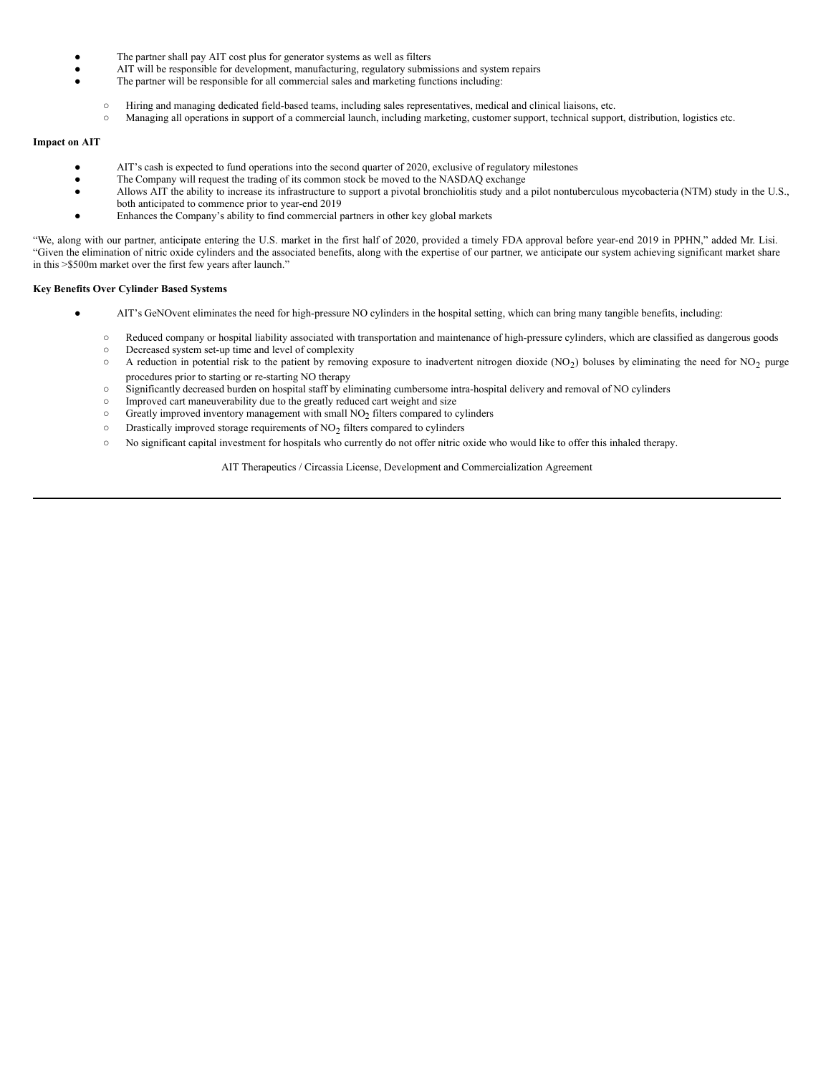- The partner shall pay AIT cost plus for generator systems as well as filters
- AIT will be responsible for development, manufacturing, regulatory submissions and system repairs
- The partner will be responsible for all commercial sales and marketing functions including:
	- Hiring and managing dedicated field-based teams, including sales representatives, medical and clinical liaisons, etc.
	- Managing all operations in support of a commercial launch, including marketing, customer support, technical support, distribution, logistics etc.

# **Impact on AIT**

- AIT's cash is expected to fund operations into the second quarter of 2020, exclusive of regulatory milestones
- The Company will request the trading of its common stock be moved to the NASDAQ exchange
- Allows AIT the ability to increase its infrastructure to support a pivotal bronchiolitis study and a pilot nontuberculous mycobacteria (NTM) study in the U.S., both anticipated to commence prior to year-end 2019
- Enhances the Company's ability to find commercial partners in other key global markets

"We, along with our partner, anticipate entering the U.S. market in the first half of 2020, provided a timely FDA approval before year-end 2019 in PPHN," added Mr. Lisi. "Given the elimination of nitric oxide cylinders and the associated benefits, along with the expertise of our partner, we anticipate our system achieving significant market share in this >\$500m market over the first few years after launch."

## **Key Benefits Over Cylinder Based Systems**

- AIT's GeNOvent eliminates the need for high-pressure NO cylinders in the hospital setting, which can bring many tangible benefits, including:
	- Reduced company or hospital liability associated with transportation and maintenance of high-pressure cylinders, which are classified as dangerous goods
	- Decreased system set-up time and level of complexity
	- $\circ$  A reduction in potential risk to the patient by removing exposure to inadvertent nitrogen dioxide (NO<sub>2</sub>) boluses by eliminating the need for NO<sub>2</sub> purge procedures prior to starting or re-starting NO therapy
	- Significantly decreased burden on hospital staff by eliminating cumbersome intra-hospital delivery and removal of NO cylinders
	- Improved cart maneuverability due to the greatly reduced cart weight and size
	- $\circ$  Greatly improved inventory management with small NO<sub>2</sub> filters compared to cylinders
	- $\circ$  Drastically improved storage requirements of NO<sub>2</sub> filters compared to cylinders
	- No significant capital investment for hospitals who currently do not offer nitric oxide who would like to offer this inhaled therapy.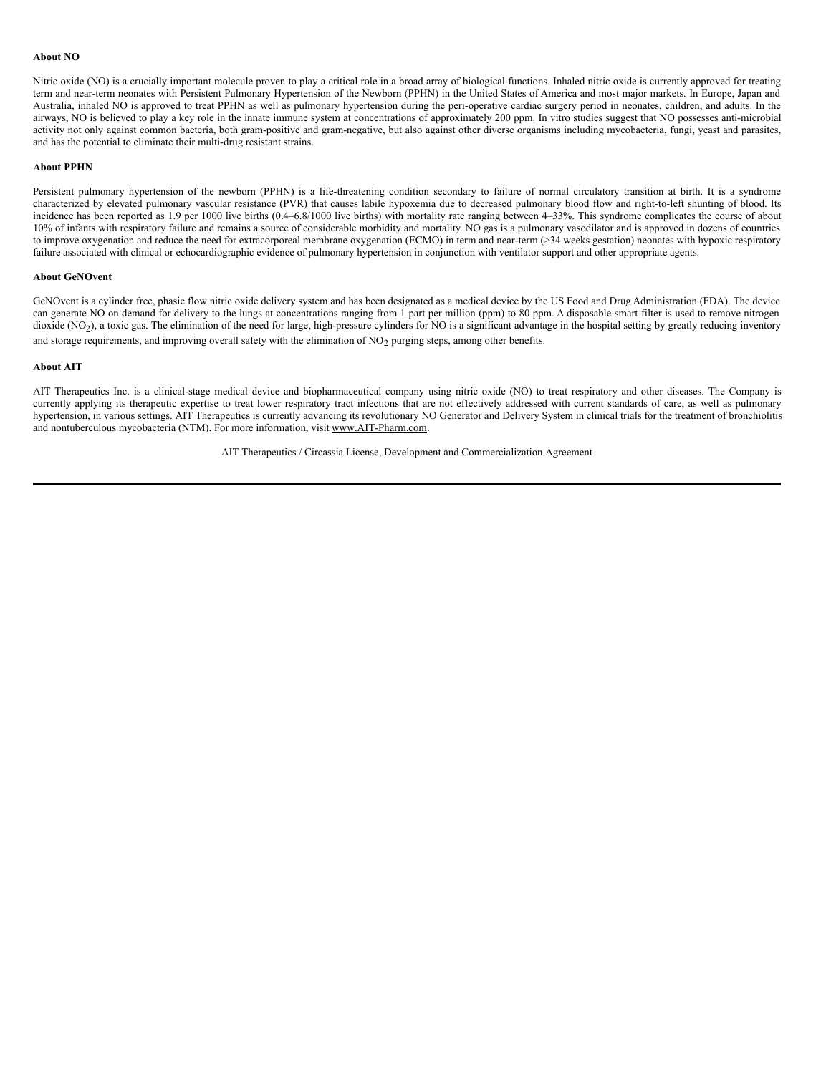#### **About NO**

Nitric oxide (NO) is a crucially important molecule proven to play a critical role in a broad array of biological functions. Inhaled nitric oxide is currently approved for treating term and near-term neonates with Persistent Pulmonary Hypertension of the Newborn (PPHN) in the United States of America and most major markets. In Europe, Japan and Australia, inhaled NO is approved to treat PPHN as well as pulmonary hypertension during the peri-operative cardiac surgery period in neonates, children, and adults. In the airways, NO is believed to play a key role in the innate immune system at concentrations of approximately 200 ppm. In vitro studies suggest that NO possesses anti-microbial activity not only against common bacteria, both gram-positive and gram-negative, but also against other diverse organisms including mycobacteria, fungi, yeast and parasites, and has the potential to eliminate their multi-drug resistant strains.

#### **About PPHN**

Persistent pulmonary hypertension of the newborn (PPHN) is a life-threatening condition secondary to failure of normal circulatory transition at birth. It is a syndrome characterized by elevated pulmonary vascular resistance (PVR) that causes labile hypoxemia due to decreased pulmonary blood flow and right-to-left shunting of blood. Its incidence has been reported as 1.9 per 1000 live births (0.4–6.8/1000 live births) with mortality rate ranging between 4–33%. This syndrome complicates the course of about 10% of infants with respiratory failure and remains a source of considerable morbidity and mortality. NO gas is a pulmonary vasodilator and is approved in dozens of countries to improve oxygenation and reduce the need for extracorporeal membrane oxygenation (ECMO) in term and near-term (>34 weeks gestation) neonates with hypoxic respiratory failure associated with clinical or echocardiographic evidence of pulmonary hypertension in conjunction with ventilator support and other appropriate agents.

# **About GeNOvent**

GeNOvent is a cylinder free, phasic flow nitric oxide delivery system and has been designated as a medical device by the US Food and Drug Administration (FDA). The device can generate NO on demand for delivery to the lungs at concentrations ranging from 1 part per million (ppm) to 80 ppm. A disposable smart filter is used to remove nitrogen dioxide (NO<sub>2</sub>), a toxic gas. The elimination of the need for large, high-pressure cylinders for NO is a significant advantage in the hospital setting by greatly reducing inventory and storage requirements, and improving overall safety with the elimination of  $NO<sub>2</sub>$  purging steps, among other benefits.

#### **About AIT**

AIT Therapeutics Inc. is a clinical-stage medical device and biopharmaceutical company using nitric oxide (NO) to treat respiratory and other diseases. The Company is currently applying its therapeutic expertise to treat lower respiratory tract infections that are not effectively addressed with current standards of care, as well as pulmonary hypertension, in various settings. AIT Therapeutics is currently advancing its revolutionary NO Generator and Delivery System in clinical trials for the treatment of bronchiolitis and nontuberculous mycobacteria (NTM). For more information, visit www.AIT-Pharm.com.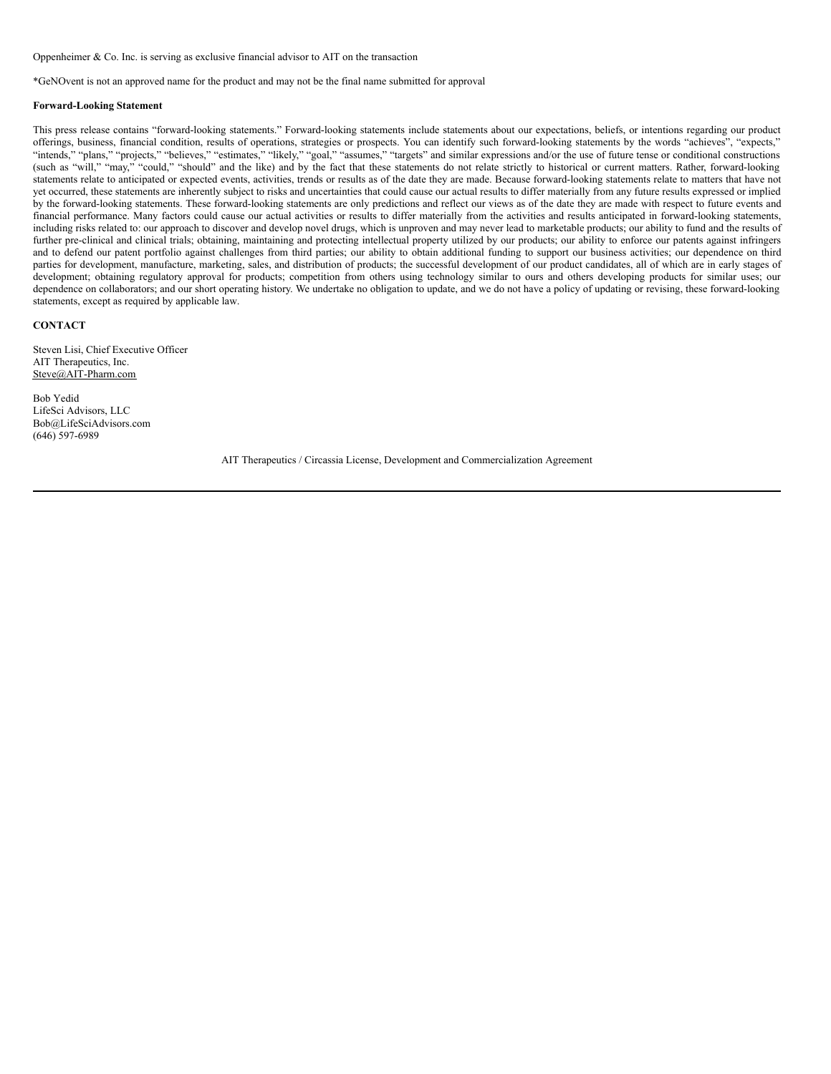Oppenheimer & Co. Inc. is serving as exclusive financial advisor to AIT on the transaction

\*GeNOvent is not an approved name for the product and may not be the final name submitted for approval

#### **Forward-Looking Statement**

This press release contains "forward-looking statements." Forward-looking statements include statements about our expectations, beliefs, or intentions regarding our product offerings, business, financial condition, results of operations, strategies or prospects. You can identify such forward-looking statements by the words "achieves", "expects," "intends," "plans," "projects," "believes," "estimates," "likely," "goal," "assumes," "targets" and similar expressions and/or the use of future tense or conditional constructions (such as "will," "may," "could," "should" and the like) and by the fact that these statements do not relate strictly to historical or current matters. Rather, forward-looking statements relate to anticipated or expected events, activities, trends or results as of the date they are made. Because forward-looking statements relate to matters that have not yet occurred, these statements are inherently subject to risks and uncertainties that could cause our actual results to differ materially from any future results expressed or implied by the forward-looking statements. These forward-looking statements are only predictions and reflect our views as of the date they are made with respect to future events and financial performance. Many factors could cause our actual activities or results to differ materially from the activities and results anticipated in forward-looking statements, including risks related to: our approach to discover and develop novel drugs, which is unproven and may never lead to marketable products; our ability to fund and the results of further pre-clinical and clinical trials; obtaining, maintaining and protecting intellectual property utilized by our products; our ability to enforce our patents against infringers and to defend our patent portfolio against challenges from third parties; our ability to obtain additional funding to support our business activities; our dependence on third parties for development, manufacture, marketing, sales, and distribution of products; the successful development of our product candidates, all of which are in early stages of development; obtaining regulatory approval for products; competition from others using technology similar to ours and others developing products for similar uses; our dependence on collaborators; and our short operating history. We undertake no obligation to update, and we do not have a policy of updating or revising, these forward-looking statements, except as required by applicable law.

#### **CONTACT**

Steven Lisi, Chief Executive Officer AIT Therapeutics, Inc. Steve@AIT-Pharm.com

Bob Yedid LifeSci Advisors, LLC Bob@LifeSciAdvisors.com (646) 597-6989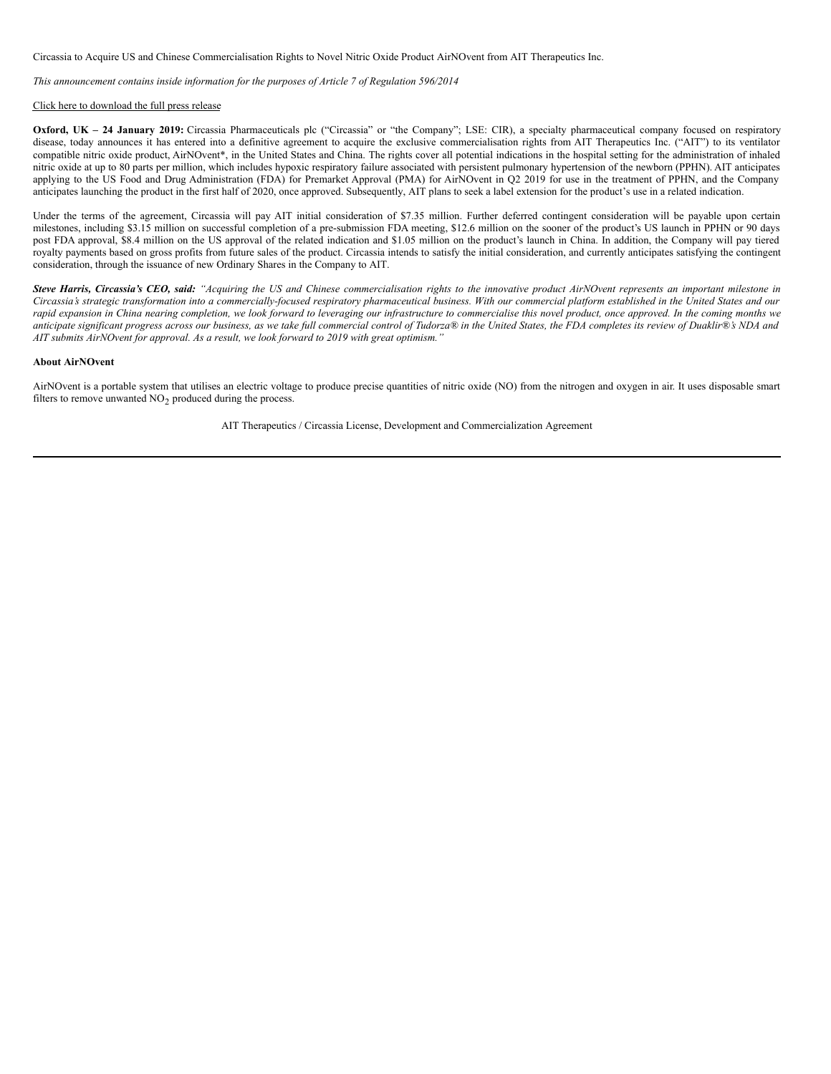Circassia to Acquire US and Chinese Commercialisation Rights to Novel Nitric Oxide Product AirNOvent from AIT Therapeutics Inc.

*This announcement contains inside information for the purposes of Article 7 of Regulation 596/2014*

#### Click here to download the full press release

**Oxford, UK – 24 January 2019:** Circassia Pharmaceuticals plc ("Circassia" or "the Company"; LSE: CIR), a specialty pharmaceutical company focused on respiratory disease, today announces it has entered into a definitive agreement to acquire the exclusive commercialisation rights from AIT Therapeutics Inc. ("AIT") to its ventilator compatible nitric oxide product, AirNOvent\*, in the United States and China. The rights cover all potential indications in the hospital setting for the administration of inhaled nitric oxide at up to 80 parts per million, which includes hypoxic respiratory failure associated with persistent pulmonary hypertension of the newborn (PPHN). AIT anticipates applying to the US Food and Drug Administration (FDA) for Premarket Approval (PMA) for AirNOvent in Q2 2019 for use in the treatment of PPHN, and the Company anticipates launching the product in the first half of 2020, once approved. Subsequently, AIT plans to seek a label extension for the product's use in a related indication.

Under the terms of the agreement, Circassia will pay AIT initial consideration of \$7.35 million. Further deferred contingent consideration will be payable upon certain milestones, including \$3.15 million on successful completion of a pre-submission FDA meeting, \$12.6 million on the sooner of the product's US launch in PPHN or 90 days post FDA approval, \$8.4 million on the US approval of the related indication and \$1.05 million on the product's launch in China. In addition, the Company will pay tiered royalty payments based on gross profits from future sales of the product. Circassia intends to satisfy the initial consideration, and currently anticipates satisfying the contingent consideration, through the issuance of new Ordinary Shares in the Company to AIT.

Steve Harris, Circassia's CEO, said: "Acquiring the US and Chinese commercialisation rights to the innovative product AirNOvent represents an important milestone in Circassia's strategic transformation into a commercially-focused respiratory pharmaceutical business. With our commercial platform established in the United States and our rapid expansion in China nearing completion, we look forward to leveraging our infrastructure to commercialise this novel product, once approved. In the coming months we anticipate significant progress across our business, as we take full commercial control of Tudorza® in the United States, the FDA completes its review of Duaklir®'s NDA and *AIT submits AirNOvent for approval. As a result, we look forward to 2019 with great optimism."*

#### **About AirNOvent**

AirNOvent is a portable system that utilises an electric voltage to produce precise quantities of nitric oxide (NO) from the nitrogen and oxygen in air. It uses disposable smart filters to remove unwanted  $NO<sub>2</sub>$  produced during the process.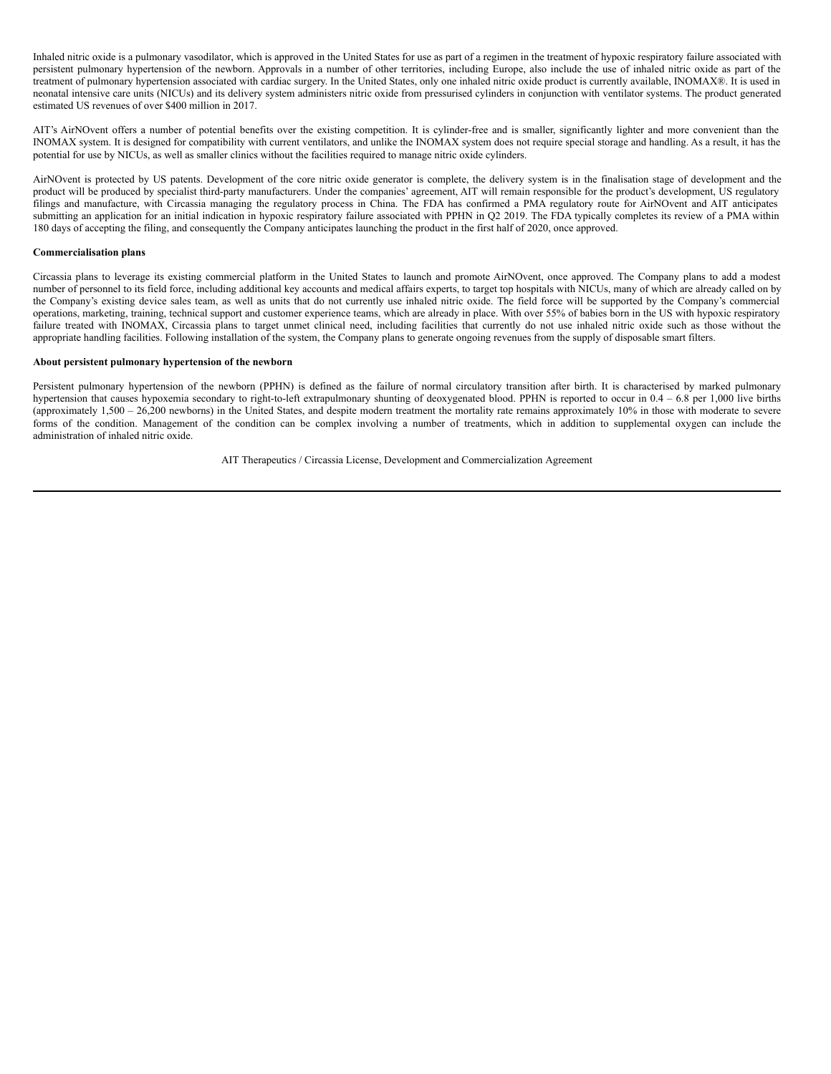Inhaled nitric oxide is a pulmonary vasodilator, which is approved in the United States for use as part of a regimen in the treatment of hypoxic respiratory failure associated with persistent pulmonary hypertension of the newborn. Approvals in a number of other territories, including Europe, also include the use of inhaled nitric oxide as part of the treatment of pulmonary hypertension associated with cardiac surgery. In the United States, only one inhaled nitric oxide product is currently available, INOMAX®. It is used in neonatal intensive care units (NICUs) and its delivery system administers nitric oxide from pressurised cylinders in conjunction with ventilator systems. The product generated estimated US revenues of over \$400 million in 2017.

AIT's AirNOvent offers a number of potential benefits over the existing competition. It is cylinder-free and is smaller, significantly lighter and more convenient than the INOMAX system. It is designed for compatibility with current ventilators, and unlike the INOMAX system does not require special storage and handling. As a result, it has the potential for use by NICUs, as well as smaller clinics without the facilities required to manage nitric oxide cylinders.

AirNOvent is protected by US patents. Development of the core nitric oxide generator is complete, the delivery system is in the finalisation stage of development and the product will be produced by specialist third-party manufacturers. Under the companies' agreement, AIT will remain responsible for the product's development, US regulatory filings and manufacture, with Circassia managing the regulatory process in China. The FDA has confirmed a PMA regulatory route for AirNOvent and AIT anticipates submitting an application for an initial indication in hypoxic respiratory failure associated with PPHN in Q2 2019. The FDA typically completes its review of a PMA within 180 days of accepting the filing, and consequently the Company anticipates launching the product in the first half of 2020, once approved.

# **Commercialisation plans**

Circassia plans to leverage its existing commercial platform in the United States to launch and promote AirNOvent, once approved. The Company plans to add a modest number of personnel to its field force, including additional key accounts and medical affairs experts, to target top hospitals with NICUs, many of which are already called on by the Company's existing device sales team, as well as units that do not currently use inhaled nitric oxide. The field force will be supported by the Company's commercial operations, marketing, training, technical support and customer experience teams, which are already in place. With over 55% of babies born in the US with hypoxic respiratory failure treated with INOMAX, Circassia plans to target unmet clinical need, including facilities that currently do not use inhaled nitric oxide such as those without the appropriate handling facilities. Following installation of the system, the Company plans to generate ongoing revenues from the supply of disposable smart filters.

#### **About persistent pulmonary hypertension of the newborn**

Persistent pulmonary hypertension of the newborn (PPHN) is defined as the failure of normal circulatory transition after birth. It is characterised by marked pulmonary hypertension that causes hypoxemia secondary to right-to-left extrapulmonary shunting of deoxygenated blood. PPHN is reported to occur in 0.4 – 6.8 per 1,000 live births (approximately 1,500 – 26,200 newborns) in the United States, and despite modern treatment the mortality rate remains approximately 10% in those with moderate to severe forms of the condition. Management of the condition can be complex involving a number of treatments, which in addition to supplemental oxygen can include the administration of inhaled nitric oxide.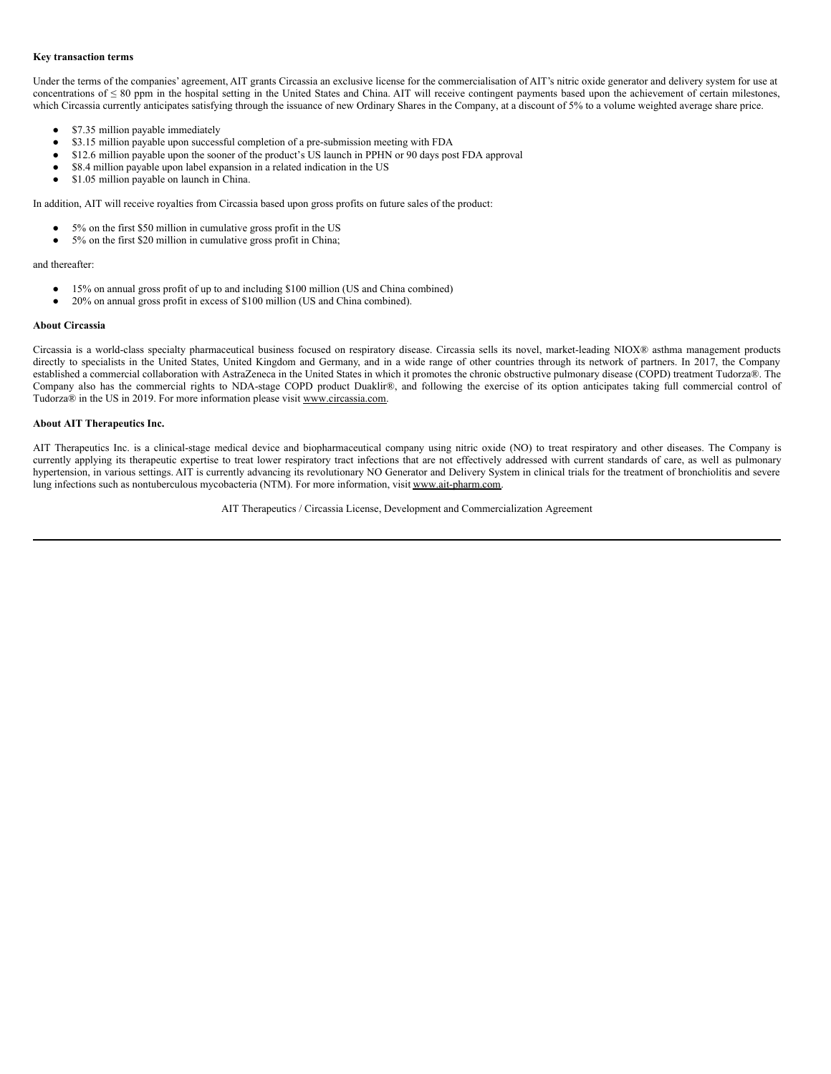## **Key transaction terms**

Under the terms of the companies' agreement, AIT grants Circassia an exclusive license for the commercialisation of AIT's nitric oxide generator and delivery system for use at concentrations of ≤ 80 ppm in the hospital setting in the United States and China. AIT will receive contingent payments based upon the achievement of certain milestones, which Circassia currently anticipates satisfying through the issuance of new Ordinary Shares in the Company, at a discount of 5% to a volume weighted average share price.

- \$7.35 million payable immediately
- \$3.15 million payable upon successful completion of a pre-submission meeting with FDA
- \$12.6 million payable upon the sooner of the product's US launch in PPHN or 90 days post FDA approval
- \$8.4 million payable upon label expansion in a related indication in the US
- \$1.05 million payable on launch in China.

In addition, AIT will receive royalties from Circassia based upon gross profits on future sales of the product:

- 5% on the first \$50 million in cumulative gross profit in the US
- 5% on the first \$20 million in cumulative gross profit in China;

#### and thereafter:

- 15% on annual gross profit of up to and including \$100 million (US and China combined)
- 20% on annual gross profit in excess of \$100 million (US and China combined).

# **About Circassia**

Circassia is a world-class specialty pharmaceutical business focused on respiratory disease. Circassia sells its novel, market-leading NIOX® asthma management products directly to specialists in the United States, United Kingdom and Germany, and in a wide range of other countries through its network of partners. In 2017, the Company established a commercial collaboration with AstraZeneca in the United States in which it promotes the chronic obstructive pulmonary disease (COPD) treatment Tudorza®. The Company also has the commercial rights to NDA-stage COPD product Duaklir®, and following the exercise of its option anticipates taking full commercial control of Tudorza® in the US in 2019. For more information please visit www.circassia.com.

## **About AIT Therapeutics Inc.**

AIT Therapeutics Inc. is a clinical-stage medical device and biopharmaceutical company using nitric oxide (NO) to treat respiratory and other diseases. The Company is currently applying its therapeutic expertise to treat lower respiratory tract infections that are not effectively addressed with current standards of care, as well as pulmonary hypertension, in various settings. AIT is currently advancing its revolutionary NO Generator and Delivery System in clinical trials for the treatment of bronchiolitis and severe lung infections such as nontuberculous mycobacteria (NTM). For more information, visit www.ait-pharm.com.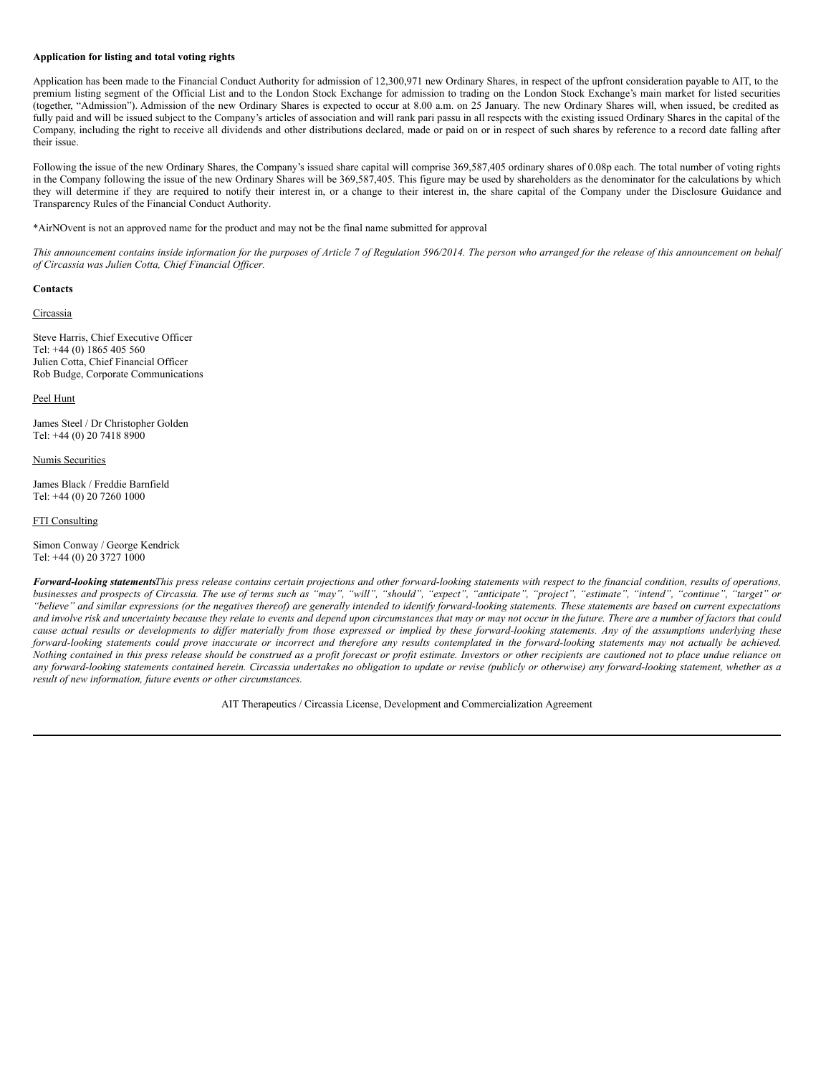# **Application for listing and total voting rights**

Application has been made to the Financial Conduct Authority for admission of 12,300,971 new Ordinary Shares, in respect of the upfront consideration payable to AIT, to the premium listing segment of the Official List and to the London Stock Exchange for admission to trading on the London Stock Exchange's main market for listed securities (together, "Admission"). Admission of the new Ordinary Shares is expected to occur at 8.00 a.m. on 25 January. The new Ordinary Shares will, when issued, be credited as fully paid and will be issued subject to the Company's articles of association and will rank pari passu in all respects with the existing issued Ordinary Shares in the capital of the Company, including the right to receive all dividends and other distributions declared, made or paid on or in respect of such shares by reference to a record date falling after their issue.

Following the issue of the new Ordinary Shares, the Company's issued share capital will comprise 369,587,405 ordinary shares of 0.08p each. The total number of voting rights in the Company following the issue of the new Ordinary Shares will be 369,587,405. This figure may be used by shareholders as the denominator for the calculations by which they will determine if they are required to notify their interest in, or a change to their interest in, the share capital of the Company under the Disclosure Guidance and Transparency Rules of the Financial Conduct Authority.

\*AirNOvent is not an approved name for the product and may not be the final name submitted for approval

This announcement contains inside information for the purposes of Article 7 of Regulation 596/2014. The person who arranged for the release of this announcement on behalf *of Circassia was Julien Cotta, Chief Financial Of icer.*

### **Contacts**

### **Circassia**

Steve Harris, Chief Executive Officer Tel: +44 (0) 1865 405 560 Julien Cotta, Chief Financial Officer Rob Budge, Corporate Communications

#### Peel Hunt

James Steel / Dr Christopher Golden Tel: +44 (0) 20 7418 8900

#### Numis Securities

James Black / Freddie Barnfield Tel: +44 (0) 20 7260 1000

#### FTI Consulting

Simon Conway / George Kendrick Tel: +44 (0) 20 3727 1000

Forward-looking statementsThis press release contains certain projections and other forward-looking statements with respect to the financial condition, results of operations, businesses and prospects of Circassia. The use of terms such as "may", "will", "should", "expect", "anticipate", "project", "estimate", "intend", "continue", "target" or "believe" and similar expressions (or the negatives thereof) are generally intended to identify forward-looking statements. These statements are based on current expectations and involve risk and uncertainty because they relate to events and depend upon circumstances that may or may not occur in the future. There are a number of factors that could cause actual results or developments to differ materially from those expressed or implied by these forward-looking statements. Any of the assumptions underlying these forward-looking statements could prove inaccurate or incorrect and therefore any results contemplated in the forward-looking statements may not actually be achieved. Nothing contained in this press release should be construed as a profit forecast or profit estimate. Investors or other recipients are cautioned not to place undue reliance on any forward-looking statements contained herein. Circassia undertakes no obligation to update or revise (publicly or otherwise) any forward-looking statement, whether as a *result of new information, future events or other circumstances.*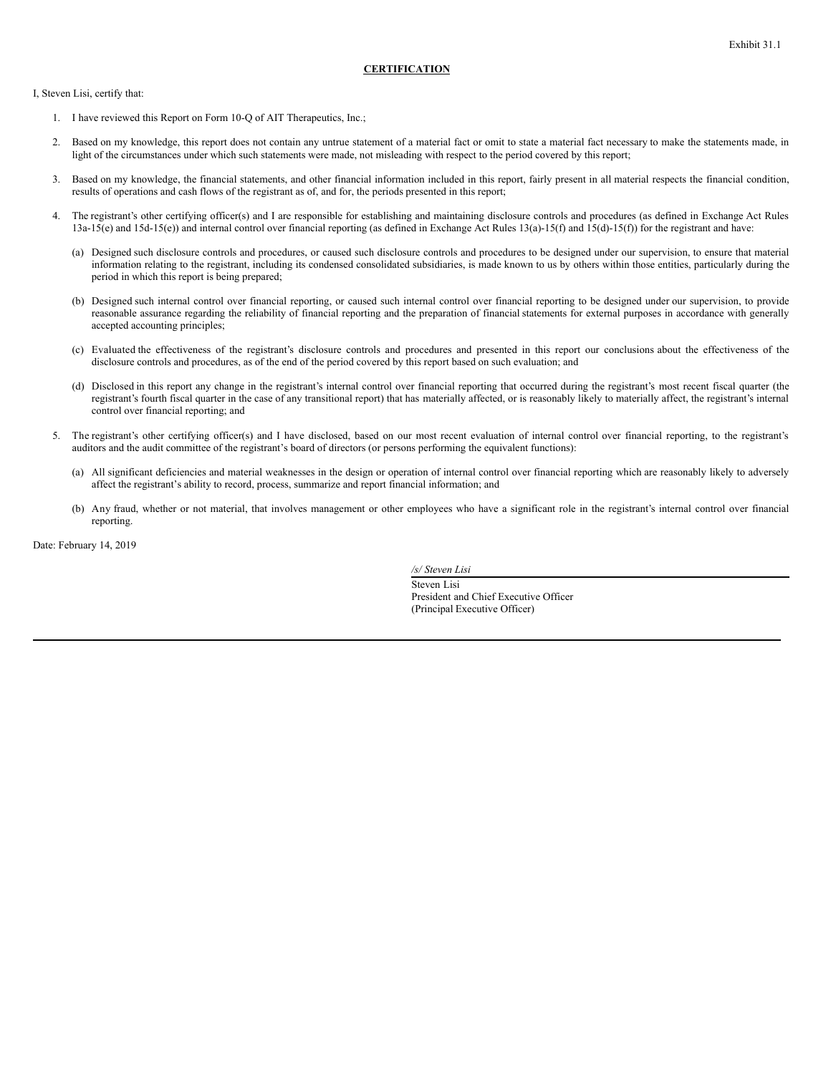I, Steven Lisi, certify that:

- 1. I have reviewed this Report on Form 10-Q of AIT Therapeutics, Inc.;
- 2. Based on my knowledge, this report does not contain any untrue statement of a material fact or omit to state a material fact necessary to make the statements made, in light of the circumstances under which such statements were made, not misleading with respect to the period covered by this report;
- 3. Based on my knowledge, the financial statements, and other financial information included in this report, fairly present in all material respects the financial condition, results of operations and cash flows of the registrant as of, and for, the periods presented in this report;
- 4. The registrant's other certifying officer(s) and I are responsible for establishing and maintaining disclosure controls and procedures (as defined in Exchange Act Rules 13a-15(e) and 15d-15(e)) and internal control over financial reporting (as defined in Exchange Act Rules 13(a)-15(f) and 15(d)-15(f)) for the registrant and have:
	- (a) Designed such disclosure controls and procedures, or caused such disclosure controls and procedures to be designed under our supervision, to ensure that material information relating to the registrant, including its condensed consolidated subsidiaries, is made known to us by others within those entities, particularly during the period in which this report is being prepared;
	- (b) Designed such internal control over financial reporting, or caused such internal control over financial reporting to be designed under our supervision, to provide reasonable assurance regarding the reliability of financial reporting and the preparation of financial statements for external purposes in accordance with generally accepted accounting principles;
	- (c) Evaluated the effectiveness of the registrant's disclosure controls and procedures and presented in this report our conclusions about the effectiveness of the disclosure controls and procedures, as of the end of the period covered by this report based on such evaluation; and
	- (d) Disclosed in this report any change in the registrant's internal control over financial reporting that occurred during the registrant's most recent fiscal quarter (the registrant's fourth fiscal quarter in the case of any transitional report) that has materially affected, or is reasonably likely to materially affect, the registrant's internal control over financial reporting; and
- 5. The registrant's other certifying officer(s) and I have disclosed, based on our most recent evaluation of internal control over financial reporting, to the registrant's auditors and the audit committee of the registrant's board of directors (or persons performing the equivalent functions):
	- (a) All significant deficiencies and material weaknesses in the design or operation of internal control over financial reporting which are reasonably likely to adversely affect the registrant's ability to record, process, summarize and report financial information; and
	- (b) Any fraud, whether or not material, that involves management or other employees who have a significant role in the registrant's internal control over financial reporting.

Date: February 14, 2019

*/s/ Steven Lisi*

Steven Lisi President and Chief Executive Officer (Principal Executive Officer)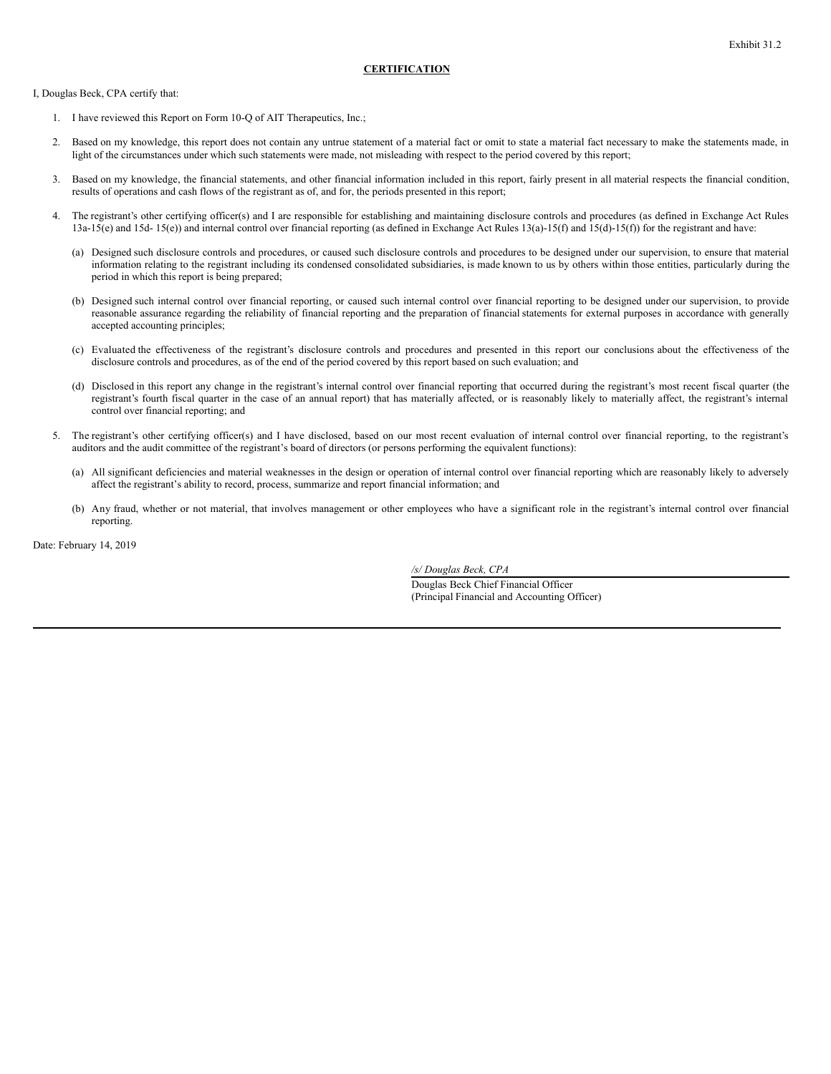I, Douglas Beck, CPA certify that:

- 1. I have reviewed this Report on Form 10-Q of AIT Therapeutics, Inc.;
- 2. Based on my knowledge, this report does not contain any untrue statement of a material fact or omit to state a material fact necessary to make the statements made, in light of the circumstances under which such statements were made, not misleading with respect to the period covered by this report;
- 3. Based on my knowledge, the financial statements, and other financial information included in this report, fairly present in all material respects the financial condition, results of operations and cash flows of the registrant as of, and for, the periods presented in this report;
- 4. The registrant's other certifying officer(s) and I are responsible for establishing and maintaining disclosure controls and procedures (as defined in Exchange Act Rules 13a-15(e) and 15d- 15(e)) and internal control over financial reporting (as defined in Exchange Act Rules 13(a)-15(f) and 15(d)-15(f)) for the registrant and have:
	- (a) Designed such disclosure controls and procedures, or caused such disclosure controls and procedures to be designed under our supervision, to ensure that material information relating to the registrant including its condensed consolidated subsidiaries, is made known to us by others within those entities, particularly during the period in which this report is being prepared;
	- (b) Designed such internal control over financial reporting, or caused such internal control over financial reporting to be designed under our supervision, to provide reasonable assurance regarding the reliability of financial reporting and the preparation of financial statements for external purposes in accordance with generally accepted accounting principles;
	- (c) Evaluated the effectiveness of the registrant's disclosure controls and procedures and presented in this report our conclusions about the effectiveness of the disclosure controls and procedures, as of the end of the period covered by this report based on such evaluation; and
	- (d) Disclosed in this report any change in the registrant's internal control over financial reporting that occurred during the registrant's most recent fiscal quarter (the registrant's fourth fiscal quarter in the case of an annual report) that has materially affected, or is reasonably likely to materially affect, the registrant's internal control over financial reporting; and
- 5. The registrant's other certifying officer(s) and I have disclosed, based on our most recent evaluation of internal control over financial reporting, to the registrant's auditors and the audit committee of the registrant's board of directors (or persons performing the equivalent functions):
	- (a) All significant deficiencies and material weaknesses in the design or operation of internal control over financial reporting which are reasonably likely to adversely affect the registrant's ability to record, process, summarize and report financial information; and
	- (b) Any fraud, whether or not material, that involves management or other employees who have a significant role in the registrant's internal control over financial reporting.

Date: February 14, 2019

*/s/ Douglas Beck, CPA*

Douglas Beck Chief Financial Officer (Principal Financial and Accounting Officer)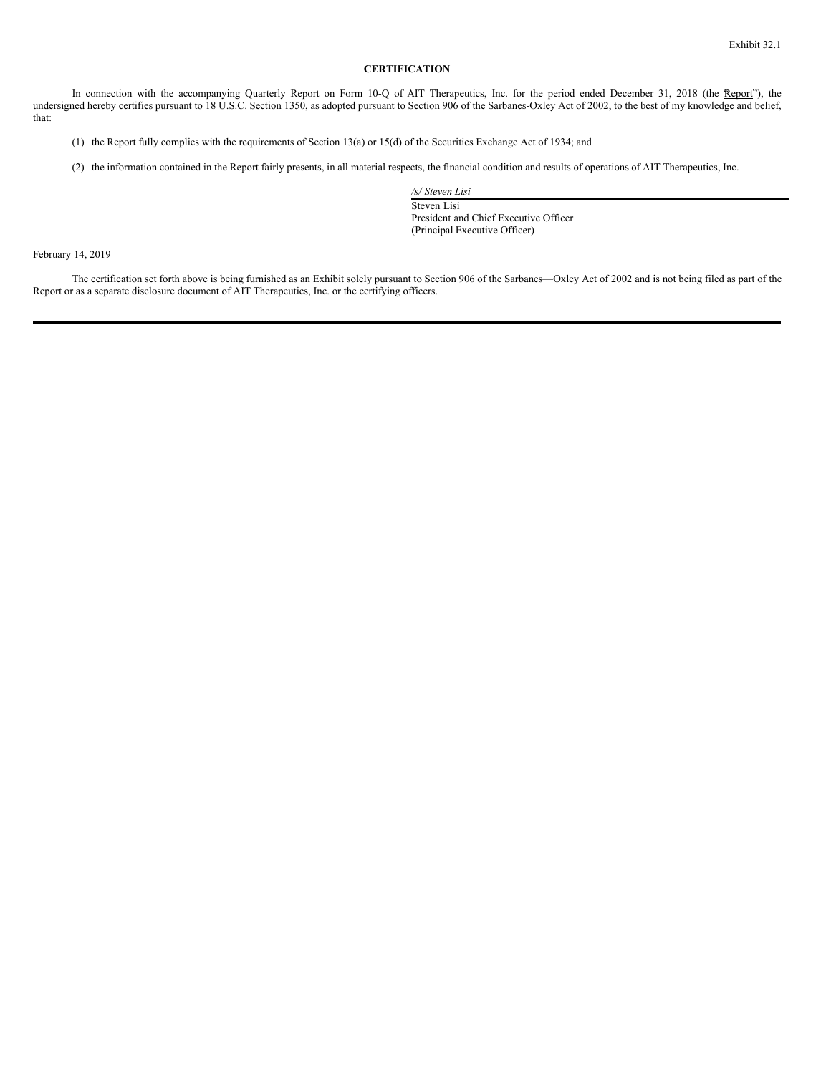In connection with the accompanying Quarterly Report on Form 10-Q of AIT Therapeutics, Inc. for the period ended December 31, 2018 (the Report"), the undersigned hereby certifies pursuant to 18 U.S.C. Section 1350, as adopted pursuant to Section 906 of the Sarbanes-Oxley Act of 2002, to the best of my knowledge and belief, that:

- (1) the Report fully complies with the requirements of Section 13(a) or 15(d) of the Securities Exchange Act of 1934; and
- (2) the information contained in the Report fairly presents, in all material respects, the financial condition and results of operations of AIT Therapeutics, Inc.

*/s/ Steven Lisi* Steven Lisi President and Chief Executive Officer (Principal Executive Officer)

February 14, 2019

The certification set forth above is being furnished as an Exhibit solely pursuant to Section 906 of the Sarbanes—Oxley Act of 2002 and is not being filed as part of the Report or as a separate disclosure document of AIT Therapeutics, Inc. or the certifying officers.